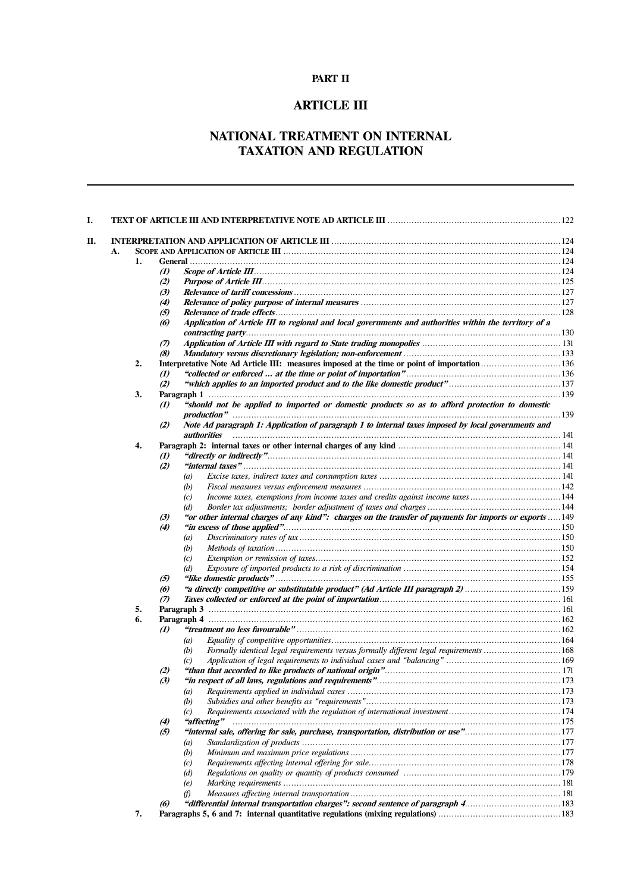# **PART II**

# **ARTICLE III**

# **NATIONAL TREATMENT ON INTERNAL TAXATION AND REGULATION**

| I. |    |                       |                                                                                                                   |  |
|----|----|-----------------------|-------------------------------------------------------------------------------------------------------------------|--|
| П. |    |                       |                                                                                                                   |  |
|    | A. |                       |                                                                                                                   |  |
|    | 1. |                       |                                                                                                                   |  |
|    |    | $\mathbf{u}$          |                                                                                                                   |  |
|    |    | (2)                   |                                                                                                                   |  |
|    |    | $\left(3\right)$      |                                                                                                                   |  |
|    |    | $\boldsymbol{r}$      |                                                                                                                   |  |
|    |    | (5)                   |                                                                                                                   |  |
|    |    | (6)                   | Application of Article III to regional and local governments and authorities within the territory of a            |  |
|    |    |                       |                                                                                                                   |  |
|    |    | (7)                   |                                                                                                                   |  |
|    |    | (8)                   |                                                                                                                   |  |
|    | 2. |                       | Interpretative Note Ad Article III: measures imposed at the time or point of importation136                       |  |
|    |    | $\mathcal{L}$         |                                                                                                                   |  |
|    |    | (2)                   |                                                                                                                   |  |
|    | 3. |                       |                                                                                                                   |  |
|    |    | $\mathbf{u}$          | "should not be applied to imported or domestic products so as to afford protection to domestic                    |  |
|    |    | (2)                   | Note Ad paragraph 1: Application of paragraph 1 to internal taxes imposed by local governments and<br>authorities |  |
|    | 4. |                       |                                                                                                                   |  |
|    |    |                       |                                                                                                                   |  |
|    |    | $\mathbf{u}$          |                                                                                                                   |  |
|    |    | (2)                   |                                                                                                                   |  |
|    |    |                       | (a)                                                                                                               |  |
|    |    |                       | (b)                                                                                                               |  |
|    |    |                       | Income taxes, exemptions from income taxes and credits against income taxes144<br>(c)                             |  |
|    |    |                       | (d)                                                                                                               |  |
|    |    | (3)                   | "or other internal charges of any kind": charges on the transfer of payments for imports or exports149            |  |
|    |    | $\bf{4}$              |                                                                                                                   |  |
|    |    |                       | (a)                                                                                                               |  |
|    |    |                       | (b)                                                                                                               |  |
|    |    |                       | (c)                                                                                                               |  |
|    |    |                       | (d)                                                                                                               |  |
|    |    | (5)                   |                                                                                                                   |  |
|    |    | (6)                   | "a directly competitive or substitutable product" (Ad Article III paragraph 2) 159                                |  |
|    |    | (7)                   |                                                                                                                   |  |
|    | 5. |                       |                                                                                                                   |  |
|    | 6. |                       |                                                                                                                   |  |
|    |    | $\boldsymbol{v}$      |                                                                                                                   |  |
|    |    |                       | (a)                                                                                                               |  |
|    |    |                       | Formally identical legal requirements versus formally different legal requirements 168<br>(b)                     |  |
|    |    |                       | (c)                                                                                                               |  |
|    |    | $\rm (2)$             |                                                                                                                   |  |
|    |    | $\left(3\right)$      |                                                                                                                   |  |
|    |    |                       | $\left(a\right)$                                                                                                  |  |
|    |    |                       | (b)                                                                                                               |  |
|    |    |                       | (c)                                                                                                               |  |
|    |    | $\boldsymbol{\omega}$ | "affecting"                                                                                                       |  |
|    |    |                       | "internal sale, offering for sale, purchase, transportation, distribution or use"177                              |  |
|    |    | (5)                   |                                                                                                                   |  |
|    |    |                       | (a)                                                                                                               |  |
|    |    |                       | (b)                                                                                                               |  |
|    |    |                       | (c)                                                                                                               |  |
|    |    |                       | (d)                                                                                                               |  |
|    |    |                       | (e)                                                                                                               |  |
|    |    |                       | (f)                                                                                                               |  |
|    |    | (6)                   | "differential internal transportation charges": second sentence of paragraph 4183                                 |  |
|    | 7. |                       |                                                                                                                   |  |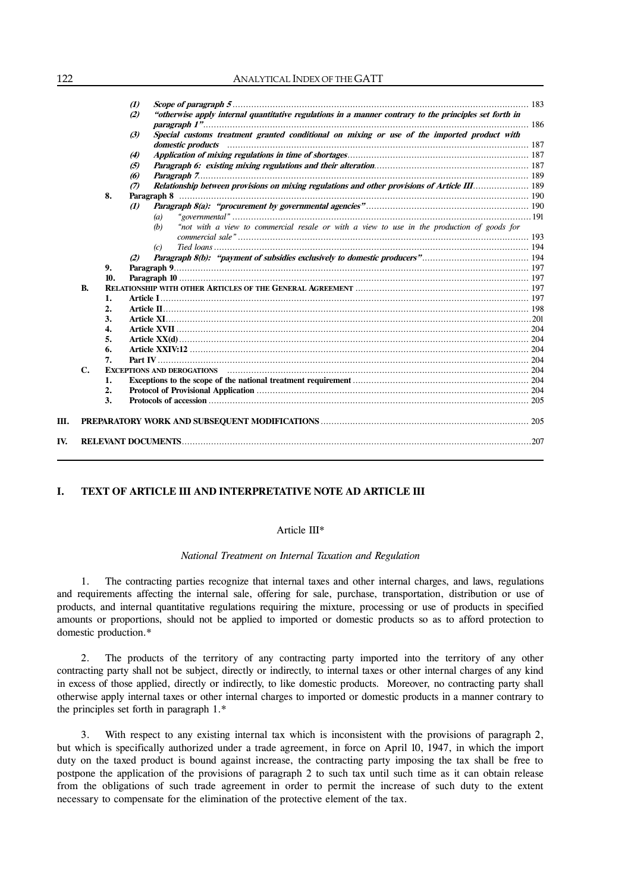|                |                  | $\boldsymbol{v}$                                                                                                                                                                                                                                                                                                                     |  |
|----------------|------------------|--------------------------------------------------------------------------------------------------------------------------------------------------------------------------------------------------------------------------------------------------------------------------------------------------------------------------------------|--|
|                |                  | "otherwise apply internal quantitative regulations in a manner contrary to the principles set forth in<br>(2)                                                                                                                                                                                                                        |  |
|                |                  | Special customs treatment granted conditional on mixing or use of the imported product with<br>(3)<br>domestic products and contained a series of the contract of the series of the series of the series of the series of the series of the series of the series of the series of the series of the series of the series of the seri |  |
|                |                  | $\boldsymbol{r}$                                                                                                                                                                                                                                                                                                                     |  |
|                |                  | (5)                                                                                                                                                                                                                                                                                                                                  |  |
|                |                  | $\omega$                                                                                                                                                                                                                                                                                                                             |  |
|                |                  | Relationship between provisions on mixing regulations and other provisions of Article III 189<br>(7)                                                                                                                                                                                                                                 |  |
|                | 8.               |                                                                                                                                                                                                                                                                                                                                      |  |
|                |                  | $\boldsymbol{a}$                                                                                                                                                                                                                                                                                                                     |  |
|                |                  | (a)                                                                                                                                                                                                                                                                                                                                  |  |
|                |                  | "not with a view to commercial resale or with a view to use in the production of goods for<br>(b)                                                                                                                                                                                                                                    |  |
|                |                  |                                                                                                                                                                                                                                                                                                                                      |  |
|                |                  | (c)                                                                                                                                                                                                                                                                                                                                  |  |
|                |                  | (2)                                                                                                                                                                                                                                                                                                                                  |  |
|                | 9.               |                                                                                                                                                                                                                                                                                                                                      |  |
|                | 10.              |                                                                                                                                                                                                                                                                                                                                      |  |
| B.             |                  |                                                                                                                                                                                                                                                                                                                                      |  |
|                | 1.               |                                                                                                                                                                                                                                                                                                                                      |  |
|                | $\overline{2}$ . |                                                                                                                                                                                                                                                                                                                                      |  |
|                | 3.               |                                                                                                                                                                                                                                                                                                                                      |  |
|                | 4.               |                                                                                                                                                                                                                                                                                                                                      |  |
|                | 5.               |                                                                                                                                                                                                                                                                                                                                      |  |
|                | 6.               |                                                                                                                                                                                                                                                                                                                                      |  |
|                | 7.               |                                                                                                                                                                                                                                                                                                                                      |  |
| $\mathbf{C}$ . |                  | EXCEPTIONS AND DEROGATIONS (and according the contract of the contract of the contract of the contract of the contract of the contract of the contract of the contract of the contract of the contract of the contract of the                                                                                                        |  |
|                | 1.               | <b>Exceptions to the scope of the national treatment requirement material contract the scope of the national treatment requirement material contract of the scope of the national treatment requirement material contract of the</b>                                                                                                 |  |
|                | 2.               |                                                                                                                                                                                                                                                                                                                                      |  |
|                | 3.               |                                                                                                                                                                                                                                                                                                                                      |  |
|                |                  |                                                                                                                                                                                                                                                                                                                                      |  |
|                |                  |                                                                                                                                                                                                                                                                                                                                      |  |

# **I. TEXT OF ARTICLE III AND INTERPRETATIVE NOTE AD ARTICLE III**

# Article III\*

#### *National Treatment on Internal Taxation and Regulation*

1. The contracting parties recognize that internal taxes and other internal charges, and laws, regulations and requirements affecting the internal sale, offering for sale, purchase, transportation, distribution or use of products, and internal quantitative regulations requiring the mixture, processing or use of products in specified amounts or proportions, should not be applied to imported or domestic products so as to afford protection to domestic production.\*

2. The products of the territory of any contracting party imported into the territory of any other contracting party shall not be subject, directly or indirectly, to internal taxes or other internal charges of any kind in excess of those applied, directly or indirectly, to like domestic products. Moreover, no contracting party shall otherwise apply internal taxes or other internal charges to imported or domestic products in a manner contrary to the principles set forth in paragraph 1.\*

3. With respect to any existing internal tax which is inconsistent with the provisions of paragraph 2, but which is specifically authorized under a trade agreement, in force on April 10, 1947, in which the import duty on the taxed product is bound against increase, the contracting party imposing the tax shall be free to postpone the application of the provisions of paragraph 2 to such tax until such time as it can obtain release from the obligations of such trade agreement in order to permit the increase of such duty to the extent necessary to compensate for the elimination of the protective element of the tax.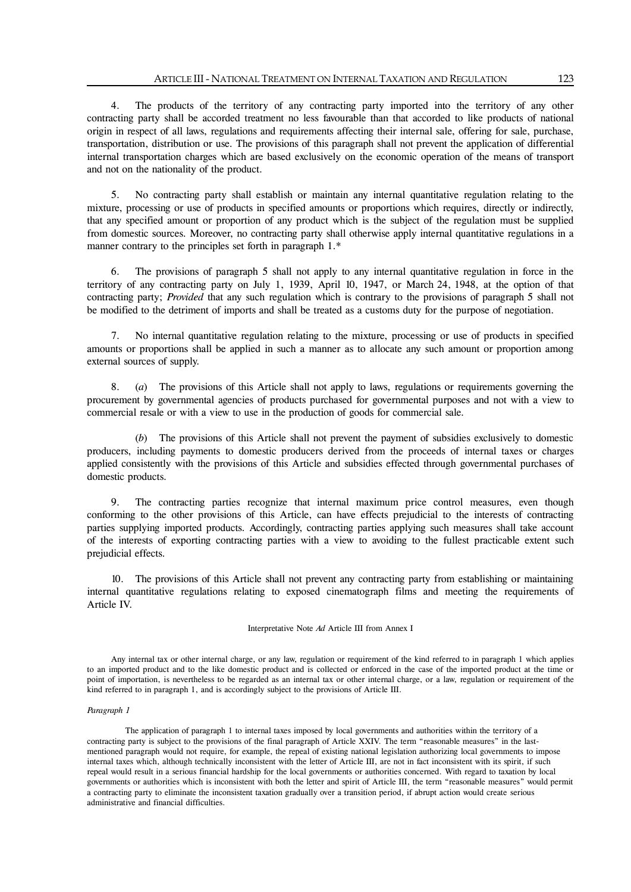4. The products of the territory of any contracting party imported into the territory of any other contracting party shall be accorded treatment no less favourable than that accorded to like products of national origin in respect of all laws, regulations and requirements affecting their internal sale, offering for sale, purchase, transportation, distribution or use. The provisions of this paragraph shall not prevent the application of differential internal transportation charges which are based exclusively on the economic operation of the means of transport and not on the nationality of the product.

5. No contracting party shall establish or maintain any internal quantitative regulation relating to the mixture, processing or use of products in specified amounts or proportions which requires, directly or indirectly, that any specified amount or proportion of any product which is the subject of the regulation must be supplied from domestic sources. Moreover, no contracting party shall otherwise apply internal quantitative regulations in a manner contrary to the principles set forth in paragraph 1.\*

6. The provisions of paragraph 5 shall not apply to any internal quantitative regulation in force in the territory of any contracting party on July 1, 1939, April 10, 1947, or March 24, 1948, at the option of that contracting party; *Provided* that any such regulation which is contrary to the provisions of paragraph 5 shall not be modified to the detriment of imports and shall be treated as a customs duty for the purpose of negotiation.

7. No internal quantitative regulation relating to the mixture, processing or use of products in specified amounts or proportions shall be applied in such a manner as to allocate any such amount or proportion among external sources of supply.

8. (*a*) The provisions of this Article shall not apply to laws, regulations or requirements governing the procurement by governmental agencies of products purchased for governmental purposes and not with a view to commercial resale or with a view to use in the production of goods for commercial sale.

(*b*) The provisions of this Article shall not prevent the payment of subsidies exclusively to domestic producers, including payments to domestic producers derived from the proceeds of internal taxes or charges applied consistently with the provisions of this Article and subsidies effected through governmental purchases of domestic products.

9. The contracting parties recognize that internal maximum price control measures, even though conforming to the other provisions of this Article, can have effects prejudicial to the interests of contracting parties supplying imported products. Accordingly, contracting parties applying such measures shall take account of the interests of exporting contracting parties with a view to avoiding to the fullest practicable extent such prejudicial effects.

10. The provisions of this Article shall not prevent any contracting party from establishing or maintaining internal quantitative regulations relating to exposed cinematograph films and meeting the requirements of Article IV.

Interpretative Note *Ad* Article III from Annex I

Any internal tax or other internal charge, or any law, regulation or requirement of the kind referred to in paragraph 1 which applies to an imported product and to the like domestic product and is collected or enforced in the case of the imported product at the time or point of importation, is nevertheless to be regarded as an internal tax or other internal charge, or a law, regulation or requirement of the kind referred to in paragraph 1, and is accordingly subject to the provisions of Article III.

#### *Paragraph 1*

The application of paragraph 1 to internal taxes imposed by local governments and authorities within the territory of a contracting party is subject to the provisions of the final paragraph of Article XXIV. The term "reasonable measures" in the lastmentioned paragraph would not require, for example, the repeal of existing national legislation authorizing local governments to impose internal taxes which, although technically inconsistent with the letter of Article III, are not in fact inconsistent with its spirit, if such repeal would result in a serious financial hardship for the local governments or authorities concerned. With regard to taxation by local governments or authorities which is inconsistent with both the letter and spirit of Article III, the term "reasonable measures" would permit a contracting party to eliminate the inconsistent taxation gradually over a transition period, if abrupt action would create serious administrative and financial difficulties.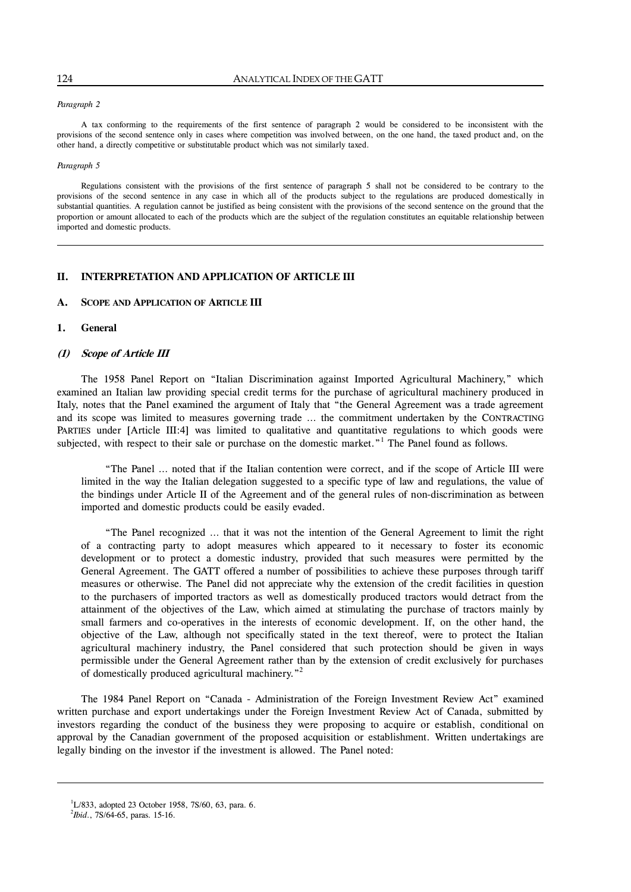#### *Paragraph 2*

A tax conforming to the requirements of the first sentence of paragraph 2 would be considered to be inconsistent with the provisions of the second sentence only in cases where competition was involved between, on the one hand, the taxed product and, on the other hand, a directly competitive or substitutable product which was not similarly taxed.

*Paragraph 5*

Regulations consistent with the provisions of the first sentence of paragraph 5 shall not be considered to be contrary to the provisions of the second sentence in any case in which all of the products subject to the regulations are produced domestically in substantial quantities. A regulation cannot be justified as being consistent with the provisions of the second sentence on the ground that the proportion or amount allocated to each of the products which are the subject of the regulation constitutes an equitable relationship between imported and domestic products.

## **II. INTERPRETATION AND APPLICATION OF ARTICLE III**

#### **A. SCOPE AND APPLICATION OF ARTICLE III**

#### **1. General**

# **(1) Scope of Article III**

The 1958 Panel Report on "Italian Discrimination against Imported Agricultural Machinery," which examined an Italian law providing special credit terms for the purchase of agricultural machinery produced in Italy, notes that the Panel examined the argument of Italy that "the General Agreement was a trade agreement and its scope was limited to measures governing trade … the commitment undertaken by the CONTRACTING PARTIES under [Article III:4] was limited to qualitative and quantitative regulations to which goods were subjected, with respect to their sale or purchase on the domestic market."<sup>1</sup> The Panel found as follows.

"The Panel … noted that if the Italian contention were correct, and if the scope of Article III were limited in the way the Italian delegation suggested to a specific type of law and regulations, the value of the bindings under Article II of the Agreement and of the general rules of non-discrimination as between imported and domestic products could be easily evaded.

"The Panel recognized … that it was not the intention of the General Agreement to limit the right of a contracting party to adopt measures which appeared to it necessary to foster its economic development or to protect a domestic industry, provided that such measures were permitted by the General Agreement. The GATT offered a number of possibilities to achieve these purposes through tariff measures or otherwise. The Panel did not appreciate why the extension of the credit facilities in question to the purchasers of imported tractors as well as domestically produced tractors would detract from the attainment of the objectives of the Law, which aimed at stimulating the purchase of tractors mainly by small farmers and co-operatives in the interests of economic development. If, on the other hand, the objective of the Law, although not specifically stated in the text thereof, were to protect the Italian agricultural machinery industry, the Panel considered that such protection should be given in ways permissible under the General Agreement rather than by the extension of credit exclusively for purchases of domestically produced agricultural machinery."<sup>2</sup>

The 1984 Panel Report on "Canada - Administration of the Foreign Investment Review Act" examined written purchase and export undertakings under the Foreign Investment Review Act of Canada, submitted by investors regarding the conduct of the business they were proposing to acquire or establish, conditional on approval by the Canadian government of the proposed acquisition or establishment. Written undertakings are legally binding on the investor if the investment is allowed. The Panel noted:

 $1L/833$ , adopted 23 October 1958, 7S/60, 63, para. 6.

<sup>2</sup> *Ibid*., 7S/64-65, paras. 15-16.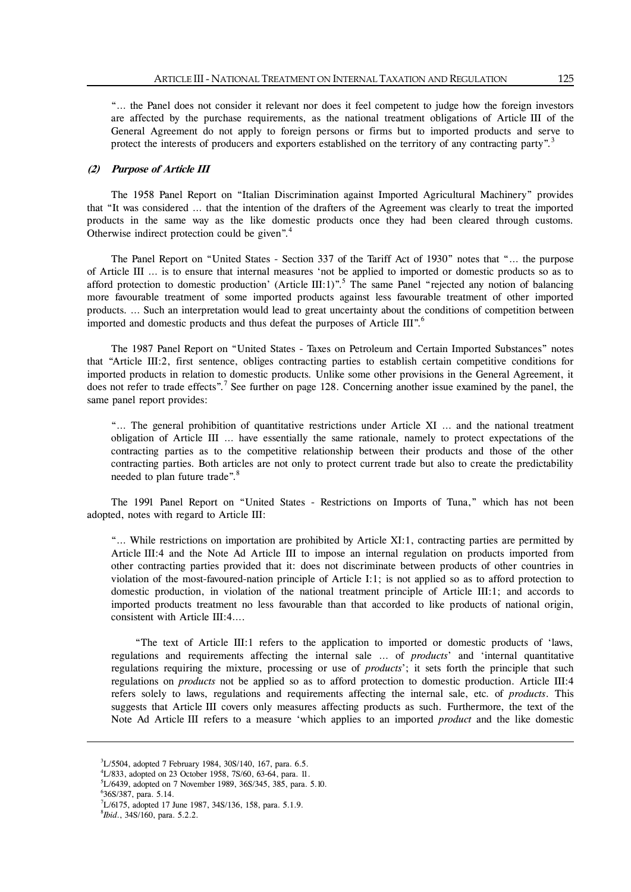"… the Panel does not consider it relevant nor does it feel competent to judge how the foreign investors are affected by the purchase requirements, as the national treatment obligations of Article III of the General Agreement do not apply to foreign persons or firms but to imported products and serve to protect the interests of producers and exporters established on the territory of any contracting party".<sup>3</sup>

#### **(2) Purpose of Article III**

The 1958 Panel Report on "Italian Discrimination against Imported Agricultural Machinery" provides that "It was considered … that the intention of the drafters of the Agreement was clearly to treat the imported products in the same way as the like domestic products once they had been cleared through customs. Otherwise indirect protection could be given".<sup>4</sup>

The Panel Report on "United States - Section 337 of the Tariff Act of 1930" notes that "… the purpose of Article III … is to ensure that internal measures 'not be applied to imported or domestic products so as to afford protection to domestic production' (Article III:1)".<sup>5</sup> The same Panel "rejected any notion of balancing more favourable treatment of some imported products against less favourable treatment of other imported products. … Such an interpretation would lead to great uncertainty about the conditions of competition between imported and domestic products and thus defeat the purposes of Article III".<sup>6</sup>

The 1987 Panel Report on "United States - Taxes on Petroleum and Certain Imported Substances" notes that "Article III:2, first sentence, obliges contracting parties to establish certain competitive conditions for imported products in relation to domestic products. Unlike some other provisions in the General Agreement, it does not refer to trade effects".<sup>7</sup> See further on page 128. Concerning another issue examined by the panel, the same panel report provides:

"… The general prohibition of quantitative restrictions under Article XI … and the national treatment obligation of Article III … have essentially the same rationale, namely to protect expectations of the contracting parties as to the competitive relationship between their products and those of the other contracting parties. Both articles are not only to protect current trade but also to create the predictability needed to plan future trade".<sup>8</sup>

The 1991 Panel Report on "United States - Restrictions on Imports of Tuna," which has not been adopted, notes with regard to Article III:

"… While restrictions on importation are prohibited by Article XI:1, contracting parties are permitted by Article III:4 and the Note Ad Article III to impose an internal regulation on products imported from other contracting parties provided that it: does not discriminate between products of other countries in violation of the most-favoured-nation principle of Article I:1; is not applied so as to afford protection to domestic production, in violation of the national treatment principle of Article III:1; and accords to imported products treatment no less favourable than that accorded to like products of national origin, consistent with Article III:4….

"The text of Article III:1 refers to the application to imported or domestic products of 'laws, regulations and requirements affecting the internal sale … of *products*' and 'internal quantitative regulations requiring the mixture, processing or use of *products*'; it sets forth the principle that such regulations on *products* not be applied so as to afford protection to domestic production. Article III:4 refers solely to laws, regulations and requirements affecting the internal sale, etc. of *products*. This suggests that Article III covers only measures affecting products as such. Furthermore, the text of the Note Ad Article III refers to a measure 'which applies to an imported *product* and the like domestic

6 36S/387, para. 5.14.

 $\overline{a}$ 

8 *Ibid*., 34S/160, para. 5.2.2.

<sup>&</sup>lt;sup>3</sup>L/5504, adopted 7 February 1984, 30S/140, 167, para. 6.5.

<sup>4</sup>L/833, adopted on 23 October 1958, 7S/60, 63-64, para. 11.

<sup>5</sup>L/6439, adopted on 7 November 1989, 36S/345, 385, para. 5.10.

<sup>7</sup>L/6175, adopted 17 June 1987, 34S/136, 158, para. 5.1.9.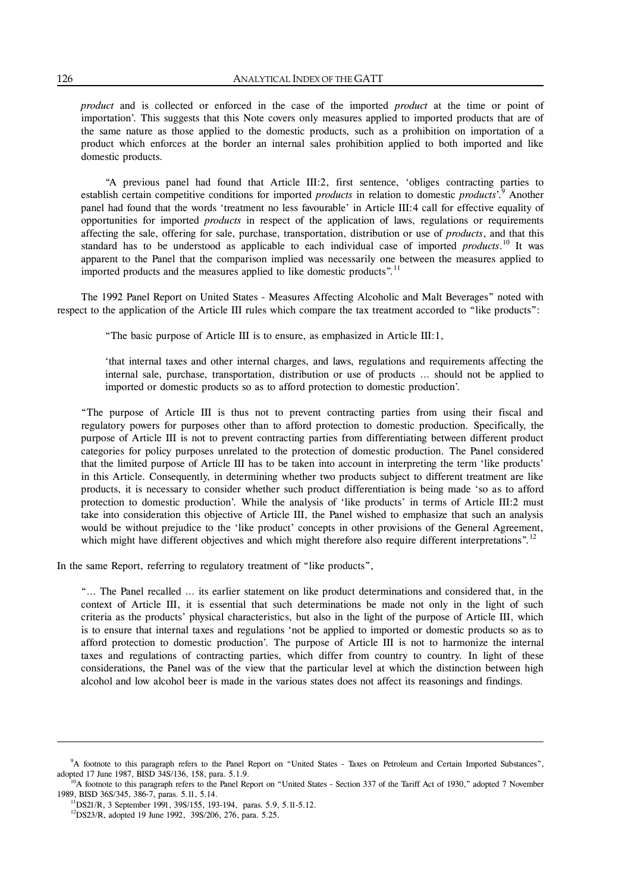*product* and is collected or enforced in the case of the imported *product* at the time or point of importation'. This suggests that this Note covers only measures applied to imported products that are of the same nature as those applied to the domestic products, such as a prohibition on importation of a product which enforces at the border an internal sales prohibition applied to both imported and like domestic products.

"A previous panel had found that Article III:2, first sentence, 'obliges contracting parties to establish certain competitive conditions for imported *products* in relation to domestic *products*'.<sup>9</sup> Another panel had found that the words 'treatment no less favourable' in Article III:4 call for effective equality of opportunities for imported *products* in respect of the application of laws, regulations or requirements affecting the sale, offering for sale, purchase, transportation, distribution or use of *products*, and that this standard has to be understood as applicable to each individual case of imported *products*. <sup>10</sup> It was apparent to the Panel that the comparison implied was necessarily one between the measures applied to imported products and the measures applied to like domestic products".<sup>11</sup>

The 1992 Panel Report on United States - Measures Affecting Alcoholic and Malt Beverages" noted with respect to the application of the Article III rules which compare the tax treatment accorded to "like products":

"The basic purpose of Article III is to ensure, as emphasized in Article III:1,

'that internal taxes and other internal charges, and laws, regulations and requirements affecting the internal sale, purchase, transportation, distribution or use of products … should not be applied to imported or domestic products so as to afford protection to domestic production'.

"The purpose of Article III is thus not to prevent contracting parties from using their fiscal and regulatory powers for purposes other than to afford protection to domestic production. Specifically, the purpose of Article III is not to prevent contracting parties from differentiating between different product categories for policy purposes unrelated to the protection of domestic production. The Panel considered that the limited purpose of Article III has to be taken into account in interpreting the term 'like products' in this Article. Consequently, in determining whether two products subject to different treatment are like products, it is necessary to consider whether such product differentiation is being made 'so as to afford protection to domestic production'. While the analysis of 'like products' in terms of Article III:2 must take into consideration this objective of Article III, the Panel wished to emphasize that such an analysis would be without prejudice to the 'like product' concepts in other provisions of the General Agreement, which might have different objectives and which might therefore also require different interpretations".<sup>12</sup>

In the same Report, referring to regulatory treatment of "like products",

"… The Panel recalled … its earlier statement on like product determinations and considered that, in the context of Article III, it is essential that such determinations be made not only in the light of such criteria as the products' physical characteristics, but also in the light of the purpose of Article III, which is to ensure that internal taxes and regulations 'not be applied to imported or domestic products so as to afford protection to domestic production'. The purpose of Article III is not to harmonize the internal taxes and regulations of contracting parties, which differ from country to country. In light of these considerations, the Panel was of the view that the particular level at which the distinction between high alcohol and low alcohol beer is made in the various states does not affect its reasonings and findings.

<sup>9</sup>A footnote to this paragraph refers to the Panel Report on "United States - Taxes on Petroleum and Certain Imported Substances", adopted 17 June 1987, BISD 34S/136, 158, para. 5.1.9.

<sup>&</sup>lt;sup>10</sup>A footnote to this paragraph refers to the Panel Report on "United States - Section 337 of the Tariff Act of 1930," adopted 7 November 1989, BISD 36S/345, 386-7, paras. 5.11, 5.14.

 $11^{11}$ DS21/R, 3 September 1991, 39S/155, 193-194, paras. 5.9, 5.11-5.12.

<sup>12</sup>DS23/R, adopted 19 June 1992, 39S/206, 276, para. 5.25.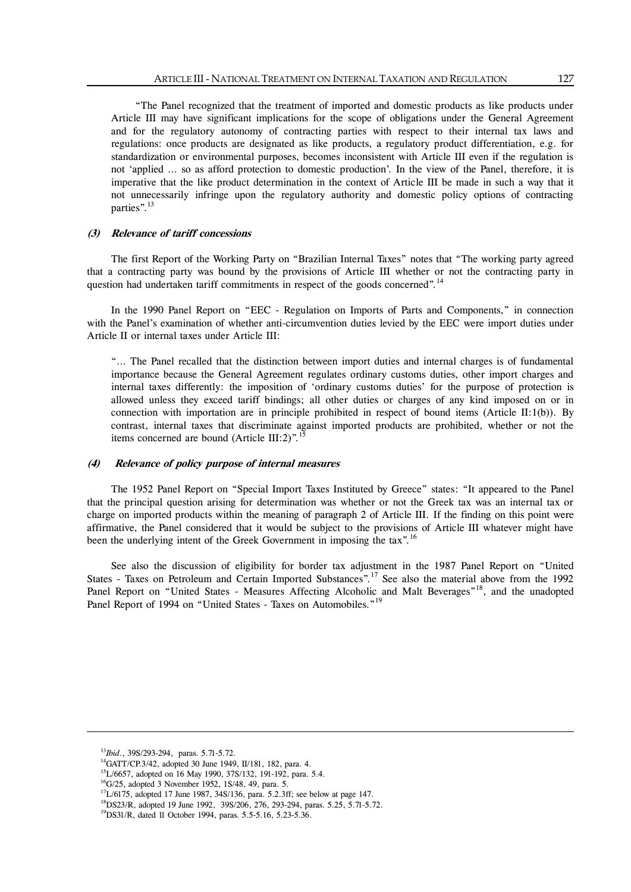"The Panel recognized that the treatment of imported and domestic products as like products under Article III may have significant implications for the scope of obligations under the General Agreement and for the regulatory autonomy of contracting parties with respect to their internal tax laws and regulations: once products are designated as like products, a regulatory product differentiation, e.g. for standardization or environmental purposes, becomes inconsistent with Article III even if the regulation is not 'applied … so as afford protection to domestic production'. In the view of the Panel, therefore, it is imperative that the like product determination in the context of Article III be made in such a way that it not unnecessarily infringe upon the regulatory authority and domestic policy options of contracting parties".<sup>13</sup>

# **(3) Relevance of tariff concessions**

The first Report of the Working Party on "Brazilian Internal Taxes" notes that "The working party agreed that a contracting party was bound by the provisions of Article III whether or not the contracting party in question had undertaken tariff commitments in respect of the goods concerned".<sup>14</sup>

In the 1990 Panel Report on "EEC - Regulation on Imports of Parts and Components," in connection with the Panel's examination of whether anti-circumvention duties levied by the EEC were import duties under Article II or internal taxes under Article III:

"… The Panel recalled that the distinction between import duties and internal charges is of fundamental importance because the General Agreement regulates ordinary customs duties, other import charges and internal taxes differently: the imposition of 'ordinary customs duties' for the purpose of protection is allowed unless they exceed tariff bindings; all other duties or charges of any kind imposed on or in connection with importation are in principle prohibited in respect of bound items (Article II:1(b)). By contrast, internal taxes that discriminate against imported products are prohibited, whether or not the items concerned are bound (Article III:2)".<sup>15</sup>

#### **(4) Relevance of policy purpose of internal measures**

The 1952 Panel Report on "Special Import Taxes Instituted by Greece" states: "It appeared to the Panel that the principal question arising for determination was whether or not the Greek tax was an internal tax or charge on imported products within the meaning of paragraph 2 of Article III. If the finding on this point were affirmative, the Panel considered that it would be subject to the provisions of Article III whatever might have been the underlying intent of the Greek Government in imposing the tax".<sup>16</sup>

See also the discussion of eligibility for border tax adjustment in the 1987 Panel Report on "United States - Taxes on Petroleum and Certain Imported Substances".<sup>17</sup> See also the material above from the 1992 Panel Report on "United States - Measures Affecting Alcoholic and Malt Beverages"<sup>18</sup>, and the unadopted Panel Report of 1994 on "United States - Taxes on Automobiles."<sup>19</sup>

<sup>13</sup>*Ibid*., 39S/293-294, paras. 5.71-5.72.

<sup>14</sup>GATT/CP.3/42, adopted 30 June 1949, II/181, 182, para. 4.

<sup>&</sup>lt;sup>15</sup>L/6657, adopted on 16 May 1990, 37S/132, 191-192, para. 5.4.

<sup>&</sup>lt;sup>16</sup>G/25, adopted 3 November 1952, 1S/48, 49, para. 5.

 $17L/6175$ , adopted 17 June 1987, 34S/136, para. 5.2.3ff; see below at page 147.

<sup>&</sup>lt;sup>18</sup>DS23/R, adopted 19 June 1992, 39S/206, 276, 293-294, paras. 5.25, 5.71-5.72.

<sup>19</sup>DS31/R, dated 11 October 1994, paras. 5.5-5.16, 5.23-5.36.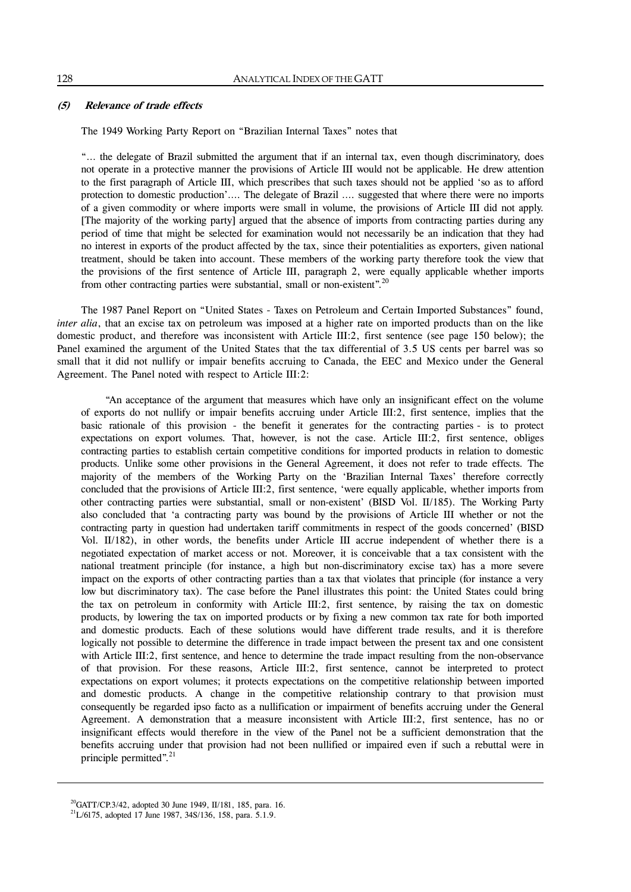#### **(5) Relevance of trade effects**

The 1949 Working Party Report on "Brazilian Internal Taxes" notes that

"… the delegate of Brazil submitted the argument that if an internal tax, even though discriminatory, does not operate in a protective manner the provisions of Article III would not be applicable. He drew attention to the first paragraph of Article III, which prescribes that such taxes should not be applied 'so as to afford protection to domestic production'…. The delegate of Brazil …. suggested that where there were no imports of a given commodity or where imports were small in volume, the provisions of Article III did not apply. [The majority of the working party] argued that the absence of imports from contracting parties during any period of time that might be selected for examination would not necessarily be an indication that they had no interest in exports of the product affected by the tax, since their potentialities as exporters, given national treatment, should be taken into account. These members of the working party therefore took the view that the provisions of the first sentence of Article III, paragraph 2, were equally applicable whether imports from other contracting parties were substantial, small or non-existent".<sup>20</sup>

The 1987 Panel Report on "United States - Taxes on Petroleum and Certain Imported Substances" found, *inter alia*, that an excise tax on petroleum was imposed at a higher rate on imported products than on the like domestic product, and therefore was inconsistent with Article III:2, first sentence (see page 150 below); the Panel examined the argument of the United States that the tax differential of 3.5 US cents per barrel was so small that it did not nullify or impair benefits accruing to Canada, the EEC and Mexico under the General Agreement. The Panel noted with respect to Article III:2:

"An acceptance of the argument that measures which have only an insignificant effect on the volume of exports do not nullify or impair benefits accruing under Article III:2, first sentence, implies that the basic rationale of this provision - the benefit it generates for the contracting parties - is to protect expectations on export volumes. That, however, is not the case. Article III:2, first sentence, obliges contracting parties to establish certain competitive conditions for imported products in relation to domestic products. Unlike some other provisions in the General Agreement, it does not refer to trade effects. The majority of the members of the Working Party on the 'Brazilian Internal Taxes' therefore correctly concluded that the provisions of Article III:2, first sentence, 'were equally applicable, whether imports from other contracting parties were substantial, small or non-existent' (BISD Vol. II/185). The Working Party also concluded that 'a contracting party was bound by the provisions of Article III whether or not the contracting party in question had undertaken tariff commitments in respect of the goods concerned' (BISD Vol. II/182), in other words, the benefits under Article III accrue independent of whether there is a negotiated expectation of market access or not. Moreover, it is conceivable that a tax consistent with the national treatment principle (for instance, a high but non-discriminatory excise tax) has a more severe impact on the exports of other contracting parties than a tax that violates that principle (for instance a very low but discriminatory tax). The case before the Panel illustrates this point: the United States could bring the tax on petroleum in conformity with Article III:2, first sentence, by raising the tax on domestic products, by lowering the tax on imported products or by fixing a new common tax rate for both imported and domestic products. Each of these solutions would have different trade results, and it is therefore logically not possible to determine the difference in trade impact between the present tax and one consistent with Article III:2, first sentence, and hence to determine the trade impact resulting from the non-observance of that provision. For these reasons, Article III:2, first sentence, cannot be interpreted to protect expectations on export volumes; it protects expectations on the competitive relationship between imported and domestic products. A change in the competitive relationship contrary to that provision must consequently be regarded ipso facto as a nullification or impairment of benefits accruing under the General Agreement. A demonstration that a measure inconsistent with Article III:2, first sentence, has no or insignificant effects would therefore in the view of the Panel not be a sufficient demonstration that the benefits accruing under that provision had not been nullified or impaired even if such a rebuttal were in principle permitted".<sup>21</sup>

<sup>20</sup>GATT/CP.3/42, adopted 30 June 1949, II/181, 185, para. 16.

<sup>21</sup>L/6175, adopted 17 June 1987, 34S/136, 158, para. 5.1.9.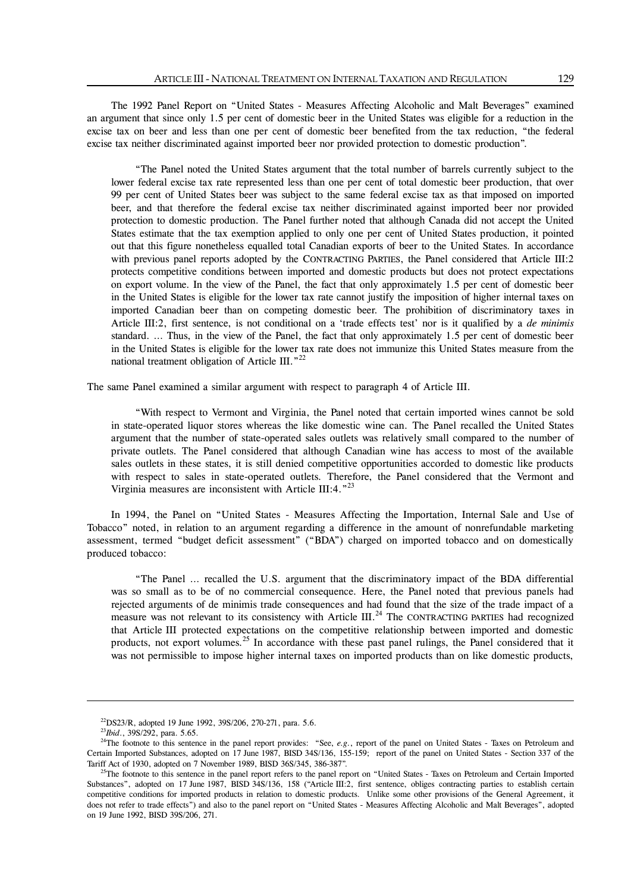The 1992 Panel Report on "United States - Measures Affecting Alcoholic and Malt Beverages" examined an argument that since only 1.5 per cent of domestic beer in the United States was eligible for a reduction in the excise tax on beer and less than one per cent of domestic beer benefited from the tax reduction, "the federal excise tax neither discriminated against imported beer nor provided protection to domestic production".

"The Panel noted the United States argument that the total number of barrels currently subject to the lower federal excise tax rate represented less than one per cent of total domestic beer production, that over 99 per cent of United States beer was subject to the same federal excise tax as that imposed on imported beer, and that therefore the federal excise tax neither discriminated against imported beer nor provided protection to domestic production. The Panel further noted that although Canada did not accept the United States estimate that the tax exemption applied to only one per cent of United States production, it pointed out that this figure nonetheless equalled total Canadian exports of beer to the United States. In accordance with previous panel reports adopted by the CONTRACTING PARTIES, the Panel considered that Article III:2 protects competitive conditions between imported and domestic products but does not protect expectations on export volume. In the view of the Panel, the fact that only approximately 1.5 per cent of domestic beer in the United States is eligible for the lower tax rate cannot justify the imposition of higher internal taxes on imported Canadian beer than on competing domestic beer. The prohibition of discriminatory taxes in Article III:2, first sentence, is not conditional on a 'trade effects test' nor is it qualified by a *de minimis* standard. … Thus, in the view of the Panel, the fact that only approximately 1.5 per cent of domestic beer in the United States is eligible for the lower tax rate does not immunize this United States measure from the national treatment obligation of Article III. $^{22}$ 

The same Panel examined a similar argument with respect to paragraph 4 of Article III.

"With respect to Vermont and Virginia, the Panel noted that certain imported wines cannot be sold in state-operated liquor stores whereas the like domestic wine can. The Panel recalled the United States argument that the number of state-operated sales outlets was relatively small compared to the number of private outlets. The Panel considered that although Canadian wine has access to most of the available sales outlets in these states, it is still denied competitive opportunities accorded to domestic like products with respect to sales in state-operated outlets. Therefore, the Panel considered that the Vermont and Virginia measures are inconsistent with Article III:4."<sup>23</sup>

In 1994, the Panel on "United States - Measures Affecting the Importation, Internal Sale and Use of Tobacco" noted, in relation to an argument regarding a difference in the amount of nonrefundable marketing assessment, termed "budget deficit assessment" ("BDA") charged on imported tobacco and on domestically produced tobacco:

"The Panel … recalled the U.S. argument that the discriminatory impact of the BDA differential was so small as to be of no commercial consequence. Here, the Panel noted that previous panels had rejected arguments of de minimis trade consequences and had found that the size of the trade impact of a measure was not relevant to its consistency with Article III.<sup>24</sup> The CONTRACTING PARTIES had recognized that Article III protected expectations on the competitive relationship between imported and domestic products, not export volumes.<sup>25</sup> In accordance with these past panel rulings, the Panel considered that it was not permissible to impose higher internal taxes on imported products than on like domestic products,

<sup>22</sup>DS23/R, adopted 19 June 1992, 39S/206, 270-271, para. 5.6.

<sup>23</sup>*Ibid*., 39S/292, para. 5.65.

<sup>&</sup>lt;sup>24</sup>The footnote to this sentence in the panel report provides: "See, *e.g.*, report of the panel on United States - Taxes on Petroleum and Certain Imported Substances, adopted on 17 June 1987, BISD 34S/136, 155-159; report of the panel on United States - Section 337 of the Tariff Act of 1930, adopted on 7 November 1989, BISD 36S/345, 386-387".

<sup>&</sup>lt;sup>25</sup>The footnote to this sentence in the panel report refers to the panel report on "United States - Taxes on Petroleum and Certain Imported Substances", adopted on 17 June 1987, BISD 34S/136, 158 ("Article III:2, first sentence, obliges contracting parties to establish certain competitive conditions for imported products in relation to domestic products. Unlike some other provisions of the General Agreement, it does not refer to trade effects") and also to the panel report on "United States - Measures Affecting Alcoholic and Malt Beverages", adopted on 19 June 1992, BISD 39S/206, 271.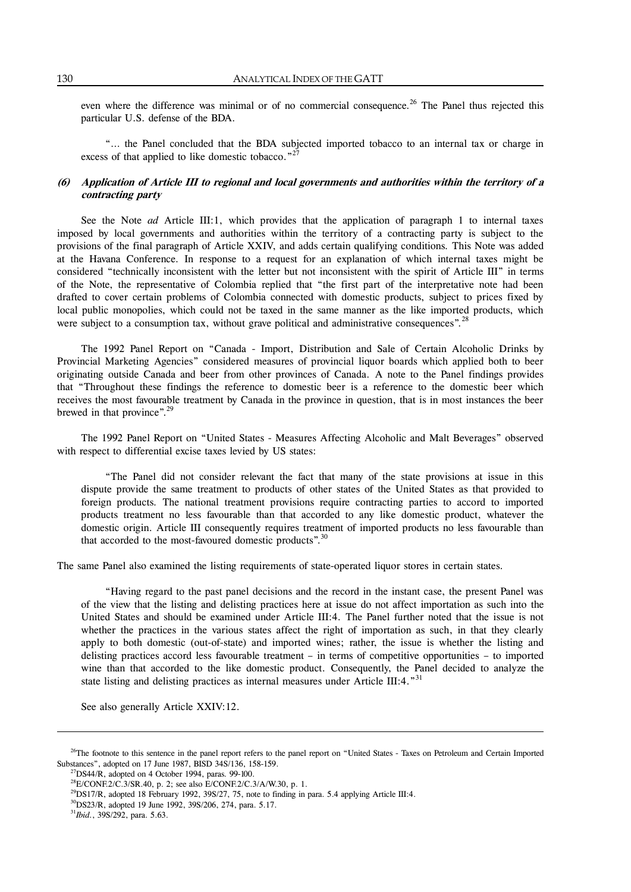even where the difference was minimal or of no commercial consequence.<sup>26</sup> The Panel thus rejected this particular U.S. defense of the BDA.

"… the Panel concluded that the BDA subjected imported tobacco to an internal tax or charge in excess of that applied to like domestic tobacco."<sup>27</sup>

# **(6) Application of Article III to regional and local governments and authorities within the territory of a contracting party**

See the Note *ad* Article III:1, which provides that the application of paragraph 1 to internal taxes imposed by local governments and authorities within the territory of a contracting party is subject to the provisions of the final paragraph of Article XXIV, and adds certain qualifying conditions. This Note was added at the Havana Conference. In response to a request for an explanation of which internal taxes might be considered "technically inconsistent with the letter but not inconsistent with the spirit of Article III" in terms of the Note, the representative of Colombia replied that "the first part of the interpretative note had been drafted to cover certain problems of Colombia connected with domestic products, subject to prices fixed by local public monopolies, which could not be taxed in the same manner as the like imported products, which were subject to a consumption tax, without grave political and administrative consequences".<sup>28</sup>

The 1992 Panel Report on "Canada - Import, Distribution and Sale of Certain Alcoholic Drinks by Provincial Marketing Agencies" considered measures of provincial liquor boards which applied both to beer originating outside Canada and beer from other provinces of Canada. A note to the Panel findings provides that "Throughout these findings the reference to domestic beer is a reference to the domestic beer which receives the most favourable treatment by Canada in the province in question, that is in most instances the beer brewed in that province". $29$ 

The 1992 Panel Report on "United States - Measures Affecting Alcoholic and Malt Beverages" observed with respect to differential excise taxes levied by US states:

"The Panel did not consider relevant the fact that many of the state provisions at issue in this dispute provide the same treatment to products of other states of the United States as that provided to foreign products. The national treatment provisions require contracting parties to accord to imported products treatment no less favourable than that accorded to any like domestic product, whatever the domestic origin. Article III consequently requires treatment of imported products no less favourable than that accorded to the most-favoured domestic products".<sup>30</sup>

The same Panel also examined the listing requirements of state-operated liquor stores in certain states.

"Having regard to the past panel decisions and the record in the instant case, the present Panel was of the view that the listing and delisting practices here at issue do not affect importation as such into the United States and should be examined under Article III:4. The Panel further noted that the issue is not whether the practices in the various states affect the right of importation as such, in that they clearly apply to both domestic (out-of-state) and imported wines; rather, the issue is whether the listing and delisting practices accord less favourable treatment – in terms of competitive opportunities – to imported wine than that accorded to the like domestic product. Consequently, the Panel decided to analyze the state listing and delisting practices as internal measures under Article III:4. $^{31}$ 

See also generally Article XXIV:12.

<sup>&</sup>lt;sup>26</sup>The footnote to this sentence in the panel report refers to the panel report on "United States - Taxes on Petroleum and Certain Imported Substances", adopted on 17 June 1987, BISD 34S/136, 158-159.

 $^{27}$ DS44/R, adopted on 4 October 1994, paras. 99-100.

 $^{28}E/CONF.2/C.3/SR.40$ , p. 2; see also  $E/CONF.2/C.3/A/W.30$ , p. 1.

<sup>&</sup>lt;sup>29</sup>DS17/R, adopted 18 February 1992, 39S/27, 75, note to finding in para. 5.4 applying Article III:4.

<sup>30</sup>DS23/R, adopted 19 June 1992, 39S/206, 274, para. 5.17.

<sup>31</sup>*Ibid.*, 39S/292, para. 5.63.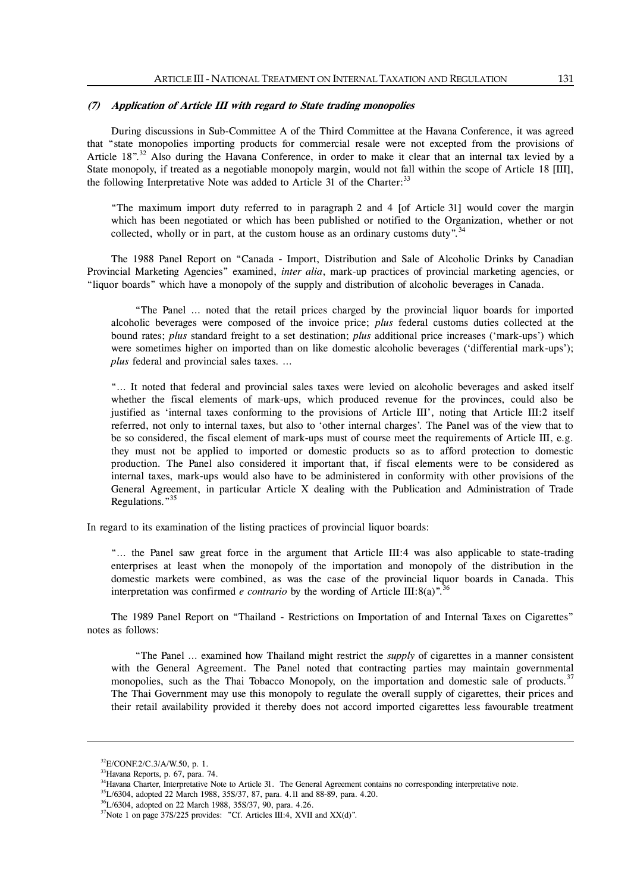# **(7) Application of Article III with regard to State trading monopolies**

During discussions in Sub-Committee A of the Third Committee at the Havana Conference, it was agreed that "state monopolies importing products for commercial resale were not excepted from the provisions of Article 18".<sup>32</sup> Also during the Havana Conference, in order to make it clear that an internal tax levied by a State monopoly, if treated as a negotiable monopoly margin, would not fall within the scope of Article 18 [III], the following Interpretative Note was added to Article 31 of the Charter: $33$ 

"The maximum import duty referred to in paragraph 2 and 4 [of Article 31] would cover the margin which has been negotiated or which has been published or notified to the Organization, whether or not collected, wholly or in part, at the custom house as an ordinary customs duty".<sup>34</sup>

The 1988 Panel Report on "Canada - Import, Distribution and Sale of Alcoholic Drinks by Canadian Provincial Marketing Agencies" examined, *inter alia*, mark-up practices of provincial marketing agencies, or "liquor boards" which have a monopoly of the supply and distribution of alcoholic beverages in Canada.

"The Panel … noted that the retail prices charged by the provincial liquor boards for imported alcoholic beverages were composed of the invoice price; *plus* federal customs duties collected at the bound rates; *plus* standard freight to a set destination; *plus* additional price increases ('mark-ups') which were sometimes higher on imported than on like domestic alcoholic beverages ('differential mark-ups'); *plus* federal and provincial sales taxes. …

"… It noted that federal and provincial sales taxes were levied on alcoholic beverages and asked itself whether the fiscal elements of mark-ups, which produced revenue for the provinces, could also be justified as 'internal taxes conforming to the provisions of Article III', noting that Article III:2 itself referred, not only to internal taxes, but also to 'other internal charges'. The Panel was of the view that to be so considered, the fiscal element of mark-ups must of course meet the requirements of Article III, e.g. they must not be applied to imported or domestic products so as to afford protection to domestic production. The Panel also considered it important that, if fiscal elements were to be considered as internal taxes, mark-ups would also have to be administered in conformity with other provisions of the General Agreement, in particular Article X dealing with the Publication and Administration of Trade Regulations."<sup>35</sup>

In regard to its examination of the listing practices of provincial liquor boards:

"… the Panel saw great force in the argument that Article III:4 was also applicable to state-trading enterprises at least when the monopoly of the importation and monopoly of the distribution in the domestic markets were combined, as was the case of the provincial liquor boards in Canada. This interpretation was confirmed *e contrario* by the wording of Article III:8(a)".<sup>36</sup>

The 1989 Panel Report on "Thailand - Restrictions on Importation of and Internal Taxes on Cigarettes" notes as follows:

"The Panel … examined how Thailand might restrict the *supply* of cigarettes in a manner consistent with the General Agreement. The Panel noted that contracting parties may maintain governmental monopolies, such as the Thai Tobacco Monopoly, on the importation and domestic sale of products.<sup>37</sup> The Thai Government may use this monopoly to regulate the overall supply of cigarettes, their prices and their retail availability provided it thereby does not accord imported cigarettes less favourable treatment

 $\overline{a}$ 

<sup>34</sup>Havana Charter, Interpretative Note to Article 31. The General Agreement contains no corresponding interpretative note.

<sup>36</sup>L/6304, adopted on 22 March 1988, 35S/37, 90, para. 4.26.

 $32E/CONF.2/C.3/A/W.50$ , p. 1.

<sup>33</sup>Havana Reports, p. 67, para. 74.

<sup>&</sup>lt;sup>35</sup>L/6304, adopted 22 March 1988, 35S/37, 87, para. 4.11 and 88-89, para. 4.20.

<sup>&</sup>lt;sup>37</sup>Note 1 on page 37S/225 provides: "Cf. Articles III:4, XVII and XX(d)".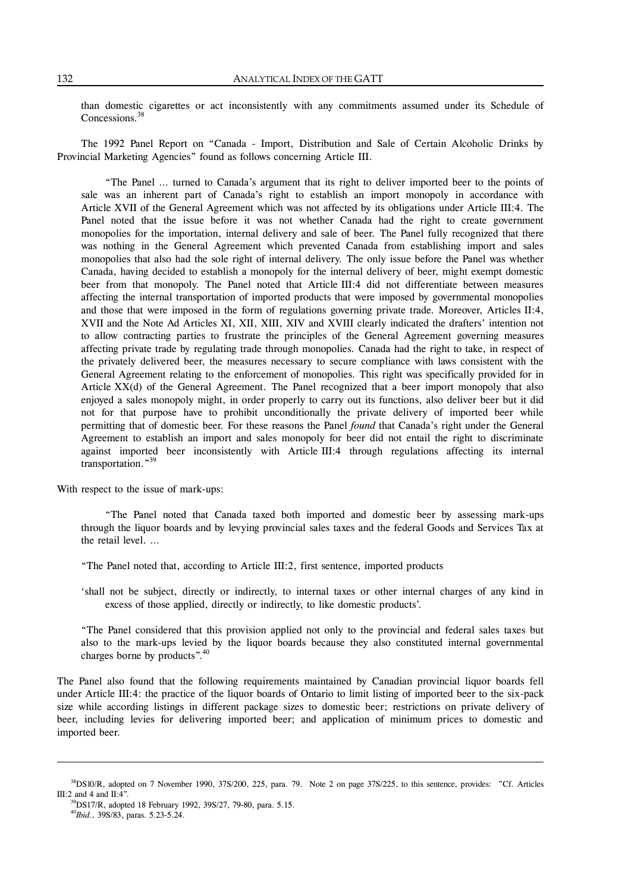than domestic cigarettes or act inconsistently with any commitments assumed under its Schedule of Concessions.<sup>38</sup>

The 1992 Panel Report on "Canada - Import, Distribution and Sale of Certain Alcoholic Drinks by Provincial Marketing Agencies" found as follows concerning Article III.

"The Panel … turned to Canada's argument that its right to deliver imported beer to the points of sale was an inherent part of Canada's right to establish an import monopoly in accordance with Article XVII of the General Agreement which was not affected by its obligations under Article III:4. The Panel noted that the issue before it was not whether Canada had the right to create government monopolies for the importation, internal delivery and sale of beer. The Panel fully recognized that there was nothing in the General Agreement which prevented Canada from establishing import and sales monopolies that also had the sole right of internal delivery. The only issue before the Panel was whether Canada, having decided to establish a monopoly for the internal delivery of beer, might exempt domestic beer from that monopoly. The Panel noted that Article III:4 did not differentiate between measures affecting the internal transportation of imported products that were imposed by governmental monopolies and those that were imposed in the form of regulations governing private trade. Moreover, Articles II:4, XVII and the Note Ad Articles XI, XII, XIII, XIV and XVIII clearly indicated the drafters' intention not to allow contracting parties to frustrate the principles of the General Agreement governing measures affecting private trade by regulating trade through monopolies. Canada had the right to take, in respect of the privately delivered beer, the measures necessary to secure compliance with laws consistent with the General Agreement relating to the enforcement of monopolies. This right was specifically provided for in Article XX(d) of the General Agreement. The Panel recognized that a beer import monopoly that also enjoyed a sales monopoly might, in order properly to carry out its functions, also deliver beer but it did not for that purpose have to prohibit unconditionally the private delivery of imported beer while permitting that of domestic beer. For these reasons the Panel *found* that Canada's right under the General Agreement to establish an import and sales monopoly for beer did not entail the right to discriminate against imported beer inconsistently with Article III:4 through regulations affecting its internal transportation."<sup>39</sup>

With respect to the issue of mark-ups:

"The Panel noted that Canada taxed both imported and domestic beer by assessing mark-ups through the liquor boards and by levying provincial sales taxes and the federal Goods and Services Tax at the retail level. …

"The Panel noted that, according to Article III:2, first sentence, imported products

'shall not be subject, directly or indirectly, to internal taxes or other internal charges of any kind in excess of those applied, directly or indirectly, to like domestic products'.

"The Panel considered that this provision applied not only to the provincial and federal sales taxes but also to the mark-ups levied by the liquor boards because they also constituted internal governmental charges borne by products".<sup>40</sup>

The Panel also found that the following requirements maintained by Canadian provincial liquor boards fell under Article III:4: the practice of the liquor boards of Ontario to limit listing of imported beer to the six-pack size while according listings in different package sizes to domestic beer; restrictions on private delivery of beer, including levies for delivering imported beer; and application of minimum prices to domestic and imported beer.

<sup>&</sup>lt;sup>38</sup>DS10/R, adopted on 7 November 1990, 37S/200, 225, para. 79. Note 2 on page 37S/225, to this sentence, provides: "Cf. Articles  $III:2$  and 4 and  $II:4$ ".

<sup>39</sup>DS17/R, adopted 18 February 1992, 39S/27, 79-80, para. 5.15.

<sup>40</sup>*Ibid.,* 39S/83, paras. 5.23-5.24.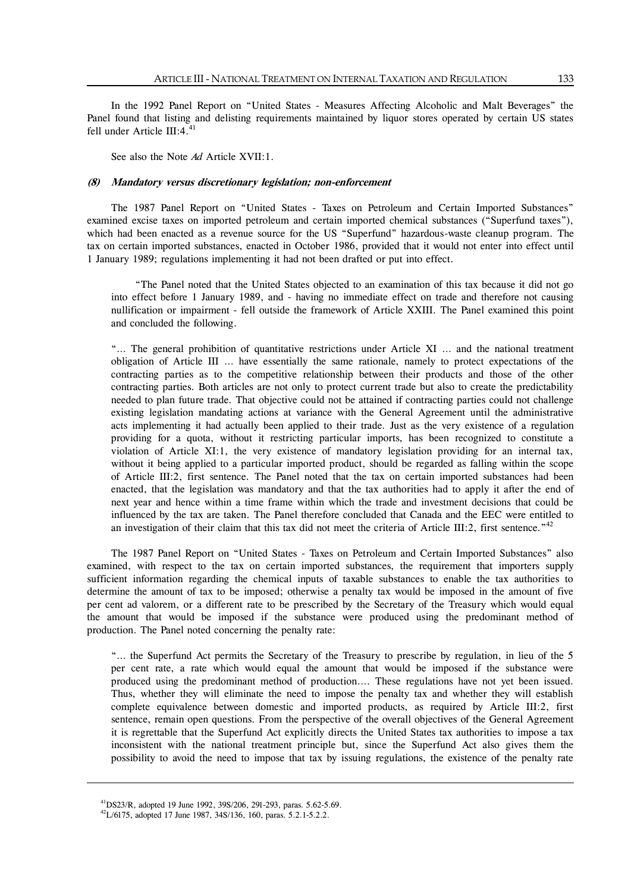In the 1992 Panel Report on "United States - Measures Affecting Alcoholic and Malt Beverages" the Panel found that listing and delisting requirements maintained by liquor stores operated by certain US states fell under Article III:4.<sup>41</sup>

See also the Note *Ad* Article XVII:1.

#### **(8) Mandatory versus discretionary legislation; non-enforcement**

The 1987 Panel Report on "United States - Taxes on Petroleum and Certain Imported Substances" examined excise taxes on imported petroleum and certain imported chemical substances ("Superfund taxes"), which had been enacted as a revenue source for the US "Superfund" hazardous-waste cleanup program. The tax on certain imported substances, enacted in October 1986, provided that it would not enter into effect until 1 January 1989; regulations implementing it had not been drafted or put into effect.

"The Panel noted that the United States objected to an examination of this tax because it did not go into effect before 1 January 1989, and - having no immediate effect on trade and therefore not causing nullification or impairment - fell outside the framework of Article XXIII. The Panel examined this point and concluded the following.

"… The general prohibition of quantitative restrictions under Article XI … and the national treatment obligation of Article III … have essentially the same rationale, namely to protect expectations of the contracting parties as to the competitive relationship between their products and those of the other contracting parties. Both articles are not only to protect current trade but also to create the predictability needed to plan future trade. That objective could not be attained if contracting parties could not challenge existing legislation mandating actions at variance with the General Agreement until the administrative acts implementing it had actually been applied to their trade. Just as the very existence of a regulation providing for a quota, without it restricting particular imports, has been recognized to constitute a violation of Article XI:1, the very existence of mandatory legislation providing for an internal tax, without it being applied to a particular imported product, should be regarded as falling within the scope of Article III:2, first sentence. The Panel noted that the tax on certain imported substances had been enacted, that the legislation was mandatory and that the tax authorities had to apply it after the end of next year and hence within a time frame within which the trade and investment decisions that could be influenced by the tax are taken. The Panel therefore concluded that Canada and the EEC were entitled to an investigation of their claim that this tax did not meet the criteria of Article III:2, first sentence."<sup>42</sup>

The 1987 Panel Report on "United States - Taxes on Petroleum and Certain Imported Substances" also examined, with respect to the tax on certain imported substances, the requirement that importers supply sufficient information regarding the chemical inputs of taxable substances to enable the tax authorities to determine the amount of tax to be imposed; otherwise a penalty tax would be imposed in the amount of five per cent ad valorem, or a different rate to be prescribed by the Secretary of the Treasury which would equal the amount that would be imposed if the substance were produced using the predominant method of production. The Panel noted concerning the penalty rate:

"… the Superfund Act permits the Secretary of the Treasury to prescribe by regulation, in lieu of the 5 per cent rate, a rate which would equal the amount that would be imposed if the substance were produced using the predominant method of production…. These regulations have not yet been issued. Thus, whether they will eliminate the need to impose the penalty tax and whether they will establish complete equivalence between domestic and imported products, as required by Article III:2, first sentence, remain open questions. From the perspective of the overall objectives of the General Agreement it is regrettable that the Superfund Act explicitly directs the United States tax authorities to impose a tax inconsistent with the national treatment principle but, since the Superfund Act also gives them the possibility to avoid the need to impose that tax by issuing regulations, the existence of the penalty rate

<sup>41</sup>DS23/R, adopted 19 June 1992, 39S/206, 291-293, paras. 5.62-5.69.

<sup>42</sup>L/6175, adopted 17 June 1987, 34S/136, 160, paras. 5.2.1-5.2.2.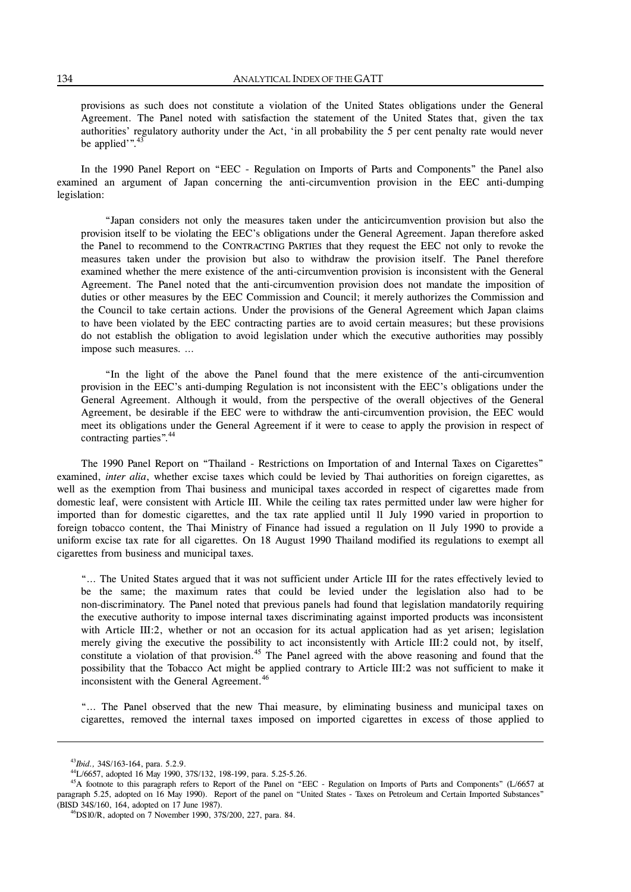provisions as such does not constitute a violation of the United States obligations under the General Agreement. The Panel noted with satisfaction the statement of the United States that, given the tax authorities' regulatory authority under the Act, 'in all probability the 5 per cent penalty rate would never be applied'".

In the 1990 Panel Report on "EEC - Regulation on Imports of Parts and Components" the Panel also examined an argument of Japan concerning the anti-circumvention provision in the EEC anti-dumping legislation:

"Japan considers not only the measures taken under the anticircumvention provision but also the provision itself to be violating the EEC's obligations under the General Agreement. Japan therefore asked the Panel to recommend to the CONTRACTING PARTIES that they request the EEC not only to revoke the measures taken under the provision but also to withdraw the provision itself. The Panel therefore examined whether the mere existence of the anti-circumvention provision is inconsistent with the General Agreement. The Panel noted that the anti-circumvention provision does not mandate the imposition of duties or other measures by the EEC Commission and Council; it merely authorizes the Commission and the Council to take certain actions. Under the provisions of the General Agreement which Japan claims to have been violated by the EEC contracting parties are to avoid certain measures; but these provisions do not establish the obligation to avoid legislation under which the executive authorities may possibly impose such measures. …

"In the light of the above the Panel found that the mere existence of the anti-circumvention provision in the EEC's anti-dumping Regulation is not inconsistent with the EEC's obligations under the General Agreement. Although it would, from the perspective of the overall objectives of the General Agreement, be desirable if the EEC were to withdraw the anti-circumvention provision, the EEC would meet its obligations under the General Agreement if it were to cease to apply the provision in respect of contracting parties".<sup>44</sup>

The 1990 Panel Report on "Thailand - Restrictions on Importation of and Internal Taxes on Cigarettes" examined, *inter alia*, whether excise taxes which could be levied by Thai authorities on foreign cigarettes, as well as the exemption from Thai business and municipal taxes accorded in respect of cigarettes made from domestic leaf, were consistent with Article III. While the ceiling tax rates permitted under law were higher for imported than for domestic cigarettes, and the tax rate applied until 11 July 1990 varied in proportion to foreign tobacco content, the Thai Ministry of Finance had issued a regulation on 11 July 1990 to provide a uniform excise tax rate for all cigarettes. On 18 August 1990 Thailand modified its regulations to exempt all cigarettes from business and municipal taxes.

"… The United States argued that it was not sufficient under Article III for the rates effectively levied to be the same; the maximum rates that could be levied under the legislation also had to be non-discriminatory. The Panel noted that previous panels had found that legislation mandatorily requiring the executive authority to impose internal taxes discriminating against imported products was inconsistent with Article III:2, whether or not an occasion for its actual application had as yet arisen; legislation merely giving the executive the possibility to act inconsistently with Article III:2 could not, by itself, constitute a violation of that provision.<sup>45</sup> The Panel agreed with the above reasoning and found that the possibility that the Tobacco Act might be applied contrary to Article III:2 was not sufficient to make it inconsistent with the General Agreement.<sup>46</sup>

"… The Panel observed that the new Thai measure, by eliminating business and municipal taxes on cigarettes, removed the internal taxes imposed on imported cigarettes in excess of those applied to

<sup>43</sup>*Ibid.,* 34S/163-164, para. 5.2.9.

<sup>44</sup>L/6657, adopted 16 May 1990, 37S/132, 198-199, para. 5.25-5.26.

<sup>&</sup>lt;sup>45</sup>A footnote to this paragraph refers to Report of the Panel on "EEC - Regulation on Imports of Parts and Components" (L/6657 at paragraph 5.25, adopted on 16 May 1990). Report of the panel on "United States - Taxes on Petroleum and Certain Imported Substances" (BISD 34S/160, 164, adopted on 17 June 1987).

<sup>46</sup>DS10/R, adopted on 7 November 1990, 37S/200, 227, para. 84.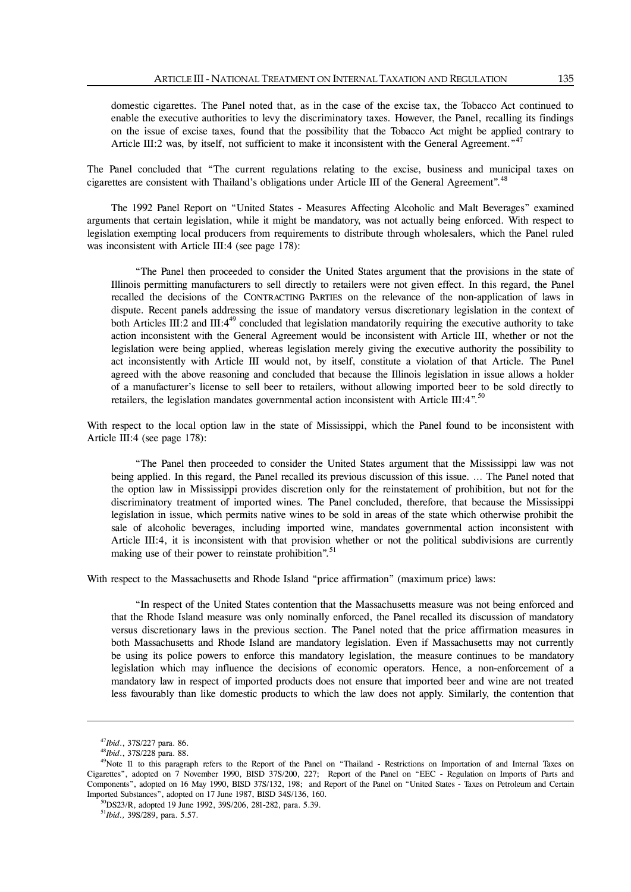domestic cigarettes. The Panel noted that, as in the case of the excise tax, the Tobacco Act continued to enable the executive authorities to levy the discriminatory taxes. However, the Panel, recalling its findings on the issue of excise taxes, found that the possibility that the Tobacco Act might be applied contrary to Article III:2 was, by itself, not sufficient to make it inconsistent with the General Agreement."<sup>4</sup>

The Panel concluded that "The current regulations relating to the excise, business and municipal taxes on cigarettes are consistent with Thailand's obligations under Article III of the General Agreement".<sup>48</sup>

The 1992 Panel Report on "United States - Measures Affecting Alcoholic and Malt Beverages" examined arguments that certain legislation, while it might be mandatory, was not actually being enforced. With respect to legislation exempting local producers from requirements to distribute through wholesalers, which the Panel ruled was inconsistent with Article III:4 (see page 178):

"The Panel then proceeded to consider the United States argument that the provisions in the state of Illinois permitting manufacturers to sell directly to retailers were not given effect. In this regard, the Panel recalled the decisions of the CONTRACTING PARTIES on the relevance of the non-application of laws in dispute. Recent panels addressing the issue of mandatory versus discretionary legislation in the context of both Articles III:2 and III:4<sup>49</sup> concluded that legislation mandatorily requiring the executive authority to take action inconsistent with the General Agreement would be inconsistent with Article III, whether or not the legislation were being applied, whereas legislation merely giving the executive authority the possibility to act inconsistently with Article III would not, by itself, constitute a violation of that Article. The Panel agreed with the above reasoning and concluded that because the Illinois legislation in issue allows a holder of a manufacturer's license to sell beer to retailers, without allowing imported beer to be sold directly to retailers, the legislation mandates governmental action inconsistent with Article III:4".<sup>50</sup>

With respect to the local option law in the state of Mississippi, which the Panel found to be inconsistent with Article III:4 (see page 178):

"The Panel then proceeded to consider the United States argument that the Mississippi law was not being applied. In this regard, the Panel recalled its previous discussion of this issue. … The Panel noted that the option law in Mississippi provides discretion only for the reinstatement of prohibition, but not for the discriminatory treatment of imported wines. The Panel concluded, therefore, that because the Mississippi legislation in issue, which permits native wines to be sold in areas of the state which otherwise prohibit the sale of alcoholic beverages, including imported wine, mandates governmental action inconsistent with Article III:4, it is inconsistent with that provision whether or not the political subdivisions are currently making use of their power to reinstate prohibition".<sup>51</sup>

With respect to the Massachusetts and Rhode Island "price affirmation" (maximum price) laws:

"In respect of the United States contention that the Massachusetts measure was not being enforced and that the Rhode Island measure was only nominally enforced, the Panel recalled its discussion of mandatory versus discretionary laws in the previous section. The Panel noted that the price affirmation measures in both Massachusetts and Rhode Island are mandatory legislation. Even if Massachusetts may not currently be using its police powers to enforce this mandatory legislation, the measure continues to be mandatory legislation which may influence the decisions of economic operators. Hence, a non-enforcement of a mandatory law in respect of imported products does not ensure that imported beer and wine are not treated less favourably than like domestic products to which the law does not apply. Similarly, the contention that

<sup>47</sup>*Ibid*., 37S/227 para. 86.

<sup>48</sup>*Ibid*., 37S/228 para. 88.

<sup>&</sup>lt;sup>49</sup>Note 11 to this paragraph refers to the Report of the Panel on "Thailand - Restrictions on Importation of and Internal Taxes on Cigarettes", adopted on 7 November 1990, BISD 37S/200, 227; Report of the Panel on "EEC - Regulation on Imports of Parts and Components", adopted on 16 May 1990, BISD 37S/132, 198; and Report of the Panel on "United States - Taxes on Petroleum and Certain Imported Substances", adopted on 17 June 1987, BISD 34S/136, 160.

<sup>50</sup>DS23/R, adopted 19 June 1992, 39S/206, 281-282, para. 5.39.

<sup>51</sup>*Ibid.,* 39S/289, para. 5.57.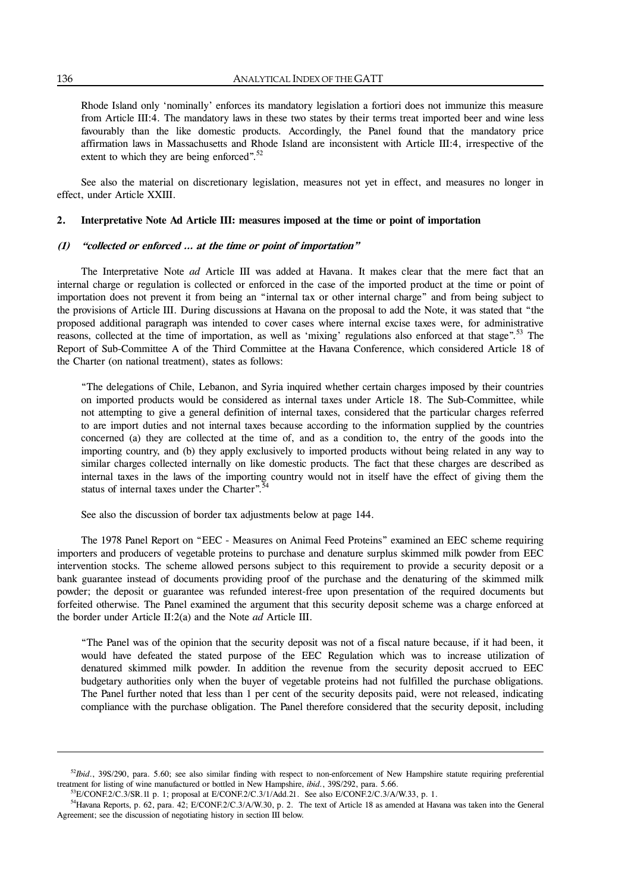Rhode Island only 'nominally' enforces its mandatory legislation a fortiori does not immunize this measure from Article III:4. The mandatory laws in these two states by their terms treat imported beer and wine less favourably than the like domestic products. Accordingly, the Panel found that the mandatory price affirmation laws in Massachusetts and Rhode Island are inconsistent with Article III:4, irrespective of the extent to which they are being enforced".<sup>52</sup>

See also the material on discretionary legislation, measures not yet in effect, and measures no longer in effect, under Article XXIII.

#### **2. Interpretative Note Ad Article III: measures imposed at the time or point of importation**

#### **(1) "collected or enforced … at the time or point of importation"**

The Interpretative Note *ad* Article III was added at Havana. It makes clear that the mere fact that an internal charge or regulation is collected or enforced in the case of the imported product at the time or point of importation does not prevent it from being an "internal tax or other internal charge" and from being subject to the provisions of Article III. During discussions at Havana on the proposal to add the Note, it was stated that "the proposed additional paragraph was intended to cover cases where internal excise taxes were, for administrative reasons, collected at the time of importation, as well as 'mixing' regulations also enforced at that stage".<sup>53</sup> The Report of Sub-Committee A of the Third Committee at the Havana Conference, which considered Article 18 of the Charter (on national treatment), states as follows:

"The delegations of Chile, Lebanon, and Syria inquired whether certain charges imposed by their countries on imported products would be considered as internal taxes under Article 18. The Sub-Committee, while not attempting to give a general definition of internal taxes, considered that the particular charges referred to are import duties and not internal taxes because according to the information supplied by the countries concerned (a) they are collected at the time of, and as a condition to, the entry of the goods into the importing country, and (b) they apply exclusively to imported products without being related in any way to similar charges collected internally on like domestic products. The fact that these charges are described as internal taxes in the laws of the importing country would not in itself have the effect of giving them the status of internal taxes under the Charter".

See also the discussion of border tax adjustments below at page 144.

The 1978 Panel Report on "EEC - Measures on Animal Feed Proteins" examined an EEC scheme requiring importers and producers of vegetable proteins to purchase and denature surplus skimmed milk powder from EEC intervention stocks. The scheme allowed persons subject to this requirement to provide a security deposit or a bank guarantee instead of documents providing proof of the purchase and the denaturing of the skimmed milk powder; the deposit or guarantee was refunded interest-free upon presentation of the required documents but forfeited otherwise. The Panel examined the argument that this security deposit scheme was a charge enforced at the border under Article II:2(a) and the Note *ad* Article III.

"The Panel was of the opinion that the security deposit was not of a fiscal nature because, if it had been, it would have defeated the stated purpose of the EEC Regulation which was to increase utilization of denatured skimmed milk powder. In addition the revenue from the security deposit accrued to EEC budgetary authorities only when the buyer of vegetable proteins had not fulfilled the purchase obligations. The Panel further noted that less than 1 per cent of the security deposits paid, were not released, indicating compliance with the purchase obligation. The Panel therefore considered that the security deposit, including

<sup>&</sup>lt;sup>52</sup>*Ibid.*, 39S/290, para. 5.60; see also similar finding with respect to non-enforcement of New Hampshire statute requiring preferential treatment for listing of wine manufactured or bottled in New Hampshire, *ibid.*, 39S/292, para. 5.66.

 $^{53}$ E/CONF.2/C.3/SR.11 p. 1; proposal at E/CONF.2/C.3/1/Add.21. See also E/CONF.2/C.3/A/W.33, p. 1.

<sup>54</sup>Havana Reports, p. 62, para. 42; E/CONF.2/C.3/A/W.30, p. 2. The text of Article 18 as amended at Havana was taken into the General Agreement; see the discussion of negotiating history in section III below.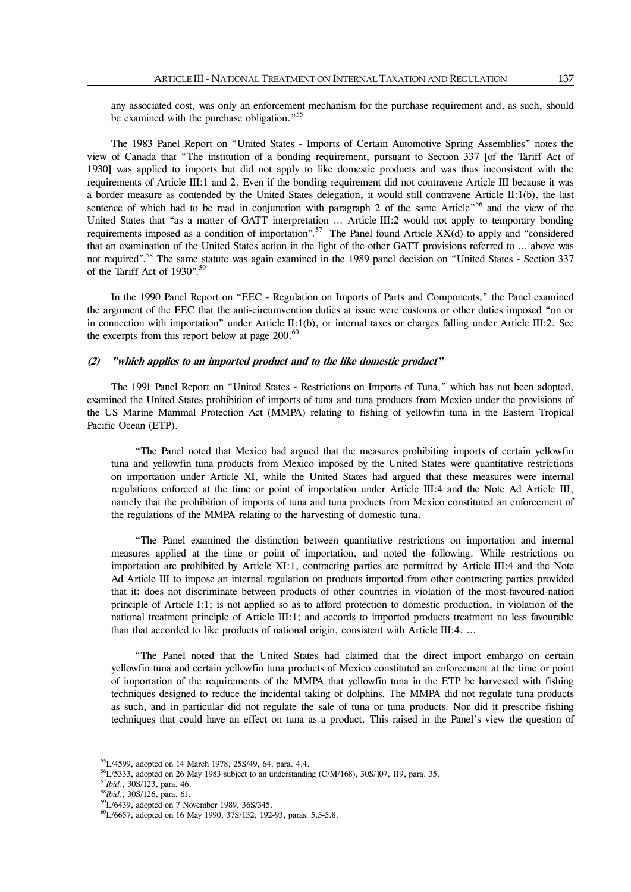any associated cost, was only an enforcement mechanism for the purchase requirement and, as such, should be examined with the purchase obligation."<sup>55</sup>

The 1983 Panel Report on "United States - Imports of Certain Automotive Spring Assemblies" notes the view of Canada that "The institution of a bonding requirement, pursuant to Section 337 [of the Tariff Act of 1930] was applied to imports but did not apply to like domestic products and was thus inconsistent with the requirements of Article III:1 and 2. Even if the bonding requirement did not contravene Article III because it was a border measure as contended by the United States delegation, it would still contravene Article II:1(b), the last sentence of which had to be read in conjunction with paragraph 2 of the same Article<sup>"56</sup> and the view of the United States that "as a matter of GATT interpretation … Article III:2 would not apply to temporary bonding requirements imposed as a condition of importation".<sup>57</sup> The Panel found Article XX(d) to apply and "considered" that an examination of the United States action in the light of the other GATT provisions referred to … above was not required".<sup>58</sup> The same statute was again examined in the 1989 panel decision on "United States - Section 337 of the Tariff Act of 1930".<sup>59</sup>

In the 1990 Panel Report on "EEC - Regulation on Imports of Parts and Components," the Panel examined the argument of the EEC that the anti-circumvention duties at issue were customs or other duties imposed "on or in connection with importation" under Article II:1(b), or internal taxes or charges falling under Article III:2. See the excerpts from this report below at page 200.<sup>60</sup>

#### **(2) "which applies to an imported product and to the like domestic product"**

The 1991 Panel Report on "United States - Restrictions on Imports of Tuna," which has not been adopted, examined the United States prohibition of imports of tuna and tuna products from Mexico under the provisions of the US Marine Mammal Protection Act (MMPA) relating to fishing of yellowfin tuna in the Eastern Tropical Pacific Ocean (ETP).

"The Panel noted that Mexico had argued that the measures prohibiting imports of certain yellowfin tuna and yellowfin tuna products from Mexico imposed by the United States were quantitative restrictions on importation under Article XI, while the United States had argued that these measures were internal regulations enforced at the time or point of importation under Article III:4 and the Note Ad Article III, namely that the prohibition of imports of tuna and tuna products from Mexico constituted an enforcement of the regulations of the MMPA relating to the harvesting of domestic tuna.

"The Panel examined the distinction between quantitative restrictions on importation and internal measures applied at the time or point of importation, and noted the following. While restrictions on importation are prohibited by Article XI:1, contracting parties are permitted by Article III:4 and the Note Ad Article III to impose an internal regulation on products imported from other contracting parties provided that it: does not discriminate between products of other countries in violation of the most-favoured-nation principle of Article I:1; is not applied so as to afford protection to domestic production, in violation of the national treatment principle of Article III:1; and accords to imported products treatment no less favourable than that accorded to like products of national origin, consistent with Article III:4. …

"The Panel noted that the United States had claimed that the direct import embargo on certain yellowfin tuna and certain yellowfin tuna products of Mexico constituted an enforcement at the time or point of importation of the requirements of the MMPA that yellowfin tuna in the ETP be harvested with fishing techniques designed to reduce the incidental taking of dolphins. The MMPA did not regulate tuna products as such, and in particular did not regulate the sale of tuna or tuna products. Nor did it prescribe fishing techniques that could have an effect on tuna as a product. This raised in the Panel's view the question of

<sup>57</sup>*Ibid*., 30S/123, para. 46.

 $\overline{a}$ 

<sup>58</sup>*Ibid*., 30S/126, para. 61.

<sup>55</sup>L/4599, adopted on 14 March 1978, 25S/49, 64, para. 4.4.

 $56L/5333$ , adopted on 26 May 1983 subject to an understanding (C/M/168), 30S/107, 119, para. 35.

<sup>59</sup>L/6439, adopted on 7 November 1989, 36S/345.

<sup>60</sup>L/6657, adopted on 16 May 1990, 37S/132, 192-93, paras. 5.5-5.8.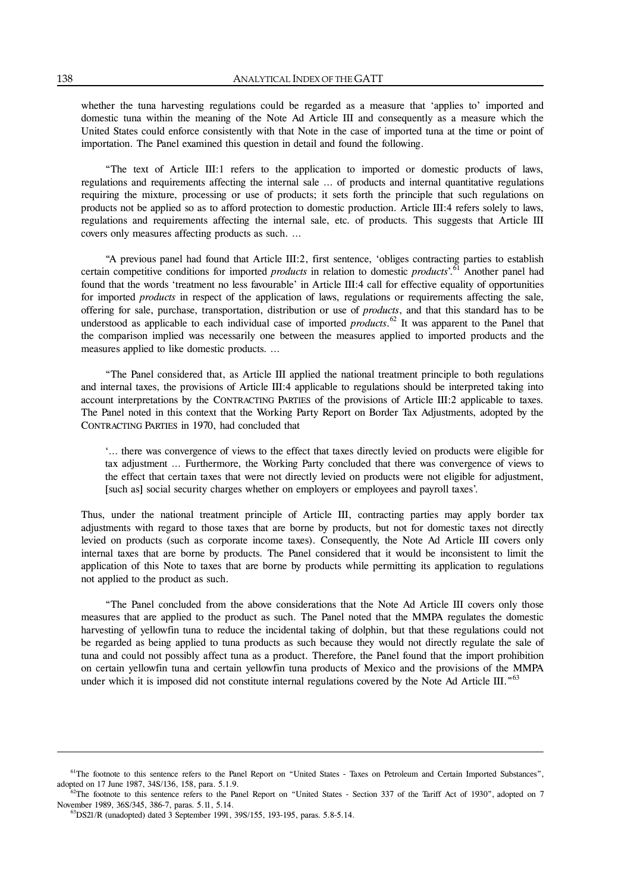whether the tuna harvesting regulations could be regarded as a measure that 'applies to' imported and domestic tuna within the meaning of the Note Ad Article III and consequently as a measure which the United States could enforce consistently with that Note in the case of imported tuna at the time or point of importation. The Panel examined this question in detail and found the following.

"The text of Article III:1 refers to the application to imported or domestic products of laws, regulations and requirements affecting the internal sale … of products and internal quantitative regulations requiring the mixture, processing or use of products; it sets forth the principle that such regulations on products not be applied so as to afford protection to domestic production. Article III:4 refers solely to laws, regulations and requirements affecting the internal sale, etc. of products. This suggests that Article III covers only measures affecting products as such. …

"A previous panel had found that Article III:2, first sentence, 'obliges contracting parties to establish certain competitive conditions for imported *products* in relation to domestic *products*'.<sup>61</sup> Another panel had found that the words 'treatment no less favourable' in Article III:4 call for effective equality of opportunities for imported *products* in respect of the application of laws, regulations or requirements affecting the sale, offering for sale, purchase, transportation, distribution or use of *products*, and that this standard has to be understood as applicable to each individual case of imported *products*. <sup>62</sup> It was apparent to the Panel that the comparison implied was necessarily one between the measures applied to imported products and the measures applied to like domestic products. …

"The Panel considered that, as Article III applied the national treatment principle to both regulations and internal taxes, the provisions of Article III:4 applicable to regulations should be interpreted taking into account interpretations by the CONTRACTING PARTIES of the provisions of Article III:2 applicable to taxes. The Panel noted in this context that the Working Party Report on Border Tax Adjustments, adopted by the CONTRACTING PARTIES in 1970, had concluded that

'… there was convergence of views to the effect that taxes directly levied on products were eligible for tax adjustment … Furthermore, the Working Party concluded that there was convergence of views to the effect that certain taxes that were not directly levied on products were not eligible for adjustment, [such as] social security charges whether on employers or employees and payroll taxes'.

Thus, under the national treatment principle of Article III, contracting parties may apply border tax adjustments with regard to those taxes that are borne by products, but not for domestic taxes not directly levied on products (such as corporate income taxes). Consequently, the Note Ad Article III covers only internal taxes that are borne by products. The Panel considered that it would be inconsistent to limit the application of this Note to taxes that are borne by products while permitting its application to regulations not applied to the product as such.

"The Panel concluded from the above considerations that the Note Ad Article III covers only those measures that are applied to the product as such. The Panel noted that the MMPA regulates the domestic harvesting of yellowfin tuna to reduce the incidental taking of dolphin, but that these regulations could not be regarded as being applied to tuna products as such because they would not directly regulate the sale of tuna and could not possibly affect tuna as a product. Therefore, the Panel found that the import prohibition on certain yellowfin tuna and certain yellowfin tuna products of Mexico and the provisions of the MMPA under which it is imposed did not constitute internal regulations covered by the Note Ad Article III.<sup>"63</sup>

<sup>&</sup>lt;sup>61</sup>The footnote to this sentence refers to the Panel Report on "United States - Taxes on Petroleum and Certain Imported Substances", adopted on 17 June 1987, 34S/136, 158, para. 5.1.9.

 $62$ The footnote to this sentence refers to the Panel Report on "United States - Section 337 of the Tariff Act of 1930", adopted on 7 November 1989, 36S/345, 386-7, paras. 5.11, 5.14.

 $^{63}$ DS21/R (unadopted) dated 3 September 1991, 39S/155, 193-195, paras. 5.8-5.14.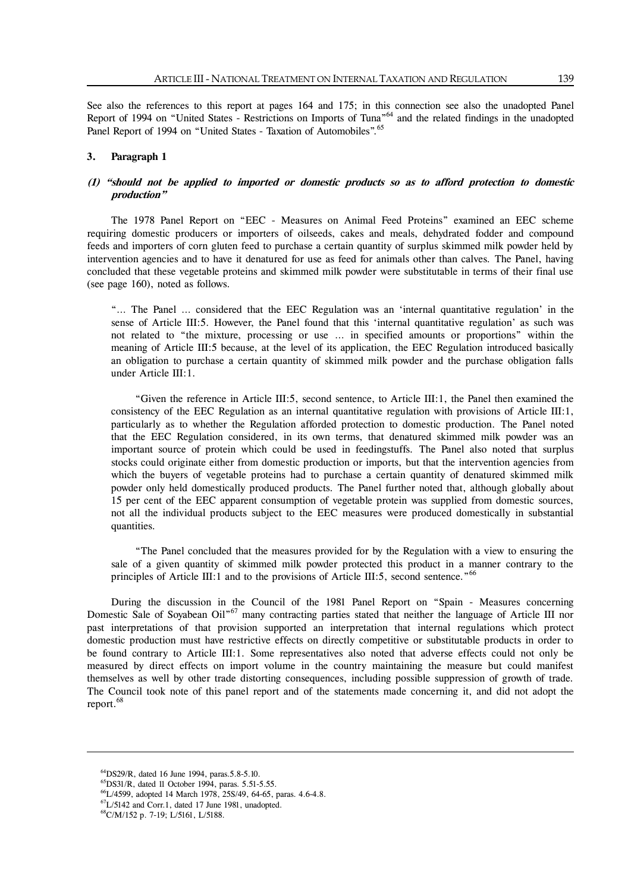See also the references to this report at pages 164 and 175; in this connection see also the unadopted Panel Report of 1994 on "United States - Restrictions on Imports of Tuna"<sup>64</sup> and the related findings in the unadopted Panel Report of 1994 on "United States - Taxation of Automobiles".<sup>65</sup>

#### **3. Paragraph 1**

# **(1) "should not be applied to imported or domestic products so as to afford protection to domestic production"**

The 1978 Panel Report on "EEC - Measures on Animal Feed Proteins" examined an EEC scheme requiring domestic producers or importers of oilseeds, cakes and meals, dehydrated fodder and compound feeds and importers of corn gluten feed to purchase a certain quantity of surplus skimmed milk powder held by intervention agencies and to have it denatured for use as feed for animals other than calves. The Panel, having concluded that these vegetable proteins and skimmed milk powder were substitutable in terms of their final use (see page 160), noted as follows.

"… The Panel … considered that the EEC Regulation was an 'internal quantitative regulation' in the sense of Article III:5. However, the Panel found that this 'internal quantitative regulation' as such was not related to "the mixture, processing or use … in specified amounts or proportions" within the meaning of Article III:5 because, at the level of its application, the EEC Regulation introduced basically an obligation to purchase a certain quantity of skimmed milk powder and the purchase obligation falls under Article III:1.

"Given the reference in Article III:5, second sentence, to Article III:1, the Panel then examined the consistency of the EEC Regulation as an internal quantitative regulation with provisions of Article III:1, particularly as to whether the Regulation afforded protection to domestic production. The Panel noted that the EEC Regulation considered, in its own terms, that denatured skimmed milk powder was an important source of protein which could be used in feedingstuffs. The Panel also noted that surplus stocks could originate either from domestic production or imports, but that the intervention agencies from which the buyers of vegetable proteins had to purchase a certain quantity of denatured skimmed milk powder only held domestically produced products. The Panel further noted that, although globally about 15 per cent of the EEC apparent consumption of vegetable protein was supplied from domestic sources, not all the individual products subject to the EEC measures were produced domestically in substantial quantities.

"The Panel concluded that the measures provided for by the Regulation with a view to ensuring the sale of a given quantity of skimmed milk powder protected this product in a manner contrary to the principles of Article III:1 and to the provisions of Article III:5, second sentence.<sup>"66</sup>

During the discussion in the Council of the 1981 Panel Report on "Spain - Measures concerning Domestic Sale of Soyabean Oil"<sup>67</sup> many contracting parties stated that neither the language of Article III nor past interpretations of that provision supported an interpretation that internal regulations which protect domestic production must have restrictive effects on directly competitive or substitutable products in order to be found contrary to Article III:1. Some representatives also noted that adverse effects could not only be measured by direct effects on import volume in the country maintaining the measure but could manifest themselves as well by other trade distorting consequences, including possible suppression of growth of trade. The Council took note of this panel report and of the statements made concerning it, and did not adopt the report.<sup>68</sup>

<sup>64</sup>DS29/R, dated 16 June 1994, paras.5.8-5.10.

<sup>65</sup>DS31/R, dated 11 October 1994, paras. 5.51-5.55.

<sup>66</sup>L/4599, adopted 14 March 1978, 25S/49, 64-65, paras. 4.6-4.8.

<sup>67</sup>L/5142 and Corr.1, dated 17 June 1981, unadopted.

<sup>68</sup>C/M/152 p. 7-19; L/5161, L/5188.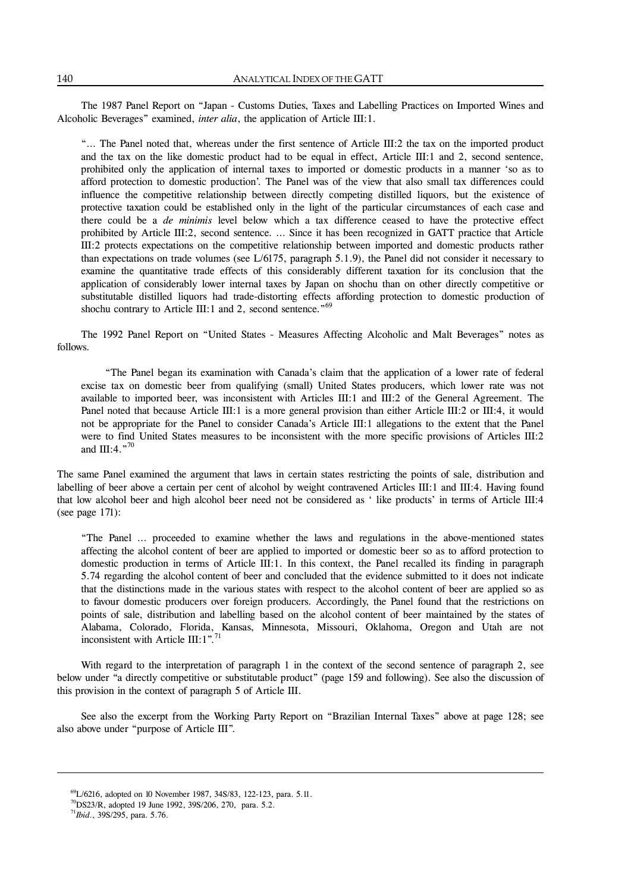The 1987 Panel Report on "Japan - Customs Duties, Taxes and Labelling Practices on Imported Wines and Alcoholic Beverages" examined, *inter alia*, the application of Article III:1.

"… The Panel noted that, whereas under the first sentence of Article III:2 the tax on the imported product and the tax on the like domestic product had to be equal in effect, Article III:1 and 2, second sentence, prohibited only the application of internal taxes to imported or domestic products in a manner 'so as to afford protection to domestic production'. The Panel was of the view that also small tax differences could influence the competitive relationship between directly competing distilled liquors, but the existence of protective taxation could be established only in the light of the particular circumstances of each case and there could be a *de minimis* level below which a tax difference ceased to have the protective effect prohibited by Article III:2, second sentence. … Since it has been recognized in GATT practice that Article III:2 protects expectations on the competitive relationship between imported and domestic products rather than expectations on trade volumes (see L/6175, paragraph 5.1.9), the Panel did not consider it necessary to examine the quantitative trade effects of this considerably different taxation for its conclusion that the application of considerably lower internal taxes by Japan on shochu than on other directly competitive or substitutable distilled liquors had trade-distorting effects affording protection to domestic production of shochu contrary to Article III:1 and 2, second sentence."<sup>69</sup>

The 1992 Panel Report on "United States - Measures Affecting Alcoholic and Malt Beverages" notes as follows.

"The Panel began its examination with Canada's claim that the application of a lower rate of federal excise tax on domestic beer from qualifying (small) United States producers, which lower rate was not available to imported beer, was inconsistent with Articles III:1 and III:2 of the General Agreement. The Panel noted that because Article III:1 is a more general provision than either Article III:2 or III:4, it would not be appropriate for the Panel to consider Canada's Article III:1 allegations to the extent that the Panel were to find United States measures to be inconsistent with the more specific provisions of Articles III:2 and  $III:4.70$ 

The same Panel examined the argument that laws in certain states restricting the points of sale, distribution and labelling of beer above a certain per cent of alcohol by weight contravened Articles III:1 and III:4. Having found that low alcohol beer and high alcohol beer need not be considered as ' like products' in terms of Article III:4 (see page 171):

"The Panel … proceeded to examine whether the laws and regulations in the above-mentioned states affecting the alcohol content of beer are applied to imported or domestic beer so as to afford protection to domestic production in terms of Article III:1. In this context, the Panel recalled its finding in paragraph 5.74 regarding the alcohol content of beer and concluded that the evidence submitted to it does not indicate that the distinctions made in the various states with respect to the alcohol content of beer are applied so as to favour domestic producers over foreign producers. Accordingly, the Panel found that the restrictions on points of sale, distribution and labelling based on the alcohol content of beer maintained by the states of Alabama, Colorado, Florida, Kansas, Minnesota, Missouri, Oklahoma, Oregon and Utah are not inconsistent with Article III:1".<sup>71</sup>

With regard to the interpretation of paragraph 1 in the context of the second sentence of paragraph 2, see below under "a directly competitive or substitutable product" (page 159 and following). See also the discussion of this provision in the context of paragraph 5 of Article III.

See also the excerpt from the Working Party Report on "Brazilian Internal Taxes" above at page 128; see also above under "purpose of Article III".

<sup>69</sup>L/6216, adopted on 10 November 1987, 34S/83, 122-123, para. 5.11.

<sup>70</sup>DS23/R, adopted 19 June 1992, 39S/206, 270, para. 5.2.

<sup>71</sup>*Ibid*., 39S/295, para. 5.76.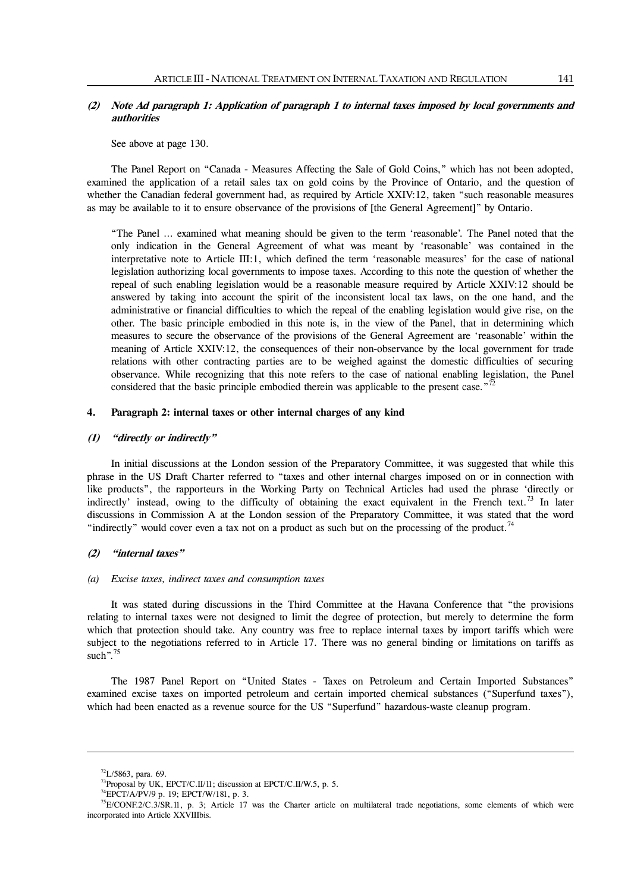# **(2) Note Ad paragraph 1: Application of paragraph 1 to internal taxes imposed by local governments and authorities**

See above at page 130.

The Panel Report on "Canada - Measures Affecting the Sale of Gold Coins," which has not been adopted, examined the application of a retail sales tax on gold coins by the Province of Ontario, and the question of whether the Canadian federal government had, as required by Article XXIV:12, taken "such reasonable measures" as may be available to it to ensure observance of the provisions of [the General Agreement]" by Ontario.

"The Panel … examined what meaning should be given to the term 'reasonable'. The Panel noted that the only indication in the General Agreement of what was meant by 'reasonable' was contained in the interpretative note to Article III:1, which defined the term 'reasonable measures' for the case of national legislation authorizing local governments to impose taxes. According to this note the question of whether the repeal of such enabling legislation would be a reasonable measure required by Article XXIV:12 should be answered by taking into account the spirit of the inconsistent local tax laws, on the one hand, and the administrative or financial difficulties to which the repeal of the enabling legislation would give rise, on the other. The basic principle embodied in this note is, in the view of the Panel, that in determining which measures to secure the observance of the provisions of the General Agreement are 'reasonable' within the meaning of Article XXIV:12, the consequences of their non-observance by the local government for trade relations with other contracting parties are to be weighed against the domestic difficulties of securing observance. While recognizing that this note refers to the case of national enabling legislation, the Panel considered that the basic principle embodied therein was applicable to the present case.<sup>"72</sup>

#### **4. Paragraph 2: internal taxes or other internal charges of any kind**

#### **(1) "directly or indirectly"**

In initial discussions at the London session of the Preparatory Committee, it was suggested that while this phrase in the US Draft Charter referred to "taxes and other internal charges imposed on or in connection with like products", the rapporteurs in the Working Party on Technical Articles had used the phrase 'directly or indirectly' instead, owing to the difficulty of obtaining the exact equivalent in the French text.<sup>73</sup> In later discussions in Commission A at the London session of the Preparatory Committee, it was stated that the word "indirectly" would cover even a tax not on a product as such but on the processing of the product.<sup>74</sup>

#### **(2) "internal taxes"**

#### *(a) Excise taxes, indirect taxes and consumption taxes*

It was stated during discussions in the Third Committee at the Havana Conference that "the provisions relating to internal taxes were not designed to limit the degree of protection, but merely to determine the form which that protection should take. Any country was free to replace internal taxes by import tariffs which were subject to the negotiations referred to in Article 17. There was no general binding or limitations on tariffs as such".<sup>75</sup>

The 1987 Panel Report on "United States - Taxes on Petroleum and Certain Imported Substances" examined excise taxes on imported petroleum and certain imported chemical substances ("Superfund taxes"), which had been enacted as a revenue source for the US "Superfund" hazardous-waste cleanup program.

 $72L/5863$ , para. 69.

 $73$ Proposal by UK, EPCT/C.II/11; discussion at EPCT/C.II/W.5, p. 5.

<sup>74</sup>EPCT/A/PV/9 p. 19; EPCT/W/181, p. 3.

 $75E/CONF.2/C.3/SR.11$ , p. 3; Article 17 was the Charter article on multilateral trade negotiations, some elements of which were incorporated into Article XXVIIIbis.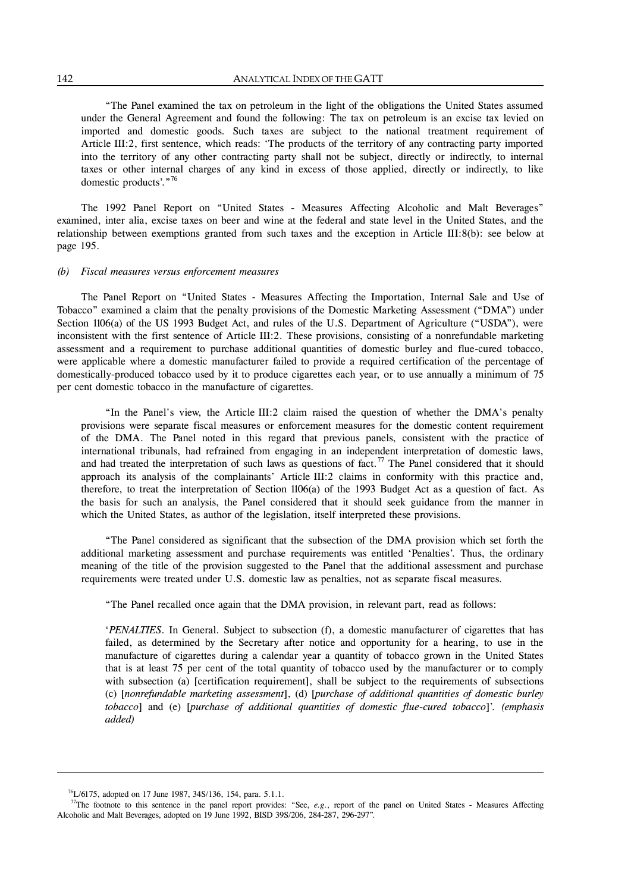"The Panel examined the tax on petroleum in the light of the obligations the United States assumed under the General Agreement and found the following: The tax on petroleum is an excise tax levied on imported and domestic goods. Such taxes are subject to the national treatment requirement of Article III:2, first sentence, which reads: 'The products of the territory of any contracting party imported into the territory of any other contracting party shall not be subject, directly or indirectly, to internal taxes or other internal charges of any kind in excess of those applied, directly or indirectly, to like domestic products'."<sup>76</sup>

The 1992 Panel Report on "United States - Measures Affecting Alcoholic and Malt Beverages" examined, inter alia, excise taxes on beer and wine at the federal and state level in the United States, and the relationship between exemptions granted from such taxes and the exception in Article III:8(b): see below at page 195.

#### *(b) Fiscal measures versus enforcement measures*

The Panel Report on "United States - Measures Affecting the Importation, Internal Sale and Use of Tobacco" examined a claim that the penalty provisions of the Domestic Marketing Assessment ("DMA") under Section 1106(a) of the US 1993 Budget Act, and rules of the U.S. Department of Agriculture ("USDA"), were inconsistent with the first sentence of Article III:2. These provisions, consisting of a nonrefundable marketing assessment and a requirement to purchase additional quantities of domestic burley and flue-cured tobacco, were applicable where a domestic manufacturer failed to provide a required certification of the percentage of domestically-produced tobacco used by it to produce cigarettes each year, or to use annually a minimum of 75 per cent domestic tobacco in the manufacture of cigarettes.

"In the Panel's view, the Article III:2 claim raised the question of whether the DMA's penalty provisions were separate fiscal measures or enforcement measures for the domestic content requirement of the DMA. The Panel noted in this regard that previous panels, consistent with the practice of international tribunals, had refrained from engaging in an independent interpretation of domestic laws, and had treated the interpretation of such laws as questions of fact.<sup>77</sup> The Panel considered that it should approach its analysis of the complainants' Article III:2 claims in conformity with this practice and, therefore, to treat the interpretation of Section 1106(a) of the 1993 Budget Act as a question of fact. As the basis for such an analysis, the Panel considered that it should seek guidance from the manner in which the United States, as author of the legislation, itself interpreted these provisions.

"The Panel considered as significant that the subsection of the DMA provision which set forth the additional marketing assessment and purchase requirements was entitled 'Penalties'. Thus, the ordinary meaning of the title of the provision suggested to the Panel that the additional assessment and purchase requirements were treated under U.S. domestic law as penalties, not as separate fiscal measures.

"The Panel recalled once again that the DMA provision, in relevant part, read as follows:

'*PENALTIES*. In General. Subject to subsection (f), a domestic manufacturer of cigarettes that has failed, as determined by the Secretary after notice and opportunity for a hearing, to use in the manufacture of cigarettes during a calendar year a quantity of tobacco grown in the United States that is at least 75 per cent of the total quantity of tobacco used by the manufacturer or to comply with subsection (a) [certification requirement], shall be subject to the requirements of subsections (c) [*nonrefundable marketing assessment*], (d) [*purchase of additional quantities of domestic burley tobacco*] and (e) [*purchase of additional quantities of domestic flue-cured tobacco*]'. *(emphasis added)*

<sup>76</sup>L/6175, adopted on 17 June 1987, 34S/136, 154, para. 5.1.1.

<sup>&</sup>lt;sup>77</sup>The footnote to this sentence in the panel report provides: "See, *e.g.*, report of the panel on United States - Measures Affecting Alcoholic and Malt Beverages, adopted on 19 June 1992, BISD 39S/206, 284-287, 296-297".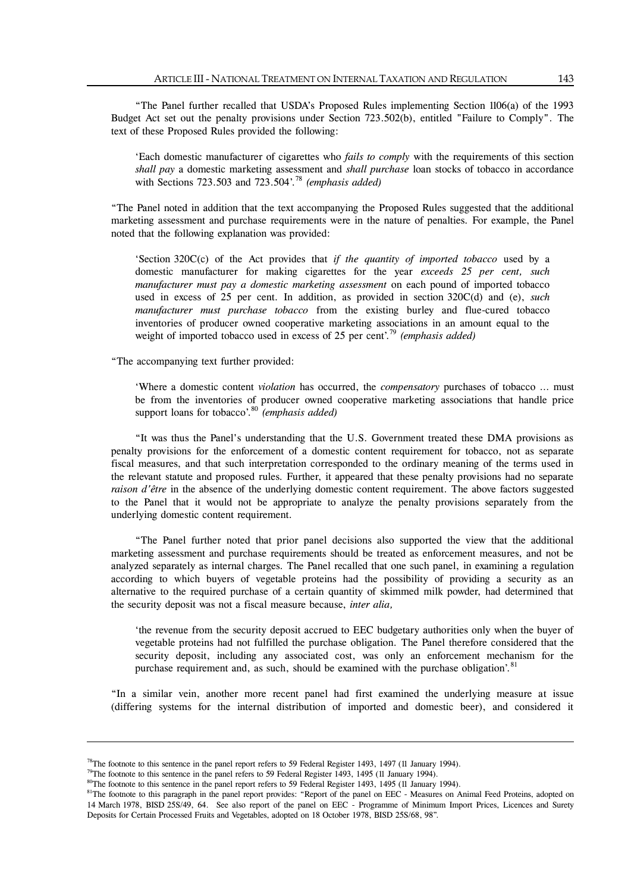"The Panel further recalled that USDA's Proposed Rules implementing Section 1106(a) of the 1993 Budget Act set out the penalty provisions under Section 723.502(b), entitled "Failure to Comply". The text of these Proposed Rules provided the following:

'Each domestic manufacturer of cigarettes who *fails to comply* with the requirements of this section *shall pay* a domestic marketing assessment and *shall purchase* loan stocks of tobacco in accordance with Sections 723.503 and 723.504'.<sup>78</sup> *(emphasis added)*

"The Panel noted in addition that the text accompanying the Proposed Rules suggested that the additional marketing assessment and purchase requirements were in the nature of penalties. For example, the Panel noted that the following explanation was provided:

'Section 320C(c) of the Act provides that *if the quantity of imported tobacco* used by a domestic manufacturer for making cigarettes for the year *exceeds 25 per cent, such manufacturer must pay a domestic marketing assessment* on each pound of imported tobacco used in excess of 25 per cent. In addition, as provided in section 320C(d) and (e), *such manufacturer must purchase tobacco* from the existing burley and flue-cured tobacco inventories of producer owned cooperative marketing associations in an amount equal to the weight of imported tobacco used in excess of 25 per cent'.<sup>79</sup> *(emphasis added)*

"The accompanying text further provided:

'Where a domestic content *violation* has occurred, the *compensatory* purchases of tobacco … must be from the inventories of producer owned cooperative marketing associations that handle price support loans for tobacco'.<sup>80</sup> *(emphasis added)*

"It was thus the Panel's understanding that the U.S. Government treated these DMA provisions as penalty provisions for the enforcement of a domestic content requirement for tobacco, not as separate fiscal measures, and that such interpretation corresponded to the ordinary meaning of the terms used in the relevant statute and proposed rules. Further, it appeared that these penalty provisions had no separate *raison d'être* in the absence of the underlying domestic content requirement. The above factors suggested to the Panel that it would not be appropriate to analyze the penalty provisions separately from the underlying domestic content requirement.

"The Panel further noted that prior panel decisions also supported the view that the additional marketing assessment and purchase requirements should be treated as enforcement measures, and not be analyzed separately as internal charges. The Panel recalled that one such panel, in examining a regulation according to which buyers of vegetable proteins had the possibility of providing a security as an alternative to the required purchase of a certain quantity of skimmed milk powder, had determined that the security deposit was not a fiscal measure because, *inter alia,* 

'the revenue from the security deposit accrued to EEC budgetary authorities only when the buyer of vegetable proteins had not fulfilled the purchase obligation. The Panel therefore considered that the security deposit, including any associated cost, was only an enforcement mechanism for the purchase requirement and, as such, should be examined with the purchase obligation'.<sup>81</sup>

"In a similar vein, another more recent panel had first examined the underlying measure at issue (differing systems for the internal distribution of imported and domestic beer), and considered it

<sup>&</sup>lt;sup>78</sup>The footnote to this sentence in the panel report refers to 59 Federal Register 1493, 1497 (11 January 1994).

<sup>&</sup>lt;sup>79</sup>The footnote to this sentence in the panel refers to 59 Federal Register 1493, 1495 (11 January 1994).

<sup>&</sup>lt;sup>80</sup>The footnote to this sentence in the panel report refers to 59 Federal Register 1493, 1495 (11 January 1994).

<sup>&</sup>lt;sup>81</sup>The footnote to this paragraph in the panel report provides: "Report of the panel on EEC - Measures on Animal Feed Proteins, adopted on 14 March 1978, BISD 25S/49, 64. See also report of the panel on EEC - Programme of Minimum Import Prices, Licences and Surety Deposits for Certain Processed Fruits and Vegetables, adopted on 18 October 1978, BISD 25S/68, 98".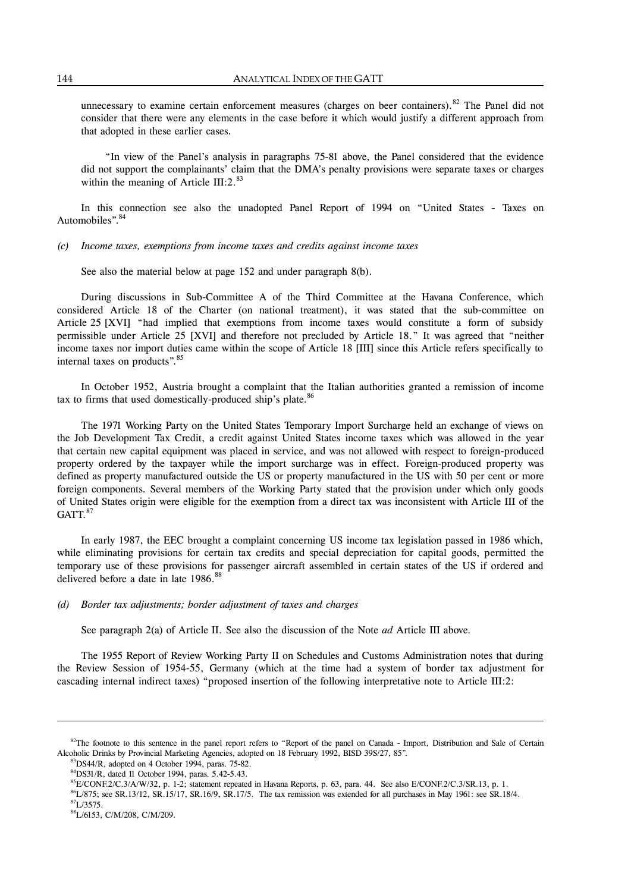unnecessary to examine certain enforcement measures (charges on beer containers).<sup>82</sup> The Panel did not consider that there were any elements in the case before it which would justify a different approach from that adopted in these earlier cases.

"In view of the Panel's analysis in paragraphs 75-81 above, the Panel considered that the evidence did not support the complainants' claim that the DMA's penalty provisions were separate taxes or charges within the meaning of Article  $III:2.^{83}$ 

In this connection see also the unadopted Panel Report of 1994 on "United States - Taxes on Automobiles".<sup>84</sup>

*(c) Income taxes, exemptions from income taxes and credits against income taxes*

See also the material below at page 152 and under paragraph 8(b).

During discussions in Sub-Committee A of the Third Committee at the Havana Conference, which considered Article 18 of the Charter (on national treatment), it was stated that the sub-committee on Article 25 [XVI] "had implied that exemptions from income taxes would constitute a form of subsidy permissible under Article 25 [XVI] and therefore not precluded by Article 18." It was agreed that "neither income taxes nor import duties came within the scope of Article 18 [III] since this Article refers specifically to internal taxes on products".<sup>85</sup>

In October 1952, Austria brought a complaint that the Italian authorities granted a remission of income tax to firms that used domestically-produced ship's plate.<sup>86</sup>

The 1971 Working Party on the United States Temporary Import Surcharge held an exchange of views on the Job Development Tax Credit, a credit against United States income taxes which was allowed in the year that certain new capital equipment was placed in service, and was not allowed with respect to foreign-produced property ordered by the taxpayer while the import surcharge was in effect. Foreign-produced property was defined as property manufactured outside the US or property manufactured in the US with 50 per cent or more foreign components. Several members of the Working Party stated that the provision under which only goods of United States origin were eligible for the exemption from a direct tax was inconsistent with Article III of the GATT.<sup>87</sup>

In early 1987, the EEC brought a complaint concerning US income tax legislation passed in 1986 which, while eliminating provisions for certain tax credits and special depreciation for capital goods, permitted the temporary use of these provisions for passenger aircraft assembled in certain states of the US if ordered and delivered before a date in late 1986.<sup>88</sup>

*(d) Border tax adjustments; border adjustment of taxes and charges*

See paragraph 2(a) of Article II. See also the discussion of the Note *ad* Article III above.

The 1955 Report of Review Working Party II on Schedules and Customs Administration notes that during the Review Session of 1954-55, Germany (which at the time had a system of border tax adjustment for cascading internal indirect taxes) "proposed insertion of the following interpretative note to Article III:2:

 $82$ The footnote to this sentence in the panel report refers to "Report of the panel on Canada - Import, Distribution and Sale of Certain Alcoholic Drinks by Provincial Marketing Agencies, adopted on 18 February 1992, BISD 39S/27, 85".

<sup>83</sup>DS44/R, adopted on 4 October 1994, paras. 75-82.

<sup>84</sup>DS31/R, dated 11 October 1994, paras. 5.42-5.43.

<sup>85</sup>E/CONF.2/C.3/A/W/32, p. 1-2; statement repeated in Havana Reports, p. 63, para. 44. See also E/CONF.2/C.3/SR.13, p. 1.

 $^{86}L/875$ ; see SR.13/12, SR.15/17, SR.16/9, SR.17/5. The tax remission was extended for all purchases in May 1961: see SR.18/4.

 ${}^{87}L/3575.$ 

<sup>88</sup>L/6153, C/M/208, C/M/209.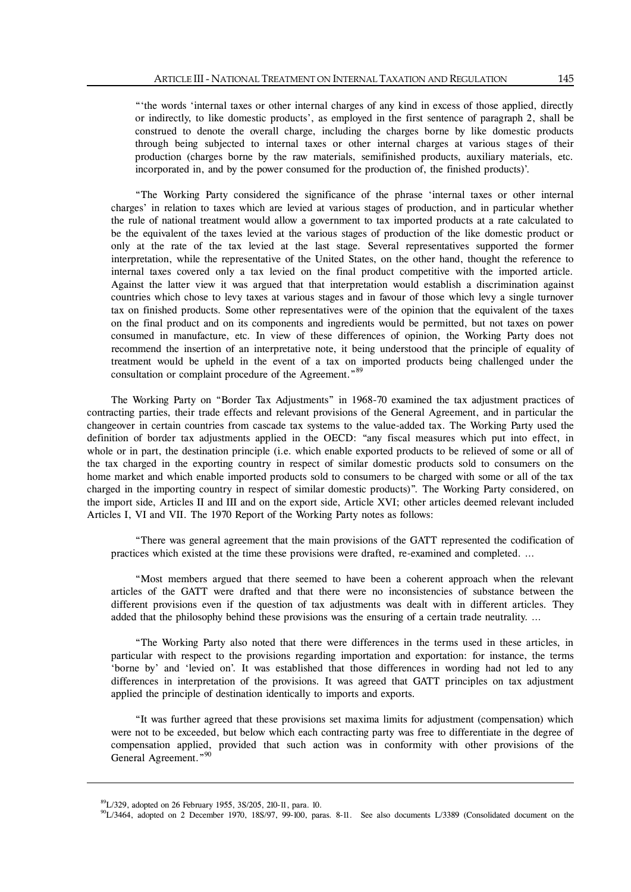"'the words 'internal taxes or other internal charges of any kind in excess of those applied, directly or indirectly, to like domestic products', as employed in the first sentence of paragraph 2, shall be construed to denote the overall charge, including the charges borne by like domestic products through being subjected to internal taxes or other internal charges at various stages of their production (charges borne by the raw materials, semifinished products, auxiliary materials, etc. incorporated in, and by the power consumed for the production of, the finished products)'.

"The Working Party considered the significance of the phrase 'internal taxes or other internal charges' in relation to taxes which are levied at various stages of production, and in particular whether the rule of national treatment would allow a government to tax imported products at a rate calculated to be the equivalent of the taxes levied at the various stages of production of the like domestic product or only at the rate of the tax levied at the last stage. Several representatives supported the former interpretation, while the representative of the United States, on the other hand, thought the reference to internal taxes covered only a tax levied on the final product competitive with the imported article. Against the latter view it was argued that that interpretation would establish a discrimination against countries which chose to levy taxes at various stages and in favour of those which levy a single turnover tax on finished products. Some other representatives were of the opinion that the equivalent of the taxes on the final product and on its components and ingredients would be permitted, but not taxes on power consumed in manufacture, etc. In view of these differences of opinion, the Working Party does not recommend the insertion of an interpretative note, it being understood that the principle of equality of treatment would be upheld in the event of a tax on imported products being challenged under the consultation or complaint procedure of the Agreement."<sup>89</sup>

The Working Party on "Border Tax Adjustments" in 1968-70 examined the tax adjustment practices of contracting parties, their trade effects and relevant provisions of the General Agreement, and in particular the changeover in certain countries from cascade tax systems to the value-added tax. The Working Party used the definition of border tax adjustments applied in the OECD: "any fiscal measures which put into effect, in whole or in part, the destination principle (i.e. which enable exported products to be relieved of some or all of the tax charged in the exporting country in respect of similar domestic products sold to consumers on the home market and which enable imported products sold to consumers to be charged with some or all of the tax charged in the importing country in respect of similar domestic products)". The Working Party considered, on the import side, Articles II and III and on the export side, Article XVI; other articles deemed relevant included Articles I, VI and VII. The 1970 Report of the Working Party notes as follows:

"There was general agreement that the main provisions of the GATT represented the codification of practices which existed at the time these provisions were drafted, re-examined and completed. …

"Most members argued that there seemed to have been a coherent approach when the relevant articles of the GATT were drafted and that there were no inconsistencies of substance between the different provisions even if the question of tax adjustments was dealt with in different articles. They added that the philosophy behind these provisions was the ensuring of a certain trade neutrality. …

"The Working Party also noted that there were differences in the terms used in these articles, in particular with respect to the provisions regarding importation and exportation: for instance, the terms 'borne by' and 'levied on'. It was established that those differences in wording had not led to any differences in interpretation of the provisions. It was agreed that GATT principles on tax adjustment applied the principle of destination identically to imports and exports.

"It was further agreed that these provisions set maxima limits for adjustment (compensation) which were not to be exceeded, but below which each contracting party was free to differentiate in the degree of compensation applied, provided that such action was in conformity with other provisions of the General Agreement."<sup>90</sup>

<sup>89</sup>L/329, adopted on 26 February 1955, 3S/205, 210-11, para. 10.

<sup>90</sup>L/3464, adopted on 2 December 1970, 18S/97, 99-100, paras. 8-11. See also documents L/3389 (Consolidated document on the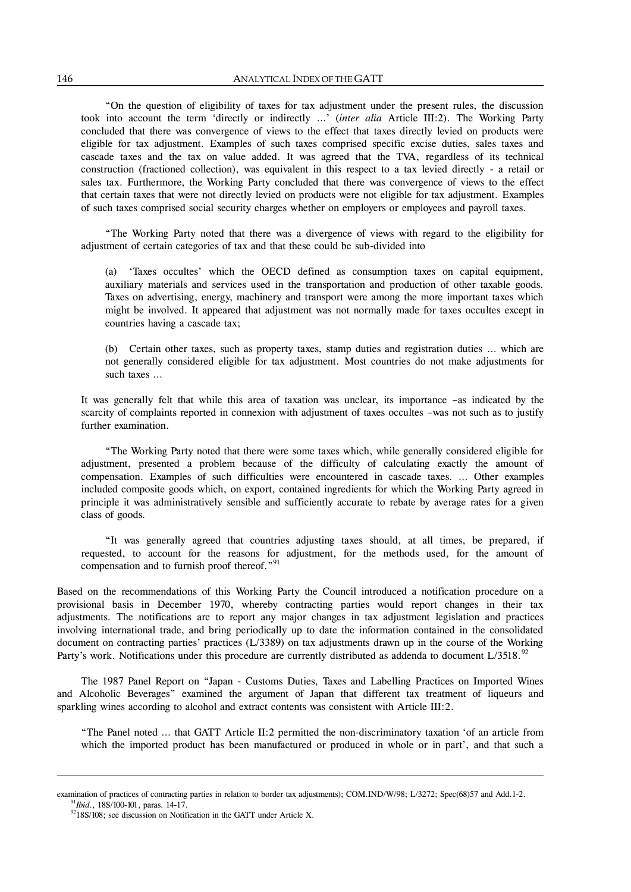"On the question of eligibility of taxes for tax adjustment under the present rules, the discussion took into account the term 'directly or indirectly …' (*inter alia* Article III:2). The Working Party concluded that there was convergence of views to the effect that taxes directly levied on products were eligible for tax adjustment. Examples of such taxes comprised specific excise duties, sales taxes and cascade taxes and the tax on value added. It was agreed that the TVA, regardless of its technical construction (fractioned collection), was equivalent in this respect to a tax levied directly - a retail or sales tax. Furthermore, the Working Party concluded that there was convergence of views to the effect that certain taxes that were not directly levied on products were not eligible for tax adjustment. Examples of such taxes comprised social security charges whether on employers or employees and payroll taxes.

"The Working Party noted that there was a divergence of views with regard to the eligibility for adjustment of certain categories of tax and that these could be sub-divided into

(a) 'Taxes occultes' which the OECD defined as consumption taxes on capital equipment, auxiliary materials and services used in the transportation and production of other taxable goods. Taxes on advertising, energy, machinery and transport were among the more important taxes which might be involved. It appeared that adjustment was not normally made for taxes occultes except in countries having a cascade tax;

(b) Certain other taxes, such as property taxes, stamp duties and registration duties … which are not generally considered eligible for tax adjustment. Most countries do not make adjustments for such taxes …

It was generally felt that while this area of taxation was unclear, its importance –as indicated by the scarcity of complaints reported in connexion with adjustment of taxes occultes –was not such as to justify further examination.

"The Working Party noted that there were some taxes which, while generally considered eligible for adjustment, presented a problem because of the difficulty of calculating exactly the amount of compensation. Examples of such difficulties were encountered in cascade taxes. … Other examples included composite goods which, on export, contained ingredients for which the Working Party agreed in principle it was administratively sensible and sufficiently accurate to rebate by average rates for a given class of goods.

"It was generally agreed that countries adjusting taxes should, at all times, be prepared, if requested, to account for the reasons for adjustment, for the methods used, for the amount of compensation and to furnish proof thereof."<sup>91</sup>

Based on the recommendations of this Working Party the Council introduced a notification procedure on a provisional basis in December 1970, whereby contracting parties would report changes in their tax adjustments. The notifications are to report any major changes in tax adjustment legislation and practices involving international trade, and bring periodically up to date the information contained in the consolidated document on contracting parties' practices (L/3389) on tax adjustments drawn up in the course of the Working Party's work. Notifications under this procedure are currently distributed as addenda to document  $L/3518$ .<sup>92</sup>

The 1987 Panel Report on "Japan - Customs Duties, Taxes and Labelling Practices on Imported Wines and Alcoholic Beverages" examined the argument of Japan that different tax treatment of liqueurs and sparkling wines according to alcohol and extract contents was consistent with Article III:2.

"The Panel noted … that GATT Article II:2 permitted the non-discriminatory taxation 'of an article from which the imported product has been manufactured or produced in whole or in part', and that such a

examination of practices of contracting parties in relation to border tax adjustments); COM.IND/W/98; L/3272; Spec(68)57 and Add.1-2. <sup>91</sup>*Ibid*., 18S/100-101, paras. 14-17.

 $9218$ S/108; see discussion on Notification in the GATT under Article X.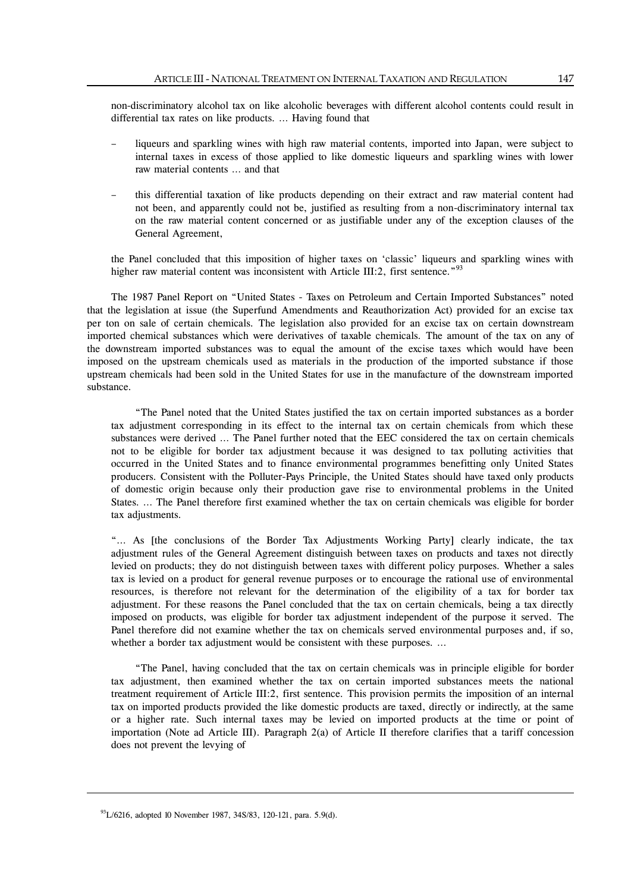non-discriminatory alcohol tax on like alcoholic beverages with different alcohol contents could result in differential tax rates on like products. … Having found that

- liqueurs and sparkling wines with high raw material contents, imported into Japan, were subject to internal taxes in excess of those applied to like domestic liqueurs and sparkling wines with lower raw material contents … and that
- this differential taxation of like products depending on their extract and raw material content had not been, and apparently could not be, justified as resulting from a non-discriminatory internal tax on the raw material content concerned or as justifiable under any of the exception clauses of the General Agreement,

the Panel concluded that this imposition of higher taxes on 'classic' liqueurs and sparkling wines with higher raw material content was inconsistent with Article III:2, first sentence."<sup>93</sup>

The 1987 Panel Report on "United States - Taxes on Petroleum and Certain Imported Substances" noted that the legislation at issue (the Superfund Amendments and Reauthorization Act) provided for an excise tax per ton on sale of certain chemicals. The legislation also provided for an excise tax on certain downstream imported chemical substances which were derivatives of taxable chemicals. The amount of the tax on any of the downstream imported substances was to equal the amount of the excise taxes which would have been imposed on the upstream chemicals used as materials in the production of the imported substance if those upstream chemicals had been sold in the United States for use in the manufacture of the downstream imported substance.

"The Panel noted that the United States justified the tax on certain imported substances as a border tax adjustment corresponding in its effect to the internal tax on certain chemicals from which these substances were derived … The Panel further noted that the EEC considered the tax on certain chemicals not to be eligible for border tax adjustment because it was designed to tax polluting activities that occurred in the United States and to finance environmental programmes benefitting only United States producers. Consistent with the Polluter-Pays Principle, the United States should have taxed only products of domestic origin because only their production gave rise to environmental problems in the United States. … The Panel therefore first examined whether the tax on certain chemicals was eligible for border tax adjustments.

"… As [the conclusions of the Border Tax Adjustments Working Party] clearly indicate, the tax adjustment rules of the General Agreement distinguish between taxes on products and taxes not directly levied on products; they do not distinguish between taxes with different policy purposes. Whether a sales tax is levied on a product for general revenue purposes or to encourage the rational use of environmental resources, is therefore not relevant for the determination of the eligibility of a tax for border tax adjustment. For these reasons the Panel concluded that the tax on certain chemicals, being a tax directly imposed on products, was eligible for border tax adjustment independent of the purpose it served. The Panel therefore did not examine whether the tax on chemicals served environmental purposes and, if so, whether a border tax adjustment would be consistent with these purposes. ...

"The Panel, having concluded that the tax on certain chemicals was in principle eligible for border tax adjustment, then examined whether the tax on certain imported substances meets the national treatment requirement of Article III:2, first sentence. This provision permits the imposition of an internal tax on imported products provided the like domestic products are taxed, directly or indirectly, at the same or a higher rate. Such internal taxes may be levied on imported products at the time or point of importation (Note ad Article III). Paragraph 2(a) of Article II therefore clarifies that a tariff concession does not prevent the levying of

<sup>93</sup>L/6216, adopted 10 November 1987, 34S/83, 120-121, para. 5.9(d).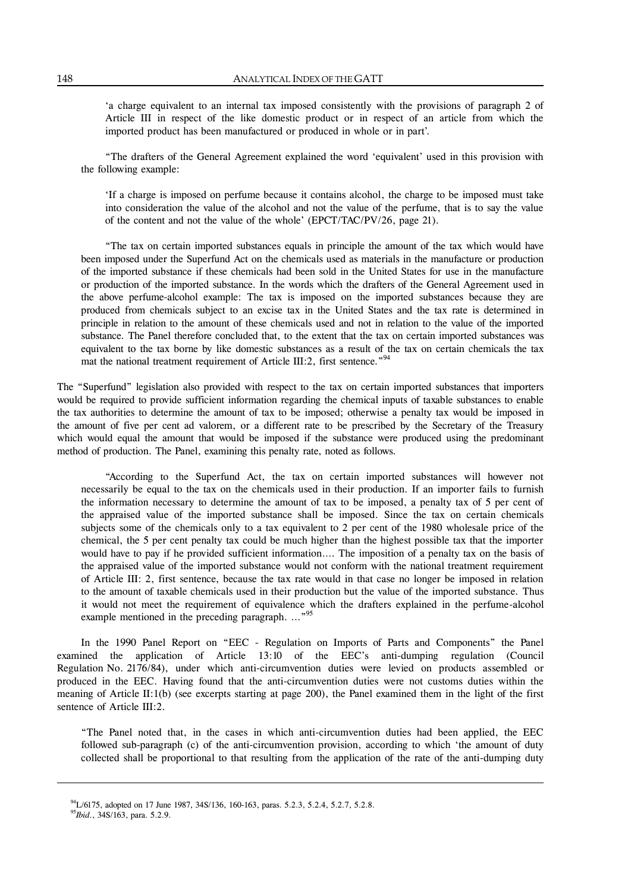'a charge equivalent to an internal tax imposed consistently with the provisions of paragraph 2 of Article III in respect of the like domestic product or in respect of an article from which the imported product has been manufactured or produced in whole or in part'.

"The drafters of the General Agreement explained the word 'equivalent' used in this provision with the following example:

'If a charge is imposed on perfume because it contains alcohol, the charge to be imposed must take into consideration the value of the alcohol and not the value of the perfume, that is to say the value of the content and not the value of the whole' (EPCT/TAC/PV/26, page 21).

"The tax on certain imported substances equals in principle the amount of the tax which would have been imposed under the Superfund Act on the chemicals used as materials in the manufacture or production of the imported substance if these chemicals had been sold in the United States for use in the manufacture or production of the imported substance. In the words which the drafters of the General Agreement used in the above perfume-alcohol example: The tax is imposed on the imported substances because they are produced from chemicals subject to an excise tax in the United States and the tax rate is determined in principle in relation to the amount of these chemicals used and not in relation to the value of the imported substance. The Panel therefore concluded that, to the extent that the tax on certain imported substances was equivalent to the tax borne by like domestic substances as a result of the tax on certain chemicals the tax mat the national treatment requirement of Article III:2, first sentence."<sup>94</sup>

The "Superfund" legislation also provided with respect to the tax on certain imported substances that importers would be required to provide sufficient information regarding the chemical inputs of taxable substances to enable the tax authorities to determine the amount of tax to be imposed; otherwise a penalty tax would be imposed in the amount of five per cent ad valorem, or a different rate to be prescribed by the Secretary of the Treasury which would equal the amount that would be imposed if the substance were produced using the predominant method of production. The Panel, examining this penalty rate, noted as follows.

"According to the Superfund Act, the tax on certain imported substances will however not necessarily be equal to the tax on the chemicals used in their production. If an importer fails to furnish the information necessary to determine the amount of tax to be imposed, a penalty tax of 5 per cent of the appraised value of the imported substance shall be imposed. Since the tax on certain chemicals subjects some of the chemicals only to a tax equivalent to 2 per cent of the 1980 wholesale price of the chemical, the 5 per cent penalty tax could be much higher than the highest possible tax that the importer would have to pay if he provided sufficient information…. The imposition of a penalty tax on the basis of the appraised value of the imported substance would not conform with the national treatment requirement of Article III: 2, first sentence, because the tax rate would in that case no longer be imposed in relation to the amount of taxable chemicals used in their production but the value of the imported substance. Thus it would not meet the requirement of equivalence which the drafters explained in the perfume-alcohol example mentioned in the preceding paragraph. ..."<sup>95</sup>

In the 1990 Panel Report on "EEC - Regulation on Imports of Parts and Components" the Panel examined the application of Article 13:10 of the EEC's anti-dumping regulation (Council Regulation No. 2176/84), under which anti-circumvention duties were levied on products assembled or produced in the EEC. Having found that the anti-circumvention duties were not customs duties within the meaning of Article II:1(b) (see excerpts starting at page 200), the Panel examined them in the light of the first sentence of Article III:2.

"The Panel noted that, in the cases in which anti-circumvention duties had been applied, the EEC followed sub-paragraph (c) of the anti-circumvention provision, according to which 'the amount of duty collected shall be proportional to that resulting from the application of the rate of the anti-dumping duty

<sup>&</sup>lt;sup>94</sup>L/6175, adopted on 17 June 1987, 34S/136, 160-163, paras. 5.2.3, 5.2.4, 5.2.7, 5.2.8.

<sup>95</sup>*Ibid*., 34S/163, para. 5.2.9.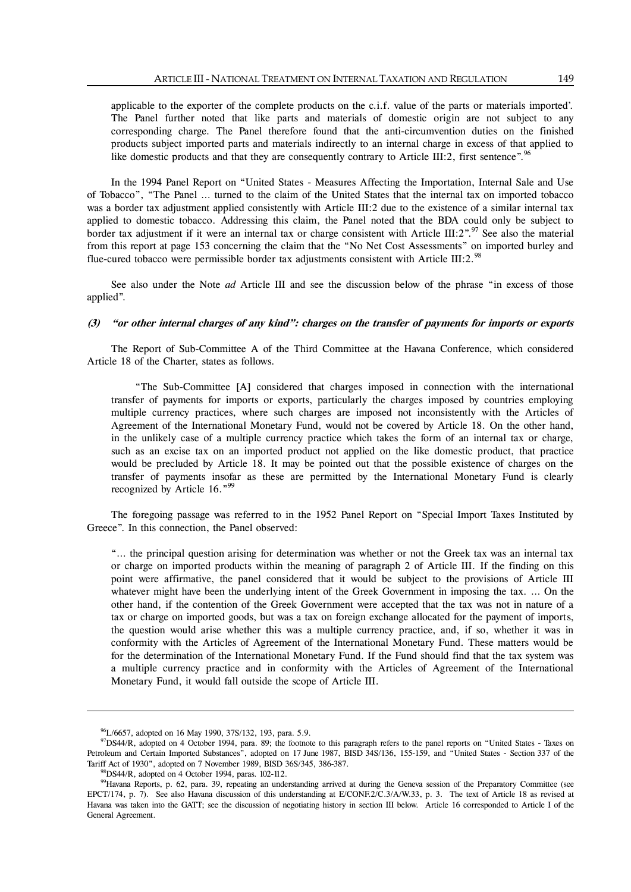applicable to the exporter of the complete products on the c.i.f. value of the parts or materials imported'. The Panel further noted that like parts and materials of domestic origin are not subject to any corresponding charge. The Panel therefore found that the anti-circumvention duties on the finished products subject imported parts and materials indirectly to an internal charge in excess of that applied to like domestic products and that they are consequently contrary to Article III:2, first sentence".<sup>96</sup>

In the 1994 Panel Report on "United States - Measures Affecting the Importation, Internal Sale and Use of Tobacco", "The Panel … turned to the claim of the United States that the internal tax on imported tobacco was a border tax adjustment applied consistently with Article III:2 due to the existence of a similar internal tax applied to domestic tobacco. Addressing this claim, the Panel noted that the BDA could only be subject to border tax adjustment if it were an internal tax or charge consistent with Article III:2".<sup>97</sup> See also the material from this report at page 153 concerning the claim that the "No Net Cost Assessments" on imported burley and flue-cured tobacco were permissible border tax adjustments consistent with Article III:2.<sup>98</sup>

See also under the Note *ad* Article III and see the discussion below of the phrase "in excess of those applied".

#### **(3) "or other internal charges of any kind": charges on the transfer of payments for imports or exports**

The Report of Sub-Committee A of the Third Committee at the Havana Conference, which considered Article 18 of the Charter, states as follows.

"The Sub-Committee [A] considered that charges imposed in connection with the international transfer of payments for imports or exports, particularly the charges imposed by countries employing multiple currency practices, where such charges are imposed not inconsistently with the Articles of Agreement of the International Monetary Fund, would not be covered by Article 18. On the other hand, in the unlikely case of a multiple currency practice which takes the form of an internal tax or charge, such as an excise tax on an imported product not applied on the like domestic product, that practice would be precluded by Article 18. It may be pointed out that the possible existence of charges on the transfer of payments insofar as these are permitted by the International Monetary Fund is clearly recognized by Article 16."<sup>99</sup>

The foregoing passage was referred to in the 1952 Panel Report on "Special Import Taxes Instituted by Greece". In this connection, the Panel observed:

"… the principal question arising for determination was whether or not the Greek tax was an internal tax or charge on imported products within the meaning of paragraph 2 of Article III. If the finding on this point were affirmative, the panel considered that it would be subject to the provisions of Article III whatever might have been the underlying intent of the Greek Government in imposing the tax. … On the other hand, if the contention of the Greek Government were accepted that the tax was not in nature of a tax or charge on imported goods, but was a tax on foreign exchange allocated for the payment of imports, the question would arise whether this was a multiple currency practice, and, if so, whether it was in conformity with the Articles of Agreement of the International Monetary Fund. These matters would be for the determination of the International Monetary Fund. If the Fund should find that the tax system was a multiple currency practice and in conformity with the Articles of Agreement of the International Monetary Fund, it would fall outside the scope of Article III.

<sup>&</sup>lt;sup>96</sup>L/6657, adopted on 16 May 1990, 37S/132, 193, para. 5.9.

<sup>97</sup>DS44/R, adopted on 4 October 1994, para. 89; the footnote to this paragraph refers to the panel reports on "United States - Taxes on Petroleum and Certain Imported Substances", adopted on 17 June 1987, BISD 34S/136, 155-159, and "United States - Section 337 of the Tariff Act of 1930", adopted on 7 November 1989, BISD 36S/345, 386-387.

 $98$ DS44/R, adopted on 4 October 1994, paras. 102-112.

<sup>99</sup>Havana Reports, p. 62, para. 39, repeating an understanding arrived at during the Geneva session of the Preparatory Committee (see EPCT/174, p. 7). See also Havana discussion of this understanding at E/CONF.2/C.3/A/W.33, p. 3. The text of Article 18 as revised at Havana was taken into the GATT; see the discussion of negotiating history in section III below. Article 16 corresponded to Article I of the General Agreement.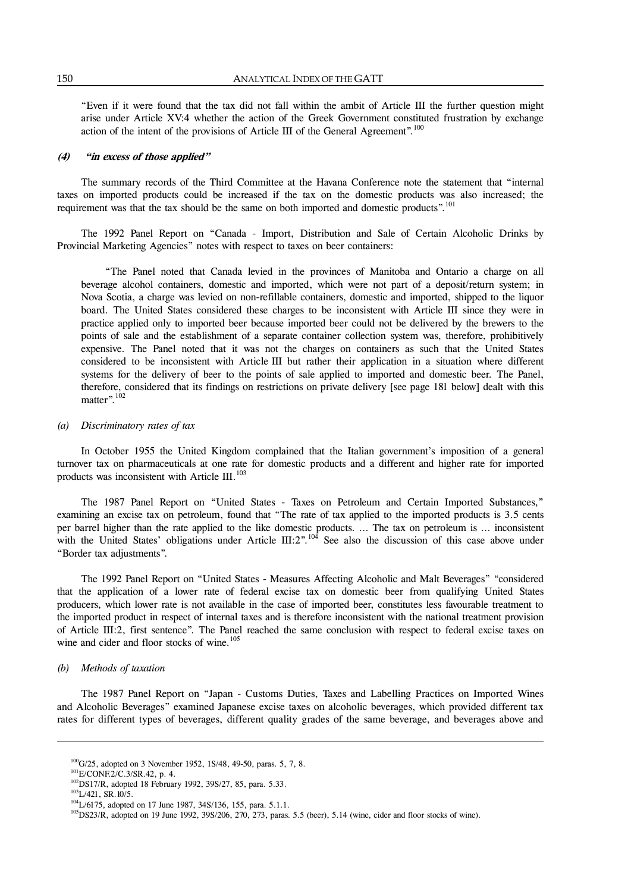"Even if it were found that the tax did not fall within the ambit of Article III the further question might arise under Article XV:4 whether the action of the Greek Government constituted frustration by exchange action of the intent of the provisions of Article III of the General Agreement".<sup>100</sup>

#### **(4) "in excess of those applied"**

The summary records of the Third Committee at the Havana Conference note the statement that "internal taxes on imported products could be increased if the tax on the domestic products was also increased; the requirement was that the tax should be the same on both imported and domestic products".<sup>101</sup>

The 1992 Panel Report on "Canada - Import, Distribution and Sale of Certain Alcoholic Drinks by Provincial Marketing Agencies" notes with respect to taxes on beer containers:

"The Panel noted that Canada levied in the provinces of Manitoba and Ontario a charge on all beverage alcohol containers, domestic and imported, which were not part of a deposit/return system; in Nova Scotia, a charge was levied on non-refillable containers, domestic and imported, shipped to the liquor board. The United States considered these charges to be inconsistent with Article III since they were in practice applied only to imported beer because imported beer could not be delivered by the brewers to the points of sale and the establishment of a separate container collection system was, therefore, prohibitively expensive. The Panel noted that it was not the charges on containers as such that the United States considered to be inconsistent with Article III but rather their application in a situation where different systems for the delivery of beer to the points of sale applied to imported and domestic beer. The Panel, therefore, considered that its findings on restrictions on private delivery [see page 181 below] dealt with this matter".<sup>102</sup>

#### *(a) Discriminatory rates of tax*

In October 1955 the United Kingdom complained that the Italian government's imposition of a general turnover tax on pharmaceuticals at one rate for domestic products and a different and higher rate for imported products was inconsistent with Article III.<sup>103</sup>

The 1987 Panel Report on "United States - Taxes on Petroleum and Certain Imported Substances," examining an excise tax on petroleum, found that "The rate of tax applied to the imported products is 3.5 cents per barrel higher than the rate applied to the like domestic products. … The tax on petroleum is … inconsistent with the United States' obligations under Article III:2".<sup>104</sup> See also the discussion of this case above under "Border tax adjustments".

The 1992 Panel Report on "United States - Measures Affecting Alcoholic and Malt Beverages" "considered that the application of a lower rate of federal excise tax on domestic beer from qualifying United States producers, which lower rate is not available in the case of imported beer, constitutes less favourable treatment to the imported product in respect of internal taxes and is therefore inconsistent with the national treatment provision of Article III:2, first sentence". The Panel reached the same conclusion with respect to federal excise taxes on wine and cider and floor stocks of wine.<sup>105</sup>

#### *(b) Methods of taxation*

The 1987 Panel Report on "Japan - Customs Duties, Taxes and Labelling Practices on Imported Wines and Alcoholic Beverages" examined Japanese excise taxes on alcoholic beverages, which provided different tax rates for different types of beverages, different quality grades of the same beverage, and beverages above and

 $100$ G/25, adopted on 3 November 1952, 1S/48, 49-50, paras. 5, 7, 8.

<sup>101</sup>E/CONF.2/C.3/SR.42, p. 4.

<sup>&</sup>lt;sup>102</sup>DS17/R, adopted 18 February 1992, 39S/27, 85, para. 5.33.

 $103L/421$ , SR.10/5.

<sup>&</sup>lt;sup>104</sup>L/6175, adopted on 17 June 1987, 34S/136, 155, para. 5.1.1.

<sup>105</sup>DS23/R, adopted on 19 June 1992, 39S/206, 270, 273, paras. 5.5 (beer), 5.14 (wine, cider and floor stocks of wine).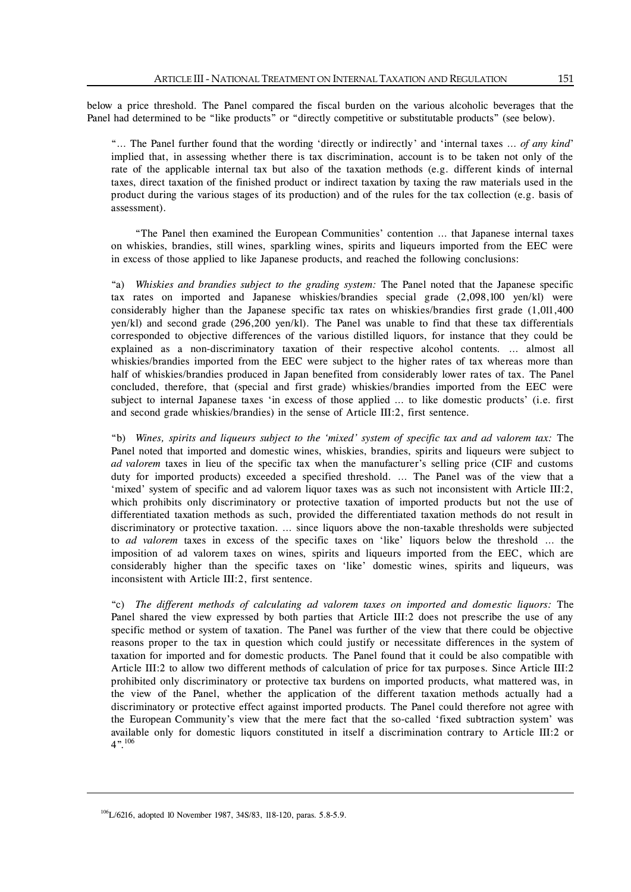below a price threshold. The Panel compared the fiscal burden on the various alcoholic beverages that the Panel had determined to be "like products" or "directly competitive or substitutable products" (see below).

"… The Panel further found that the wording 'directly or indirectly' and 'internal taxes … *of any kind*' implied that, in assessing whether there is tax discrimination, account is to be taken not only of the rate of the applicable internal tax but also of the taxation methods (e.g. different kinds of internal taxes, direct taxation of the finished product or indirect taxation by taxing the raw materials used in the product during the various stages of its production) and of the rules for the tax collection (e.g. basis of assessment).

"The Panel then examined the European Communities' contention … that Japanese internal taxes on whiskies, brandies, still wines, sparkling wines, spirits and liqueurs imported from the EEC were in excess of those applied to like Japanese products, and reached the following conclusions:

"a) *Whiskies and brandies subject to the grading system:* The Panel noted that the Japanese specific tax rates on imported and Japanese whiskies/brandies special grade (2,098,100 yen/kl) were considerably higher than the Japanese specific tax rates on whiskies/brandies first grade (1,011,400 yen/kl) and second grade (296,200 yen/kl). The Panel was unable to find that these tax differentials corresponded to objective differences of the various distilled liquors, for instance that they could be explained as a non-discriminatory taxation of their respective alcohol contents. … almost all whiskies/brandies imported from the EEC were subject to the higher rates of tax whereas more than half of whiskies/brandies produced in Japan benefited from considerably lower rates of tax. The Panel concluded, therefore, that (special and first grade) whiskies/brandies imported from the EEC were subject to internal Japanese taxes 'in excess of those applied … to like domestic products' (i.e. first and second grade whiskies/brandies) in the sense of Article III:2, first sentence.

"b) *Wines, spirits and liqueurs subject to the 'mixed' system of specific tax and ad valorem tax:* The Panel noted that imported and domestic wines, whiskies, brandies, spirits and liqueurs were subject to *ad valorem* taxes in lieu of the specific tax when the manufacturer's selling price (CIF and customs duty for imported products) exceeded a specified threshold. … The Panel was of the view that a 'mixed' system of specific and ad valorem liquor taxes was as such not inconsistent with Article III:2, which prohibits only discriminatory or protective taxation of imported products but not the use of differentiated taxation methods as such, provided the differentiated taxation methods do not result in discriminatory or protective taxation. … since liquors above the non-taxable thresholds were subjected to *ad valorem* taxes in excess of the specific taxes on 'like' liquors below the threshold … the imposition of ad valorem taxes on wines, spirits and liqueurs imported from the EEC, which are considerably higher than the specific taxes on 'like' domestic wines, spirits and liqueurs, was inconsistent with Article III:2, first sentence.

"c) *The different methods of calculating ad valorem taxes on imported and domestic liquors:* The Panel shared the view expressed by both parties that Article III:2 does not prescribe the use of any specific method or system of taxation. The Panel was further of the view that there could be objective reasons proper to the tax in question which could justify or necessitate differences in the system of taxation for imported and for domestic products. The Panel found that it could be also compatible with Article III:2 to allow two different methods of calculation of price for tax purposes. Since Article III:2 prohibited only discriminatory or protective tax burdens on imported products, what mattered was, in the view of the Panel, whether the application of the different taxation methods actually had a discriminatory or protective effect against imported products. The Panel could therefore not agree with the European Community's view that the mere fact that the so-called 'fixed subtraction system' was available only for domestic liquors constituted in itself a discrimination contrary to Article III:2 or  $4"$ .<sup>106</sup>

<sup>106</sup>L/6216, adopted 10 November 1987, 34S/83, 118-120, paras. 5.8-5.9.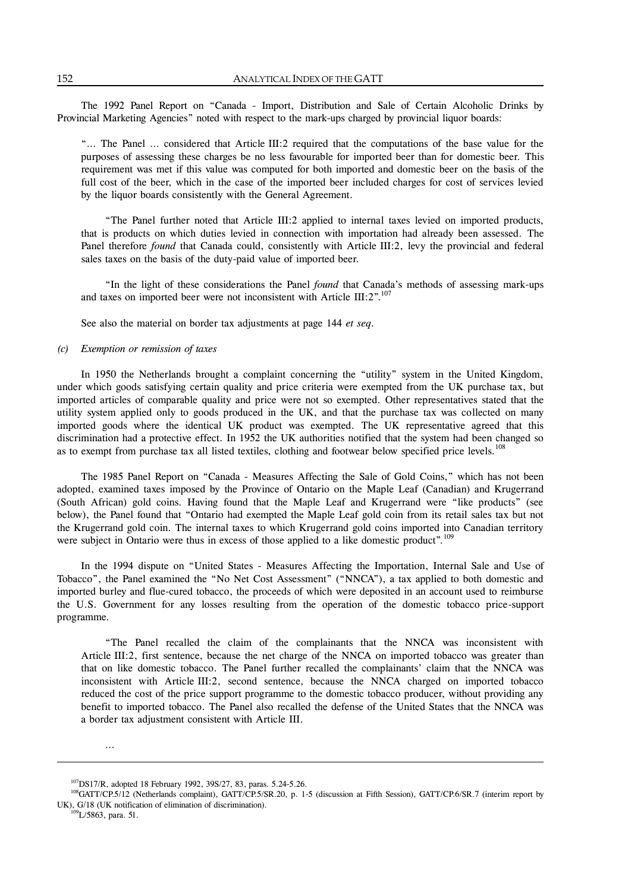The 1992 Panel Report on "Canada - Import, Distribution and Sale of Certain Alcoholic Drinks by Provincial Marketing Agencies" noted with respect to the mark-ups charged by provincial liquor boards:

"… The Panel … considered that Article III:2 required that the computations of the base value for the purposes of assessing these charges be no less favourable for imported beer than for domestic beer. This requirement was met if this value was computed for both imported and domestic beer on the basis of the full cost of the beer, which in the case of the imported beer included charges for cost of services levied by the liquor boards consistently with the General Agreement.

"The Panel further noted that Article III:2 applied to internal taxes levied on imported products, that is products on which duties levied in connection with importation had already been assessed. The Panel therefore *found* that Canada could, consistently with Article III:2, levy the provincial and federal sales taxes on the basis of the duty-paid value of imported beer.

"In the light of these considerations the Panel *found* that Canada's methods of assessing mark-ups and taxes on imported beer were not inconsistent with Article  $III:2$ ".<sup>107</sup>

See also the material on border tax adjustments at page 144 *et seq.*

#### *(c) Exemption or remission of taxes*

In 1950 the Netherlands brought a complaint concerning the "utility" system in the United Kingdom, under which goods satisfying certain quality and price criteria were exempted from the UK purchase tax, but imported articles of comparable quality and price were not so exempted. Other representatives stated that the utility system applied only to goods produced in the UK, and that the purchase tax was collected on many imported goods where the identical UK product was exempted. The UK representative agreed that this discrimination had a protective effect. In 1952 the UK authorities notified that the system had been changed so as to exempt from purchase tax all listed textiles, clothing and footwear below specified price levels.<sup>108</sup>

The 1985 Panel Report on "Canada - Measures Affecting the Sale of Gold Coins," which has not been adopted, examined taxes imposed by the Province of Ontario on the Maple Leaf (Canadian) and Krugerrand (South African) gold coins. Having found that the Maple Leaf and Krugerrand were "like products" (see below), the Panel found that "Ontario had exempted the Maple Leaf gold coin from its retail sales tax but not the Krugerrand gold coin. The internal taxes to which Krugerrand gold coins imported into Canadian territory were subject in Ontario were thus in excess of those applied to a like domestic product".<sup>109</sup>

In the 1994 dispute on "United States - Measures Affecting the Importation, Internal Sale and Use of Tobacco", the Panel examined the "No Net Cost Assessment" ("NNCA"), a tax applied to both domestic and imported burley and flue-cured tobacco, the proceeds of which were deposited in an account used to reimburse the U.S. Government for any losses resulting from the operation of the domestic tobacco price-support programme.

"The Panel recalled the claim of the complainants that the NNCA was inconsistent with Article III:2, first sentence, because the net charge of the NNCA on imported tobacco was greater than that on like domestic tobacco. The Panel further recalled the complainants' claim that the NNCA was inconsistent with Article III:2, second sentence, because the NNCA charged on imported tobacco reduced the cost of the price support programme to the domestic tobacco producer, without providing any benefit to imported tobacco. The Panel also recalled the defense of the United States that the NNCA was a border tax adjustment consistent with Article III.

…

<sup>107</sup>DS17/R, adopted 18 February 1992, 39S/27, 83, paras. 5.24-5.26.

<sup>&</sup>lt;sup>108</sup>GATT/CP.5/12 (Netherlands complaint), GATT/CP.5/SR.20, p. 1-5 (discussion at Fifth Session), GATT/CP.6/SR.7 (interim report by UK), G/18 (UK notification of elimination of discrimination).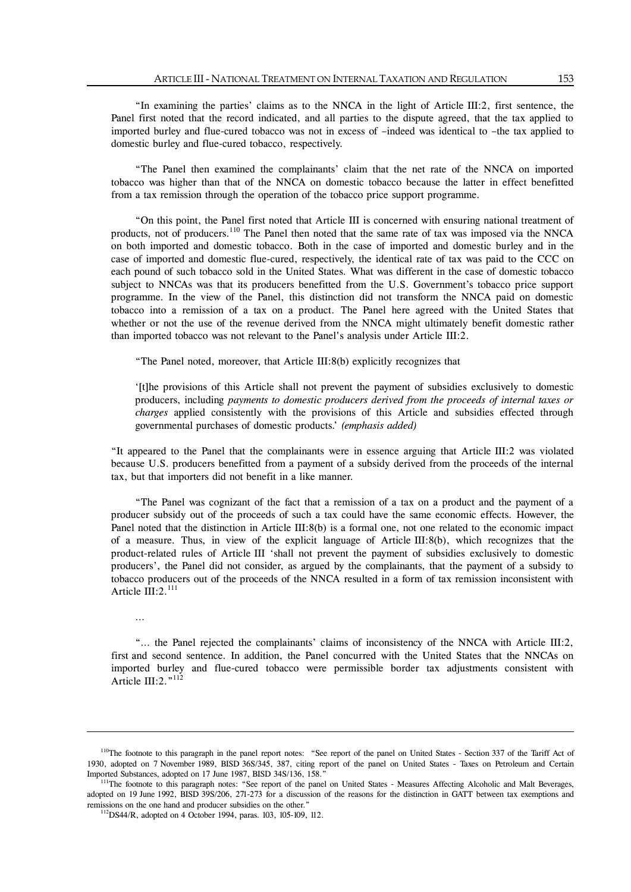"The Panel then examined the complainants' claim that the net rate of the NNCA on imported tobacco was higher than that of the NNCA on domestic tobacco because the latter in effect benefitted from a tax remission through the operation of the tobacco price support programme.

"On this point, the Panel first noted that Article III is concerned with ensuring national treatment of products, not of producers.<sup>110</sup> The Panel then noted that the same rate of tax was imposed via the NNCA on both imported and domestic tobacco. Both in the case of imported and domestic burley and in the case of imported and domestic flue-cured, respectively, the identical rate of tax was paid to the CCC on each pound of such tobacco sold in the United States. What was different in the case of domestic tobacco subject to NNCAs was that its producers benefitted from the U.S. Government's tobacco price support programme. In the view of the Panel, this distinction did not transform the NNCA paid on domestic tobacco into a remission of a tax on a product. The Panel here agreed with the United States that whether or not the use of the revenue derived from the NNCA might ultimately benefit domestic rather than imported tobacco was not relevant to the Panel's analysis under Article III:2.

"The Panel noted, moreover, that Article III:8(b) explicitly recognizes that

'[t]he provisions of this Article shall not prevent the payment of subsidies exclusively to domestic producers, including *payments to domestic producers derived from the proceeds of internal taxes or charges* applied consistently with the provisions of this Article and subsidies effected through governmental purchases of domestic products.' *(emphasis added)*

"It appeared to the Panel that the complainants were in essence arguing that Article III:2 was violated because U.S. producers benefitted from a payment of a subsidy derived from the proceeds of the internal tax, but that importers did not benefit in a like manner.

"The Panel was cognizant of the fact that a remission of a tax on a product and the payment of a producer subsidy out of the proceeds of such a tax could have the same economic effects. However, the Panel noted that the distinction in Article III:8(b) is a formal one, not one related to the economic impact of a measure. Thus, in view of the explicit language of Article III:8(b), which recognizes that the product-related rules of Article III 'shall not prevent the payment of subsidies exclusively to domestic producers', the Panel did not consider, as argued by the complainants, that the payment of a subsidy to tobacco producers out of the proceeds of the NNCA resulted in a form of tax remission inconsistent with Article III:2.<sup>111</sup>

"… the Panel rejected the complainants' claims of inconsistency of the NNCA with Article III:2, first and second sentence. In addition, the Panel concurred with the United States that the NNCAs on imported burley and flue-cured tobacco were permissible border tax adjustments consistent with Article III:2."<sup>112</sup>

…

<sup>&</sup>lt;sup>110</sup>The footnote to this paragraph in the panel report notes: "See report of the panel on United States - Section 337 of the Tariff Act of 1930, adopted on 7 November 1989, BISD 36S/345, 387, citing report of the panel on United States - Taxes on Petroleum and Certain Imported Substances, adopted on 17 June 1987, BISD 34S/136, 158."

<sup>&</sup>lt;sup>111</sup>The footnote to this paragraph notes: "See report of the panel on United States - Measures Affecting Alcoholic and Malt Beverages, adopted on 19 June 1992, BISD 39S/206, 271-273 for a discussion of the reasons for the distinction in GATT between tax exemptions and remissions on the one hand and producer subsidies on the other."

<sup>112</sup>DS44/R, adopted on 4 October 1994, paras. 103, 105-109, 112.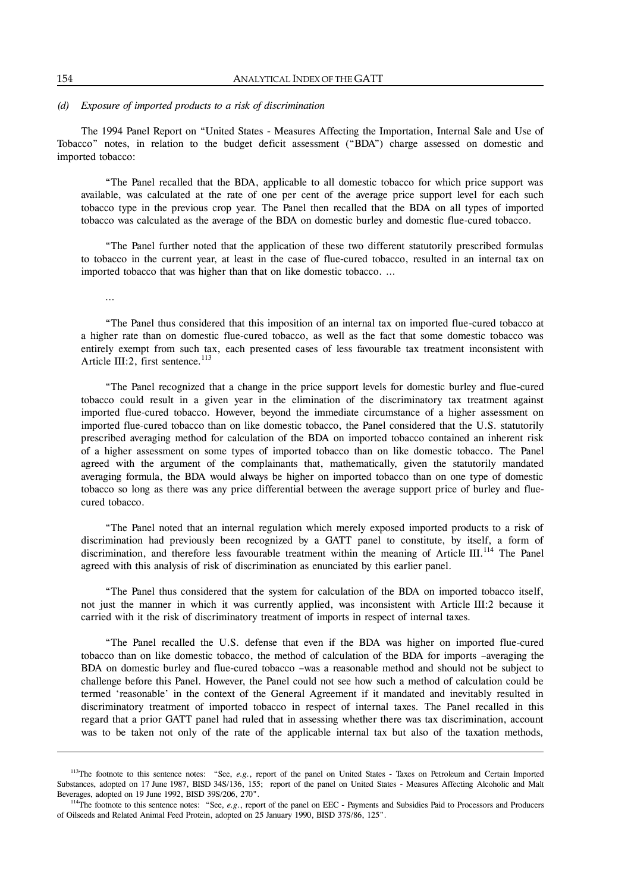*(d) Exposure of imported products to a risk of discrimination*

The 1994 Panel Report on "United States - Measures Affecting the Importation, Internal Sale and Use of Tobacco" notes, in relation to the budget deficit assessment ("BDA") charge assessed on domestic and imported tobacco:

"The Panel recalled that the BDA, applicable to all domestic tobacco for which price support was available, was calculated at the rate of one per cent of the average price support level for each such tobacco type in the previous crop year. The Panel then recalled that the BDA on all types of imported tobacco was calculated as the average of the BDA on domestic burley and domestic flue-cured tobacco.

"The Panel further noted that the application of these two different statutorily prescribed formulas to tobacco in the current year, at least in the case of flue-cured tobacco, resulted in an internal tax on imported tobacco that was higher than that on like domestic tobacco. …

"The Panel thus considered that this imposition of an internal tax on imported flue-cured tobacco at a higher rate than on domestic flue-cured tobacco, as well as the fact that some domestic tobacco was entirely exempt from such tax, each presented cases of less favourable tax treatment inconsistent with Article III:2, first sentence.<sup>113</sup>

"The Panel recognized that a change in the price support levels for domestic burley and flue-cured tobacco could result in a given year in the elimination of the discriminatory tax treatment against imported flue-cured tobacco. However, beyond the immediate circumstance of a higher assessment on imported flue-cured tobacco than on like domestic tobacco, the Panel considered that the U.S. statutorily prescribed averaging method for calculation of the BDA on imported tobacco contained an inherent risk of a higher assessment on some types of imported tobacco than on like domestic tobacco. The Panel agreed with the argument of the complainants that, mathematically, given the statutorily mandated averaging formula, the BDA would always be higher on imported tobacco than on one type of domestic tobacco so long as there was any price differential between the average support price of burley and fluecured tobacco.

"The Panel noted that an internal regulation which merely exposed imported products to a risk of discrimination had previously been recognized by a GATT panel to constitute, by itself, a form of discrimination, and therefore less favourable treatment within the meaning of Article III.<sup>114</sup> The Panel agreed with this analysis of risk of discrimination as enunciated by this earlier panel.

"The Panel thus considered that the system for calculation of the BDA on imported tobacco itself, not just the manner in which it was currently applied, was inconsistent with Article III:2 because it carried with it the risk of discriminatory treatment of imports in respect of internal taxes.

"The Panel recalled the U.S. defense that even if the BDA was higher on imported flue-cured tobacco than on like domestic tobacco, the method of calculation of the BDA for imports –averaging the BDA on domestic burley and flue-cured tobacco –was a reasonable method and should not be subject to challenge before this Panel. However, the Panel could not see how such a method of calculation could be termed 'reasonable' in the context of the General Agreement if it mandated and inevitably resulted in discriminatory treatment of imported tobacco in respect of internal taxes. The Panel recalled in this regard that a prior GATT panel had ruled that in assessing whether there was tax discrimination, account was to be taken not only of the rate of the applicable internal tax but also of the taxation methods,

 $\overline{a}$ 

…

<sup>&</sup>lt;sup>113</sup>The footnote to this sentence notes: "See, e.g., report of the panel on United States - Taxes on Petroleum and Certain Imported Substances, adopted on 17 June 1987, BISD 34S/136, 155; report of the panel on United States - Measures Affecting Alcoholic and Malt Beverages, adopted on 19 June 1992, BISD 39S/206, 270".

<sup>&</sup>lt;sup>114</sup>The footnote to this sentence notes: "See, e.g., report of the panel on EEC - Payments and Subsidies Paid to Processors and Producers of Oilseeds and Related Animal Feed Protein, adopted on 25 January 1990, BISD 37S/86, 125".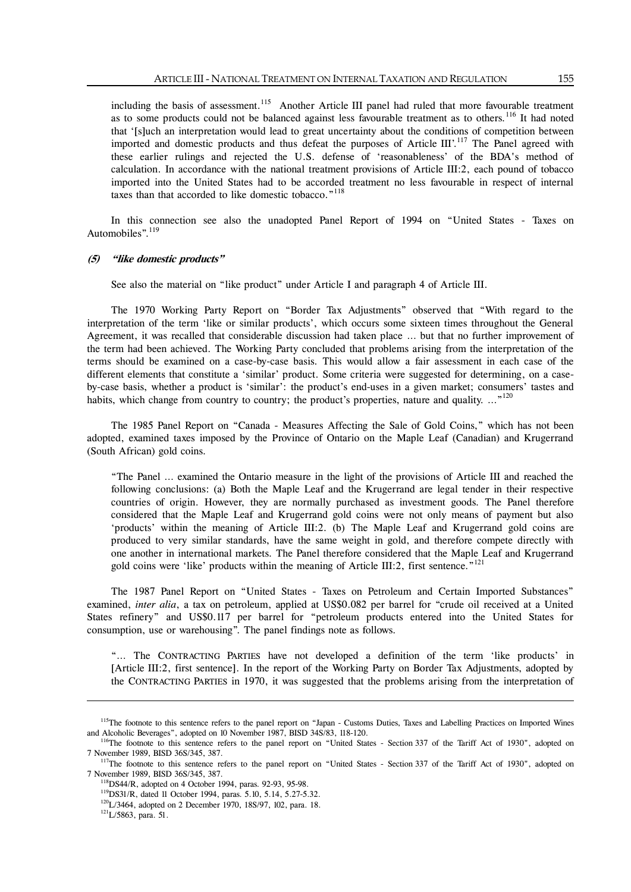including the basis of assessment.<sup>115</sup> Another Article III panel had ruled that more favourable treatment as to some products could not be balanced against less favourable treatment as to others.<sup>116</sup> It had noted that '[s]uch an interpretation would lead to great uncertainty about the conditions of competition between imported and domestic products and thus defeat the purposes of Article III'.<sup>117</sup> The Panel agreed with these earlier rulings and rejected the U.S. defense of 'reasonableness' of the BDA's method of calculation. In accordance with the national treatment provisions of Article III:2, each pound of tobacco imported into the United States had to be accorded treatment no less favourable in respect of internal taxes than that accorded to like domestic tobacco."<sup>118</sup>

In this connection see also the unadopted Panel Report of 1994 on "United States - Taxes on Automobiles".<sup>119</sup>

#### **(5) "like domestic products"**

See also the material on "like product" under Article I and paragraph 4 of Article III.

The 1970 Working Party Report on "Border Tax Adjustments" observed that "With regard to the interpretation of the term 'like or similar products', which occurs some sixteen times throughout the General Agreement, it was recalled that considerable discussion had taken place … but that no further improvement of the term had been achieved. The Working Party concluded that problems arising from the interpretation of the terms should be examined on a case-by-case basis. This would allow a fair assessment in each case of the different elements that constitute a 'similar' product. Some criteria were suggested for determining, on a caseby-case basis, whether a product is 'similar': the product's end-uses in a given market; consumers' tastes and habits, which change from country to country; the product's properties, nature and quality. ..."<sup>120</sup>

The 1985 Panel Report on "Canada - Measures Affecting the Sale of Gold Coins," which has not been adopted, examined taxes imposed by the Province of Ontario on the Maple Leaf (Canadian) and Krugerrand (South African) gold coins.

"The Panel … examined the Ontario measure in the light of the provisions of Article III and reached the following conclusions: (a) Both the Maple Leaf and the Krugerrand are legal tender in their respective countries of origin. However, they are normally purchased as investment goods. The Panel therefore considered that the Maple Leaf and Krugerrand gold coins were not only means of payment but also 'products' within the meaning of Article III:2. (b) The Maple Leaf and Krugerrand gold coins are produced to very similar standards, have the same weight in gold, and therefore compete directly with one another in international markets. The Panel therefore considered that the Maple Leaf and Krugerrand gold coins were 'like' products within the meaning of Article III:2, first sentence."<sup>121</sup>

The 1987 Panel Report on "United States - Taxes on Petroleum and Certain Imported Substances" examined, *inter alia*, a tax on petroleum, applied at US\$0.082 per barrel for "crude oil received at a United States refinery" and US\$0.117 per barrel for "petroleum products entered into the United States for consumption, use or warehousing". The panel findings note as follows.

"… The CONTRACTING PARTIES have not developed a definition of the term 'like products' in [Article III:2, first sentence]. In the report of the Working Party on Border Tax Adjustments, adopted by the CONTRACTING PARTIES in 1970, it was suggested that the problems arising from the interpretation of

<sup>&</sup>lt;sup>115</sup>The footnote to this sentence refers to the panel report on "Japan - Customs Duties, Taxes and Labelling Practices on Imported Wines and Alcoholic Beverages", adopted on 10 November 1987, BISD 34S/83, 118-120.

<sup>&</sup>lt;sup>116</sup>The footnote to this sentence refers to the panel report on "United States - Section 337 of the Tariff Act of 1930", adopted on 7 November 1989, BISD 36S/345, 387.

<sup>&</sup>lt;sup>117</sup>The footnote to this sentence refers to the panel report on "United States - Section 337 of the Tariff Act of 1930", adopted on 7 November 1989, BISD 36S/345, 387.

<sup>118</sup>DS44/R, adopted on 4 October 1994, paras. 92-93, 95-98.

<sup>&</sup>lt;sup>119</sup>DS31/R, dated 11 October 1994, paras. 5.10, 5.14, 5.27-5.32.

<sup>&</sup>lt;sup>120</sup>L/3464, adopted on 2 December 1970, 18S/97, 102, para. 18.

<sup>121</sup>L/5863, para. 51.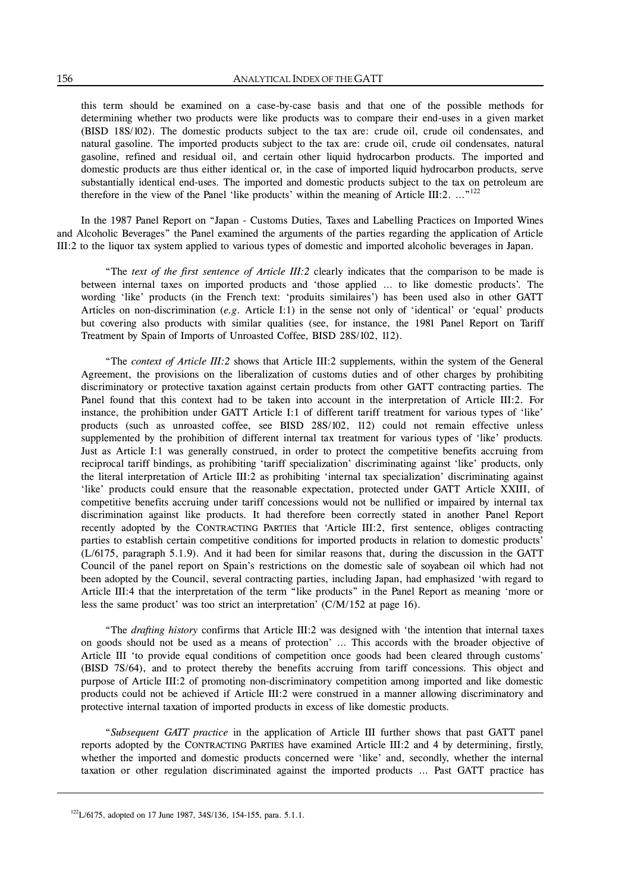this term should be examined on a case-by-case basis and that one of the possible methods for determining whether two products were like products was to compare their end-uses in a given market (BISD 18S/102). The domestic products subject to the tax are: crude oil, crude oil condensates, and natural gasoline. The imported products subject to the tax are: crude oil, crude oil condensates, natural gasoline, refined and residual oil, and certain other liquid hydrocarbon products. The imported and domestic products are thus either identical or, in the case of imported liquid hydrocarbon products, serve substantially identical end-uses. The imported and domestic products subject to the tax on petroleum are therefore in the view of the Panel 'like products' within the meaning of Article III:2. ..."<sup>122</sup>

In the 1987 Panel Report on "Japan - Customs Duties, Taxes and Labelling Practices on Imported Wines and Alcoholic Beverages" the Panel examined the arguments of the parties regarding the application of Article III:2 to the liquor tax system applied to various types of domestic and imported alcoholic beverages in Japan.

"The *text of the first sentence of Article III:2* clearly indicates that the comparison to be made is between internal taxes on imported products and 'those applied … to like domestic products'. The wording 'like' products (in the French text: 'produits similaires') has been used also in other GATT Articles on non-discrimination (*e.g.* Article I:1) in the sense not only of 'identical' or 'equal' products but covering also products with similar qualities (see, for instance, the 1981 Panel Report on Tariff Treatment by Spain of Imports of Unroasted Coffee, BISD 28S/102, 112).

"The *context of Article III:2* shows that Article III:2 supplements, within the system of the General Agreement, the provisions on the liberalization of customs duties and of other charges by prohibiting discriminatory or protective taxation against certain products from other GATT contracting parties. The Panel found that this context had to be taken into account in the interpretation of Article III:2. For instance, the prohibition under GATT Article I:1 of different tariff treatment for various types of 'like' products (such as unroasted coffee, see BISD 28S/102, 112) could not remain effective unless supplemented by the prohibition of different internal tax treatment for various types of 'like' products. Just as Article I:1 was generally construed, in order to protect the competitive benefits accruing from reciprocal tariff bindings, as prohibiting 'tariff specialization' discriminating against 'like' products, only the literal interpretation of Article III:2 as prohibiting 'internal tax specialization' discriminating against 'like' products could ensure that the reasonable expectation, protected under GATT Article XXIII, of competitive benefits accruing under tariff concessions would not be nullified or impaired by internal tax discrimination against like products. It had therefore been correctly stated in another Panel Report recently adopted by the CONTRACTING PARTIES that 'Article III:2, first sentence, obliges contracting parties to establish certain competitive conditions for imported products in relation to domestic products' (L/6175, paragraph 5.1.9). And it had been for similar reasons that, during the discussion in the GATT Council of the panel report on Spain's restrictions on the domestic sale of soyabean oil which had not been adopted by the Council, several contracting parties, including Japan, had emphasized 'with regard to Article III:4 that the interpretation of the term "like products" in the Panel Report as meaning 'more or less the same product' was too strict an interpretation' (C/M/152 at page 16).

"The *drafting history* confirms that Article III:2 was designed with 'the intention that internal taxes on goods should not be used as a means of protection' … This accords with the broader objective of Article III 'to provide equal conditions of competition once goods had been cleared through customs' (BISD 7S/64), and to protect thereby the benefits accruing from tariff concessions. This object and purpose of Article III:2 of promoting non-discriminatory competition among imported and like domestic products could not be achieved if Article III:2 were construed in a manner allowing discriminatory and protective internal taxation of imported products in excess of like domestic products.

"*Subsequent GATT practice* in the application of Article III further shows that past GATT panel reports adopted by the CONTRACTING PARTIES have examined Article III:2 and 4 by determining, firstly, whether the imported and domestic products concerned were 'like' and, secondly, whether the internal taxation or other regulation discriminated against the imported products … Past GATT practice has

<sup>122</sup>L/6175, adopted on 17 June 1987, 34S/136, 154-155, para. 5.1.1.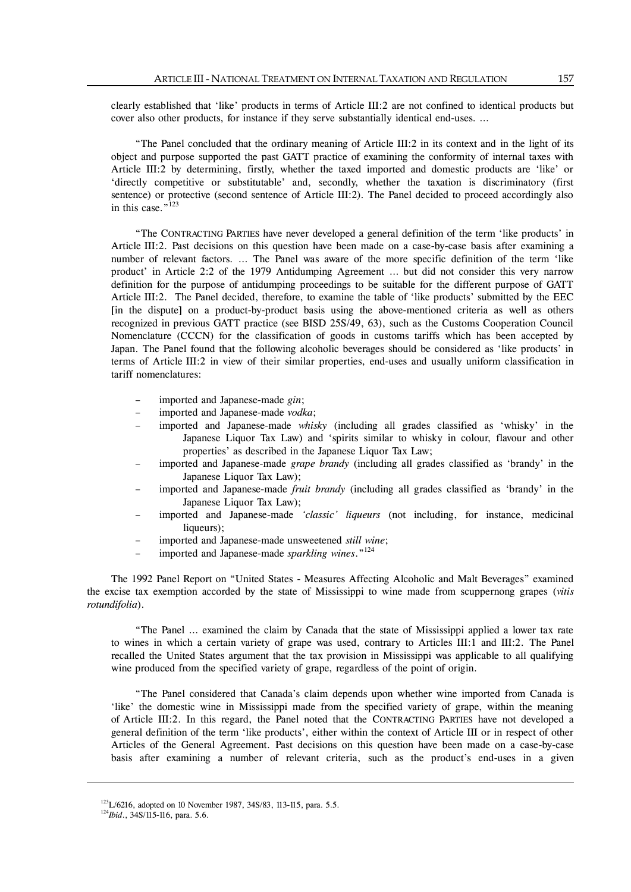clearly established that 'like' products in terms of Article III:2 are not confined to identical products but cover also other products, for instance if they serve substantially identical end-uses. ...

"The Panel concluded that the ordinary meaning of Article III:2 in its context and in the light of its object and purpose supported the past GATT practice of examining the conformity of internal taxes with Article III:2 by determining, firstly, whether the taxed imported and domestic products are 'like' or 'directly competitive or substitutable' and, secondly, whether the taxation is discriminatory (first sentence) or protective (second sentence of Article III:2). The Panel decided to proceed accordingly also in this case."<sup>123</sup>

"The CONTRACTING PARTIES have never developed a general definition of the term 'like products' in Article III:2. Past decisions on this question have been made on a case-by-case basis after examining a number of relevant factors. … The Panel was aware of the more specific definition of the term 'like product' in Article 2:2 of the 1979 Antidumping Agreement … but did not consider this very narrow definition for the purpose of antidumping proceedings to be suitable for the different purpose of GATT Article III:2. The Panel decided, therefore, to examine the table of 'like products' submitted by the EEC [in the dispute] on a product-by-product basis using the above-mentioned criteria as well as others recognized in previous GATT practice (see BISD 25S/49, 63), such as the Customs Cooperation Council Nomenclature (CCCN) for the classification of goods in customs tariffs which has been accepted by Japan. The Panel found that the following alcoholic beverages should be considered as 'like products' in terms of Article III:2 in view of their similar properties, end-uses and usually uniform classification in tariff nomenclatures:

- imported and Japanese-made *gin*;
- imported and Japanese-made *vodka*;
- imported and Japanese-made *whisky* (including all grades classified as 'whisky' in the Japanese Liquor Tax Law) and 'spirits similar to whisky in colour, flavour and other properties' as described in the Japanese Liquor Tax Law;
- imported and Japanese-made *grape brandy* (including all grades classified as 'brandy' in the Japanese Liquor Tax Law);
- imported and Japanese-made *fruit brandy* (including all grades classified as 'brandy' in the Japanese Liquor Tax Law);
- imported and Japanese-made *'classic' liqueurs* (not including, for instance, medicinal liqueurs);
- imported and Japanese-made unsweetened *still wine*;
- imported and Japanese-made *sparkling wines*."<sup>124</sup>

The 1992 Panel Report on "United States - Measures Affecting Alcoholic and Malt Beverages" examined the excise tax exemption accorded by the state of Mississippi to wine made from scuppernong grapes (*vitis rotundifolia*).

"The Panel … examined the claim by Canada that the state of Mississippi applied a lower tax rate to wines in which a certain variety of grape was used, contrary to Articles III:1 and III:2. The Panel recalled the United States argument that the tax provision in Mississippi was applicable to all qualifying wine produced from the specified variety of grape, regardless of the point of origin.

"The Panel considered that Canada's claim depends upon whether wine imported from Canada is 'like' the domestic wine in Mississippi made from the specified variety of grape, within the meaning of Article III:2. In this regard, the Panel noted that the CONTRACTING PARTIES have not developed a general definition of the term 'like products', either within the context of Article III or in respect of other Articles of the General Agreement. Past decisions on this question have been made on a case-by-case basis after examining a number of relevant criteria, such as the product's end-uses in a given

<sup>123</sup>L/6216, adopted on 10 November 1987, 34S/83, 113-115, para. 5.5.

<sup>124</sup>*Ibid*., 34S/115-116, para. 5.6.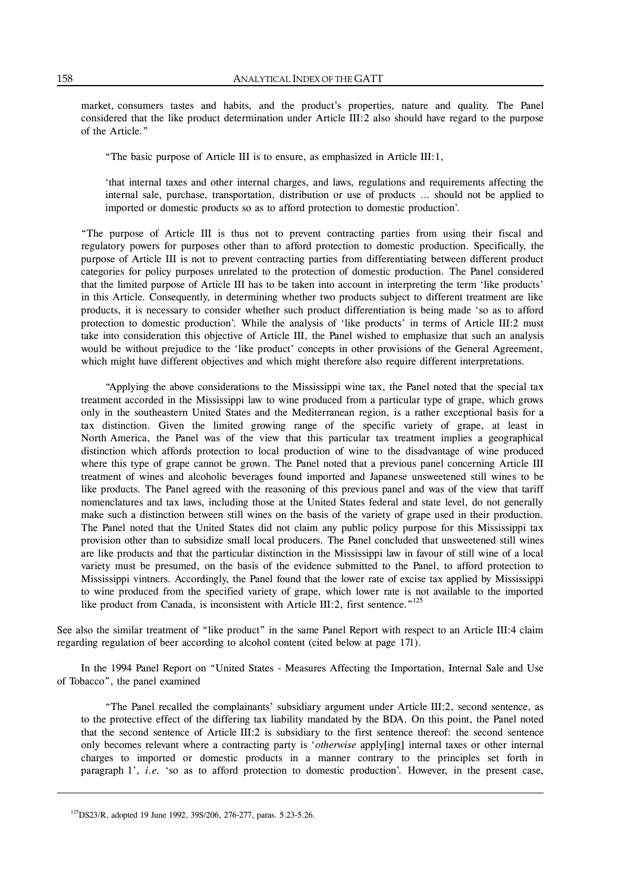market, consumers tastes and habits, and the product's properties, nature and quality. The Panel considered that the like product determination under Article III:2 also should have regard to the purpose of the Article."

"The basic purpose of Article III is to ensure, as emphasized in Article III:1,

'that internal taxes and other internal charges, and laws, regulations and requirements affecting the internal sale, purchase, transportation, distribution or use of products … should not be applied to imported or domestic products so as to afford protection to domestic production'.

"The purpose of Article III is thus not to prevent contracting parties from using their fiscal and regulatory powers for purposes other than to afford protection to domestic production. Specifically, the purpose of Article III is not to prevent contracting parties from differentiating between different product categories for policy purposes unrelated to the protection of domestic production. The Panel considered that the limited purpose of Article III has to be taken into account in interpreting the term 'like products' in this Article. Consequently, in determining whether two products subject to different treatment are like products, it is necessary to consider whether such product differentiation is being made 'so as to afford protection to domestic production'. While the analysis of 'like products' in terms of Article III:2 must take into consideration this objective of Article III, the Panel wished to emphasize that such an analysis would be without prejudice to the 'like product' concepts in other provisions of the General Agreement, which might have different objectives and which might therefore also require different interpretations.

"Applying the above considerations to the Mississippi wine tax, the Panel noted that the special tax treatment accorded in the Mississippi law to wine produced from a particular type of grape, which grows only in the southeastern United States and the Mediterranean region, is a rather exceptional basis for a tax distinction. Given the limited growing range of the specific variety of grape, at least in North America, the Panel was of the view that this particular tax treatment implies a geographical distinction which affords protection to local production of wine to the disadvantage of wine produced where this type of grape cannot be grown. The Panel noted that a previous panel concerning Article III treatment of wines and alcoholic beverages found imported and Japanese unsweetened still wines to be like products. The Panel agreed with the reasoning of this previous panel and was of the view that tariff nomenclatures and tax laws, including those at the United States federal and state level, do not generally make such a distinction between still wines on the basis of the variety of grape used in their production. The Panel noted that the United States did not claim any public policy purpose for this Mississippi tax provision other than to subsidize small local producers. The Panel concluded that unsweetened still wines are like products and that the particular distinction in the Mississippi law in favour of still wine of a local variety must be presumed, on the basis of the evidence submitted to the Panel, to afford protection to Mississippi vintners. Accordingly, the Panel found that the lower rate of excise tax applied by Mississippi to wine produced from the specified variety of grape, which lower rate is not available to the imported like product from Canada, is inconsistent with Article III:2, first sentence.<sup>"125</sup>

See also the similar treatment of "like product" in the same Panel Report with respect to an Article III:4 claim regarding regulation of beer according to alcohol content (cited below at page 171).

In the 1994 Panel Report on "United States - Measures Affecting the Importation, Internal Sale and Use of Tobacco", the panel examined

"The Panel recalled the complainants' subsidiary argument under Article III:2, second sentence, as to the protective effect of the differing tax liability mandated by the BDA. On this point, the Panel noted that the second sentence of Article III:2 is subsidiary to the first sentence thereof: the second sentence only becomes relevant where a contracting party is '*otherwise* apply[ing] internal taxes or other internal charges to imported or domestic products in a manner contrary to the principles set forth in paragraph 1', *i.e.* 'so as to afford protection to domestic production'. However, in the present case,

<sup>125</sup> DS23/R, adopted 19 June 1992, 39S/206, 276-277, paras. 5.23-5.26.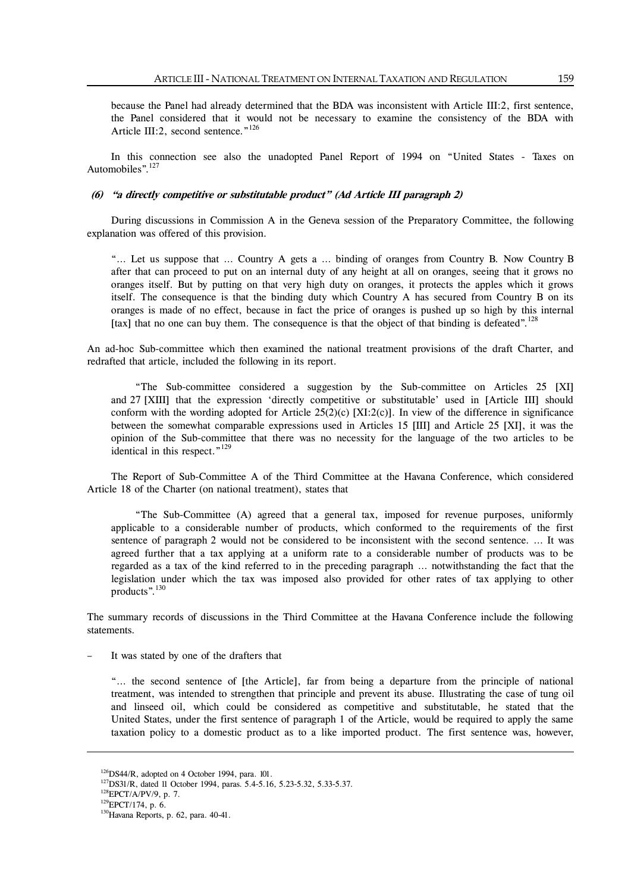because the Panel had already determined that the BDA was inconsistent with Article III:2, first sentence, the Panel considered that it would not be necessary to examine the consistency of the BDA with Article III:2, second sentence."<sup>126</sup>

In this connection see also the unadopted Panel Report of 1994 on "United States - Taxes on Automobiles".<sup>127</sup>

# **(6) "a directly competitive or substitutable product" (Ad Article III paragraph 2)**

During discussions in Commission A in the Geneva session of the Preparatory Committee, the following explanation was offered of this provision.

"… Let us suppose that … Country A gets a … binding of oranges from Country B. Now Country B after that can proceed to put on an internal duty of any height at all on oranges, seeing that it grows no oranges itself. But by putting on that very high duty on oranges, it protects the apples which it grows itself. The consequence is that the binding duty which Country A has secured from Country B on its oranges is made of no effect, because in fact the price of oranges is pushed up so high by this internal [tax] that no one can buy them. The consequence is that the object of that binding is defeated".<sup>128</sup>

An ad-hoc Sub-committee which then examined the national treatment provisions of the draft Charter, and redrafted that article, included the following in its report.

"The Sub-committee considered a suggestion by the Sub-committee on Articles 25 [XI] and 27 [XIII] that the expression 'directly competitive or substitutable' used in [Article III] should conform with the wording adopted for Article  $25(2)(c)$  [XI:2(c)]. In view of the difference in significance between the somewhat comparable expressions used in Articles 15 [III] and Article 25 [XI], it was the opinion of the Sub-committee that there was no necessity for the language of the two articles to be identical in this respect."<sup>129</sup>

The Report of Sub-Committee A of the Third Committee at the Havana Conference, which considered Article 18 of the Charter (on national treatment), states that

"The Sub-Committee (A) agreed that a general tax, imposed for revenue purposes, uniformly applicable to a considerable number of products, which conformed to the requirements of the first sentence of paragraph 2 would not be considered to be inconsistent with the second sentence. … It was agreed further that a tax applying at a uniform rate to a considerable number of products was to be regarded as a tax of the kind referred to in the preceding paragraph … notwithstanding the fact that the legislation under which the tax was imposed also provided for other rates of tax applying to other products".<sup>130</sup>

The summary records of discussions in the Third Committee at the Havana Conference include the following statements.

It was stated by one of the drafters that

"… the second sentence of [the Article], far from being a departure from the principle of national treatment, was intended to strengthen that principle and prevent its abuse. Illustrating the case of tung oil and linseed oil, which could be considered as competitive and substitutable, he stated that the United States, under the first sentence of paragraph 1 of the Article, would be required to apply the same taxation policy to a domestic product as to a like imported product. The first sentence was, however,

<sup>&</sup>lt;sup>126</sup>DS44/R, adopted on 4 October 1994, para. 101.

<sup>&</sup>lt;sup>127</sup>DS31/R, dated 11 October 1994, paras. 5.4-5.16, 5.23-5.32, 5.33-5.37.

 $128$ EPCT/A/PV/9, p. 7.

<sup>129</sup>EPCT/174, p. 6.

<sup>&</sup>lt;sup>130</sup>Havana Reports, p. 62, para. 40-41.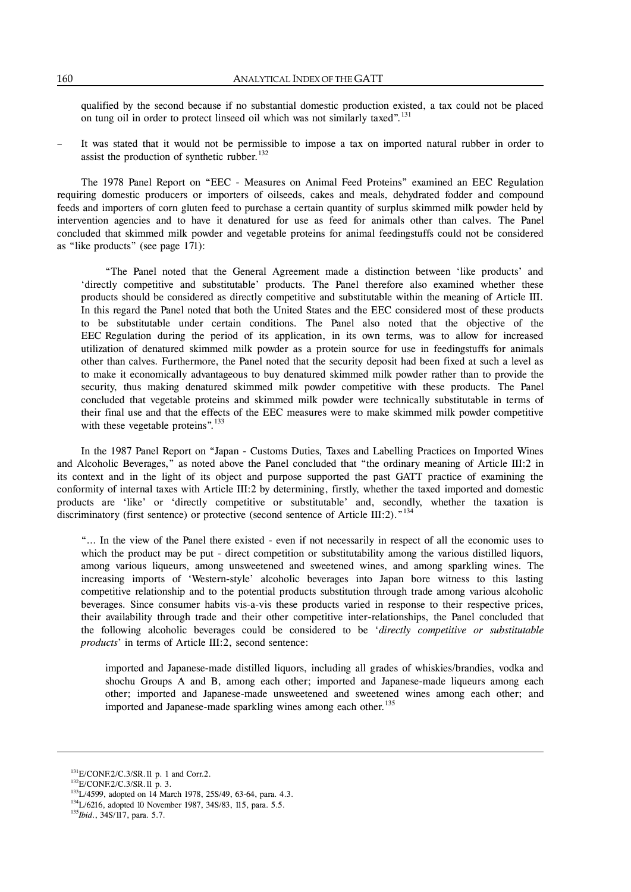qualified by the second because if no substantial domestic production existed, a tax could not be placed on tung oil in order to protect linseed oil which was not similarly taxed".<sup>131</sup>

– It was stated that it would not be permissible to impose a tax on imported natural rubber in order to assist the production of synthetic rubber. $132$ 

The 1978 Panel Report on "EEC - Measures on Animal Feed Proteins" examined an EEC Regulation requiring domestic producers or importers of oilseeds, cakes and meals, dehydrated fodder and compound feeds and importers of corn gluten feed to purchase a certain quantity of surplus skimmed milk powder held by intervention agencies and to have it denatured for use as feed for animals other than calves. The Panel concluded that skimmed milk powder and vegetable proteins for animal feedingstuffs could not be considered as "like products" (see page 171):

"The Panel noted that the General Agreement made a distinction between 'like products' and 'directly competitive and substitutable' products. The Panel therefore also examined whether these products should be considered as directly competitive and substitutable within the meaning of Article III. In this regard the Panel noted that both the United States and the EEC considered most of these products to be substitutable under certain conditions. The Panel also noted that the objective of the EEC Regulation during the period of its application, in its own terms, was to allow for increased utilization of denatured skimmed milk powder as a protein source for use in feedingstuffs for animals other than calves. Furthermore, the Panel noted that the security deposit had been fixed at such a level as to make it economically advantageous to buy denatured skimmed milk powder rather than to provide the security, thus making denatured skimmed milk powder competitive with these products. The Panel concluded that vegetable proteins and skimmed milk powder were technically substitutable in terms of their final use and that the effects of the EEC measures were to make skimmed milk powder competitive with these vegetable proteins".<sup>133</sup>

In the 1987 Panel Report on "Japan - Customs Duties, Taxes and Labelling Practices on Imported Wines and Alcoholic Beverages," as noted above the Panel concluded that "the ordinary meaning of Article III:2 in its context and in the light of its object and purpose supported the past GATT practice of examining the conformity of internal taxes with Article III:2 by determining, firstly, whether the taxed imported and domestic products are 'like' or 'directly competitive or substitutable' and, secondly, whether the taxation is discriminatory (first sentence) or protective (second sentence of Article III:2).<sup>"134</sup>

"… In the view of the Panel there existed - even if not necessarily in respect of all the economic uses to which the product may be put - direct competition or substitutability among the various distilled liquors, among various liqueurs, among unsweetened and sweetened wines, and among sparkling wines. The increasing imports of 'Western-style' alcoholic beverages into Japan bore witness to this lasting competitive relationship and to the potential products substitution through trade among various alcoholic beverages. Since consumer habits vis-a-vis these products varied in response to their respective prices, their availability through trade and their other competitive inter-relationships, the Panel concluded that the following alcoholic beverages could be considered to be '*directly competitive or substitutable products*' in terms of Article III:2, second sentence:

imported and Japanese-made distilled liquors, including all grades of whiskies/brandies, vodka and shochu Groups A and B, among each other; imported and Japanese-made liqueurs among each other; imported and Japanese-made unsweetened and sweetened wines among each other; and imported and Japanese-made sparkling wines among each other.<sup>135</sup>

 $^{131}E/CONF.2/C.3/SR.11$  p. 1 and Corr.2.

<sup>132</sup>E/CONF.2/C.3/SR.11 p. 3.

<sup>&</sup>lt;sup>133</sup>L/4599, adopted on 14 March 1978, 25S/49, 63-64, para. 4.3.

<sup>&</sup>lt;sup>134</sup>L/6216, adopted 10 November 1987, 34S/83, 115, para. 5.5.

<sup>135</sup>*Ibid*., 34S/117, para. 5.7.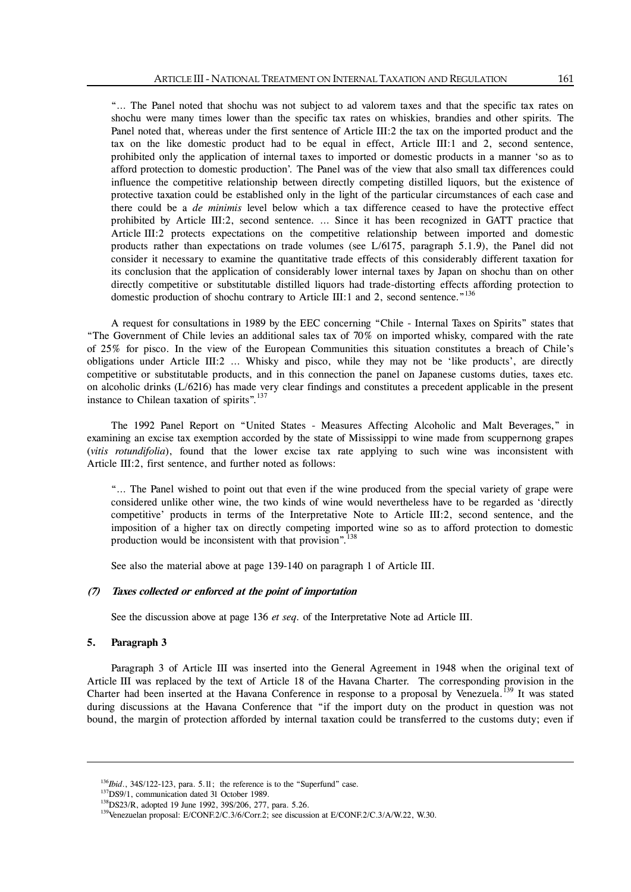"… The Panel noted that shochu was not subject to ad valorem taxes and that the specific tax rates on shochu were many times lower than the specific tax rates on whiskies, brandies and other spirits. The Panel noted that, whereas under the first sentence of Article III:2 the tax on the imported product and the tax on the like domestic product had to be equal in effect, Article III:1 and 2, second sentence, prohibited only the application of internal taxes to imported or domestic products in a manner 'so as to afford protection to domestic production'. The Panel was of the view that also small tax differences could influence the competitive relationship between directly competing distilled liquors, but the existence of protective taxation could be established only in the light of the particular circumstances of each case and there could be a *de minimis* level below which a tax difference ceased to have the protective effect prohibited by Article III:2, second sentence. … Since it has been recognized in GATT practice that Article III:2 protects expectations on the competitive relationship between imported and domestic products rather than expectations on trade volumes (see L/6175, paragraph 5.1.9), the Panel did not consider it necessary to examine the quantitative trade effects of this considerably different taxation for its conclusion that the application of considerably lower internal taxes by Japan on shochu than on other directly competitive or substitutable distilled liquors had trade-distorting effects affording protection to domestic production of shochu contrary to Article III:1 and 2, second sentence."<sup>136</sup>

A request for consultations in 1989 by the EEC concerning "Chile - Internal Taxes on Spirits" states that "The Government of Chile levies an additional sales tax of 70% on imported whisky, compared with the rate of 25% for pisco. In the view of the European Communities this situation constitutes a breach of Chile's obligations under Article III:2 … Whisky and pisco, while they may not be 'like products', are directly competitive or substitutable products, and in this connection the panel on Japanese customs duties, taxes etc. on alcoholic drinks (L/6216) has made very clear findings and constitutes a precedent applicable in the present instance to Chilean taxation of spirits".<sup>137</sup>

The 1992 Panel Report on "United States - Measures Affecting Alcoholic and Malt Beverages," in examining an excise tax exemption accorded by the state of Mississippi to wine made from scuppernong grapes (*vitis rotundifolia*), found that the lower excise tax rate applying to such wine was inconsistent with Article III:2, first sentence, and further noted as follows:

"… The Panel wished to point out that even if the wine produced from the special variety of grape were considered unlike other wine, the two kinds of wine would nevertheless have to be regarded as 'directly competitive' products in terms of the Interpretative Note to Article III:2, second sentence, and the imposition of a higher tax on directly competing imported wine so as to afford protection to domestic production would be inconsistent with that provision".<sup>138</sup>

See also the material above at page 139-140 on paragraph 1 of Article III.

# **(7) Taxes collected or enforced at the point of importation**

See the discussion above at page 136 *et seq.* of the Interpretative Note ad Article III.

# **5. Paragraph 3**

 $\overline{a}$ 

Paragraph 3 of Article III was inserted into the General Agreement in 1948 when the original text of Article III was replaced by the text of Article 18 of the Havana Charter. The corresponding provision in the Charter had been inserted at the Havana Conference in response to a proposal by Venezuela.<sup>139</sup> It was stated during discussions at the Havana Conference that "if the import duty on the product in question was not bound, the margin of protection afforded by internal taxation could be transferred to the customs duty; even if

<sup>136</sup>*Ibid.*, 34S/122-123, para. 5.11; the reference is to the "Superfund" case.

<sup>&</sup>lt;sup>137</sup>DS9/1, communication dated 31 October 1989.

<sup>138</sup>DS23/R, adopted 19 June 1992, 39S/206, 277, para. 5.26.

<sup>&</sup>lt;sup>139</sup>Venezuelan proposal: E/CONF.2/C.3/6/Corr.2; see discussion at E/CONF.2/C.3/A/W.22, W.30.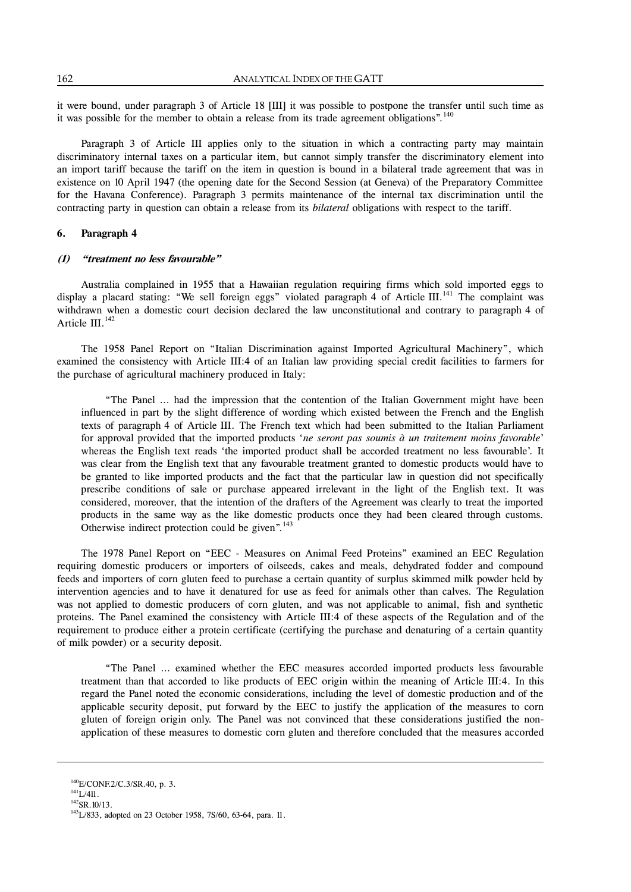it were bound, under paragraph 3 of Article 18 [III] it was possible to postpone the transfer until such time as it was possible for the member to obtain a release from its trade agreement obligations".<sup>140</sup>

Paragraph 3 of Article III applies only to the situation in which a contracting party may maintain discriminatory internal taxes on a particular item, but cannot simply transfer the discriminatory element into an import tariff because the tariff on the item in question is bound in a bilateral trade agreement that was in existence on 10 April 1947 (the opening date for the Second Session (at Geneva) of the Preparatory Committee for the Havana Conference). Paragraph 3 permits maintenance of the internal tax discrimination until the contracting party in question can obtain a release from its *bilateral* obligations with respect to the tariff.

# **6. Paragraph 4**

## **(1) "treatment no less favourable"**

Australia complained in 1955 that a Hawaiian regulation requiring firms which sold imported eggs to display a placard stating: "We sell foreign eggs" violated paragraph 4 of Article III.<sup>141</sup> The complaint was withdrawn when a domestic court decision declared the law unconstitutional and contrary to paragraph 4 of Article III.<sup>142</sup>

The 1958 Panel Report on "Italian Discrimination against Imported Agricultural Machinery", which examined the consistency with Article III:4 of an Italian law providing special credit facilities to farmers for the purchase of agricultural machinery produced in Italy:

"The Panel … had the impression that the contention of the Italian Government might have been influenced in part by the slight difference of wording which existed between the French and the English texts of paragraph 4 of Article III. The French text which had been submitted to the Italian Parliament for approval provided that the imported products '*ne seront pas soumis à un traitement moins favorable*' whereas the English text reads 'the imported product shall be accorded treatment no less favourable'. It was clear from the English text that any favourable treatment granted to domestic products would have to be granted to like imported products and the fact that the particular law in question did not specifically prescribe conditions of sale or purchase appeared irrelevant in the light of the English text. It was considered, moreover, that the intention of the drafters of the Agreement was clearly to treat the imported products in the same way as the like domestic products once they had been cleared through customs. Otherwise indirect protection could be given".<sup>143</sup>

The 1978 Panel Report on "EEC - Measures on Animal Feed Proteins" examined an EEC Regulation requiring domestic producers or importers of oilseeds, cakes and meals, dehydrated fodder and compound feeds and importers of corn gluten feed to purchase a certain quantity of surplus skimmed milk powder held by intervention agencies and to have it denatured for use as feed for animals other than calves. The Regulation was not applied to domestic producers of corn gluten, and was not applicable to animal, fish and synthetic proteins. The Panel examined the consistency with Article III:4 of these aspects of the Regulation and of the requirement to produce either a protein certificate (certifying the purchase and denaturing of a certain quantity of milk powder) or a security deposit.

"The Panel … examined whether the EEC measures accorded imported products less favourable treatment than that accorded to like products of EEC origin within the meaning of Article III:4. In this regard the Panel noted the economic considerations, including the level of domestic production and of the applicable security deposit, put forward by the EEC to justify the application of the measures to corn gluten of foreign origin only. The Panel was not convinced that these considerations justified the nonapplication of these measures to domestic corn gluten and therefore concluded that the measures accorded

 $\overline{a}$ 

 $142$ SR.10/13.

<sup>140</sup>E/CONF.2/C.3/SR.40, p. 3.

 $141L/411$ .

<sup>&</sup>lt;sup>143</sup>L/833, adopted on 23 October 1958, 7S/60, 63-64, para. 11.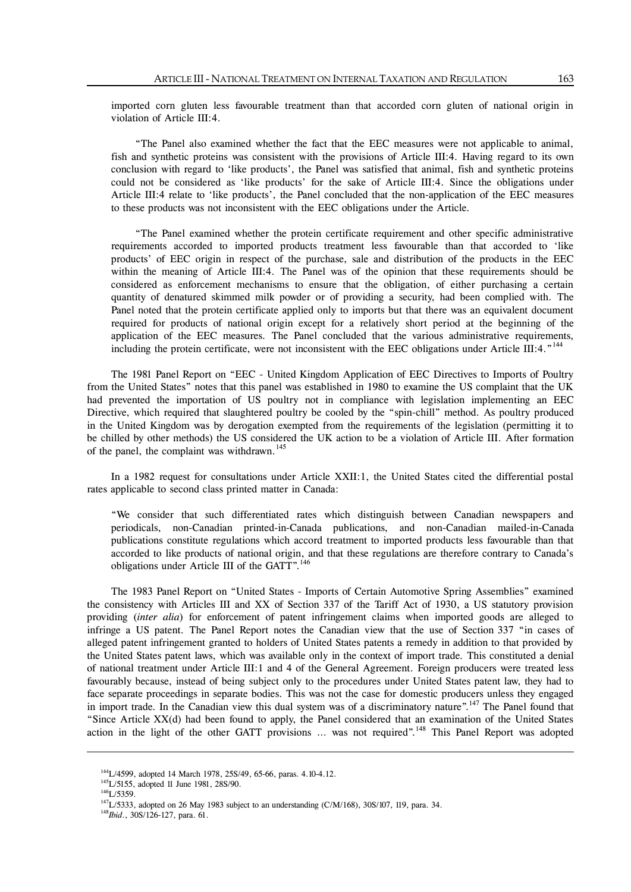imported corn gluten less favourable treatment than that accorded corn gluten of national origin in violation of Article III:4.

"The Panel also examined whether the fact that the EEC measures were not applicable to animal, fish and synthetic proteins was consistent with the provisions of Article III:4. Having regard to its own conclusion with regard to 'like products', the Panel was satisfied that animal, fish and synthetic proteins could not be considered as 'like products' for the sake of Article III:4. Since the obligations under Article III:4 relate to 'like products', the Panel concluded that the non-application of the EEC measures to these products was not inconsistent with the EEC obligations under the Article.

"The Panel examined whether the protein certificate requirement and other specific administrative requirements accorded to imported products treatment less favourable than that accorded to 'like products' of EEC origin in respect of the purchase, sale and distribution of the products in the EEC within the meaning of Article III:4. The Panel was of the opinion that these requirements should be considered as enforcement mechanisms to ensure that the obligation, of either purchasing a certain quantity of denatured skimmed milk powder or of providing a security, had been complied with. The Panel noted that the protein certificate applied only to imports but that there was an equivalent document required for products of national origin except for a relatively short period at the beginning of the application of the EEC measures. The Panel concluded that the various administrative requirements, including the protein certificate, were not inconsistent with the EEC obligations under Article III:4." $144$ 

The 1981 Panel Report on "EEC - United Kingdom Application of EEC Directives to Imports of Poultry from the United States" notes that this panel was established in 1980 to examine the US complaint that the UK had prevented the importation of US poultry not in compliance with legislation implementing an EEC Directive, which required that slaughtered poultry be cooled by the "spin-chill" method. As poultry produced in the United Kingdom was by derogation exempted from the requirements of the legislation (permitting it to be chilled by other methods) the US considered the UK action to be a violation of Article III. After formation of the panel, the complaint was withdrawn.<sup>145</sup>

In a 1982 request for consultations under Article XXII:1, the United States cited the differential postal rates applicable to second class printed matter in Canada:

"We consider that such differentiated rates which distinguish between Canadian newspapers and periodicals, non-Canadian printed-in-Canada publications, and non-Canadian mailed-in-Canada publications constitute regulations which accord treatment to imported products less favourable than that accorded to like products of national origin, and that these regulations are therefore contrary to Canada's obligations under Article III of the GATT".<sup>146</sup>

The 1983 Panel Report on "United States - Imports of Certain Automotive Spring Assemblies" examined the consistency with Articles III and XX of Section 337 of the Tariff Act of 1930, a US statutory provision providing (*inter alia*) for enforcement of patent infringement claims when imported goods are alleged to infringe a US patent. The Panel Report notes the Canadian view that the use of Section 337 "in cases of alleged patent infringement granted to holders of United States patents a remedy in addition to that provided by the United States patent laws, which was available only in the context of import trade. This constituted a denial of national treatment under Article III:1 and 4 of the General Agreement. Foreign producers were treated less favourably because, instead of being subject only to the procedures under United States patent law, they had to face separate proceedings in separate bodies. This was not the case for domestic producers unless they engaged in import trade. In the Canadian view this dual system was of a discriminatory nature".<sup>147</sup> The Panel found that "Since Article XX(d) had been found to apply, the Panel considered that an examination of the United States action in the light of the other GATT provisions ... was not required".<sup>148</sup> This Panel Report was adopted

<sup>144</sup>L/4599, adopted 14 March 1978, 25S/49, 65-66, paras. 4.10-4.12.

<sup>&</sup>lt;sup>145</sup>L/5155, adopted 11 June 1981, 28S/90.

 $146L/5359.$ 

 $147L/5333$ , adopted on 26 May 1983 subject to an understanding (C/M/168), 30S/107, 119, para. 34.

<sup>148</sup>*Ibid*., 30S/126-127, para. 61.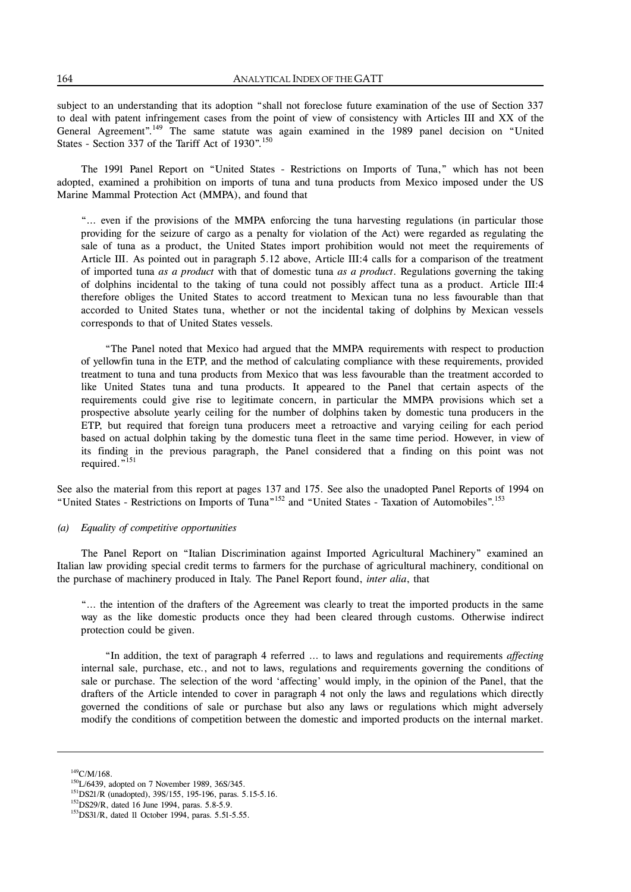subject to an understanding that its adoption "shall not foreclose future examination of the use of Section 337 to deal with patent infringement cases from the point of view of consistency with Articles III and XX of the General Agreement".<sup>149</sup> The same statute was again examined in the 1989 panel decision on "United" States - Section 337 of the Tariff Act of 1930".<sup>150</sup>

The 1991 Panel Report on "United States - Restrictions on Imports of Tuna," which has not been adopted, examined a prohibition on imports of tuna and tuna products from Mexico imposed under the US Marine Mammal Protection Act (MMPA), and found that

"… even if the provisions of the MMPA enforcing the tuna harvesting regulations (in particular those providing for the seizure of cargo as a penalty for violation of the Act) were regarded as regulating the sale of tuna as a product, the United States import prohibition would not meet the requirements of Article III. As pointed out in paragraph 5.12 above, Article III:4 calls for a comparison of the treatment of imported tuna *as a product* with that of domestic tuna *as a product*. Regulations governing the taking of dolphins incidental to the taking of tuna could not possibly affect tuna as a product. Article III:4 therefore obliges the United States to accord treatment to Mexican tuna no less favourable than that accorded to United States tuna, whether or not the incidental taking of dolphins by Mexican vessels corresponds to that of United States vessels.

"The Panel noted that Mexico had argued that the MMPA requirements with respect to production of yellowfin tuna in the ETP, and the method of calculating compliance with these requirements, provided treatment to tuna and tuna products from Mexico that was less favourable than the treatment accorded to like United States tuna and tuna products. It appeared to the Panel that certain aspects of the requirements could give rise to legitimate concern, in particular the MMPA provisions which set a prospective absolute yearly ceiling for the number of dolphins taken by domestic tuna producers in the ETP, but required that foreign tuna producers meet a retroactive and varying ceiling for each period based on actual dolphin taking by the domestic tuna fleet in the same time period. However, in view of its finding in the previous paragraph, the Panel considered that a finding on this point was not required."<sup>151</sup>

See also the material from this report at pages 137 and 175. See also the unadopted Panel Reports of 1994 on "United States - Restrictions on Imports of Tuna"<sup>152</sup> and "United States - Taxation of Automobiles".<sup>153</sup>

### *(a) Equality of competitive opportunities*

The Panel Report on "Italian Discrimination against Imported Agricultural Machinery" examined an Italian law providing special credit terms to farmers for the purchase of agricultural machinery, conditional on the purchase of machinery produced in Italy. The Panel Report found, *inter alia*, that

"… the intention of the drafters of the Agreement was clearly to treat the imported products in the same way as the like domestic products once they had been cleared through customs. Otherwise indirect protection could be given.

"In addition, the text of paragraph 4 referred … to laws and regulations and requirements *affecting* internal sale, purchase, etc., and not to laws, regulations and requirements governing the conditions of sale or purchase. The selection of the word 'affecting' would imply, in the opinion of the Panel, that the drafters of the Article intended to cover in paragraph 4 not only the laws and regulations which directly governed the conditions of sale or purchase but also any laws or regulations which might adversely modify the conditions of competition between the domestic and imported products on the internal market.

- <sup>150</sup>L/6439, adopted on 7 November 1989, 36S/345.
- <sup>151</sup>DS21/R (unadopted), 39S/155, 195-196, paras. 5.15-5.16.

 $149C/M/168$ .

<sup>&</sup>lt;sup>152</sup>DS29/R, dated 16 June 1994, paras. 5.8-5.9.

<sup>153</sup>DS31/R, dated 11 October 1994, paras. 5.51-5.55.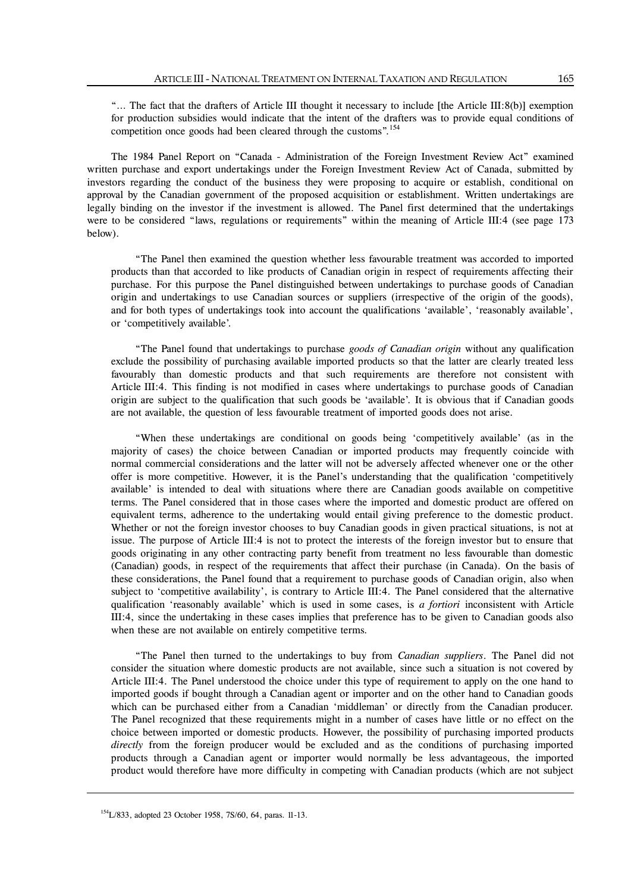"… The fact that the drafters of Article III thought it necessary to include [the Article III:8(b)] exemption for production subsidies would indicate that the intent of the drafters was to provide equal conditions of competition once goods had been cleared through the customs".<sup>154</sup>

The 1984 Panel Report on "Canada - Administration of the Foreign Investment Review Act" examined written purchase and export undertakings under the Foreign Investment Review Act of Canada, submitted by investors regarding the conduct of the business they were proposing to acquire or establish, conditional on approval by the Canadian government of the proposed acquisition or establishment. Written undertakings are legally binding on the investor if the investment is allowed. The Panel first determined that the undertakings were to be considered "laws, regulations or requirements" within the meaning of Article III:4 (see page 173 below).

"The Panel then examined the question whether less favourable treatment was accorded to imported products than that accorded to like products of Canadian origin in respect of requirements affecting their purchase. For this purpose the Panel distinguished between undertakings to purchase goods of Canadian origin and undertakings to use Canadian sources or suppliers (irrespective of the origin of the goods), and for both types of undertakings took into account the qualifications 'available', 'reasonably available', or 'competitively available'.

"The Panel found that undertakings to purchase *goods of Canadian origin* without any qualification exclude the possibility of purchasing available imported products so that the latter are clearly treated less favourably than domestic products and that such requirements are therefore not consistent with Article III:4. This finding is not modified in cases where undertakings to purchase goods of Canadian origin are subject to the qualification that such goods be 'available'. It is obvious that if Canadian goods are not available, the question of less favourable treatment of imported goods does not arise.

"When these undertakings are conditional on goods being 'competitively available' (as in the majority of cases) the choice between Canadian or imported products may frequently coincide with normal commercial considerations and the latter will not be adversely affected whenever one or the other offer is more competitive. However, it is the Panel's understanding that the qualification 'competitively available' is intended to deal with situations where there are Canadian goods available on competitive terms. The Panel considered that in those cases where the imported and domestic product are offered on equivalent terms, adherence to the undertaking would entail giving preference to the domestic product. Whether or not the foreign investor chooses to buy Canadian goods in given practical situations, is not at issue. The purpose of Article III:4 is not to protect the interests of the foreign investor but to ensure that goods originating in any other contracting party benefit from treatment no less favourable than domestic (Canadian) goods, in respect of the requirements that affect their purchase (in Canada). On the basis of these considerations, the Panel found that a requirement to purchase goods of Canadian origin, also when subject to 'competitive availability', is contrary to Article III:4. The Panel considered that the alternative qualification 'reasonably available' which is used in some cases, is *a fortiori* inconsistent with Article III:4, since the undertaking in these cases implies that preference has to be given to Canadian goods also when these are not available on entirely competitive terms.

"The Panel then turned to the undertakings to buy from *Canadian suppliers*. The Panel did not consider the situation where domestic products are not available, since such a situation is not covered by Article III:4. The Panel understood the choice under this type of requirement to apply on the one hand to imported goods if bought through a Canadian agent or importer and on the other hand to Canadian goods which can be purchased either from a Canadian 'middleman' or directly from the Canadian producer. The Panel recognized that these requirements might in a number of cases have little or no effect on the choice between imported or domestic products. However, the possibility of purchasing imported products *directly* from the foreign producer would be excluded and as the conditions of purchasing imported products through a Canadian agent or importer would normally be less advantageous, the imported product would therefore have more difficulty in competing with Canadian products (which are not subject

<sup>154</sup>L/833, adopted 23 October 1958, 7S/60, 64, paras. 11-13.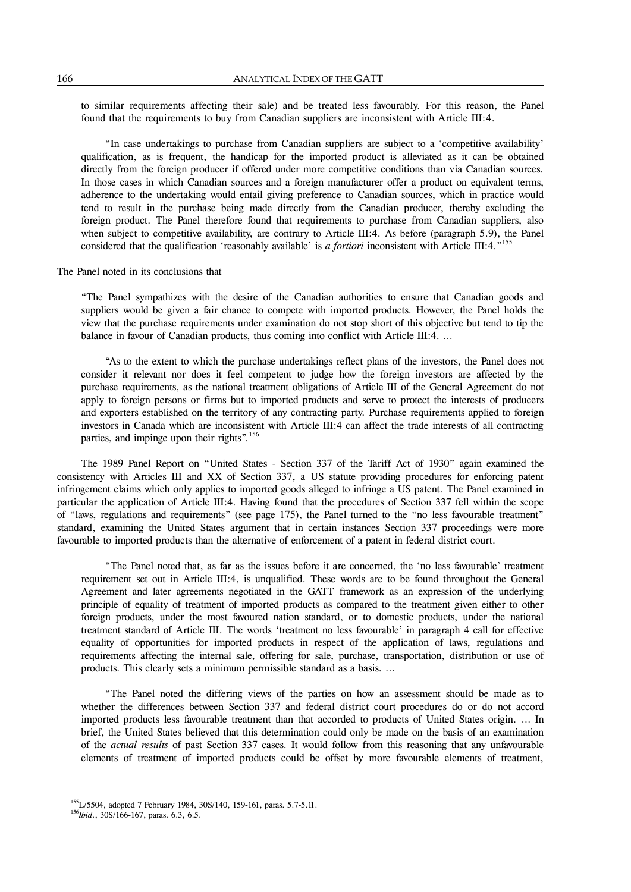to similar requirements affecting their sale) and be treated less favourably. For this reason, the Panel found that the requirements to buy from Canadian suppliers are inconsistent with Article III:4.

"In case undertakings to purchase from Canadian suppliers are subject to a 'competitive availability' qualification, as is frequent, the handicap for the imported product is alleviated as it can be obtained directly from the foreign producer if offered under more competitive conditions than via Canadian sources. In those cases in which Canadian sources and a foreign manufacturer offer a product on equivalent terms, adherence to the undertaking would entail giving preference to Canadian sources, which in practice would tend to result in the purchase being made directly from the Canadian producer, thereby excluding the foreign product. The Panel therefore found that requirements to purchase from Canadian suppliers, also when subject to competitive availability, are contrary to Article III:4. As before (paragraph 5.9), the Panel considered that the qualification 'reasonably available' is *a fortiori* inconsistent with Article III:4."<sup>155</sup>

The Panel noted in its conclusions that

"The Panel sympathizes with the desire of the Canadian authorities to ensure that Canadian goods and suppliers would be given a fair chance to compete with imported products. However, the Panel holds the view that the purchase requirements under examination do not stop short of this objective but tend to tip the balance in favour of Canadian products, thus coming into conflict with Article III:4. ...

"As to the extent to which the purchase undertakings reflect plans of the investors, the Panel does not consider it relevant nor does it feel competent to judge how the foreign investors are affected by the purchase requirements, as the national treatment obligations of Article III of the General Agreement do not apply to foreign persons or firms but to imported products and serve to protect the interests of producers and exporters established on the territory of any contracting party. Purchase requirements applied to foreign investors in Canada which are inconsistent with Article III:4 can affect the trade interests of all contracting parties, and impinge upon their rights".<sup>156</sup>

The 1989 Panel Report on "United States - Section 337 of the Tariff Act of 1930" again examined the consistency with Articles III and XX of Section 337, a US statute providing procedures for enforcing patent infringement claims which only applies to imported goods alleged to infringe a US patent. The Panel examined in particular the application of Article III:4. Having found that the procedures of Section 337 fell within the scope of "laws, regulations and requirements" (see page 175), the Panel turned to the "no less favourable treatment" standard, examining the United States argument that in certain instances Section 337 proceedings were more favourable to imported products than the alternative of enforcement of a patent in federal district court.

"The Panel noted that, as far as the issues before it are concerned, the 'no less favourable' treatment requirement set out in Article III:4, is unqualified. These words are to be found throughout the General Agreement and later agreements negotiated in the GATT framework as an expression of the underlying principle of equality of treatment of imported products as compared to the treatment given either to other foreign products, under the most favoured nation standard, or to domestic products, under the national treatment standard of Article III. The words 'treatment no less favourable' in paragraph 4 call for effective equality of opportunities for imported products in respect of the application of laws, regulations and requirements affecting the internal sale, offering for sale, purchase, transportation, distribution or use of products. This clearly sets a minimum permissible standard as a basis. …

"The Panel noted the differing views of the parties on how an assessment should be made as to whether the differences between Section 337 and federal district court procedures do or do not accord imported products less favourable treatment than that accorded to products of United States origin. … In brief, the United States believed that this determination could only be made on the basis of an examination of the *actual results* of past Section 337 cases. It would follow from this reasoning that any unfavourable elements of treatment of imported products could be offset by more favourable elements of treatment,

<sup>155</sup>L/5504, adopted 7 February 1984, 30S/140, 159-161, paras. 5.7-5.11.

<sup>156</sup>*Ibid*., 30S/166-167, paras. 6.3, 6.5.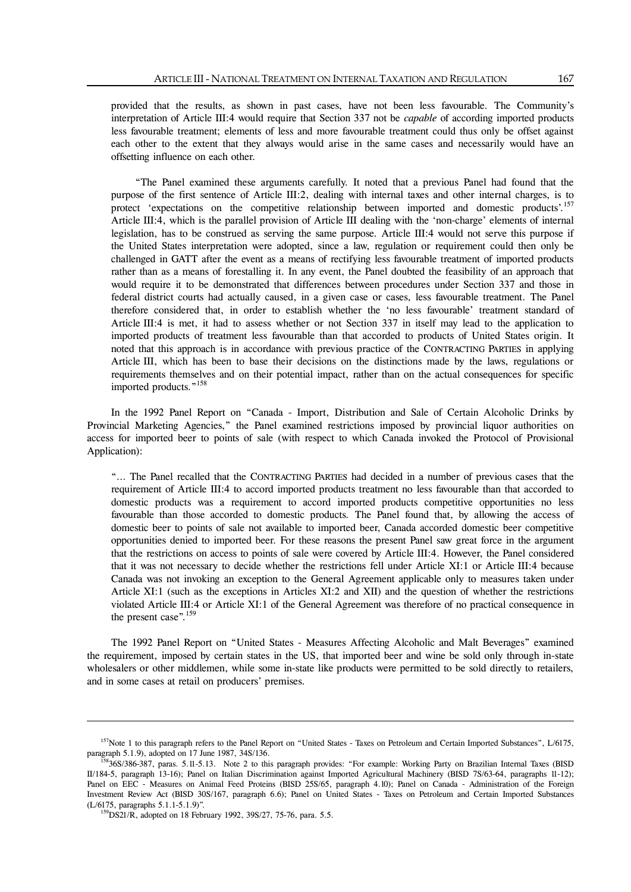provided that the results, as shown in past cases, have not been less favourable. The Community's interpretation of Article III:4 would require that Section 337 not be *capable* of according imported products less favourable treatment; elements of less and more favourable treatment could thus only be offset against each other to the extent that they always would arise in the same cases and necessarily would have an offsetting influence on each other.

"The Panel examined these arguments carefully. It noted that a previous Panel had found that the purpose of the first sentence of Article III:2, dealing with internal taxes and other internal charges, is to protect 'expectations on the competitive relationship between imported and domestic products'.<sup>157</sup> Article III:4, which is the parallel provision of Article III dealing with the 'non-charge' elements of internal legislation, has to be construed as serving the same purpose. Article III:4 would not serve this purpose if the United States interpretation were adopted, since a law, regulation or requirement could then only be challenged in GATT after the event as a means of rectifying less favourable treatment of imported products rather than as a means of forestalling it. In any event, the Panel doubted the feasibility of an approach that would require it to be demonstrated that differences between procedures under Section 337 and those in federal district courts had actually caused, in a given case or cases, less favourable treatment. The Panel therefore considered that, in order to establish whether the 'no less favourable' treatment standard of Article III:4 is met, it had to assess whether or not Section 337 in itself may lead to the application to imported products of treatment less favourable than that accorded to products of United States origin. It noted that this approach is in accordance with previous practice of the CONTRACTING PARTIES in applying Article III, which has been to base their decisions on the distinctions made by the laws, regulations or requirements themselves and on their potential impact, rather than on the actual consequences for specific imported products."<sup>158</sup>

In the 1992 Panel Report on "Canada - Import, Distribution and Sale of Certain Alcoholic Drinks by Provincial Marketing Agencies," the Panel examined restrictions imposed by provincial liquor authorities on access for imported beer to points of sale (with respect to which Canada invoked the Protocol of Provisional Application):

"… The Panel recalled that the CONTRACTING PARTIES had decided in a number of previous cases that the requirement of Article III:4 to accord imported products treatment no less favourable than that accorded to domestic products was a requirement to accord imported products competitive opportunities no less favourable than those accorded to domestic products. The Panel found that, by allowing the access of domestic beer to points of sale not available to imported beer, Canada accorded domestic beer competitive opportunities denied to imported beer. For these reasons the present Panel saw great force in the argument that the restrictions on access to points of sale were covered by Article III:4. However, the Panel considered that it was not necessary to decide whether the restrictions fell under Article XI:1 or Article III:4 because Canada was not invoking an exception to the General Agreement applicable only to measures taken under Article XI:1 (such as the exceptions in Articles XI:2 and XII) and the question of whether the restrictions violated Article III:4 or Article XI:1 of the General Agreement was therefore of no practical consequence in the present case".<sup>159</sup>

The 1992 Panel Report on "United States - Measures Affecting Alcoholic and Malt Beverages" examined the requirement, imposed by certain states in the US, that imported beer and wine be sold only through in-state wholesalers or other middlemen, while some in-state like products were permitted to be sold directly to retailers, and in some cases at retail on producers' premises.

<sup>&</sup>lt;sup>157</sup>Note 1 to this paragraph refers to the Panel Report on "United States - Taxes on Petroleum and Certain Imported Substances", L/6175, paragraph 5.1.9), adopted on 17 June 1987, 34S/136.

<sup>&</sup>lt;sup>158</sup>36S/386-387, paras. 5.11-5.13. Note 2 to this paragraph provides: "For example: Working Party on Brazilian Internal Taxes (BISD II/184-5, paragraph 13-16); Panel on Italian Discrimination against Imported Agricultural Machinery (BISD 7S/63-64, paragraphs 11-12); Panel on EEC - Measures on Animal Feed Proteins (BISD 25S/65, paragraph 4.10); Panel on Canada - Administration of the Foreign Investment Review Act (BISD 30S/167, paragraph 6.6); Panel on United States - Taxes on Petroleum and Certain Imported Substances (L/6175, paragraphs 5.1.1-5.1.9)".

<sup>159</sup> DS21/R, adopted on 18 February 1992, 39S/27, 75-76, para. 5.5.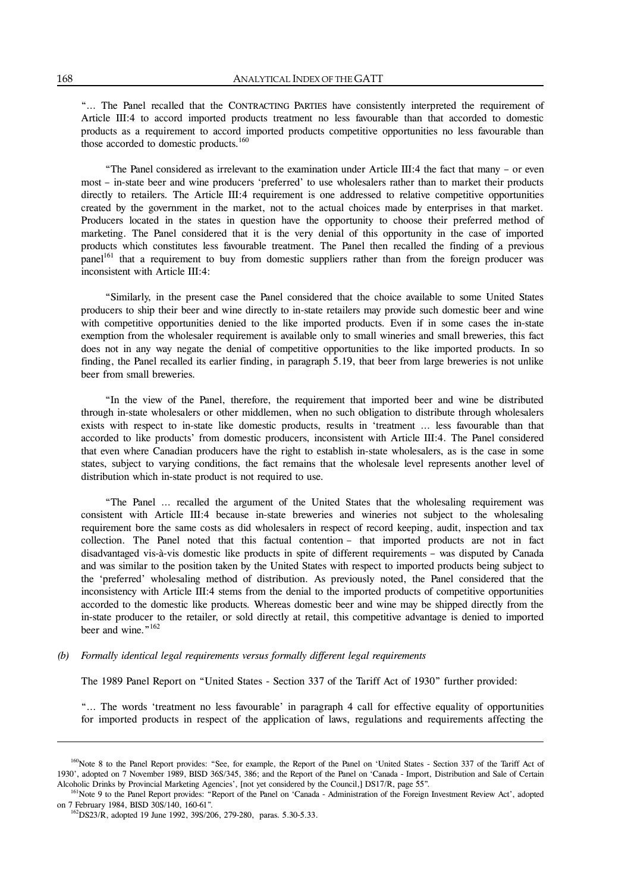"… The Panel recalled that the CONTRACTING PARTIES have consistently interpreted the requirement of Article III:4 to accord imported products treatment no less favourable than that accorded to domestic products as a requirement to accord imported products competitive opportunities no less favourable than those accorded to domestic products.<sup>160</sup>

"The Panel considered as irrelevant to the examination under Article III:4 the fact that many – or even most – in-state beer and wine producers 'preferred' to use wholesalers rather than to market their products directly to retailers. The Article III:4 requirement is one addressed to relative competitive opportunities created by the government in the market, not to the actual choices made by enterprises in that market. Producers located in the states in question have the opportunity to choose their preferred method of marketing. The Panel considered that it is the very denial of this opportunity in the case of imported products which constitutes less favourable treatment. The Panel then recalled the finding of a previous panel<sup>161</sup> that a requirement to buy from domestic suppliers rather than from the foreign producer was inconsistent with Article III:4:

"Similarly, in the present case the Panel considered that the choice available to some United States producers to ship their beer and wine directly to in-state retailers may provide such domestic beer and wine with competitive opportunities denied to the like imported products. Even if in some cases the in-state exemption from the wholesaler requirement is available only to small wineries and small breweries, this fact does not in any way negate the denial of competitive opportunities to the like imported products. In so finding, the Panel recalled its earlier finding, in paragraph 5.19, that beer from large breweries is not unlike beer from small breweries.

"In the view of the Panel, therefore, the requirement that imported beer and wine be distributed through in-state wholesalers or other middlemen, when no such obligation to distribute through wholesalers exists with respect to in-state like domestic products, results in 'treatment … less favourable than that accorded to like products' from domestic producers, inconsistent with Article III:4. The Panel considered that even where Canadian producers have the right to establish in-state wholesalers, as is the case in some states, subject to varying conditions, the fact remains that the wholesale level represents another level of distribution which in-state product is not required to use.

"The Panel … recalled the argument of the United States that the wholesaling requirement was consistent with Article III:4 because in-state breweries and wineries not subject to the wholesaling requirement bore the same costs as did wholesalers in respect of record keeping, audit, inspection and tax collection. The Panel noted that this factual contention – that imported products are not in fact disadvantaged vis-à-vis domestic like products in spite of different requirements – was disputed by Canada and was similar to the position taken by the United States with respect to imported products being subject to the 'preferred' wholesaling method of distribution. As previously noted, the Panel considered that the inconsistency with Article III:4 stems from the denial to the imported products of competitive opportunities accorded to the domestic like products. Whereas domestic beer and wine may be shipped directly from the in-state producer to the retailer, or sold directly at retail, this competitive advantage is denied to imported beer and wine."<sup>162</sup>

# *(b) Formally identical legal requirements versus formally different legal requirements*

The 1989 Panel Report on "United States - Section 337 of the Tariff Act of 1930" further provided:

"… The words 'treatment no less favourable' in paragraph 4 call for effective equality of opportunities for imported products in respect of the application of laws, regulations and requirements affecting the

<sup>&</sup>lt;sup>160</sup>Note 8 to the Panel Report provides: "See, for example, the Report of the Panel on 'United States - Section 337 of the Tariff Act of 1930', adopted on 7 November 1989, BISD 36S/345, 386; and the Report of the Panel on 'Canada - Import, Distribution and Sale of Certain Alcoholic Drinks by Provincial Marketing Agencies', [not yet considered by the Council,] DS17/R, page 55".

<sup>&</sup>lt;sup>161</sup>Note 9 to the Panel Report provides: "Report of the Panel on 'Canada - Administration of the Foreign Investment Review Act', adopted on 7 February 1984, BISD 30S/140, 160-61".

<sup>&</sup>lt;sup>162</sup>DS23/R, adopted 19 June 1992, 39S/206, 279-280, paras. 5.30-5.33.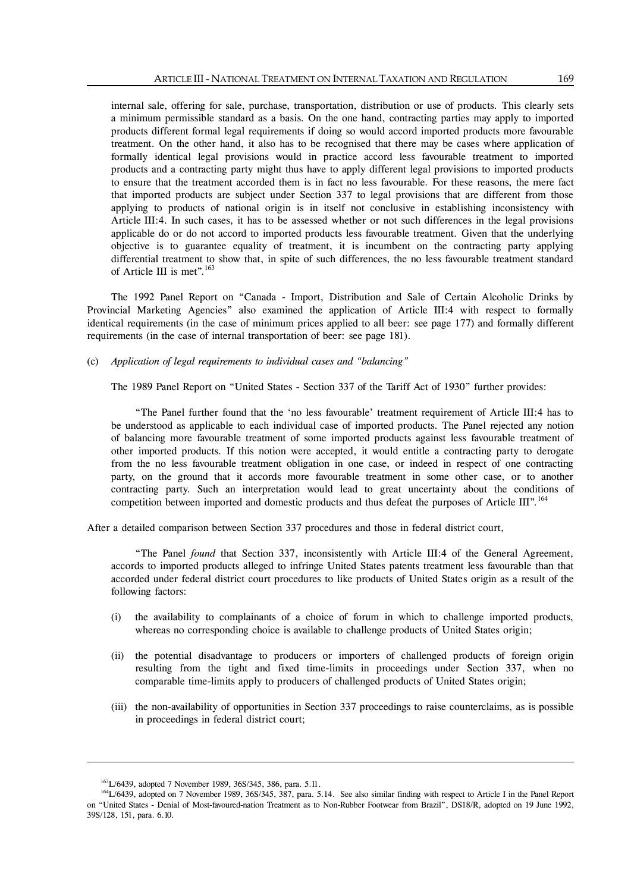internal sale, offering for sale, purchase, transportation, distribution or use of products. This clearly sets a minimum permissible standard as a basis. On the one hand, contracting parties may apply to imported products different formal legal requirements if doing so would accord imported products more favourable treatment. On the other hand, it also has to be recognised that there may be cases where application of formally identical legal provisions would in practice accord less favourable treatment to imported products and a contracting party might thus have to apply different legal provisions to imported products to ensure that the treatment accorded them is in fact no less favourable. For these reasons, the mere fact that imported products are subject under Section 337 to legal provisions that are different from those applying to products of national origin is in itself not conclusive in establishing inconsistency with Article III:4. In such cases, it has to be assessed whether or not such differences in the legal provisions applicable do or do not accord to imported products less favourable treatment. Given that the underlying objective is to guarantee equality of treatment, it is incumbent on the contracting party applying differential treatment to show that, in spite of such differences, the no less favourable treatment standard of Article III is met".<sup>163</sup>

The 1992 Panel Report on "Canada - Import, Distribution and Sale of Certain Alcoholic Drinks by Provincial Marketing Agencies" also examined the application of Article III:4 with respect to formally identical requirements (in the case of minimum prices applied to all beer: see page 177) and formally different requirements (in the case of internal transportation of beer: see page 181).

(c) *Application of legal requirements to individual cases and "balancing"*

The 1989 Panel Report on "United States - Section 337 of the Tariff Act of 1930" further provides:

"The Panel further found that the 'no less favourable' treatment requirement of Article III:4 has to be understood as applicable to each individual case of imported products. The Panel rejected any notion of balancing more favourable treatment of some imported products against less favourable treatment of other imported products. If this notion were accepted, it would entitle a contracting party to derogate from the no less favourable treatment obligation in one case, or indeed in respect of one contracting party, on the ground that it accords more favourable treatment in some other case, or to another contracting party. Such an interpretation would lead to great uncertainty about the conditions of competition between imported and domestic products and thus defeat the purposes of Article III".<sup>164</sup>

After a detailed comparison between Section 337 procedures and those in federal district court,

"The Panel *found* that Section 337, inconsistently with Article III:4 of the General Agreement, accords to imported products alleged to infringe United States patents treatment less favourable than that accorded under federal district court procedures to like products of United States origin as a result of the following factors:

- (i) the availability to complainants of a choice of forum in which to challenge imported products, whereas no corresponding choice is available to challenge products of United States origin;
- (ii) the potential disadvantage to producers or importers of challenged products of foreign origin resulting from the tight and fixed time-limits in proceedings under Section 337, when no comparable time-limits apply to producers of challenged products of United States origin;
- (iii) the non-availability of opportunities in Section 337 proceedings to raise counterclaims, as is possible in proceedings in federal district court;

<sup>&</sup>lt;sup>163</sup>L/6439, adopted 7 November 1989, 36S/345, 386, para. 5.11.

<sup>&</sup>lt;sup>164</sup>L/6439, adopted on 7 November 1989, 36S/345, 387, para. 5.14. See also similar finding with respect to Article I in the Panel Report on "United States - Denial of Most-favoured-nation Treatment as to Non-Rubber Footwear from Brazil", DS18/R, adopted on 19 June 1992, 39S/128, 151, para. 6.10.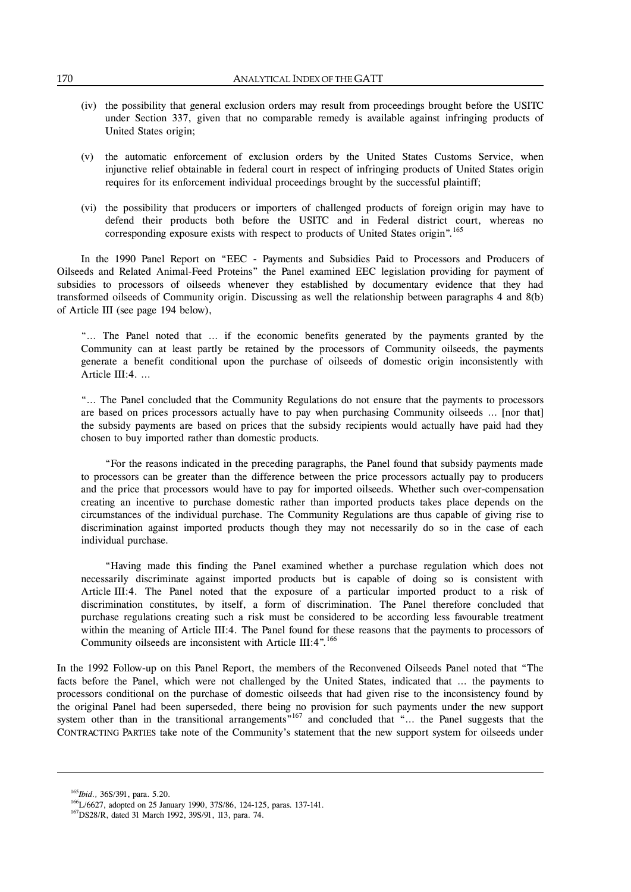- (iv) the possibility that general exclusion orders may result from proceedings brought before the USITC under Section 337, given that no comparable remedy is available against infringing products of United States origin;
- (v) the automatic enforcement of exclusion orders by the United States Customs Service, when injunctive relief obtainable in federal court in respect of infringing products of United States origin requires for its enforcement individual proceedings brought by the successful plaintiff;
- (vi) the possibility that producers or importers of challenged products of foreign origin may have to defend their products both before the USITC and in Federal district court, whereas no corresponding exposure exists with respect to products of United States origin".<sup>165</sup>

In the 1990 Panel Report on "EEC - Payments and Subsidies Paid to Processors and Producers of Oilseeds and Related Animal-Feed Proteins" the Panel examined EEC legislation providing for payment of subsidies to processors of oilseeds whenever they established by documentary evidence that they had transformed oilseeds of Community origin. Discussing as well the relationship between paragraphs 4 and 8(b) of Article III (see page 194 below),

"… The Panel noted that … if the economic benefits generated by the payments granted by the Community can at least partly be retained by the processors of Community oilseeds, the payments generate a benefit conditional upon the purchase of oilseeds of domestic origin inconsistently with Article III:4. …

"… The Panel concluded that the Community Regulations do not ensure that the payments to processors are based on prices processors actually have to pay when purchasing Community oilseeds … [nor that] the subsidy payments are based on prices that the subsidy recipients would actually have paid had they chosen to buy imported rather than domestic products.

"For the reasons indicated in the preceding paragraphs, the Panel found that subsidy payments made to processors can be greater than the difference between the price processors actually pay to producers and the price that processors would have to pay for imported oilseeds. Whether such over-compensation creating an incentive to purchase domestic rather than imported products takes place depends on the circumstances of the individual purchase. The Community Regulations are thus capable of giving rise to discrimination against imported products though they may not necessarily do so in the case of each individual purchase.

"Having made this finding the Panel examined whether a purchase regulation which does not necessarily discriminate against imported products but is capable of doing so is consistent with Article III:4. The Panel noted that the exposure of a particular imported product to a risk of discrimination constitutes, by itself, a form of discrimination. The Panel therefore concluded that purchase regulations creating such a risk must be considered to be according less favourable treatment within the meaning of Article III:4. The Panel found for these reasons that the payments to processors of Community oilseeds are inconsistent with Article III:4".<sup>166</sup>

In the 1992 Follow-up on this Panel Report, the members of the Reconvened Oilseeds Panel noted that "The facts before the Panel, which were not challenged by the United States, indicated that … the payments to processors conditional on the purchase of domestic oilseeds that had given rise to the inconsistency found by the original Panel had been superseded, there being no provision for such payments under the new support system other than in the transitional arrangements<sup>"167</sup> and concluded that "... the Panel suggests that the CONTRACTING PARTIES take note of the Community's statement that the new support system for oilseeds under

<sup>165</sup>*Ibid.,* 36S/391, para. 5.20.

<sup>&</sup>lt;sup>166</sup>L/6627, adopted on 25 January 1990, 37S/86, 124-125, paras. 137-141.

<sup>167</sup>DS28/R, dated 31 March 1992, 39S/91, 113, para. 74.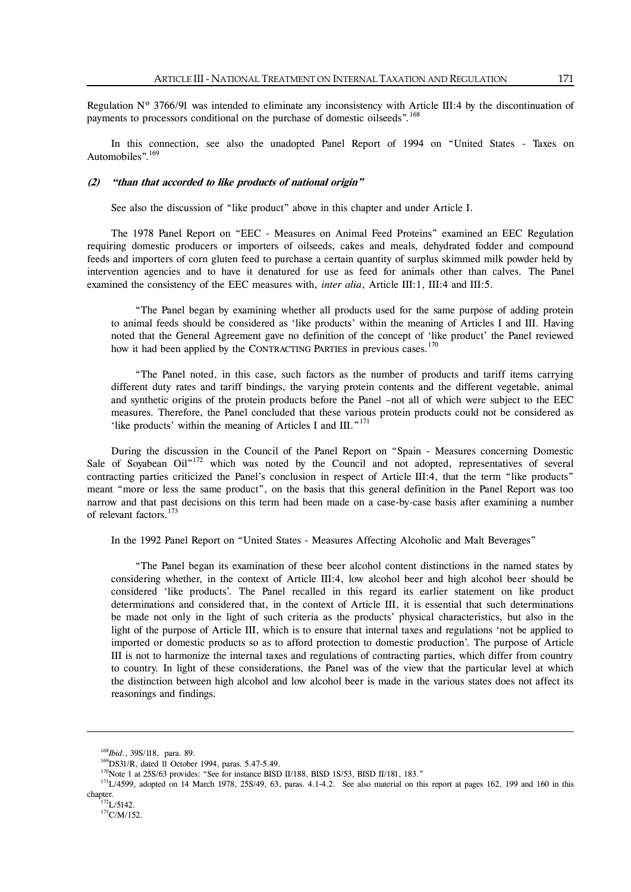Regulation Nº 3766/91 was intended to eliminate any inconsistency with Article III:4 by the discontinuation of payments to processors conditional on the purchase of domestic oilseeds".<sup>168</sup>

In this connection, see also the unadopted Panel Report of 1994 on "United States - Taxes on Automobiles".<sup>169</sup>

# **(2) "than that accorded to like products of national origin"**

See also the discussion of "like product" above in this chapter and under Article I.

The 1978 Panel Report on "EEC - Measures on Animal Feed Proteins" examined an EEC Regulation requiring domestic producers or importers of oilseeds, cakes and meals, dehydrated fodder and compound feeds and importers of corn gluten feed to purchase a certain quantity of surplus skimmed milk powder held by intervention agencies and to have it denatured for use as feed for animals other than calves. The Panel examined the consistency of the EEC measures with, *inter alia*, Article III:1, III:4 and III:5.

"The Panel began by examining whether all products used for the same purpose of adding protein to animal feeds should be considered as 'like products' within the meaning of Articles I and III. Having noted that the General Agreement gave no definition of the concept of 'like product' the Panel reviewed how it had been applied by the CONTRACTING PARTIES in previous cases.<sup>170</sup>

"The Panel noted, in this case, such factors as the number of products and tariff items carrying different duty rates and tariff bindings, the varying protein contents and the different vegetable, animal and synthetic origins of the protein products before the Panel –not all of which were subject to the EEC measures. Therefore, the Panel concluded that these various protein products could not be considered as 'like products' within the meaning of Articles I and  $III.^{n171}$ 

During the discussion in the Council of the Panel Report on "Spain - Measures concerning Domestic Sale of Soyabean Oil<sup>"172</sup> which was noted by the Council and not adopted, representatives of several contracting parties criticized the Panel's conclusion in respect of Article III:4, that the term "like products" meant "more or less the same product", on the basis that this general definition in the Panel Report was too narrow and that past decisions on this term had been made on a case-by-case basis after examining a number of relevant factors.<sup>173</sup>

In the 1992 Panel Report on "United States - Measures Affecting Alcoholic and Malt Beverages"

"The Panel began its examination of these beer alcohol content distinctions in the named states by considering whether, in the context of Article III:4, low alcohol beer and high alcohol beer should be considered 'like products'. The Panel recalled in this regard its earlier statement on like product determinations and considered that, in the context of Article III, it is essential that such determinations be made not only in the light of such criteria as the products' physical characteristics, but also in the light of the purpose of Article III, which is to ensure that internal taxes and regulations 'not be applied to imported or domestic products so as to afford protection to domestic production'. The purpose of Article III is not to harmonize the internal taxes and regulations of contracting parties, which differ from country to country. In light of these considerations, the Panel was of the view that the particular level at which the distinction between high alcohol and low alcohol beer is made in the various states does not affect its reasonings and findings.

 $172L/5142.$ 

<sup>168</sup>*Ibid*., 39S/118, para. 89.

<sup>169</sup>DS31/R, dated 11 October 1994, paras. 5.47-5.49.

<sup>&</sup>lt;sup>170</sup>Note 1 at 25S/63 provides: "See for instance BISD II/188, BISD 1S/53, BISD II/181, 183."

 $1^{71}$ L/4599, adopted on 14 March 1978, 25S/49, 63, paras. 4.1-4.2. See also material on this report at pages 162, 199 and 160 in this chapter.

 $173C/M/152$ .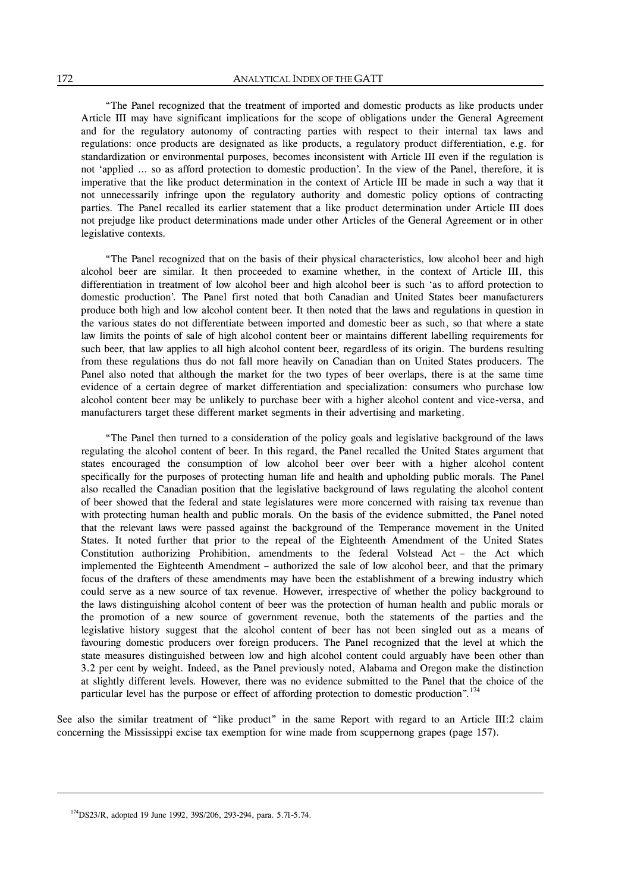"The Panel recognized that the treatment of imported and domestic products as like products under Article III may have significant implications for the scope of obligations under the General Agreement and for the regulatory autonomy of contracting parties with respect to their internal tax laws and regulations: once products are designated as like products, a regulatory product differentiation, e.g. for standardization or environmental purposes, becomes inconsistent with Article III even if the regulation is not 'applied … so as afford protection to domestic production'. In the view of the Panel, therefore, it is imperative that the like product determination in the context of Article III be made in such a way that it not unnecessarily infringe upon the regulatory authority and domestic policy options of contracting parties. The Panel recalled its earlier statement that a like product determination under Article III does not prejudge like product determinations made under other Articles of the General Agreement or in other legislative contexts.

"The Panel recognized that on the basis of their physical characteristics, low alcohol beer and high alcohol beer are similar. It then proceeded to examine whether, in the context of Article III, this differentiation in treatment of low alcohol beer and high alcohol beer is such 'as to afford protection to domestic production'. The Panel first noted that both Canadian and United States beer manufacturers produce both high and low alcohol content beer. It then noted that the laws and regulations in question in the various states do not differentiate between imported and domestic beer as such, so that where a state law limits the points of sale of high alcohol content beer or maintains different labelling requirements for such beer, that law applies to all high alcohol content beer, regardless of its origin. The burdens resulting from these regulations thus do not fall more heavily on Canadian than on United States producers. The Panel also noted that although the market for the two types of beer overlaps, there is at the same time evidence of a certain degree of market differentiation and specialization: consumers who purchase low alcohol content beer may be unlikely to purchase beer with a higher alcohol content and vice-versa, and manufacturers target these different market segments in their advertising and marketing.

"The Panel then turned to a consideration of the policy goals and legislative background of the laws regulating the alcohol content of beer. In this regard, the Panel recalled the United States argument that states encouraged the consumption of low alcohol beer over beer with a higher alcohol content specifically for the purposes of protecting human life and health and upholding public morals. The Panel also recalled the Canadian position that the legislative background of laws regulating the alcohol content of beer showed that the federal and state legislatures were more concerned with raising tax revenue than with protecting human health and public morals. On the basis of the evidence submitted, the Panel noted that the relevant laws were passed against the background of the Temperance movement in the United States. It noted further that prior to the repeal of the Eighteenth Amendment of the United States Constitution authorizing Prohibition, amendments to the federal Volstead Act – the Act which implemented the Eighteenth Amendment – authorized the sale of low alcohol beer, and that the primary focus of the drafters of these amendments may have been the establishment of a brewing industry which could serve as a new source of tax revenue. However, irrespective of whether the policy background to the laws distinguishing alcohol content of beer was the protection of human health and public morals or the promotion of a new source of government revenue, both the statements of the parties and the legislative history suggest that the alcohol content of beer has not been singled out as a means of favouring domestic producers over foreign producers. The Panel recognized that the level at which the state measures distinguished between low and high alcohol content could arguably have been other than 3.2 per cent by weight. Indeed, as the Panel previously noted, Alabama and Oregon make the distinction at slightly different levels. However, there was no evidence submitted to the Panel that the choice of the particular level has the purpose or effect of affording protection to domestic production".<sup>174</sup>

See also the similar treatment of "like product" in the same Report with regard to an Article III:2 claim concerning the Mississippi excise tax exemption for wine made from scuppernong grapes (page 157).

<sup>174</sup>DS23/R, adopted 19 June 1992, 39S/206, 293-294, para. 5.71-5.74.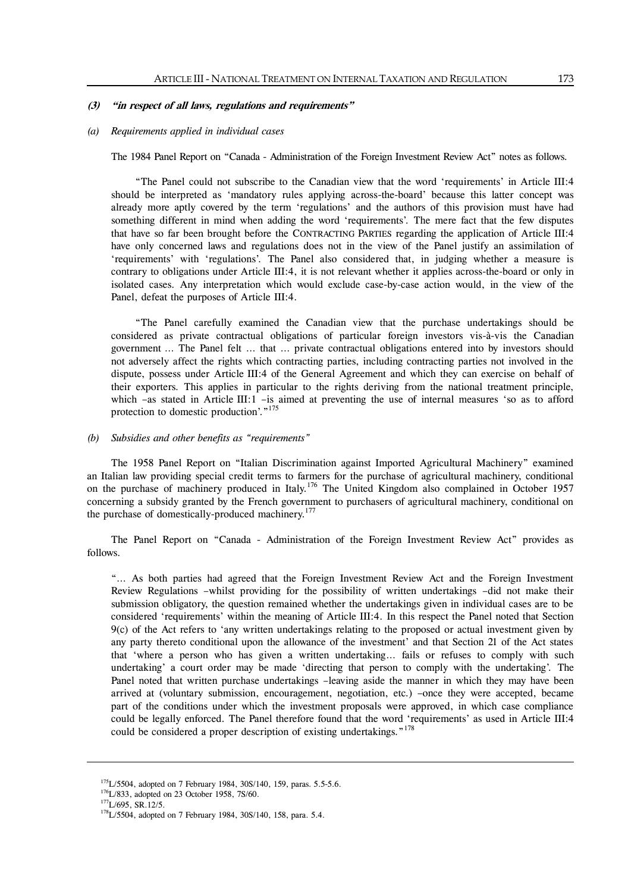# **(3) "in respect of all laws, regulations and requirements"**

### *(a) Requirements applied in individual cases*

The 1984 Panel Report on "Canada - Administration of the Foreign Investment Review Act" notes as follows.

"The Panel could not subscribe to the Canadian view that the word 'requirements' in Article III:4 should be interpreted as 'mandatory rules applying across-the-board' because this latter concept was already more aptly covered by the term 'regulations' and the authors of this provision must have had something different in mind when adding the word 'requirements'. The mere fact that the few disputes that have so far been brought before the CONTRACTING PARTIES regarding the application of Article III:4 have only concerned laws and regulations does not in the view of the Panel justify an assimilation of 'requirements' with 'regulations'. The Panel also considered that, in judging whether a measure is contrary to obligations under Article III:4, it is not relevant whether it applies across-the-board or only in isolated cases. Any interpretation which would exclude case-by-case action would, in the view of the Panel, defeat the purposes of Article III:4.

"The Panel carefully examined the Canadian view that the purchase undertakings should be considered as private contractual obligations of particular foreign investors vis-à-vis the Canadian government … The Panel felt … that … private contractual obligations entered into by investors should not adversely affect the rights which contracting parties, including contracting parties not involved in the dispute, possess under Article III:4 of the General Agreement and which they can exercise on behalf of their exporters. This applies in particular to the rights deriving from the national treatment principle, which –as stated in Article III:1 –is aimed at preventing the use of internal measures 'so as to afford protection to domestic production'."<sup>175</sup>

### *(b) Subsidies and other benefits as "requirements"*

The 1958 Panel Report on "Italian Discrimination against Imported Agricultural Machinery" examined an Italian law providing special credit terms to farmers for the purchase of agricultural machinery, conditional on the purchase of machinery produced in Italy.<sup>176</sup> The United Kingdom also complained in October 1957 concerning a subsidy granted by the French government to purchasers of agricultural machinery, conditional on the purchase of domestically-produced machinery.<sup>177</sup>

The Panel Report on "Canada - Administration of the Foreign Investment Review Act" provides as follows.

"… As both parties had agreed that the Foreign Investment Review Act and the Foreign Investment Review Regulations –whilst providing for the possibility of written undertakings –did not make their submission obligatory, the question remained whether the undertakings given in individual cases are to be considered 'requirements' within the meaning of Article III:4. In this respect the Panel noted that Section 9(c) of the Act refers to 'any written undertakings relating to the proposed or actual investment given by any party thereto conditional upon the allowance of the investment' and that Section 21 of the Act states that 'where a person who has given a written undertaking… fails or refuses to comply with such undertaking' a court order may be made 'directing that person to comply with the undertaking'. The Panel noted that written purchase undertakings –leaving aside the manner in which they may have been arrived at (voluntary submission, encouragement, negotiation, etc.) –once they were accepted, became part of the conditions under which the investment proposals were approved, in which case compliance could be legally enforced. The Panel therefore found that the word 'requirements' as used in Article III:4 could be considered a proper description of existing undertakings."<sup>178</sup>

<sup>175</sup>L/5504, adopted on 7 February 1984, 30S/140, 159, paras. 5.5-5.6.

<sup>&</sup>lt;sup>176</sup>L/833, adopted on 23 October 1958, 7S/60.

 $177L/695$ , SR.12/5.

<sup>&</sup>lt;sup>178</sup>L/5504, adopted on 7 February 1984, 30S/140, 158, para. 5.4.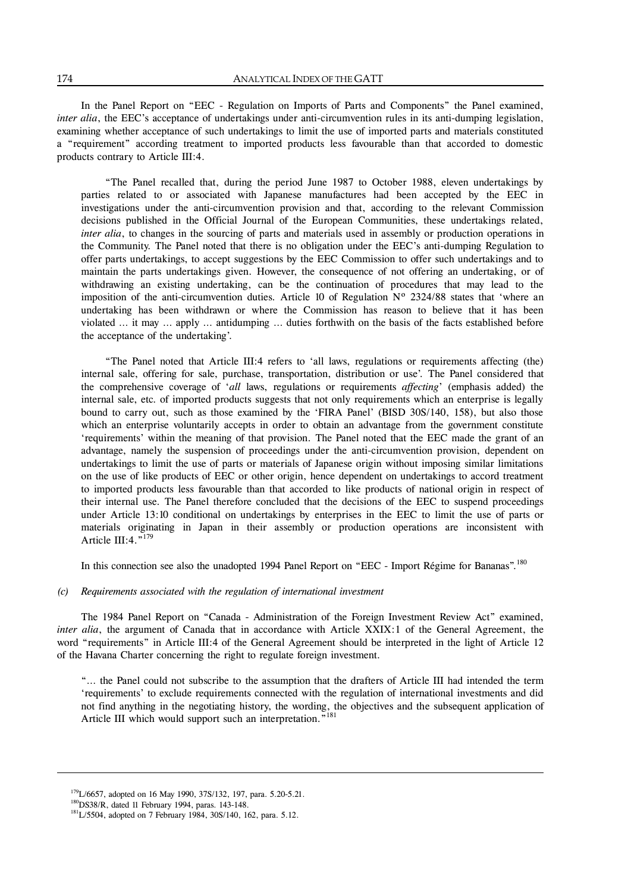In the Panel Report on "EEC - Regulation on Imports of Parts and Components" the Panel examined, *inter alia*, the EEC's acceptance of undertakings under anti-circumvention rules in its anti-dumping legislation, examining whether acceptance of such undertakings to limit the use of imported parts and materials constituted a "requirement" according treatment to imported products less favourable than that accorded to domestic products contrary to Article III:4.

"The Panel recalled that, during the period June 1987 to October 1988, eleven undertakings by parties related to or associated with Japanese manufactures had been accepted by the EEC in investigations under the anti-circumvention provision and that, according to the relevant Commission decisions published in the Official Journal of the European Communities, these undertakings related, *inter alia*, to changes in the sourcing of parts and materials used in assembly or production operations in the Community. The Panel noted that there is no obligation under the EEC's anti-dumping Regulation to offer parts undertakings, to accept suggestions by the EEC Commission to offer such undertakings and to maintain the parts undertakings given. However, the consequence of not offering an undertaking, or of withdrawing an existing undertaking, can be the continuation of procedures that may lead to the imposition of the anti-circumvention duties. Article 10 of Regulation  $N^{\circ}$  2324/88 states that 'where an undertaking has been withdrawn or where the Commission has reason to believe that it has been violated … it may … apply … antidumping … duties forthwith on the basis of the facts established before the acceptance of the undertaking'.

"The Panel noted that Article III:4 refers to 'all laws, regulations or requirements affecting (the) internal sale, offering for sale, purchase, transportation, distribution or use'. The Panel considered that the comprehensive coverage of '*all* laws, regulations or requirements *affecting*' (emphasis added) the internal sale, etc. of imported products suggests that not only requirements which an enterprise is legally bound to carry out, such as those examined by the 'FIRA Panel' (BISD 30S/140, 158), but also those which an enterprise voluntarily accepts in order to obtain an advantage from the government constitute 'requirements' within the meaning of that provision. The Panel noted that the EEC made the grant of an advantage, namely the suspension of proceedings under the anti-circumvention provision, dependent on undertakings to limit the use of parts or materials of Japanese origin without imposing similar limitations on the use of like products of EEC or other origin, hence dependent on undertakings to accord treatment to imported products less favourable than that accorded to like products of national origin in respect of their internal use. The Panel therefore concluded that the decisions of the EEC to suspend proceedings under Article 13:10 conditional on undertakings by enterprises in the EEC to limit the use of parts or materials originating in Japan in their assembly or production operations are inconsistent with Article III:4."<sup>179</sup>

In this connection see also the unadopted 1994 Panel Report on "EEC - Import Régime for Bananas".<sup>180</sup>

### *(c) Requirements associated with the regulation of international investment*

The 1984 Panel Report on "Canada - Administration of the Foreign Investment Review Act" examined, *inter alia*, the argument of Canada that in accordance with Article XXIX:1 of the General Agreement, the word "requirements" in Article III:4 of the General Agreement should be interpreted in the light of Article 12 of the Havana Charter concerning the right to regulate foreign investment.

"… the Panel could not subscribe to the assumption that the drafters of Article III had intended the term 'requirements' to exclude requirements connected with the regulation of international investments and did not find anything in the negotiating history, the wording, the objectives and the subsequent application of Article III which would support such an interpretation."<sup>181</sup>

<sup>&</sup>lt;sup>179</sup>L/6657, adopted on 16 May 1990, 37S/132, 197, para. 5.20-5.21.

<sup>&</sup>lt;sup>180</sup>DS38/R, dated 11 February 1994, paras. 143-148.

<sup>&</sup>lt;sup>181</sup>L/5504, adopted on 7 February 1984, 30S/140, 162, para. 5.12.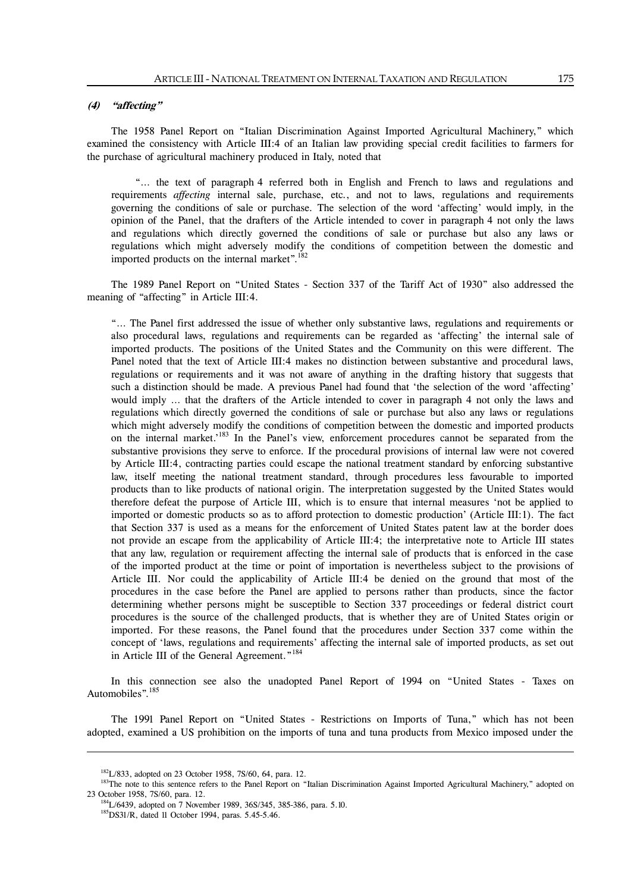#### **(4) "affecting"**

The 1958 Panel Report on "Italian Discrimination Against Imported Agricultural Machinery," which examined the consistency with Article III:4 of an Italian law providing special credit facilities to farmers for the purchase of agricultural machinery produced in Italy, noted that

"… the text of paragraph 4 referred both in English and French to laws and regulations and requirements *affecting* internal sale, purchase, etc., and not to laws, regulations and requirements governing the conditions of sale or purchase. The selection of the word 'affecting' would imply, in the opinion of the Panel, that the drafters of the Article intended to cover in paragraph 4 not only the laws and regulations which directly governed the conditions of sale or purchase but also any laws or regulations which might adversely modify the conditions of competition between the domestic and imported products on the internal market".<sup>182</sup>

The 1989 Panel Report on "United States - Section 337 of the Tariff Act of 1930" also addressed the meaning of "affecting" in Article III:4.

"… The Panel first addressed the issue of whether only substantive laws, regulations and requirements or also procedural laws, regulations and requirements can be regarded as 'affecting' the internal sale of imported products. The positions of the United States and the Community on this were different. The Panel noted that the text of Article III:4 makes no distinction between substantive and procedural laws, regulations or requirements and it was not aware of anything in the drafting history that suggests that such a distinction should be made. A previous Panel had found that 'the selection of the word 'affecting' would imply … that the drafters of the Article intended to cover in paragraph 4 not only the laws and regulations which directly governed the conditions of sale or purchase but also any laws or regulations which might adversely modify the conditions of competition between the domestic and imported products on the internal market.'<sup>183</sup> In the Panel's view, enforcement procedures cannot be separated from the substantive provisions they serve to enforce. If the procedural provisions of internal law were not covered by Article III:4, contracting parties could escape the national treatment standard by enforcing substantive law, itself meeting the national treatment standard, through procedures less favourable to imported products than to like products of national origin. The interpretation suggested by the United States would therefore defeat the purpose of Article III, which is to ensure that internal measures 'not be applied to imported or domestic products so as to afford protection to domestic production' (Article III:1). The fact that Section 337 is used as a means for the enforcement of United States patent law at the border does not provide an escape from the applicability of Article III:4; the interpretative note to Article III states that any law, regulation or requirement affecting the internal sale of products that is enforced in the case of the imported product at the time or point of importation is nevertheless subject to the provisions of Article III. Nor could the applicability of Article III:4 be denied on the ground that most of the procedures in the case before the Panel are applied to persons rather than products, since the factor determining whether persons might be susceptible to Section 337 proceedings or federal district court procedures is the source of the challenged products, that is whether they are of United States origin or imported. For these reasons, the Panel found that the procedures under Section 337 come within the concept of 'laws, regulations and requirements' affecting the internal sale of imported products, as set out in Article III of the General Agreement."<sup>184</sup>

In this connection see also the unadopted Panel Report of 1994 on "United States - Taxes on Automobiles"<sup>185</sup>

The 1991 Panel Report on "United States - Restrictions on Imports of Tuna," which has not been adopted, examined a US prohibition on the imports of tuna and tuna products from Mexico imposed under the

<sup>182</sup>L/833, adopted on 23 October 1958, 7S/60, 64, para. 12.

<sup>&</sup>lt;sup>183</sup>The note to this sentence refers to the Panel Report on "Italian Discrimination Against Imported Agricultural Machinery," adopted on 23 October 1958, 7S/60, para. 12.

<sup>84</sup>L/6439, adopted on 7 November 1989, 36S/345, 385-386, para. 5.10.

<sup>185</sup>DS31/R, dated 11 October 1994, paras. 5.45-5.46.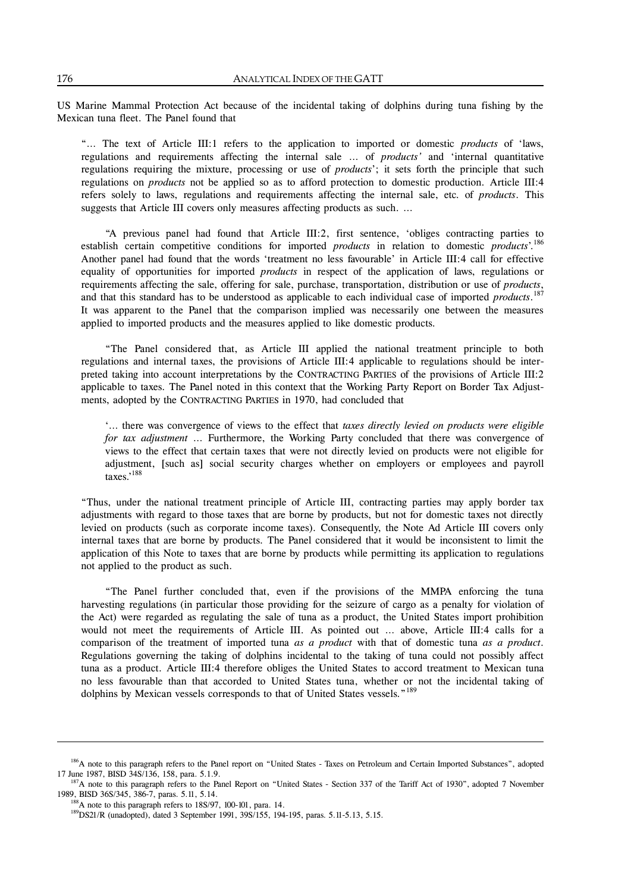US Marine Mammal Protection Act because of the incidental taking of dolphins during tuna fishing by the Mexican tuna fleet. The Panel found that

"… The text of Article III:1 refers to the application to imported or domestic *products* of 'laws, regulations and requirements affecting the internal sale … of *products'* and 'internal quantitative regulations requiring the mixture, processing or use of *products*'; it sets forth the principle that such regulations on *products* not be applied so as to afford protection to domestic production. Article III:4 refers solely to laws, regulations and requirements affecting the internal sale, etc. of *products*. This suggests that Article III covers only measures affecting products as such. …

"A previous panel had found that Article III:2, first sentence, 'obliges contracting parties to establish certain competitive conditions for imported *products* in relation to domestic *products*'.<sup>186</sup> Another panel had found that the words 'treatment no less favourable' in Article III:4 call for effective equality of opportunities for imported *products* in respect of the application of laws, regulations or requirements affecting the sale, offering for sale, purchase, transportation, distribution or use of *products*, and that this standard has to be understood as applicable to each individual case of imported *products*. 187 It was apparent to the Panel that the comparison implied was necessarily one between the measures applied to imported products and the measures applied to like domestic products.

"The Panel considered that, as Article III applied the national treatment principle to both regulations and internal taxes, the provisions of Article III:4 applicable to regulations should be interpreted taking into account interpretations by the CONTRACTING PARTIES of the provisions of Article III:2 applicable to taxes. The Panel noted in this context that the Working Party Report on Border Tax Adjustments, adopted by the CONTRACTING PARTIES in 1970, had concluded that

'… there was convergence of views to the effect that *taxes directly levied on products were eligible for tax adjustment* … Furthermore, the Working Party concluded that there was convergence of views to the effect that certain taxes that were not directly levied on products were not eligible for adjustment, [such as] social security charges whether on employers or employees and payroll taxes.'<sup>188</sup>

"Thus, under the national treatment principle of Article III, contracting parties may apply border tax adjustments with regard to those taxes that are borne by products, but not for domestic taxes not directly levied on products (such as corporate income taxes). Consequently, the Note Ad Article III covers only internal taxes that are borne by products. The Panel considered that it would be inconsistent to limit the application of this Note to taxes that are borne by products while permitting its application to regulations not applied to the product as such.

"The Panel further concluded that, even if the provisions of the MMPA enforcing the tuna harvesting regulations (in particular those providing for the seizure of cargo as a penalty for violation of the Act) were regarded as regulating the sale of tuna as a product, the United States import prohibition would not meet the requirements of Article III. As pointed out … above, Article III:4 calls for a comparison of the treatment of imported tuna *as a product* with that of domestic tuna *as a product*. Regulations governing the taking of dolphins incidental to the taking of tuna could not possibly affect tuna as a product. Article III:4 therefore obliges the United States to accord treatment to Mexican tuna no less favourable than that accorded to United States tuna, whether or not the incidental taking of dolphins by Mexican vessels corresponds to that of United States vessels."<sup>189</sup>

<sup>&</sup>lt;sup>186</sup>A note to this paragraph refers to the Panel report on "United States - Taxes on Petroleum and Certain Imported Substances", adopted 17 June 1987, BISD 34S/136, 158, para. 5.1.9.

<sup>&</sup>lt;sup>187</sup>A note to this paragraph refers to the Panel Report on "United States - Section 337 of the Tariff Act of 1930", adopted 7 November 1989, BISD 36S/345, 386-7, paras. 5.11, 5.14.

<sup>&</sup>lt;sup>188</sup>A note to this paragraph refers to 18S/97, 100-101, para. 14.

<sup>&</sup>lt;sup>189</sup>DS21/R (unadopted), dated 3 September 1991, 39S/155, 194-195, paras. 5.11-5.13, 5.15.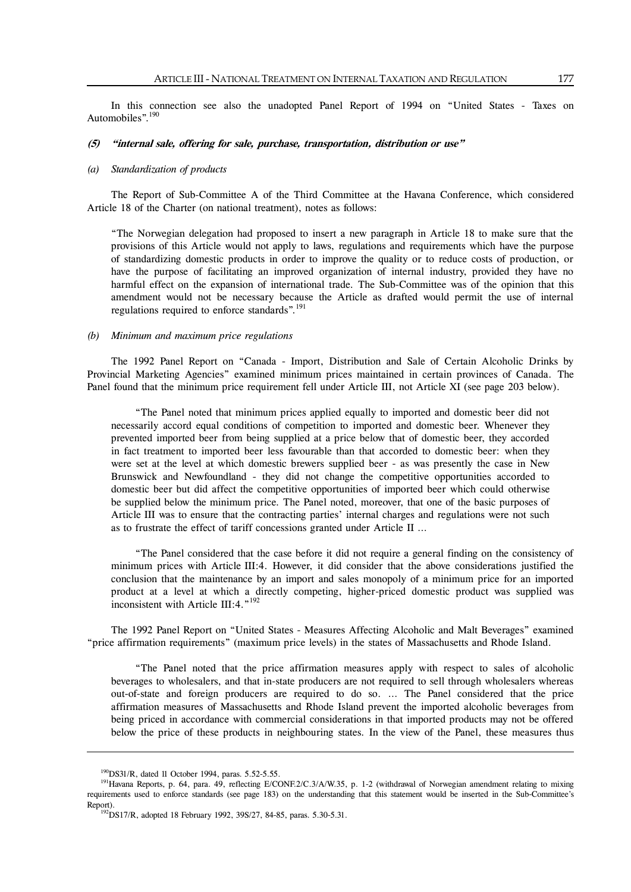In this connection see also the unadopted Panel Report of 1994 on "United States - Taxes on Automobiles".<sup>190</sup>

# **(5) "internal sale, offering for sale, purchase, transportation, distribution or use"**

### *(a) Standardization of products*

The Report of Sub-Committee A of the Third Committee at the Havana Conference, which considered Article 18 of the Charter (on national treatment), notes as follows:

"The Norwegian delegation had proposed to insert a new paragraph in Article 18 to make sure that the provisions of this Article would not apply to laws, regulations and requirements which have the purpose of standardizing domestic products in order to improve the quality or to reduce costs of production, or have the purpose of facilitating an improved organization of internal industry, provided they have no harmful effect on the expansion of international trade. The Sub-Committee was of the opinion that this amendment would not be necessary because the Article as drafted would permit the use of internal regulations required to enforce standards".<sup>191</sup>

### *(b) Minimum and maximum price regulations*

The 1992 Panel Report on "Canada - Import, Distribution and Sale of Certain Alcoholic Drinks by Provincial Marketing Agencies" examined minimum prices maintained in certain provinces of Canada. The Panel found that the minimum price requirement fell under Article III, not Article XI (see page 203 below).

"The Panel noted that minimum prices applied equally to imported and domestic beer did not necessarily accord equal conditions of competition to imported and domestic beer. Whenever they prevented imported beer from being supplied at a price below that of domestic beer, they accorded in fact treatment to imported beer less favourable than that accorded to domestic beer: when they were set at the level at which domestic brewers supplied beer - as was presently the case in New Brunswick and Newfoundland - they did not change the competitive opportunities accorded to domestic beer but did affect the competitive opportunities of imported beer which could otherwise be supplied below the minimum price. The Panel noted, moreover, that one of the basic purposes of Article III was to ensure that the contracting parties' internal charges and regulations were not such as to frustrate the effect of tariff concessions granted under Article II …

"The Panel considered that the case before it did not require a general finding on the consistency of minimum prices with Article III:4. However, it did consider that the above considerations justified the conclusion that the maintenance by an import and sales monopoly of a minimum price for an imported product at a level at which a directly competing, higher-priced domestic product was supplied was inconsistent with Article III:4."<sup>192</sup>

The 1992 Panel Report on "United States - Measures Affecting Alcoholic and Malt Beverages" examined "price affirmation requirements" (maximum price levels) in the states of Massachusetts and Rhode Island.

"The Panel noted that the price affirmation measures apply with respect to sales of alcoholic beverages to wholesalers, and that in-state producers are not required to sell through wholesalers whereas out-of-state and foreign producers are required to do so. … The Panel considered that the price affirmation measures of Massachusetts and Rhode Island prevent the imported alcoholic beverages from being priced in accordance with commercial considerations in that imported products may not be offered below the price of these products in neighbouring states. In the view of the Panel, these measures thus

<sup>190</sup>DS31/R, dated 11 October 1994, paras. 5.52-5.55.

<sup>&</sup>lt;sup>191</sup>Havana Reports, p. 64, para. 49, reflecting E/CONF.2/C.3/A/W.35, p. 1-2 (withdrawal of Norwegian amendment relating to mixing requirements used to enforce standards (see page 183) on the understanding that this statement would be inserted in the Sub-Committee's Report).

 $192$  DS17/R, adopted 18 February 1992, 39S/27, 84-85, paras. 5.30-5.31.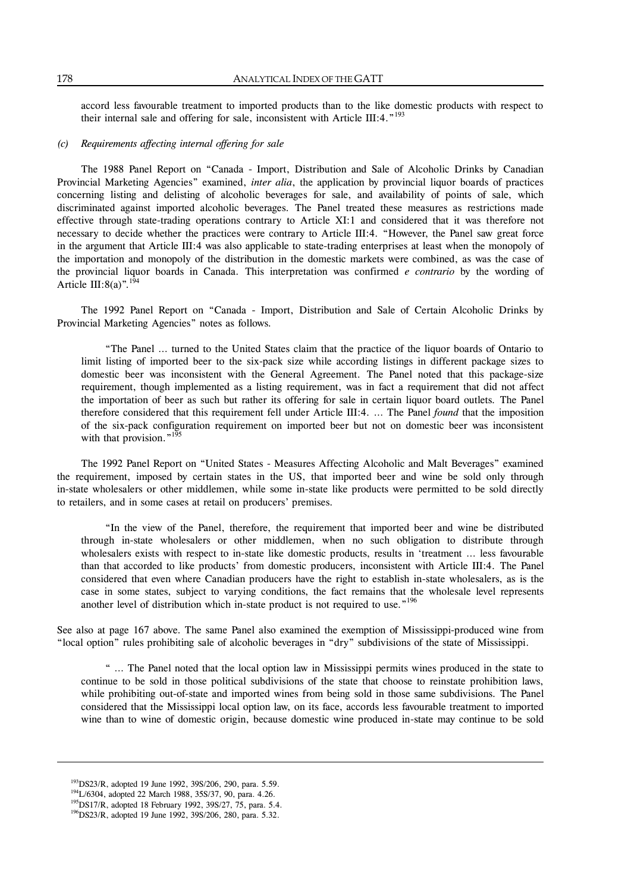accord less favourable treatment to imported products than to the like domestic products with respect to their internal sale and offering for sale, inconsistent with Article III:4."<sup>193</sup>

# *(c) Requirements affecting internal offering for sale*

The 1988 Panel Report on "Canada - Import, Distribution and Sale of Alcoholic Drinks by Canadian Provincial Marketing Agencies" examined, *inter alia*, the application by provincial liquor boards of practices concerning listing and delisting of alcoholic beverages for sale, and availability of points of sale, which discriminated against imported alcoholic beverages. The Panel treated these measures as restrictions made effective through state-trading operations contrary to Article XI:1 and considered that it was therefore not necessary to decide whether the practices were contrary to Article III:4. "However, the Panel saw great force in the argument that Article III:4 was also applicable to state-trading enterprises at least when the monopoly of the importation and monopoly of the distribution in the domestic markets were combined, as was the case of the provincial liquor boards in Canada. This interpretation was confirmed *e contrario* by the wording of Article III:8(a)".<sup>194</sup>

The 1992 Panel Report on "Canada - Import, Distribution and Sale of Certain Alcoholic Drinks by Provincial Marketing Agencies" notes as follows.

"The Panel … turned to the United States claim that the practice of the liquor boards of Ontario to limit listing of imported beer to the six-pack size while according listings in different package sizes to domestic beer was inconsistent with the General Agreement. The Panel noted that this package-size requirement, though implemented as a listing requirement, was in fact a requirement that did not affect the importation of beer as such but rather its offering for sale in certain liquor board outlets. The Panel therefore considered that this requirement fell under Article III:4. … The Panel *found* that the imposition of the six-pack configuration requirement on imported beer but not on domestic beer was inconsistent with that provision."<sup>195</sup>

The 1992 Panel Report on "United States - Measures Affecting Alcoholic and Malt Beverages" examined the requirement, imposed by certain states in the US, that imported beer and wine be sold only through in-state wholesalers or other middlemen, while some in-state like products were permitted to be sold directly to retailers, and in some cases at retail on producers' premises.

"In the view of the Panel, therefore, the requirement that imported beer and wine be distributed through in-state wholesalers or other middlemen, when no such obligation to distribute through wholesalers exists with respect to in-state like domestic products, results in 'treatment ... less favourable than that accorded to like products' from domestic producers, inconsistent with Article III:4. The Panel considered that even where Canadian producers have the right to establish in-state wholesalers, as is the case in some states, subject to varying conditions, the fact remains that the wholesale level represents another level of distribution which in-state product is not required to use.<sup> $n_{196}$ </sup>

See also at page 167 above. The same Panel also examined the exemption of Mississippi-produced wine from "local option" rules prohibiting sale of alcoholic beverages in "dry" subdivisions of the state of Mississippi.

" … The Panel noted that the local option law in Mississippi permits wines produced in the state to continue to be sold in those political subdivisions of the state that choose to reinstate prohibition laws, while prohibiting out-of-state and imported wines from being sold in those same subdivisions. The Panel considered that the Mississippi local option law, on its face, accords less favourable treatment to imported wine than to wine of domestic origin, because domestic wine produced in-state may continue to be sold

<sup>&</sup>lt;sup>193</sup>DS23/R, adopted 19 June 1992, 39S/206, 290, para. 5.59.

<sup>&</sup>lt;sup>194</sup>L/6304, adopted 22 March 1988, 35S/37, 90, para. 4.26.

<sup>&</sup>lt;sup>195</sup>DS17/R, adopted 18 February 1992, 39S/27, 75, para. 5.4.

<sup>196</sup>DS23/R, adopted 19 June 1992, 39S/206, 280, para. 5.32.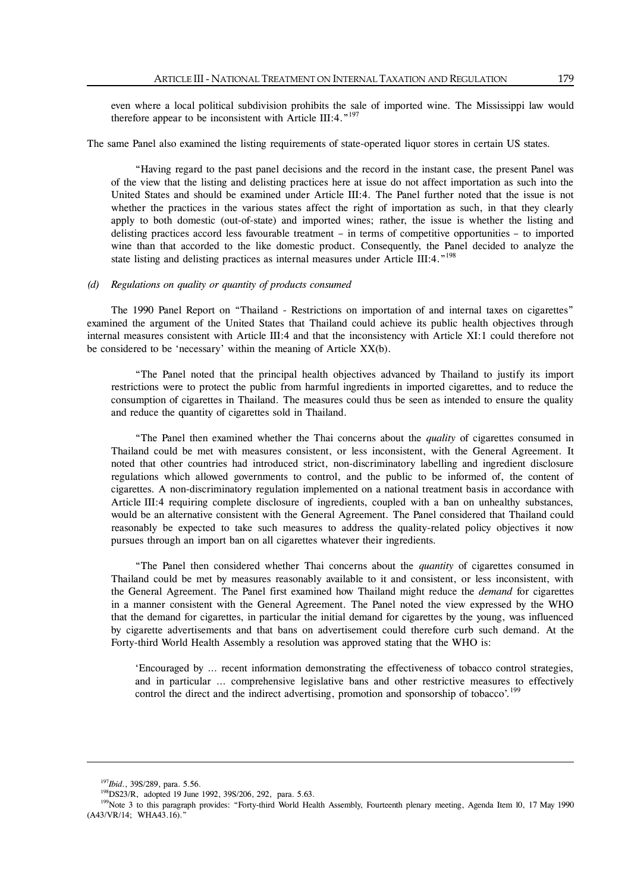even where a local political subdivision prohibits the sale of imported wine. The Mississippi law would therefore appear to be inconsistent with Article III:4."<sup>197</sup>

The same Panel also examined the listing requirements of state-operated liquor stores in certain US states.

"Having regard to the past panel decisions and the record in the instant case, the present Panel was of the view that the listing and delisting practices here at issue do not affect importation as such into the United States and should be examined under Article III:4. The Panel further noted that the issue is not whether the practices in the various states affect the right of importation as such, in that they clearly apply to both domestic (out-of-state) and imported wines; rather, the issue is whether the listing and delisting practices accord less favourable treatment – in terms of competitive opportunities – to imported wine than that accorded to the like domestic product. Consequently, the Panel decided to analyze the state listing and delisting practices as internal measures under Article III:4."<sup>198</sup>

#### *(d) Regulations on quality or quantity of products consumed*

The 1990 Panel Report on "Thailand - Restrictions on importation of and internal taxes on cigarettes" examined the argument of the United States that Thailand could achieve its public health objectives through internal measures consistent with Article III:4 and that the inconsistency with Article XI:1 could therefore not be considered to be 'necessary' within the meaning of Article XX(b).

"The Panel noted that the principal health objectives advanced by Thailand to justify its import restrictions were to protect the public from harmful ingredients in imported cigarettes, and to reduce the consumption of cigarettes in Thailand. The measures could thus be seen as intended to ensure the quality and reduce the quantity of cigarettes sold in Thailand.

"The Panel then examined whether the Thai concerns about the *quality* of cigarettes consumed in Thailand could be met with measures consistent, or less inconsistent, with the General Agreement. It noted that other countries had introduced strict, non-discriminatory labelling and ingredient disclosure regulations which allowed governments to control, and the public to be informed of, the content of cigarettes. A non-discriminatory regulation implemented on a national treatment basis in accordance with Article III:4 requiring complete disclosure of ingredients, coupled with a ban on unhealthy substances, would be an alternative consistent with the General Agreement. The Panel considered that Thailand could reasonably be expected to take such measures to address the quality-related policy objectives it now pursues through an import ban on all cigarettes whatever their ingredients.

"The Panel then considered whether Thai concerns about the *quantity* of cigarettes consumed in Thailand could be met by measures reasonably available to it and consistent, or less inconsistent, with the General Agreement. The Panel first examined how Thailand might reduce the *demand* for cigarettes in a manner consistent with the General Agreement. The Panel noted the view expressed by the WHO that the demand for cigarettes, in particular the initial demand for cigarettes by the young, was influenced by cigarette advertisements and that bans on advertisement could therefore curb such demand. At the Forty-third World Health Assembly a resolution was approved stating that the WHO is:

'Encouraged by … recent information demonstrating the effectiveness of tobacco control strategies, and in particular … comprehensive legislative bans and other restrictive measures to effectively control the direct and the indirect advertising, promotion and sponsorship of tobacco'.<sup>199</sup>

<sup>197</sup>*Ibid.*, 39S/289, para. 5.56.

<sup>198</sup>DS23/R, adopted 19 June 1992, 39S/206, 292, para. 5.63.

<sup>&</sup>lt;sup>199</sup>Note 3 to this paragraph provides: "Forty-third World Health Assembly, Fourteenth plenary meeting, Agenda Item 10, 17 May 1990 (A43/VR/14; WHA43.16)."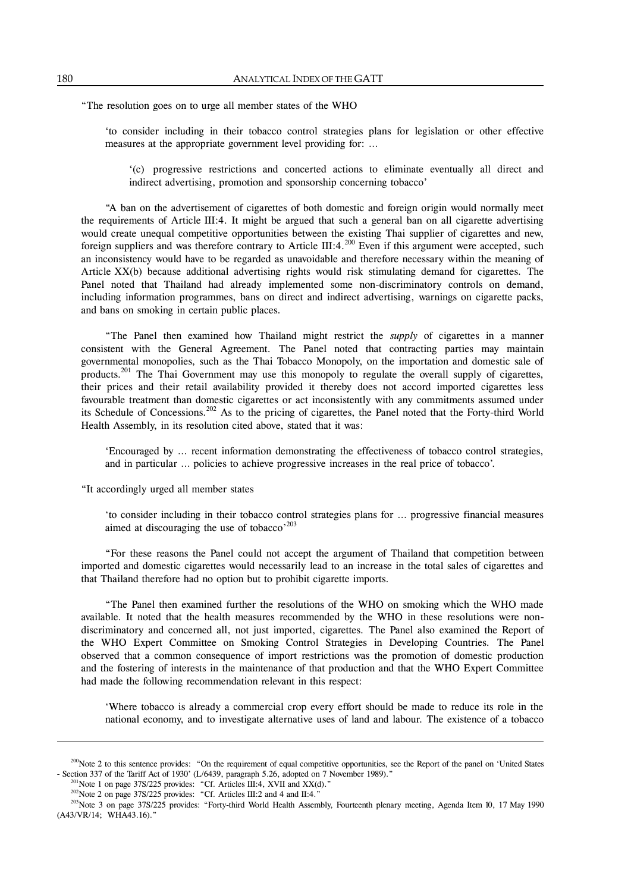"The resolution goes on to urge all member states of the WHO

'to consider including in their tobacco control strategies plans for legislation or other effective measures at the appropriate government level providing for: …

'(c) progressive restrictions and concerted actions to eliminate eventually all direct and indirect advertising, promotion and sponsorship concerning tobacco'

"A ban on the advertisement of cigarettes of both domestic and foreign origin would normally meet the requirements of Article III:4. It might be argued that such a general ban on all cigarette advertising would create unequal competitive opportunities between the existing Thai supplier of cigarettes and new, foreign suppliers and was therefore contrary to Article III:4.<sup>200</sup> Even if this argument were accepted, such an inconsistency would have to be regarded as unavoidable and therefore necessary within the meaning of Article XX(b) because additional advertising rights would risk stimulating demand for cigarettes. The Panel noted that Thailand had already implemented some non-discriminatory controls on demand, including information programmes, bans on direct and indirect advertising, warnings on cigarette packs, and bans on smoking in certain public places.

"The Panel then examined how Thailand might restrict the *supply* of cigarettes in a manner consistent with the General Agreement. The Panel noted that contracting parties may maintain governmental monopolies, such as the Thai Tobacco Monopoly, on the importation and domestic sale of products.<sup>201</sup> The Thai Government may use this monopoly to regulate the overall supply of cigarettes, their prices and their retail availability provided it thereby does not accord imported cigarettes less favourable treatment than domestic cigarettes or act inconsistently with any commitments assumed under its Schedule of Concessions.<sup>202</sup> As to the pricing of cigarettes, the Panel noted that the Forty-third World Health Assembly, in its resolution cited above, stated that it was:

'Encouraged by … recent information demonstrating the effectiveness of tobacco control strategies, and in particular … policies to achieve progressive increases in the real price of tobacco'.

"It accordingly urged all member states

'to consider including in their tobacco control strategies plans for … progressive financial measures aimed at discouraging the use of tobacco<sup>203</sup>

"For these reasons the Panel could not accept the argument of Thailand that competition between imported and domestic cigarettes would necessarily lead to an increase in the total sales of cigarettes and that Thailand therefore had no option but to prohibit cigarette imports.

"The Panel then examined further the resolutions of the WHO on smoking which the WHO made available. It noted that the health measures recommended by the WHO in these resolutions were nondiscriminatory and concerned all, not just imported, cigarettes. The Panel also examined the Report of the WHO Expert Committee on Smoking Control Strategies in Developing Countries. The Panel observed that a common consequence of import restrictions was the promotion of domestic production and the fostering of interests in the maintenance of that production and that the WHO Expert Committee had made the following recommendation relevant in this respect:

'Where tobacco is already a commercial crop every effort should be made to reduce its role in the national economy, and to investigate alternative uses of land and labour. The existence of a tobacco

<sup>&</sup>lt;sup>200</sup>Note 2 to this sentence provides: "On the requirement of equal competitive opportunities, see the Report of the panel on 'United States - Section 337 of the Tariff Act of 1930' (L/6439, paragraph 5.26, adopted on 7 November 1989)."

<sup>&</sup>lt;sup>201</sup>Note 1 on page 37S/225 provides: "Cf. Articles III:4, XVII and XX(d)."

<sup>&</sup>lt;sup>202</sup>Note 2 on page 37S/225 provides: "Cf. Articles III:2 and 4 and II:4."

<sup>&</sup>lt;sup>203</sup>Note 3 on page 37S/225 provides: "Forty-third World Health Assembly, Fourteenth plenary meeting, Agenda Item 10, 17 May 1990 (A43/VR/14; WHA43.16)."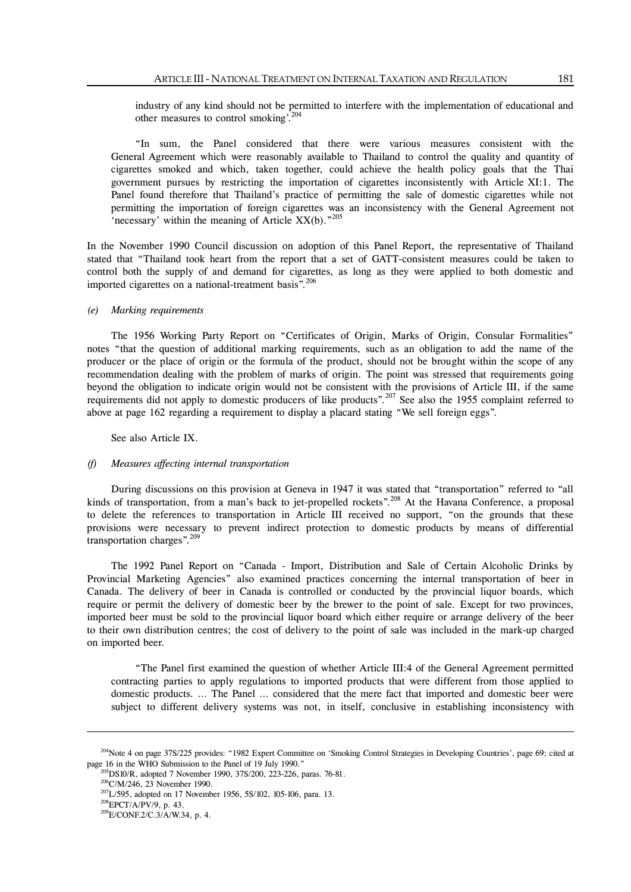industry of any kind should not be permitted to interfere with the implementation of educational and other measures to control smoking'.<sup>204</sup>

"In sum, the Panel considered that there were various measures consistent with the General Agreement which were reasonably available to Thailand to control the quality and quantity of cigarettes smoked and which, taken together, could achieve the health policy goals that the Thai government pursues by restricting the importation of cigarettes inconsistently with Article XI:1. The Panel found therefore that Thailand's practice of permitting the sale of domestic cigarettes while not permitting the importation of foreign cigarettes was an inconsistency with the General Agreement not 'necessary' within the meaning of Article XX(b)."<sup>205</sup>

In the November 1990 Council discussion on adoption of this Panel Report, the representative of Thailand stated that "Thailand took heart from the report that a set of GATT-consistent measures could be taken to control both the supply of and demand for cigarettes, as long as they were applied to both domestic and imported cigarettes on a national-treatment basis".<sup>206</sup>

# *(e) Marking requirements*

The 1956 Working Party Report on "Certificates of Origin, Marks of Origin, Consular Formalities" notes "that the question of additional marking requirements, such as an obligation to add the name of the producer or the place of origin or the formula of the product, should not be brought within the scope of any recommendation dealing with the problem of marks of origin. The point was stressed that requirements going beyond the obligation to indicate origin would not be consistent with the provisions of Article III, if the same requirements did not apply to domestic producers of like products".<sup>207</sup> See also the 1955 complaint referred to above at page 162 regarding a requirement to display a placard stating "We sell foreign eggs".

See also Article IX.

#### *(f) Measures affecting internal transportation*

During discussions on this provision at Geneva in 1947 it was stated that "transportation" referred to "all kinds of transportation, from a man's back to jet-propelled rockets".<sup>208</sup> At the Havana Conference, a proposal to delete the references to transportation in Article III received no support, "on the grounds that these provisions were necessary to prevent indirect protection to domestic products by means of differential transportation charges".<sup>209</sup>

The 1992 Panel Report on "Canada - Import, Distribution and Sale of Certain Alcoholic Drinks by Provincial Marketing Agencies" also examined practices concerning the internal transportation of beer in Canada. The delivery of beer in Canada is controlled or conducted by the provincial liquor boards, which require or permit the delivery of domestic beer by the brewer to the point of sale. Except for two provinces, imported beer must be sold to the provincial liquor board which either require or arrange delivery of the beer to their own distribution centres; the cost of delivery to the point of sale was included in the mark-up charged on imported beer.

"The Panel first examined the question of whether Article III:4 of the General Agreement permitted contracting parties to apply regulations to imported products that were different from those applied to domestic products. … The Panel … considered that the mere fact that imported and domestic beer were subject to different delivery systems was not, in itself, conclusive in establishing inconsistency with

<sup>&</sup>lt;sup>204</sup>Note 4 on page 37S/225 provides: "1982 Expert Committee on 'Smoking Control Strategies in Developing Countries', page 69; cited at page 16 in the WHO Submission to the Panel of 19 July 1990."

 ${}^{05}$ DS10/R, adopted 7 November 1990, 37S/200, 223-226, paras. 76-81.

<sup>&</sup>lt;sup>206</sup>C/M/246, 23 November 1990.

<sup>&</sup>lt;sup>207</sup>L/595, adopted on 17 November 1956, 5S/102, 105-106, para. 13.

<sup>208</sup>EPCT/A/PV/9, p. 43.

<sup>209</sup>E/CONF.2/C.3/A/W.34, p. 4.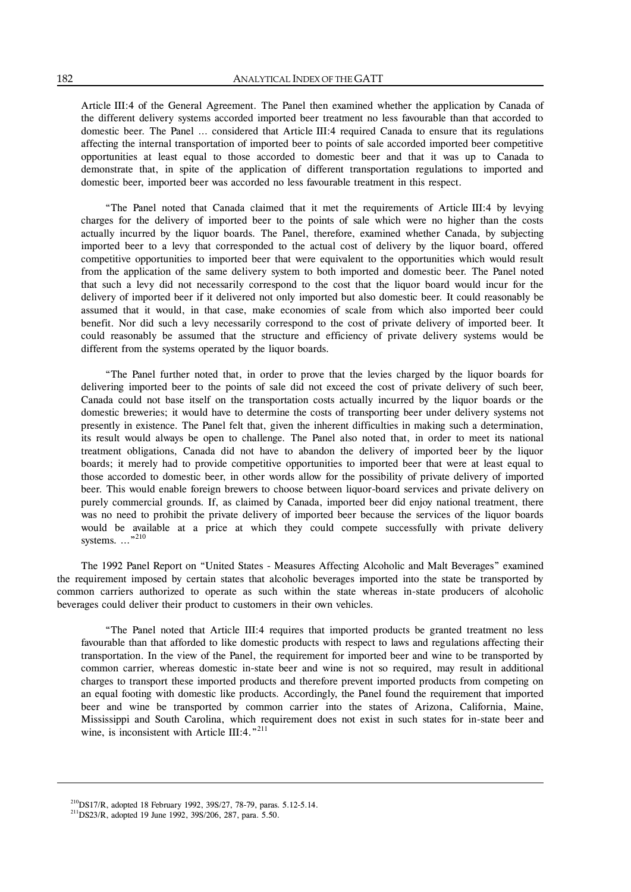Article III:4 of the General Agreement. The Panel then examined whether the application by Canada of the different delivery systems accorded imported beer treatment no less favourable than that accorded to domestic beer. The Panel … considered that Article III:4 required Canada to ensure that its regulations affecting the internal transportation of imported beer to points of sale accorded imported beer competitive opportunities at least equal to those accorded to domestic beer and that it was up to Canada to demonstrate that, in spite of the application of different transportation regulations to imported and domestic beer, imported beer was accorded no less favourable treatment in this respect.

"The Panel noted that Canada claimed that it met the requirements of Article III:4 by levying charges for the delivery of imported beer to the points of sale which were no higher than the costs actually incurred by the liquor boards. The Panel, therefore, examined whether Canada, by subjecting imported beer to a levy that corresponded to the actual cost of delivery by the liquor board, offered competitive opportunities to imported beer that were equivalent to the opportunities which would result from the application of the same delivery system to both imported and domestic beer. The Panel noted that such a levy did not necessarily correspond to the cost that the liquor board would incur for the delivery of imported beer if it delivered not only imported but also domestic beer. It could reasonably be assumed that it would, in that case, make economies of scale from which also imported beer could benefit. Nor did such a levy necessarily correspond to the cost of private delivery of imported beer. It could reasonably be assumed that the structure and efficiency of private delivery systems would be different from the systems operated by the liquor boards.

"The Panel further noted that, in order to prove that the levies charged by the liquor boards for delivering imported beer to the points of sale did not exceed the cost of private delivery of such beer, Canada could not base itself on the transportation costs actually incurred by the liquor boards or the domestic breweries; it would have to determine the costs of transporting beer under delivery systems not presently in existence. The Panel felt that, given the inherent difficulties in making such a determination, its result would always be open to challenge. The Panel also noted that, in order to meet its national treatment obligations, Canada did not have to abandon the delivery of imported beer by the liquor boards; it merely had to provide competitive opportunities to imported beer that were at least equal to those accorded to domestic beer, in other words allow for the possibility of private delivery of imported beer. This would enable foreign brewers to choose between liquor-board services and private delivery on purely commercial grounds. If, as claimed by Canada, imported beer did enjoy national treatment, there was no need to prohibit the private delivery of imported beer because the services of the liquor boards would be available at a price at which they could compete successfully with private delivery systems. …" 210

The 1992 Panel Report on "United States - Measures Affecting Alcoholic and Malt Beverages" examined the requirement imposed by certain states that alcoholic beverages imported into the state be transported by common carriers authorized to operate as such within the state whereas in-state producers of alcoholic beverages could deliver their product to customers in their own vehicles.

"The Panel noted that Article III:4 requires that imported products be granted treatment no less favourable than that afforded to like domestic products with respect to laws and regulations affecting their transportation. In the view of the Panel, the requirement for imported beer and wine to be transported by common carrier, whereas domestic in-state beer and wine is not so required, may result in additional charges to transport these imported products and therefore prevent imported products from competing on an equal footing with domestic like products. Accordingly, the Panel found the requirement that imported beer and wine be transported by common carrier into the states of Arizona, California, Maine, Mississippi and South Carolina, which requirement does not exist in such states for in-state beer and wine, is inconsistent with Article III:4."<sup>211</sup>

<sup>210</sup>DS17/R, adopted 18 February 1992, 39S/27, 78-79, paras. 5.12-5.14.

<sup>211</sup>DS23/R, adopted 19 June 1992, 39S/206, 287, para. 5.50.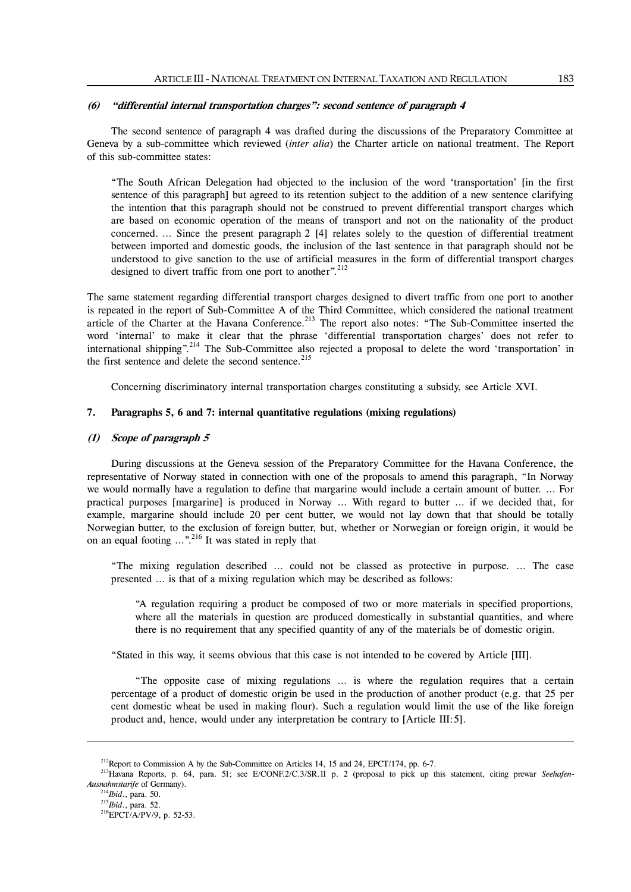#### **(6) "differential internal transportation charges": second sentence of paragraph 4**

The second sentence of paragraph 4 was drafted during the discussions of the Preparatory Committee at Geneva by a sub-committee which reviewed (*inter alia*) the Charter article on national treatment. The Report of this sub-committee states:

"The South African Delegation had objected to the inclusion of the word 'transportation' [in the first sentence of this paragraph] but agreed to its retention subject to the addition of a new sentence clarifying the intention that this paragraph should not be construed to prevent differential transport charges which are based on economic operation of the means of transport and not on the nationality of the product concerned. … Since the present paragraph 2 [4] relates solely to the question of differential treatment between imported and domestic goods, the inclusion of the last sentence in that paragraph should not be understood to give sanction to the use of artificial measures in the form of differential transport charges designed to divert traffic from one port to another". $^{212}$ 

The same statement regarding differential transport charges designed to divert traffic from one port to another is repeated in the report of Sub-Committee A of the Third Committee, which considered the national treatment article of the Charter at the Havana Conference.<sup>213</sup> The report also notes: "The Sub-Committee inserted the word 'internal' to make it clear that the phrase 'differential transportation charges' does not refer to international shipping".<sup>214</sup> The Sub-Committee also rejected a proposal to delete the word 'transportation' in the first sentence and delete the second sentence. $215$ 

Concerning discriminatory internal transportation charges constituting a subsidy, see Article XVI.

### **7. Paragraphs 5, 6 and 7: internal quantitative regulations (mixing regulations)**

# **(1) Scope of paragraph 5**

During discussions at the Geneva session of the Preparatory Committee for the Havana Conference, the representative of Norway stated in connection with one of the proposals to amend this paragraph, "In Norway we would normally have a regulation to define that margarine would include a certain amount of butter. … For practical purposes [margarine] is produced in Norway … With regard to butter … if we decided that, for example, margarine should include 20 per cent butter, we would not lay down that that should be totally Norwegian butter, to the exclusion of foreign butter, but, whether or Norwegian or foreign origin, it would be on an equal footing  $\ldots$ <sup>216</sup> It was stated in reply that

"The mixing regulation described … could not be classed as protective in purpose. … The case presented … is that of a mixing regulation which may be described as follows:

"A regulation requiring a product be composed of two or more materials in specified proportions, where all the materials in question are produced domestically in substantial quantities, and where there is no requirement that any specified quantity of any of the materials be of domestic origin.

"Stated in this way, it seems obvious that this case is not intended to be covered by Article [III].

"The opposite case of mixing regulations … is where the regulation requires that a certain percentage of a product of domestic origin be used in the production of another product (e.g. that 25 per cent domestic wheat be used in making flour). Such a regulation would limit the use of the like foreign product and, hence, would under any interpretation be contrary to [Article III:5].

<sup>&</sup>lt;sup>212</sup>Report to Commission A by the Sub-Committee on Articles 14, 15 and 24, EPCT/174, pp. 6-7.

<sup>213</sup>Havana Reports, p. 64, para. 51; see E/CONF.2/C.3/SR.11 p. 2 (proposal to pick up this statement, citing prewar *Seehafen-Ausnahmstarife* of Germany).

<sup>214</sup>*Ibid*., para. 50. <sup>215</sup>*Ibid*., para. 52. <sup>216</sup>EPCT/A/PV/9, p. 52-53.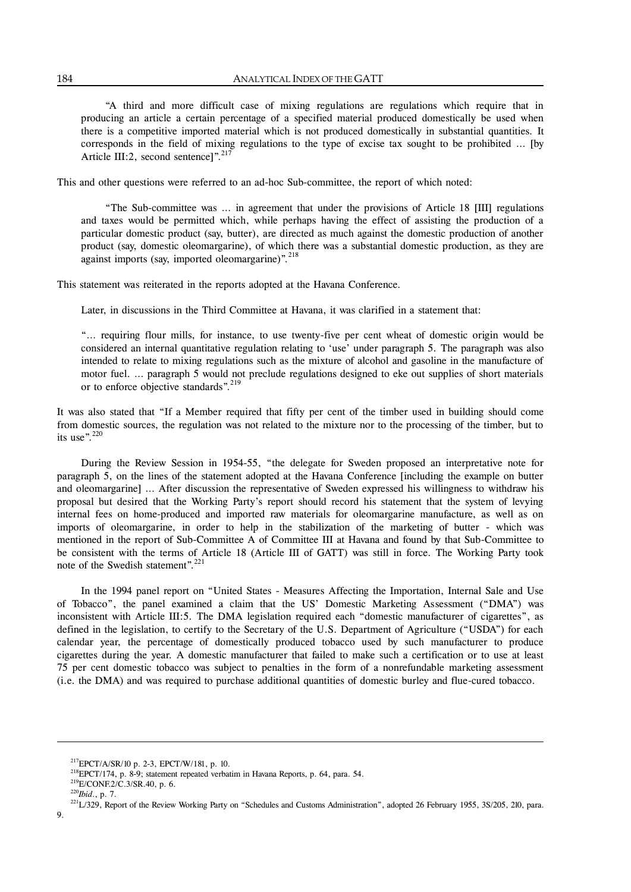"A third and more difficult case of mixing regulations are regulations which require that in producing an article a certain percentage of a specified material produced domestically be used when there is a competitive imported material which is not produced domestically in substantial quantities. It corresponds in the field of mixing regulations to the type of excise tax sought to be prohibited … [by Article III:2, second sentence]".<sup>217</sup>

This and other questions were referred to an ad-hoc Sub-committee, the report of which noted:

"The Sub-committee was … in agreement that under the provisions of Article 18 [III] regulations and taxes would be permitted which, while perhaps having the effect of assisting the production of a particular domestic product (say, butter), are directed as much against the domestic production of another product (say, domestic oleomargarine), of which there was a substantial domestic production, as they are against imports (say, imported oleomargarine)".  $218$ 

This statement was reiterated in the reports adopted at the Havana Conference.

Later, in discussions in the Third Committee at Havana, it was clarified in a statement that:

"… requiring flour mills, for instance, to use twenty-five per cent wheat of domestic origin would be considered an internal quantitative regulation relating to 'use' under paragraph 5. The paragraph was also intended to relate to mixing regulations such as the mixture of alcohol and gasoline in the manufacture of motor fuel. … paragraph 5 would not preclude regulations designed to eke out supplies of short materials or to enforce objective standards".<sup>219</sup>

It was also stated that "If a Member required that fifty per cent of the timber used in building should come from domestic sources, the regulation was not related to the mixture nor to the processing of the timber, but to its use". $220$ 

During the Review Session in 1954-55, "the delegate for Sweden proposed an interpretative note for paragraph 5, on the lines of the statement adopted at the Havana Conference [including the example on butter and oleomargarine] … After discussion the representative of Sweden expressed his willingness to withdraw his proposal but desired that the Working Party's report should record his statement that the system of levying internal fees on home-produced and imported raw materials for oleomargarine manufacture, as well as on imports of oleomargarine, in order to help in the stabilization of the marketing of butter - which was mentioned in the report of Sub-Committee A of Committee III at Havana and found by that Sub-Committee to be consistent with the terms of Article 18 (Article III of GATT) was still in force. The Working Party took note of the Swedish statement".<sup>221</sup>

In the 1994 panel report on "United States - Measures Affecting the Importation, Internal Sale and Use of Tobacco", the panel examined a claim that the US' Domestic Marketing Assessment ("DMA") was inconsistent with Article III:5. The DMA legislation required each "domestic manufacturer of cigarettes", as defined in the legislation, to certify to the Secretary of the U.S. Department of Agriculture ("USDA") for each calendar year, the percentage of domestically produced tobacco used by such manufacturer to produce cigarettes during the year. A domestic manufacturer that failed to make such a certification or to use at least 75 per cent domestic tobacco was subject to penalties in the form of a nonrefundable marketing assessment (i.e. the DMA) and was required to purchase additional quantities of domestic burley and flue-cured tobacco.

 $\overline{a}$ 

9.

<sup>217</sup>EPCT/A/SR/10 p. 2-3, EPCT/W/181, p. 10.

<sup>218</sup>EPCT/174, p. 8-9; statement repeated verbatim in Havana Reports, p. 64, para. 54.

<sup>219</sup>E/CONF.2/C.3/SR.40, p. 6.

<sup>220</sup>*Ibid*., p. 7.

<sup>&</sup>lt;sup>221</sup>L/329, Report of the Review Working Party on "Schedules and Customs Administration", adopted 26 February 1955, 3S/205, 210, para.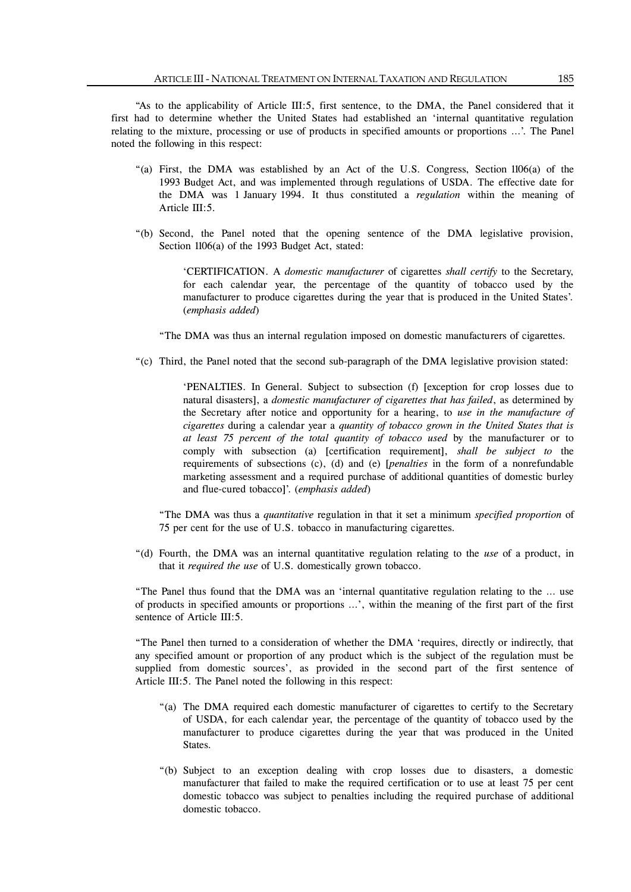"As to the applicability of Article III:5, first sentence, to the DMA, the Panel considered that it first had to determine whether the United States had established an 'internal quantitative regulation relating to the mixture, processing or use of products in specified amounts or proportions …'. The Panel noted the following in this respect:

- "(a) First, the DMA was established by an Act of the U.S. Congress, Section 1106(a) of the 1993 Budget Act, and was implemented through regulations of USDA. The effective date for the DMA was 1 January 1994. It thus constituted a *regulation* within the meaning of Article III:5.
- "(b) Second, the Panel noted that the opening sentence of the DMA legislative provision, Section 1106(a) of the 1993 Budget Act, stated:

'CERTIFICATION. A *domestic manufacturer* of cigarettes *shall certify* to the Secretary, for each calendar year, the percentage of the quantity of tobacco used by the manufacturer to produce cigarettes during the year that is produced in the United States'. (*emphasis added*)

"The DMA was thus an internal regulation imposed on domestic manufacturers of cigarettes.

"(c) Third, the Panel noted that the second sub-paragraph of the DMA legislative provision stated:

'PENALTIES. In General. Subject to subsection (f) [exception for crop losses due to natural disasters], a *domestic manufacturer of cigarettes that has failed*, as determined by the Secretary after notice and opportunity for a hearing, to *use in the manufacture of cigarettes* during a calendar year a *quantity of tobacco grown in the United States that is at least 75 percent of the total quantity of tobacco used* by the manufacturer or to comply with subsection (a) [certification requirement], *shall be subject to* the requirements of subsections (c), (d) and (e) [*penalties* in the form of a nonrefundable marketing assessment and a required purchase of additional quantities of domestic burley and flue-cured tobacco]'. (*emphasis added*)

"The DMA was thus a *quantitative* regulation in that it set a minimum *specified proportion* of 75 per cent for the use of U.S. tobacco in manufacturing cigarettes.

"(d) Fourth, the DMA was an internal quantitative regulation relating to the *use* of a product, in that it *required the use* of U.S. domestically grown tobacco.

"The Panel thus found that the DMA was an 'internal quantitative regulation relating to the … use of products in specified amounts or proportions …', within the meaning of the first part of the first sentence of Article III:5.

"The Panel then turned to a consideration of whether the DMA 'requires, directly or indirectly, that any specified amount or proportion of any product which is the subject of the regulation must be supplied from domestic sources', as provided in the second part of the first sentence of Article III:5. The Panel noted the following in this respect:

- "(a) The DMA required each domestic manufacturer of cigarettes to certify to the Secretary of USDA, for each calendar year, the percentage of the quantity of tobacco used by the manufacturer to produce cigarettes during the year that was produced in the United States.
- "(b) Subject to an exception dealing with crop losses due to disasters, a domestic manufacturer that failed to make the required certification or to use at least 75 per cent domestic tobacco was subject to penalties including the required purchase of additional domestic tobacco.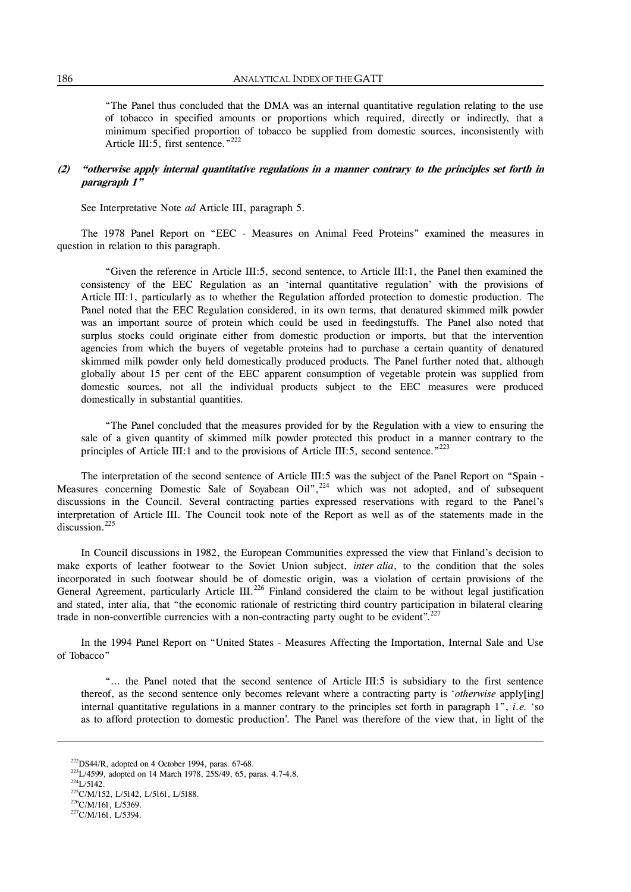"The Panel thus concluded that the DMA was an internal quantitative regulation relating to the use of tobacco in specified amounts or proportions which required, directly or indirectly, that a minimum specified proportion of tobacco be supplied from domestic sources, inconsistently with Article III:5, first sentence."<sup>222</sup>

# **(2) "otherwise apply internal quantitative regulations in a manner contrary to the principles set forth in paragraph 1"**

See Interpretative Note *ad* Article III, paragraph 5.

The 1978 Panel Report on "EEC - Measures on Animal Feed Proteins" examined the measures in question in relation to this paragraph.

"Given the reference in Article III:5, second sentence, to Article III:1, the Panel then examined the consistency of the EEC Regulation as an 'internal quantitative regulation' with the provisions of Article III:1, particularly as to whether the Regulation afforded protection to domestic production. The Panel noted that the EEC Regulation considered, in its own terms, that denatured skimmed milk powder was an important source of protein which could be used in feedingstuffs. The Panel also noted that surplus stocks could originate either from domestic production or imports, but that the intervention agencies from which the buyers of vegetable proteins had to purchase a certain quantity of denatured skimmed milk powder only held domestically produced products. The Panel further noted that, although globally about 15 per cent of the EEC apparent consumption of vegetable protein was supplied from domestic sources, not all the individual products subject to the EEC measures were produced domestically in substantial quantities.

"The Panel concluded that the measures provided for by the Regulation with a view to ensuring the sale of a given quantity of skimmed milk powder protected this product in a manner contrary to the principles of Article III:1 and to the provisions of Article III:5, second sentence."<sup>223</sup>

The interpretation of the second sentence of Article III:5 was the subject of the Panel Report on "Spain - Measures concerning Domestic Sale of Soyabean Oil",  $^{224}$  which was not adopted, and of subsequent discussions in the Council. Several contracting parties expressed reservations with regard to the Panel's interpretation of Article III. The Council took note of the Report as well as of the statements made in the discussion.<sup>225</sup>

In Council discussions in 1982, the European Communities expressed the view that Finland's decision to make exports of leather footwear to the Soviet Union subject, *inter alia*, to the condition that the soles incorporated in such footwear should be of domestic origin, was a violation of certain provisions of the General Agreement, particularly Article III.<sup>226</sup> Finland considered the claim to be without legal justification and stated, inter alia, that "the economic rationale of restricting third country participation in bilateral clearing trade in non-convertible currencies with a non-contracting party ought to be evident".<sup>227</sup>

In the 1994 Panel Report on "United States - Measures Affecting the Importation, Internal Sale and Use of Tobacco"

"… the Panel noted that the second sentence of Article III:5 is subsidiary to the first sentence thereof, as the second sentence only becomes relevant where a contracting party is '*otherwise* apply[ing] internal quantitative regulations in a manner contrary to the principles set forth in paragraph 1", *i.e.* 'so as to afford protection to domestic production'. The Panel was therefore of the view that, in light of the

 $222$ DS44/R, adopted on 4 October 1994, paras. 67-68.

<sup>&</sup>lt;sup>223</sup>L/4599, adopted on 14 March 1978, 25S/49, 65, paras. 4.7-4.8.

 $^{224}L/5142.$ 

<sup>225</sup>C/M/152, L/5142, L/5161, L/5188.

 $226$ C/M/161, L/5369.  $227C/M/161, L/5394.$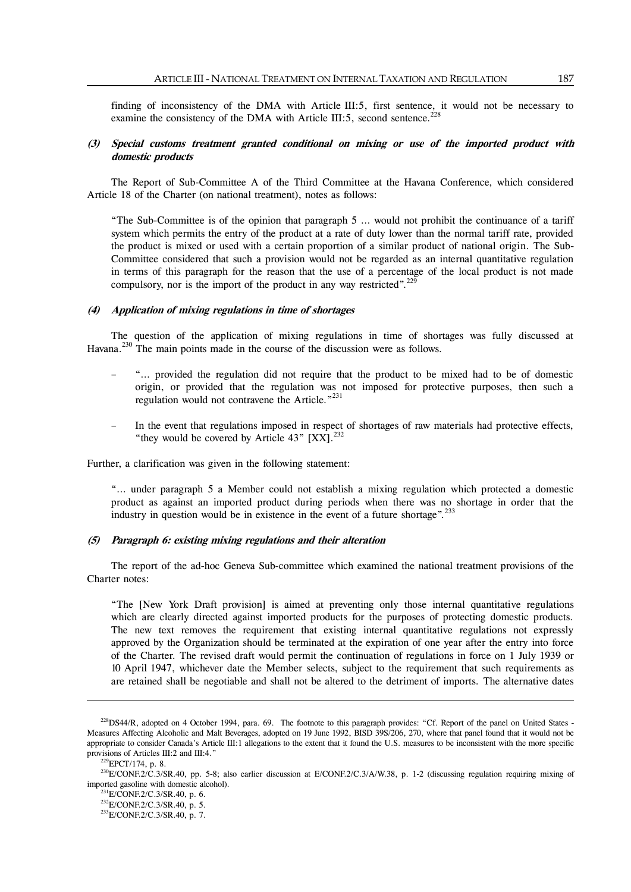finding of inconsistency of the DMA with Article III:5, first sentence, it would not be necessary to examine the consistency of the DMA with Article III:5, second sentence.<sup>228</sup>

# **(3) Special customs treatment granted conditional on mixing or use of the imported product with domestic products**

The Report of Sub-Committee A of the Third Committee at the Havana Conference, which considered Article 18 of the Charter (on national treatment), notes as follows:

"The Sub-Committee is of the opinion that paragraph 5 … would not prohibit the continuance of a tariff system which permits the entry of the product at a rate of duty lower than the normal tariff rate, provided the product is mixed or used with a certain proportion of a similar product of national origin. The Sub-Committee considered that such a provision would not be regarded as an internal quantitative regulation in terms of this paragraph for the reason that the use of a percentage of the local product is not made compulsory, nor is the import of the product in any way restricted".<sup>229</sup>

# **(4) Application of mixing regulations in time of shortages**

The question of the application of mixing regulations in time of shortages was fully discussed at Havana.<sup>230</sup> The main points made in the course of the discussion were as follows.

- "… provided the regulation did not require that the product to be mixed had to be of domestic origin, or provided that the regulation was not imposed for protective purposes, then such a regulation would not contravene the Article."<sup>231</sup>
- In the event that regulations imposed in respect of shortages of raw materials had protective effects, "they would be covered by Article  $43$ " [XX].<sup>232</sup>

Further, a clarification was given in the following statement:

"… under paragraph 5 a Member could not establish a mixing regulation which protected a domestic product as against an imported product during periods when there was no shortage in order that the industry in question would be in existence in the event of a future shortage". $^{233}$ 

## **(5) Paragraph 6: existing mixing regulations and their alteration**

The report of the ad-hoc Geneva Sub-committee which examined the national treatment provisions of the Charter notes:

"The [New York Draft provision] is aimed at preventing only those internal quantitative regulations which are clearly directed against imported products for the purposes of protecting domestic products. The new text removes the requirement that existing internal quantitative regulations not expressly approved by the Organization should be terminated at the expiration of one year after the entry into force of the Charter. The revised draft would permit the continuation of regulations in force on 1 July 1939 or 10 April 1947, whichever date the Member selects, subject to the requirement that such requirements as are retained shall be negotiable and shall not be altered to the detriment of imports. The alternative dates

 $\overline{a}$ 

<sup>232</sup>E/CONF.2/C.3/SR.40, p. 5.

<sup>&</sup>lt;sup>228</sup>DS44/R, adopted on 4 October 1994, para. 69. The footnote to this paragraph provides: "Cf. Report of the panel on United States -Measures Affecting Alcoholic and Malt Beverages, adopted on 19 June 1992, BISD 39S/206, 270, where that panel found that it would not be appropriate to consider Canada's Article III:1 allegations to the extent that it found the U.S. measures to be inconsistent with the more specific provisions of Articles III:2 and III:4."

<sup>229</sup>EPCT/174, p. 8.

 $^{230}$ E/CONF.2/C.3/SR.40, pp. 5-8; also earlier discussion at E/CONF.2/C.3/A/W.38, p. 1-2 (discussing regulation requiring mixing of imported gasoline with domestic alcohol).

 $^{231}E/CONF.2/C.3/SR.40$ , p. 6.

<sup>233</sup>E/CONF.2/C.3/SR.40, p. 7.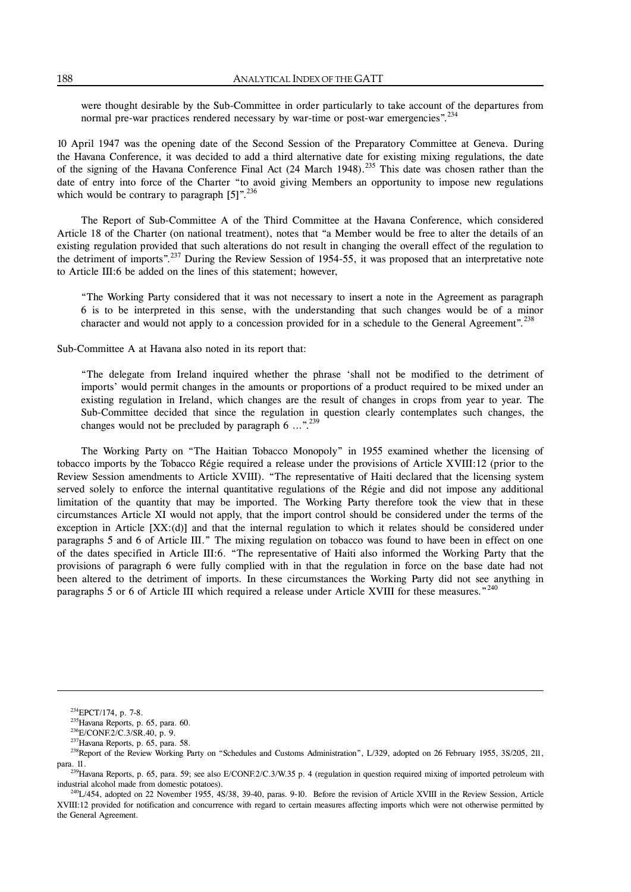were thought desirable by the Sub-Committee in order particularly to take account of the departures from normal pre-war practices rendered necessary by war-time or post-war emergencies".<sup>234</sup>

10 April 1947 was the opening date of the Second Session of the Preparatory Committee at Geneva. During the Havana Conference, it was decided to add a third alternative date for existing mixing regulations, the date of the signing of the Havana Conference Final Act (24 March 1948).<sup>235</sup> This date was chosen rather than the date of entry into force of the Charter "to avoid giving Members an opportunity to impose new regulations which would be contrary to paragraph  $[5]$ ".<sup>236</sup>

The Report of Sub-Committee A of the Third Committee at the Havana Conference, which considered Article 18 of the Charter (on national treatment), notes that "a Member would be free to alter the details of an existing regulation provided that such alterations do not result in changing the overall effect of the regulation to the detriment of imports".<sup>237</sup> During the Review Session of 1954-55, it was proposed that an interpretative note to Article III:6 be added on the lines of this statement; however,

"The Working Party considered that it was not necessary to insert a note in the Agreement as paragraph 6 is to be interpreted in this sense, with the understanding that such changes would be of a minor character and would not apply to a concession provided for in a schedule to the General Agreement".<sup>238</sup>

Sub-Committee A at Havana also noted in its report that:

"The delegate from Ireland inquired whether the phrase 'shall not be modified to the detriment of imports' would permit changes in the amounts or proportions of a product required to be mixed under an existing regulation in Ireland, which changes are the result of changes in crops from year to year. The Sub-Committee decided that since the regulation in question clearly contemplates such changes, the changes would not be precluded by paragraph 6  $\dots$ <sup>239</sup>

The Working Party on "The Haitian Tobacco Monopoly" in 1955 examined whether the licensing of tobacco imports by the Tobacco Régie required a release under the provisions of Article XVIII:12 (prior to the Review Session amendments to Article XVIII). "The representative of Haiti declared that the licensing system served solely to enforce the internal quantitative regulations of the Régie and did not impose any additional limitation of the quantity that may be imported. The Working Party therefore took the view that in these circumstances Article XI would not apply, that the import control should be considered under the terms of the exception in Article [XX:(d)] and that the internal regulation to which it relates should be considered under paragraphs 5 and 6 of Article III." The mixing regulation on tobacco was found to have been in effect on one of the dates specified in Article III:6. "The representative of Haiti also informed the Working Party that the provisions of paragraph 6 were fully complied with in that the regulation in force on the base date had not been altered to the detriment of imports. In these circumstances the Working Party did not see anything in paragraphs 5 or 6 of Article III which required a release under Article XVIII for these measures."<sup>240</sup>

<sup>234</sup>EPCT/174, p. 7-8.

<sup>&</sup>lt;sup>235</sup>Havana Reports, p. 65, para. 60.

<sup>236</sup>E/CONF.2/C.3/SR.40, p. 9.

<sup>&</sup>lt;sup>237</sup>Havana Reports, p. 65, para. 58

<sup>&</sup>lt;sup>238</sup>Report of the Review Working Party on "Schedules and Customs Administration", L/329, adopted on 26 February 1955, 3S/205, 211, para. 11.

<sup>&</sup>lt;sup>239</sup>Havana Reports, p. 65, para. 59; see also E/CONF.2/C.3/W.35 p. 4 (regulation in question required mixing of imported petroleum with industrial alcohol made from domestic potatoes).

<sup>&</sup>lt;sup>240</sup>L/454, adopted on 22 November 1955, 4S/38, 39-40, paras. 9-10. Before the revision of Article XVIII in the Review Session, Article XVIII:12 provided for notification and concurrence with regard to certain measures affecting imports which were not otherwise permitted by the General Agreement.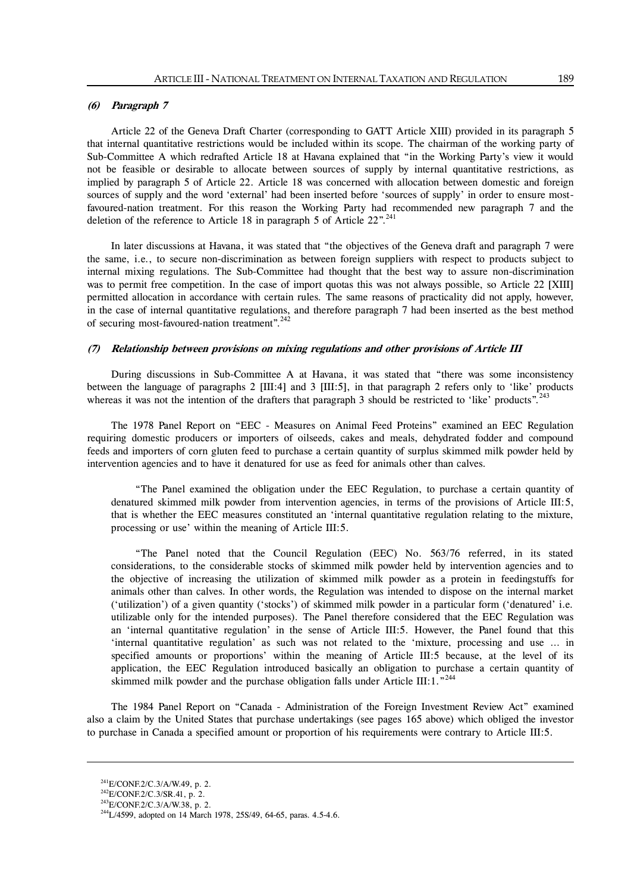# **(6) Paragraph 7**

Article 22 of the Geneva Draft Charter (corresponding to GATT Article XIII) provided in its paragraph 5 that internal quantitative restrictions would be included within its scope. The chairman of the working party of Sub-Committee A which redrafted Article 18 at Havana explained that "in the Working Party's view it would not be feasible or desirable to allocate between sources of supply by internal quantitative restrictions, as implied by paragraph 5 of Article 22. Article 18 was concerned with allocation between domestic and foreign sources of supply and the word 'external' had been inserted before 'sources of supply' in order to ensure mostfavoured-nation treatment. For this reason the Working Party had recommended new paragraph 7 and the deletion of the reference to Article 18 in paragraph 5 of Article  $22^{n}$ .<sup>241</sup>

In later discussions at Havana, it was stated that "the objectives of the Geneva draft and paragraph 7 were the same, i.e., to secure non-discrimination as between foreign suppliers with respect to products subject to internal mixing regulations. The Sub-Committee had thought that the best way to assure non-discrimination was to permit free competition. In the case of import quotas this was not always possible, so Article 22 [XIII] permitted allocation in accordance with certain rules. The same reasons of practicality did not apply, however, in the case of internal quantitative regulations, and therefore paragraph 7 had been inserted as the best method of securing most-favoured-nation treatment".<sup>242</sup>

# **(7) Relationship between provisions on mixing regulations and other provisions of Article III**

During discussions in Sub-Committee A at Havana, it was stated that "there was some inconsistency between the language of paragraphs 2 [III:4] and 3 [III:5], in that paragraph 2 refers only to 'like' products whereas it was not the intention of the drafters that paragraph 3 should be restricted to 'like' products".<sup>243</sup>

The 1978 Panel Report on "EEC - Measures on Animal Feed Proteins" examined an EEC Regulation requiring domestic producers or importers of oilseeds, cakes and meals, dehydrated fodder and compound feeds and importers of corn gluten feed to purchase a certain quantity of surplus skimmed milk powder held by intervention agencies and to have it denatured for use as feed for animals other than calves.

"The Panel examined the obligation under the EEC Regulation, to purchase a certain quantity of denatured skimmed milk powder from intervention agencies, in terms of the provisions of Article III:5, that is whether the EEC measures constituted an 'internal quantitative regulation relating to the mixture, processing or use' within the meaning of Article III:5.

"The Panel noted that the Council Regulation (EEC) No. 563/76 referred, in its stated considerations, to the considerable stocks of skimmed milk powder held by intervention agencies and to the objective of increasing the utilization of skimmed milk powder as a protein in feedingstuffs for animals other than calves. In other words, the Regulation was intended to dispose on the internal market ('utilization') of a given quantity ('stocks') of skimmed milk powder in a particular form ('denatured' i.e. utilizable only for the intended purposes). The Panel therefore considered that the EEC Regulation was an 'internal quantitative regulation' in the sense of Article III:5. However, the Panel found that this 'internal quantitative regulation' as such was not related to the 'mixture, processing and use … in specified amounts or proportions' within the meaning of Article III:5 because, at the level of its application, the EEC Regulation introduced basically an obligation to purchase a certain quantity of skimmed milk powder and the purchase obligation falls under Article III:1. $^{244}$ 

The 1984 Panel Report on "Canada - Administration of the Foreign Investment Review Act" examined also a claim by the United States that purchase undertakings (see pages 165 above) which obliged the investor to purchase in Canada a specified amount or proportion of his requirements were contrary to Article III:5.

<sup>241</sup>E/CONF.2/C.3/A/W.49, p. 2.

 $^{242}E/CONF.2/C.3/SR.41, p. 2.$ 

<sup>243</sup>E/CONF.2/C.3/A/W.38, p. 2.

<sup>&</sup>lt;sup>244</sup>L/4599, adopted on 14 March 1978, 25S/49, 64-65, paras. 4.5-4.6.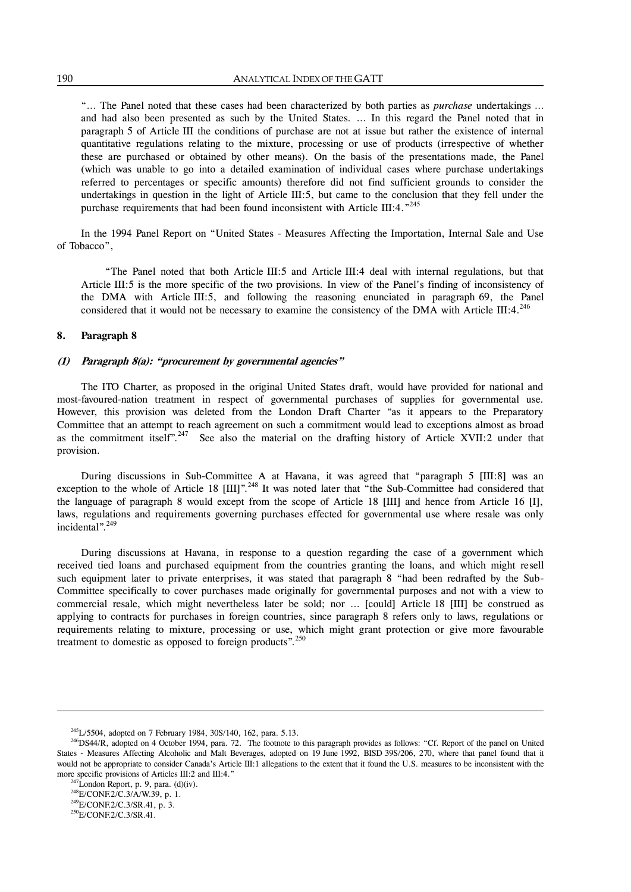"… The Panel noted that these cases had been characterized by both parties as *purchase* undertakings … and had also been presented as such by the United States. … In this regard the Panel noted that in paragraph 5 of Article III the conditions of purchase are not at issue but rather the existence of internal quantitative regulations relating to the mixture, processing or use of products (irrespective of whether these are purchased or obtained by other means). On the basis of the presentations made, the Panel (which was unable to go into a detailed examination of individual cases where purchase undertakings referred to percentages or specific amounts) therefore did not find sufficient grounds to consider the undertakings in question in the light of Article III:5, but came to the conclusion that they fell under the purchase requirements that had been found inconsistent with Article III:4."245

In the 1994 Panel Report on "United States - Measures Affecting the Importation, Internal Sale and Use of Tobacco",

"The Panel noted that both Article III:5 and Article III:4 deal with internal regulations, but that Article III:5 is the more specific of the two provisions. In view of the Panel's finding of inconsistency of the DMA with Article III:5, and following the reasoning enunciated in paragraph 69, the Panel considered that it would not be necessary to examine the consistency of the DMA with Article III:4.<sup>246</sup>

### **8. Paragraph 8**

### **(1) Paragraph 8(a): "procurement by governmental agencies"**

The ITO Charter, as proposed in the original United States draft, would have provided for national and most-favoured-nation treatment in respect of governmental purchases of supplies for governmental use. However, this provision was deleted from the London Draft Charter "as it appears to the Preparatory Committee that an attempt to reach agreement on such a commitment would lead to exceptions almost as broad as the commitment itself".<sup>247</sup> See also the material on the drafting history of Article XVII:2 under that provision.

During discussions in Sub-Committee A at Havana, it was agreed that "paragraph 5 [III:8] was an exception to the whole of Article 18 [III]".<sup>248</sup> It was noted later that "the Sub-Committee had considered that the language of paragraph 8 would except from the scope of Article 18 [III] and hence from Article 16 [I], laws, regulations and requirements governing purchases effected for governmental use where resale was only incidental".<sup>249</sup>

During discussions at Havana, in response to a question regarding the case of a government which received tied loans and purchased equipment from the countries granting the loans, and which might resell such equipment later to private enterprises, it was stated that paragraph 8 "had been redrafted by the Sub-Committee specifically to cover purchases made originally for governmental purposes and not with a view to commercial resale, which might nevertheless later be sold; nor … [could] Article 18 [III] be construed as applying to contracts for purchases in foreign countries, since paragraph 8 refers only to laws, regulations or requirements relating to mixture, processing or use, which might grant protection or give more favourable treatment to domestic as opposed to foreign products".<sup>250</sup>

<sup>245</sup>L/5504, adopted on 7 February 1984, 30S/140, 162, para. 5.13.

<sup>&</sup>lt;sup>246</sup>DS44/R, adopted on 4 October 1994, para. 72. The footnote to this paragraph provides as follows: "Cf. Report of the panel on United States - Measures Affecting Alcoholic and Malt Beverages, adopted on 19 June 1992, BISD 39S/206, 270, where that panel found that it would not be appropriate to consider Canada's Article III:1 allegations to the extent that it found the U.S. measures to be inconsistent with the more specific provisions of Articles III:2 and III:4."

 $247$ London Report, p. 9, para. (d)(iv).

<sup>248</sup>E/CONF.2/C.3/A/W.39, p. 1.

<sup>249</sup>E/CONF.2/C.3/SR.41, p. 3.

 $^{250}$ E/CONF.2/C.3/SR.41.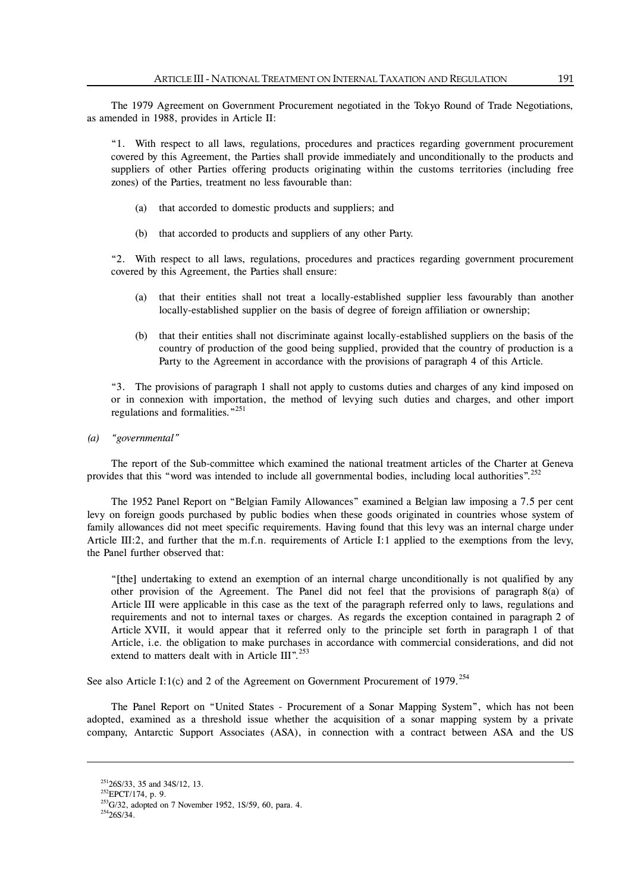The 1979 Agreement on Government Procurement negotiated in the Tokyo Round of Trade Negotiations, as amended in 1988, provides in Article II:

"1. With respect to all laws, regulations, procedures and practices regarding government procurement covered by this Agreement, the Parties shall provide immediately and unconditionally to the products and suppliers of other Parties offering products originating within the customs territories (including free zones) of the Parties, treatment no less favourable than:

- (a) that accorded to domestic products and suppliers; and
- (b) that accorded to products and suppliers of any other Party.

"2. With respect to all laws, regulations, procedures and practices regarding government procurement covered by this Agreement, the Parties shall ensure:

- (a) that their entities shall not treat a locally-established supplier less favourably than another locally-established supplier on the basis of degree of foreign affiliation or ownership;
- (b) that their entities shall not discriminate against locally-established suppliers on the basis of the country of production of the good being supplied, provided that the country of production is a Party to the Agreement in accordance with the provisions of paragraph 4 of this Article.

"3. The provisions of paragraph 1 shall not apply to customs duties and charges of any kind imposed on or in connexion with importation, the method of levying such duties and charges, and other import regulations and formalities."<sup>251</sup>

## *(a) "governmental"*

The report of the Sub-committee which examined the national treatment articles of the Charter at Geneva provides that this "word was intended to include all governmental bodies, including local authorities". <sup>252</sup>

The 1952 Panel Report on "Belgian Family Allowances" examined a Belgian law imposing a 7.5 per cent levy on foreign goods purchased by public bodies when these goods originated in countries whose system of family allowances did not meet specific requirements. Having found that this levy was an internal charge under Article III:2, and further that the m.f.n. requirements of Article I:1 applied to the exemptions from the levy, the Panel further observed that:

"[the] undertaking to extend an exemption of an internal charge unconditionally is not qualified by any other provision of the Agreement. The Panel did not feel that the provisions of paragraph 8(a) of Article III were applicable in this case as the text of the paragraph referred only to laws, regulations and requirements and not to internal taxes or charges. As regards the exception contained in paragraph 2 of Article XVII, it would appear that it referred only to the principle set forth in paragraph 1 of that Article, i.e. the obligation to make purchases in accordance with commercial considerations, and did not extend to matters dealt with in Article III".<sup>253</sup>

See also Article I:1(c) and 2 of the Agreement on Government Procurement of 1979.<sup>254</sup>

The Panel Report on "United States - Procurement of a Sonar Mapping System", which has not been adopted, examined as a threshold issue whether the acquisition of a sonar mapping system by a private company, Antarctic Support Associates (ASA), in connection with a contract between ASA and the US

<sup>&</sup>lt;sup>251</sup>26S/33, 35 and 34S/12, 13.

<sup>&</sup>lt;sup>252</sup>EPCT/174, p. 9.

 $^{253}$ G/32, adopted on 7 November 1952, 1S/59, 60, para. 4.

 $25426S/34.$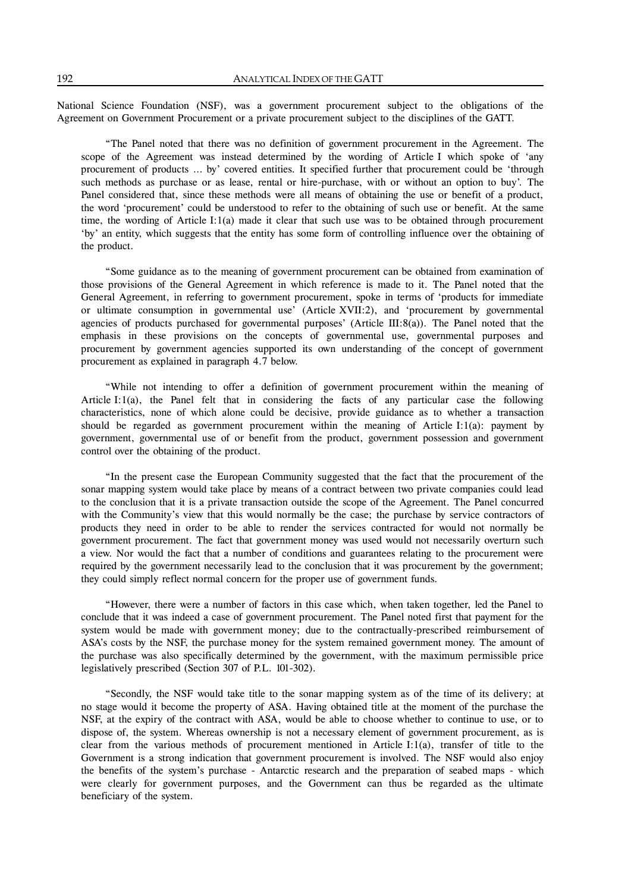National Science Foundation (NSF), was a government procurement subject to the obligations of the Agreement on Government Procurement or a private procurement subject to the disciplines of the GATT.

"The Panel noted that there was no definition of government procurement in the Agreement. The scope of the Agreement was instead determined by the wording of Article I which spoke of 'any procurement of products … by' covered entities. It specified further that procurement could be 'through such methods as purchase or as lease, rental or hire-purchase, with or without an option to buy'. The Panel considered that, since these methods were all means of obtaining the use or benefit of a product, the word 'procurement' could be understood to refer to the obtaining of such use or benefit. At the same time, the wording of Article  $I:1(a)$  made it clear that such use was to be obtained through procurement 'by' an entity, which suggests that the entity has some form of controlling influence over the obtaining of the product.

"Some guidance as to the meaning of government procurement can be obtained from examination of those provisions of the General Agreement in which reference is made to it. The Panel noted that the General Agreement, in referring to government procurement, spoke in terms of 'products for immediate or ultimate consumption in governmental use' (Article XVII:2), and 'procurement by governmental agencies of products purchased for governmental purposes' (Article III:8(a)). The Panel noted that the emphasis in these provisions on the concepts of governmental use, governmental purposes and procurement by government agencies supported its own understanding of the concept of government procurement as explained in paragraph 4.7 below.

"While not intending to offer a definition of government procurement within the meaning of Article I:1(a), the Panel felt that in considering the facts of any particular case the following characteristics, none of which alone could be decisive, provide guidance as to whether a transaction should be regarded as government procurement within the meaning of Article I:1(a): payment by government, governmental use of or benefit from the product, government possession and government control over the obtaining of the product.

"In the present case the European Community suggested that the fact that the procurement of the sonar mapping system would take place by means of a contract between two private companies could lead to the conclusion that it is a private transaction outside the scope of the Agreement. The Panel concurred with the Community's view that this would normally be the case; the purchase by service contractors of products they need in order to be able to render the services contracted for would not normally be government procurement. The fact that government money was used would not necessarily overturn such a view. Nor would the fact that a number of conditions and guarantees relating to the procurement were required by the government necessarily lead to the conclusion that it was procurement by the government; they could simply reflect normal concern for the proper use of government funds.

"However, there were a number of factors in this case which, when taken together, led the Panel to conclude that it was indeed a case of government procurement. The Panel noted first that payment for the system would be made with government money; due to the contractually-prescribed reimbursement of ASA's costs by the NSF, the purchase money for the system remained government money. The amount of the purchase was also specifically determined by the government, with the maximum permissible price legislatively prescribed (Section 307 of P.L. 101-302).

"Secondly, the NSF would take title to the sonar mapping system as of the time of its delivery; at no stage would it become the property of ASA. Having obtained title at the moment of the purchase the NSF, at the expiry of the contract with ASA, would be able to choose whether to continue to use, or to dispose of, the system. Whereas ownership is not a necessary element of government procurement, as is clear from the various methods of procurement mentioned in Article I:1(a), transfer of title to the Government is a strong indication that government procurement is involved. The NSF would also enjoy the benefits of the system's purchase - Antarctic research and the preparation of seabed maps - which were clearly for government purposes, and the Government can thus be regarded as the ultimate beneficiary of the system.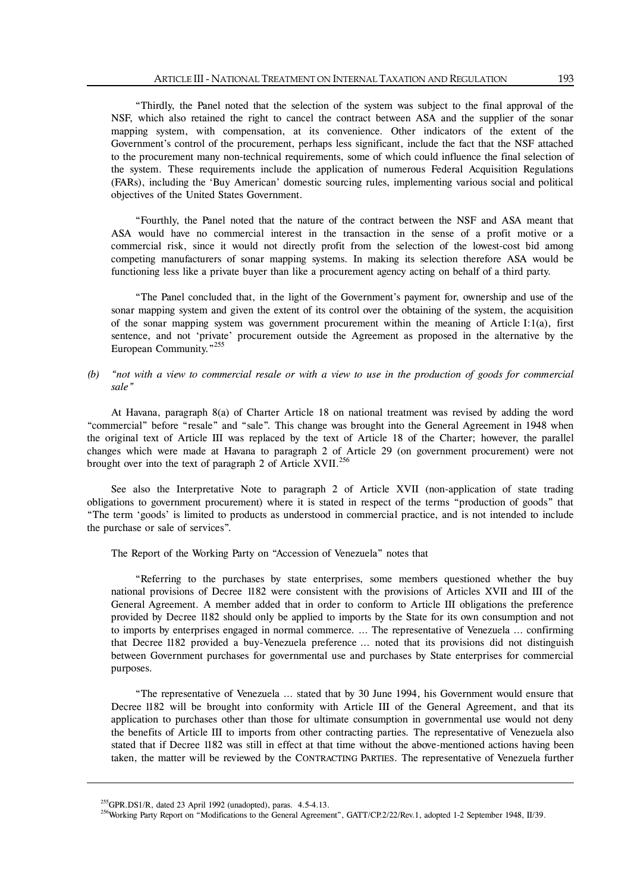"Thirdly, the Panel noted that the selection of the system was subject to the final approval of the NSF, which also retained the right to cancel the contract between ASA and the supplier of the sonar mapping system, with compensation, at its convenience. Other indicators of the extent of the Government's control of the procurement, perhaps less significant, include the fact that the NSF attached to the procurement many non-technical requirements, some of which could influence the final selection of the system. These requirements include the application of numerous Federal Acquisition Regulations (FARs), including the 'Buy American' domestic sourcing rules, implementing various social and political objectives of the United States Government.

"Fourthly, the Panel noted that the nature of the contract between the NSF and ASA meant that ASA would have no commercial interest in the transaction in the sense of a profit motive or a commercial risk, since it would not directly profit from the selection of the lowest-cost bid among competing manufacturers of sonar mapping systems. In making its selection therefore ASA would be functioning less like a private buyer than like a procurement agency acting on behalf of a third party.

"The Panel concluded that, in the light of the Government's payment for, ownership and use of the sonar mapping system and given the extent of its control over the obtaining of the system, the acquisition of the sonar mapping system was government procurement within the meaning of Article I:1(a), first sentence, and not 'private' procurement outside the Agreement as proposed in the alternative by the European Community."<sup>255</sup>

*(b) "not with a view to commercial resale or with a view to use in the production of goods for commercial sale"*

At Havana, paragraph 8(a) of Charter Article 18 on national treatment was revised by adding the word "commercial" before "resale" and "sale". This change was brought into the General Agreement in 1948 when the original text of Article III was replaced by the text of Article 18 of the Charter; however, the parallel changes which were made at Havana to paragraph 2 of Article 29 (on government procurement) were not brought over into the text of paragraph 2 of Article XVII.<sup>256</sup>

See also the Interpretative Note to paragraph 2 of Article XVII (non-application of state trading obligations to government procurement) where it is stated in respect of the terms "production of goods" that "The term 'goods' is limited to products as understood in commercial practice, and is not intended to include the purchase or sale of services".

The Report of the Working Party on "Accession of Venezuela" notes that

"Referring to the purchases by state enterprises, some members questioned whether the buy national provisions of Decree 1182 were consistent with the provisions of Articles XVII and III of the General Agreement. A member added that in order to conform to Article III obligations the preference provided by Decree 1182 should only be applied to imports by the State for its own consumption and not to imports by enterprises engaged in normal commerce. … The representative of Venezuela … confirming that Decree 1182 provided a buy-Venezuela preference … noted that its provisions did not distinguish between Government purchases for governmental use and purchases by State enterprises for commercial purposes.

"The representative of Venezuela … stated that by 30 June 1994, his Government would ensure that Decree 1182 will be brought into conformity with Article III of the General Agreement, and that its application to purchases other than those for ultimate consumption in governmental use would not deny the benefits of Article III to imports from other contracting parties. The representative of Venezuela also stated that if Decree 1182 was still in effect at that time without the above-mentioned actions having been taken, the matter will be reviewed by the CONTRACTING PARTIES. The representative of Venezuela further

<sup>255</sup>GPR.DS1/R, dated 23 April 1992 (unadopted), paras. 4.5-4.13.

<sup>&</sup>lt;sup>256</sup>Working Party Report on "Modifications to the General Agreement", GATT/CP.2/22/Rev.1, adopted 1-2 September 1948, II/39.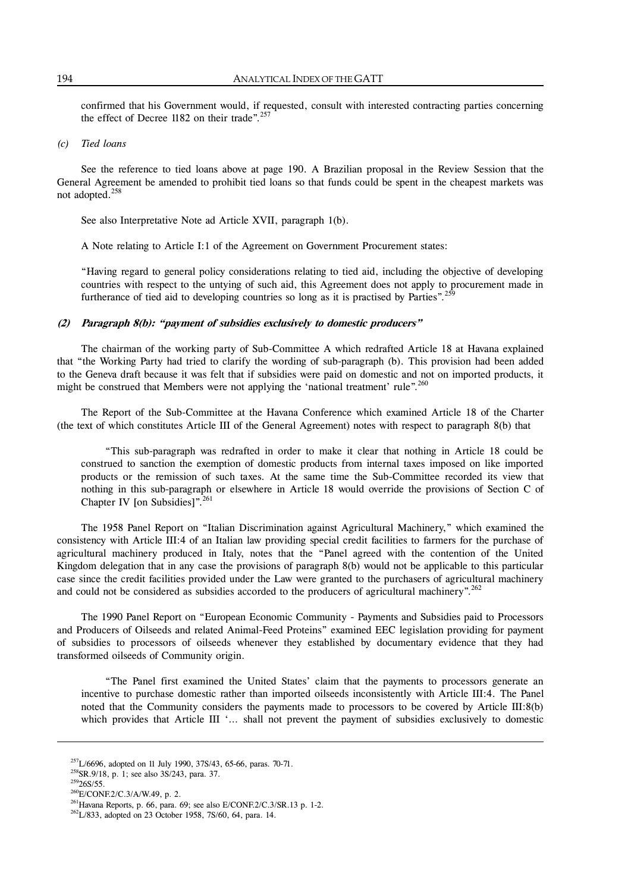confirmed that his Government would, if requested, consult with interested contracting parties concerning the effect of Decree 1182 on their trade".<sup>257</sup>

# *(c) Tied loans*

See the reference to tied loans above at page 190. A Brazilian proposal in the Review Session that the General Agreement be amended to prohibit tied loans so that funds could be spent in the cheapest markets was not adopted.<sup>258</sup>

See also Interpretative Note ad Article XVII, paragraph 1(b).

A Note relating to Article I:1 of the Agreement on Government Procurement states:

"Having regard to general policy considerations relating to tied aid, including the objective of developing countries with respect to the untying of such aid, this Agreement does not apply to procurement made in furtherance of tied aid to developing countries so long as it is practised by Parties".<sup>259</sup>

# **(2) Paragraph 8(b): "payment of subsidies exclusively to domestic producers"**

The chairman of the working party of Sub-Committee A which redrafted Article 18 at Havana explained that "the Working Party had tried to clarify the wording of sub-paragraph (b). This provision had been added to the Geneva draft because it was felt that if subsidies were paid on domestic and not on imported products, it might be construed that Members were not applying the 'national treatment' rule".<sup>260</sup>

The Report of the Sub-Committee at the Havana Conference which examined Article 18 of the Charter (the text of which constitutes Article III of the General Agreement) notes with respect to paragraph 8(b) that

"This sub-paragraph was redrafted in order to make it clear that nothing in Article 18 could be construed to sanction the exemption of domestic products from internal taxes imposed on like imported products or the remission of such taxes. At the same time the Sub-Committee recorded its view that nothing in this sub-paragraph or elsewhere in Article 18 would override the provisions of Section C of Chapter IV [on Subsidies]".<sup>261</sup>

The 1958 Panel Report on "Italian Discrimination against Agricultural Machinery," which examined the consistency with Article III:4 of an Italian law providing special credit facilities to farmers for the purchase of agricultural machinery produced in Italy, notes that the "Panel agreed with the contention of the United Kingdom delegation that in any case the provisions of paragraph 8(b) would not be applicable to this particular case since the credit facilities provided under the Law were granted to the purchasers of agricultural machinery and could not be considered as subsidies accorded to the producers of agricultural machinery".<sup>262</sup>

The 1990 Panel Report on "European Economic Community - Payments and Subsidies paid to Processors and Producers of Oilseeds and related Animal-Feed Proteins" examined EEC legislation providing for payment of subsidies to processors of oilseeds whenever they established by documentary evidence that they had transformed oilseeds of Community origin.

"The Panel first examined the United States' claim that the payments to processors generate an incentive to purchase domestic rather than imported oilseeds inconsistently with Article III:4. The Panel noted that the Community considers the payments made to processors to be covered by Article III:8(b) which provides that Article III '... shall not prevent the payment of subsidies exclusively to domestic

 $257L/6696$ , adopted on 11 July 1990, 37S/43, 65-66, paras. 70-71.

<sup>&</sup>lt;sup>258</sup>SR.9/18, p. 1; see also 3S/243, para. 37.

 $25926S/55$ .

<sup>&</sup>lt;sup>260</sup>E/CONF.2/C.3/A/W.49, p. 2.

<sup>&</sup>lt;sup>261</sup>Havana Reports, p. 66, para. 69; see also E/CONF.2/C.3/SR.13 p. 1-2.

<sup>262</sup>L/833, adopted on 23 October 1958, 7S/60, 64, para. 14.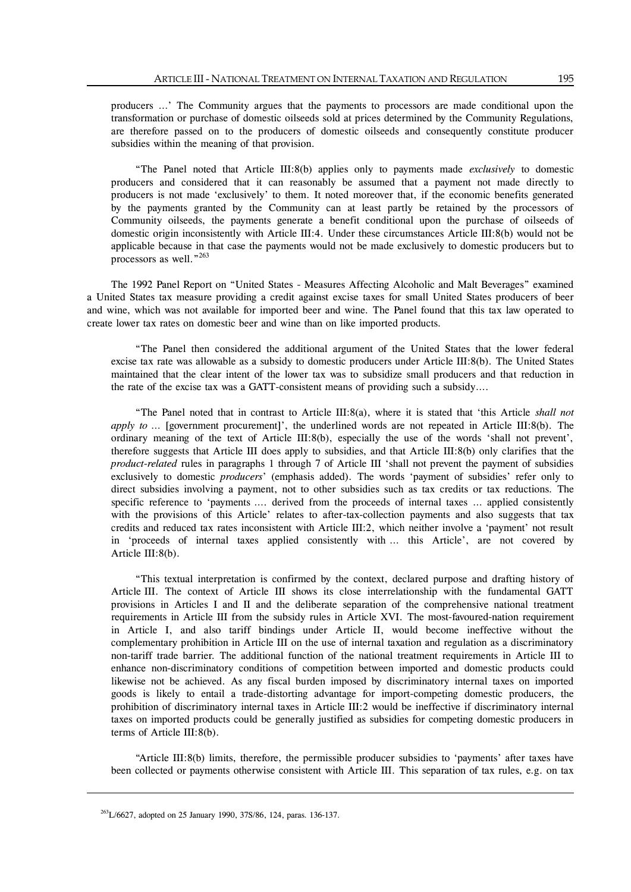producers …' The Community argues that the payments to processors are made conditional upon the transformation or purchase of domestic oilseeds sold at prices determined by the Community Regulations, are therefore passed on to the producers of domestic oilseeds and consequently constitute producer subsidies within the meaning of that provision.

"The Panel noted that Article III:8(b) applies only to payments made *exclusively* to domestic producers and considered that it can reasonably be assumed that a payment not made directly to producers is not made 'exclusively' to them. It noted moreover that, if the economic benefits generated by the payments granted by the Community can at least partly be retained by the processors of Community oilseeds, the payments generate a benefit conditional upon the purchase of oilseeds of domestic origin inconsistently with Article III:4. Under these circumstances Article III:8(b) would not be applicable because in that case the payments would not be made exclusively to domestic producers but to processors as well."<sup>263</sup>

The 1992 Panel Report on "United States - Measures Affecting Alcoholic and Malt Beverages" examined a United States tax measure providing a credit against excise taxes for small United States producers of beer and wine, which was not available for imported beer and wine. The Panel found that this tax law operated to create lower tax rates on domestic beer and wine than on like imported products.

"The Panel then considered the additional argument of the United States that the lower federal excise tax rate was allowable as a subsidy to domestic producers under Article III:8(b). The United States maintained that the clear intent of the lower tax was to subsidize small producers and that reduction in the rate of the excise tax was a GATT-consistent means of providing such a subsidy….

"The Panel noted that in contrast to Article III:8(a), where it is stated that 'this Article *shall not apply to* … [government procurement]', the underlined words are not repeated in Article III:8(b). The ordinary meaning of the text of Article III:8(b), especially the use of the words 'shall not prevent', therefore suggests that Article III does apply to subsidies, and that Article III:8(b) only clarifies that the *product-related* rules in paragraphs 1 through 7 of Article III 'shall not prevent the payment of subsidies exclusively to domestic *producers*' (emphasis added). The words 'payment of subsidies' refer only to direct subsidies involving a payment, not to other subsidies such as tax credits or tax reductions. The specific reference to 'payments .... derived from the proceeds of internal taxes ... applied consistently with the provisions of this Article' relates to after-tax-collection payments and also suggests that tax credits and reduced tax rates inconsistent with Article III:2, which neither involve a 'payment' not result in 'proceeds of internal taxes applied consistently with … this Article', are not covered by Article III:8(b).

"This textual interpretation is confirmed by the context, declared purpose and drafting history of Article III. The context of Article III shows its close interrelationship with the fundamental GATT provisions in Articles I and II and the deliberate separation of the comprehensive national treatment requirements in Article III from the subsidy rules in Article XVI. The most-favoured-nation requirement in Article I, and also tariff bindings under Article II, would become ineffective without the complementary prohibition in Article III on the use of internal taxation and regulation as a discriminatory non-tariff trade barrier. The additional function of the national treatment requirements in Article III to enhance non-discriminatory conditions of competition between imported and domestic products could likewise not be achieved. As any fiscal burden imposed by discriminatory internal taxes on imported goods is likely to entail a trade-distorting advantage for import-competing domestic producers, the prohibition of discriminatory internal taxes in Article III:2 would be ineffective if discriminatory internal taxes on imported products could be generally justified as subsidies for competing domestic producers in terms of Article III:8(b).

"Article III:8(b) limits, therefore, the permissible producer subsidies to 'payments' after taxes have been collected or payments otherwise consistent with Article III. This separation of tax rules, e.g. on tax

<sup>263</sup>L/6627, adopted on 25 January 1990, 37S/86, 124, paras. 136-137.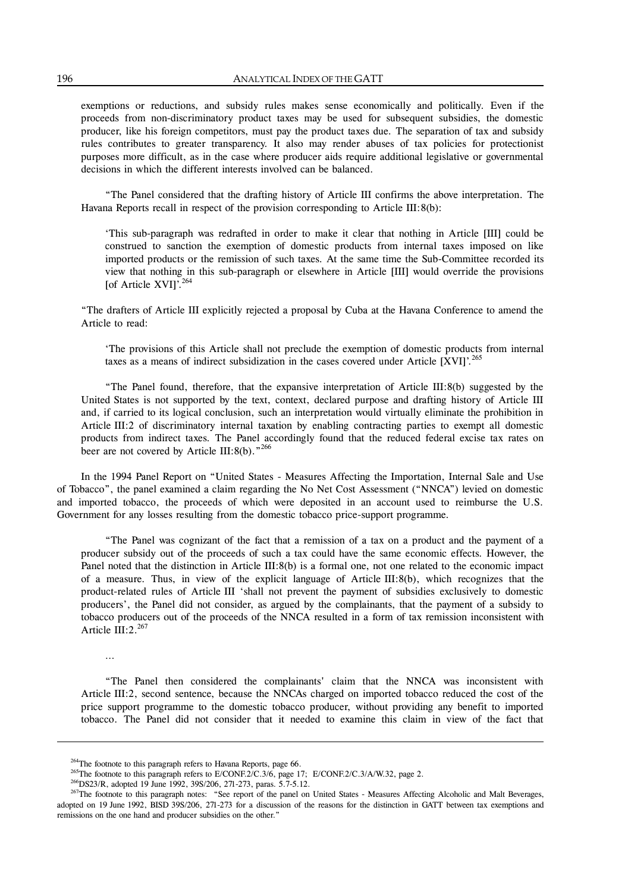exemptions or reductions, and subsidy rules makes sense economically and politically. Even if the proceeds from non-discriminatory product taxes may be used for subsequent subsidies, the domestic producer, like his foreign competitors, must pay the product taxes due. The separation of tax and subsidy rules contributes to greater transparency. It also may render abuses of tax policies for protectionist purposes more difficult, as in the case where producer aids require additional legislative or governmental decisions in which the different interests involved can be balanced.

"The Panel considered that the drafting history of Article III confirms the above interpretation. The Havana Reports recall in respect of the provision corresponding to Article III:8(b):

'This sub-paragraph was redrafted in order to make it clear that nothing in Article [III] could be construed to sanction the exemption of domestic products from internal taxes imposed on like imported products or the remission of such taxes. At the same time the Sub-Committee recorded its view that nothing in this sub-paragraph or elsewhere in Article [III] would override the provisions [of Article XVI]<sup>7.264</sup>

"The drafters of Article III explicitly rejected a proposal by Cuba at the Havana Conference to amend the Article to read:

'The provisions of this Article shall not preclude the exemption of domestic products from internal taxes as a means of indirect subsidization in the cases covered under Article  $[XVII]^{265}$ 

"The Panel found, therefore, that the expansive interpretation of Article III:8(b) suggested by the United States is not supported by the text, context, declared purpose and drafting history of Article III and, if carried to its logical conclusion, such an interpretation would virtually eliminate the prohibition in Article III:2 of discriminatory internal taxation by enabling contracting parties to exempt all domestic products from indirect taxes. The Panel accordingly found that the reduced federal excise tax rates on beer are not covered by Article III:8(b)."<sup>266</sup>

In the 1994 Panel Report on "United States - Measures Affecting the Importation, Internal Sale and Use of Tobacco", the panel examined a claim regarding the No Net Cost Assessment ("NNCA") levied on domestic and imported tobacco, the proceeds of which were deposited in an account used to reimburse the U.S. Government for any losses resulting from the domestic tobacco price-support programme.

"The Panel was cognizant of the fact that a remission of a tax on a product and the payment of a producer subsidy out of the proceeds of such a tax could have the same economic effects. However, the Panel noted that the distinction in Article III:8(b) is a formal one, not one related to the economic impact of a measure. Thus, in view of the explicit language of Article III:8(b), which recognizes that the product-related rules of Article III 'shall not prevent the payment of subsidies exclusively to domestic producers', the Panel did not consider, as argued by the complainants, that the payment of a subsidy to tobacco producers out of the proceeds of the NNCA resulted in a form of tax remission inconsistent with Article  $III:2.^{267}$ 

"The Panel then considered the complainants' claim that the NNCA was inconsistent with Article III:2, second sentence, because the NNCAs charged on imported tobacco reduced the cost of the price support programme to the domestic tobacco producer, without providing any benefit to imported tobacco. The Panel did not consider that it needed to examine this claim in view of the fact that

…

<sup>&</sup>lt;sup>264</sup>The footnote to this paragraph refers to Havana Reports, page 66.

<sup>&</sup>lt;sup>265</sup>The footnote to this paragraph refers to E/CONF.2/C.3/6, page 17; E/CONF.2/C.3/A/W.32, page 2.

<sup>&</sup>lt;sup>266</sup>DS23/R, adopted 19 June 1992, 39S/206, 271-273, paras. 5.7-5.12.

<sup>&</sup>lt;sup>267</sup>The footnote to this paragraph notes: "See report of the panel on United States - Measures Affecting Alcoholic and Malt Beverages, adopted on 19 June 1992, BISD 39S/206, 271-273 for a discussion of the reasons for the distinction in GATT between tax exemptions and remissions on the one hand and producer subsidies on the other."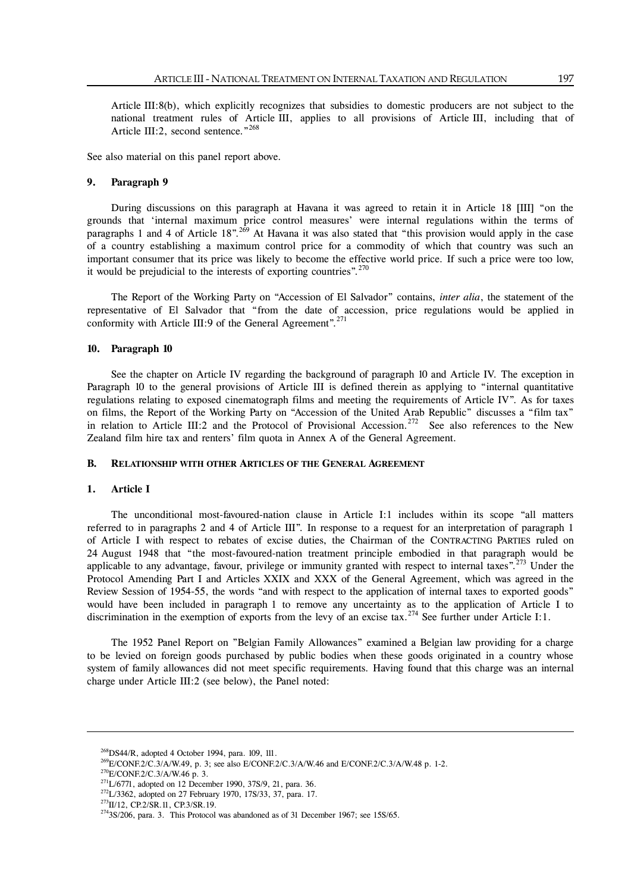Article III:8(b), which explicitly recognizes that subsidies to domestic producers are not subject to the national treatment rules of Article III, applies to all provisions of Article III, including that of Article III:2, second sentence."<sup>268</sup>

See also material on this panel report above.

# **9. Paragraph 9**

During discussions on this paragraph at Havana it was agreed to retain it in Article 18 [III] "on the grounds that 'internal maximum price control measures' were internal regulations within the terms of paragraphs 1 and 4 of Article 18".<sup>269</sup> At Havana it was also stated that "this provision would apply in the case of a country establishing a maximum control price for a commodity of which that country was such an important consumer that its price was likely to become the effective world price. If such a price were too low, it would be prejudicial to the interests of exporting countries". $270$ 

The Report of the Working Party on "Accession of El Salvador" contains, *inter alia*, the statement of the representative of El Salvador that "from the date of accession, price regulations would be applied in conformity with Article III:9 of the General Agreement".<sup>271</sup>

### **10. Paragraph 10**

See the chapter on Article IV regarding the background of paragraph 10 and Article IV. The exception in Paragraph 10 to the general provisions of Article III is defined therein as applying to "internal quantitative regulations relating to exposed cinematograph films and meeting the requirements of Article IV". As for taxes on films, the Report of the Working Party on "Accession of the United Arab Republic" discusses a "film tax" in relation to Article III:2 and the Protocol of Provisional Accession.<sup>272</sup> See also references to the New Zealand film hire tax and renters' film quota in Annex A of the General Agreement.

#### **B. RELATIONSHIP WITH OTHER ARTICLES OF THE GENERAL AGREEMENT**

#### **1. Article I**

The unconditional most-favoured-nation clause in Article I:1 includes within its scope "all matters referred to in paragraphs 2 and 4 of Article III". In response to a request for an interpretation of paragraph 1 of Article I with respect to rebates of excise duties, the Chairman of the CONTRACTING PARTIES ruled on 24 August 1948 that "the most-favoured-nation treatment principle embodied in that paragraph would be applicable to any advantage, favour, privilege or immunity granted with respect to internal taxes".<sup>273</sup> Under the Protocol Amending Part I and Articles XXIX and XXX of the General Agreement, which was agreed in the Review Session of 1954-55, the words "and with respect to the application of internal taxes to exported goods" would have been included in paragraph 1 to remove any uncertainty as to the application of Article I to discrimination in the exemption of exports from the levy of an excise tax.<sup>274</sup> See further under Article I:1.

The 1952 Panel Report on "Belgian Family Allowances" examined a Belgian law providing for a charge to be levied on foreign goods purchased by public bodies when these goods originated in a country whose system of family allowances did not meet specific requirements. Having found that this charge was an internal charge under Article III:2 (see below), the Panel noted:

 $268$ DS44/R, adopted 4 October 1994, para. 109, 111.

<sup>269</sup>E/CONF.2/C.3/A/W.49, p. 3; see also E/CONF.2/C.3/A/W.46 and E/CONF.2/C.3/A/W.48 p. 1-2.

 $270$ E/CONF.2/C.3/A/W.46 p. 3.

<sup>&</sup>lt;sup>271</sup>L/6771, adopted on 12 December 1990, 37S/9, 21, para. 36.

<sup>272</sup>L/3362, adopted on 27 February 1970, 17S/33, 37, para. 17.

<sup>273</sup>II/12, CP.2/SR.11, CP.3/SR.19.

 $2743S/206$ , para. 3. This Protocol was abandoned as of 31 December 1967; see 15S/65.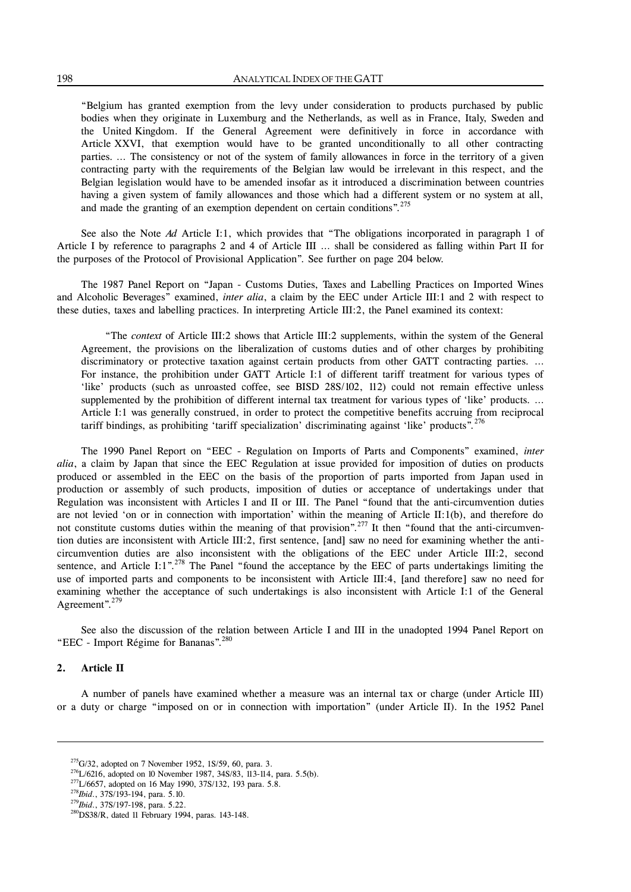"Belgium has granted exemption from the levy under consideration to products purchased by public bodies when they originate in Luxemburg and the Netherlands, as well as in France, Italy, Sweden and the United Kingdom. If the General Agreement were definitively in force in accordance with Article XXVI, that exemption would have to be granted unconditionally to all other contracting parties. … The consistency or not of the system of family allowances in force in the territory of a given contracting party with the requirements of the Belgian law would be irrelevant in this respect, and the Belgian legislation would have to be amended insofar as it introduced a discrimination between countries having a given system of family allowances and those which had a different system or no system at all, and made the granting of an exemption dependent on certain conditions".<sup>275</sup>

See also the Note *Ad* Article I:1, which provides that "The obligations incorporated in paragraph 1 of Article I by reference to paragraphs 2 and 4 of Article III … shall be considered as falling within Part II for the purposes of the Protocol of Provisional Application". See further on page 204 below.

The 1987 Panel Report on "Japan - Customs Duties, Taxes and Labelling Practices on Imported Wines and Alcoholic Beverages" examined, *inter alia*, a claim by the EEC under Article III:1 and 2 with respect to these duties, taxes and labelling practices. In interpreting Article III:2, the Panel examined its context:

"The *context* of Article III:2 shows that Article III:2 supplements, within the system of the General Agreement, the provisions on the liberalization of customs duties and of other charges by prohibiting discriminatory or protective taxation against certain products from other GATT contracting parties. … For instance, the prohibition under GATT Article I:1 of different tariff treatment for various types of 'like' products (such as unroasted coffee, see BISD 28S/102, 112) could not remain effective unless supplemented by the prohibition of different internal tax treatment for various types of 'like' products. ... Article I:1 was generally construed, in order to protect the competitive benefits accruing from reciprocal tariff bindings, as prohibiting 'tariff specialization' discriminating against 'like' products".<sup>276</sup>

The 1990 Panel Report on "EEC - Regulation on Imports of Parts and Components" examined, *inter alia*, a claim by Japan that since the EEC Regulation at issue provided for imposition of duties on products produced or assembled in the EEC on the basis of the proportion of parts imported from Japan used in production or assembly of such products, imposition of duties or acceptance of undertakings under that Regulation was inconsistent with Articles I and II or III. The Panel "found that the anti-circumvention duties are not levied 'on or in connection with importation' within the meaning of Article II:1(b), and therefore do not constitute customs duties within the meaning of that provision".<sup>277</sup> It then "found that the anti-circumvention duties are inconsistent with Article III:2, first sentence, [and] saw no need for examining whether the anticircumvention duties are also inconsistent with the obligations of the EEC under Article III:2, second sentence, and Article I:1"<sup>278</sup> The Panel "found the acceptance by the EEC of parts undertakings limiting the use of imported parts and components to be inconsistent with Article III:4, [and therefore] saw no need for examining whether the acceptance of such undertakings is also inconsistent with Article I:1 of the General Agreement".<sup>279</sup>

See also the discussion of the relation between Article I and III in the unadopted 1994 Panel Report on "EEC - Import Régime for Bananas".<sup>280</sup>

# **2. Article II**

 $\overline{a}$ 

A number of panels have examined whether a measure was an internal tax or charge (under Article III) or a duty or charge "imposed on or in connection with importation" (under Article II). In the 1952 Panel

 $275$ G/32, adopted on 7 November 1952, 1S/59, 60, para. 3.

 $276L/6216$ , adopted on 10 November 1987, 34S/83, 113-114, para. 5.5(b).

<sup>&</sup>lt;sup>277</sup>L/6657, adopted on 16 May 1990, 37S/132, 193 para. 5.8.

<sup>278</sup>*Ibid*., 37S/193-194, para. 5.10.

<sup>279</sup>*Ibid*., 37S/197-198, para. 5.22.

<sup>280</sup>DS38/R, dated 11 February 1994, paras. 143-148.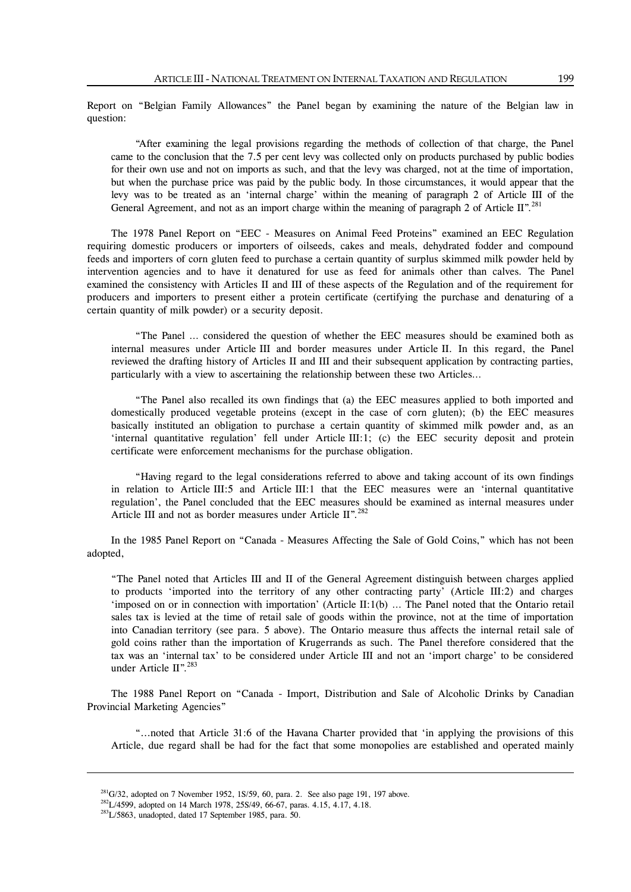Report on "Belgian Family Allowances" the Panel began by examining the nature of the Belgian law in question:

"After examining the legal provisions regarding the methods of collection of that charge, the Panel came to the conclusion that the 7.5 per cent levy was collected only on products purchased by public bodies for their own use and not on imports as such, and that the levy was charged, not at the time of importation, but when the purchase price was paid by the public body. In those circumstances, it would appear that the levy was to be treated as an 'internal charge' within the meaning of paragraph 2 of Article III of the General Agreement, and not as an import charge within the meaning of paragraph 2 of Article  $II$ <sup>".281</sup>"

The 1978 Panel Report on "EEC - Measures on Animal Feed Proteins" examined an EEC Regulation requiring domestic producers or importers of oilseeds, cakes and meals, dehydrated fodder and compound feeds and importers of corn gluten feed to purchase a certain quantity of surplus skimmed milk powder held by intervention agencies and to have it denatured for use as feed for animals other than calves. The Panel examined the consistency with Articles II and III of these aspects of the Regulation and of the requirement for producers and importers to present either a protein certificate (certifying the purchase and denaturing of a certain quantity of milk powder) or a security deposit.

"The Panel … considered the question of whether the EEC measures should be examined both as internal measures under Article III and border measures under Article II. In this regard, the Panel reviewed the drafting history of Articles II and III and their subsequent application by contracting parties, particularly with a view to ascertaining the relationship between these two Articles…

"The Panel also recalled its own findings that (a) the EEC measures applied to both imported and domestically produced vegetable proteins (except in the case of corn gluten); (b) the EEC measures basically instituted an obligation to purchase a certain quantity of skimmed milk powder and, as an 'internal quantitative regulation' fell under Article III:1; (c) the EEC security deposit and protein certificate were enforcement mechanisms for the purchase obligation.

"Having regard to the legal considerations referred to above and taking account of its own findings in relation to Article III:5 and Article III:1 that the EEC measures were an 'internal quantitative regulation', the Panel concluded that the EEC measures should be examined as internal measures under Article III and not as border measures under Article II".<sup>282</sup>

In the 1985 Panel Report on "Canada - Measures Affecting the Sale of Gold Coins," which has not been adopted,

"The Panel noted that Articles III and II of the General Agreement distinguish between charges applied to products 'imported into the territory of any other contracting party' (Article III:2) and charges 'imposed on or in connection with importation' (Article II:1(b) ... The Panel noted that the Ontario retail sales tax is levied at the time of retail sale of goods within the province, not at the time of importation into Canadian territory (see para. 5 above). The Ontario measure thus affects the internal retail sale of gold coins rather than the importation of Krugerrands as such. The Panel therefore considered that the tax was an 'internal tax' to be considered under Article III and not an 'import charge' to be considered under Article II".<sup>283</sup>

The 1988 Panel Report on "Canada - Import, Distribution and Sale of Alcoholic Drinks by Canadian Provincial Marketing Agencies"

"…noted that Article 31:6 of the Havana Charter provided that 'in applying the provisions of this Article, due regard shall be had for the fact that some monopolies are established and operated mainly

 $^{281}$ G/32, adopted on 7 November 1952, 1S/59, 60, para. 2. See also page 191, 197 above.

<sup>&</sup>lt;sup>282</sup>L/4599, adopted on 14 March 1978, 25S/49, 66-67, paras. 4.15, 4.17, 4.18.

<sup>283</sup>L/5863, unadopted, dated 17 September 1985, para. 50.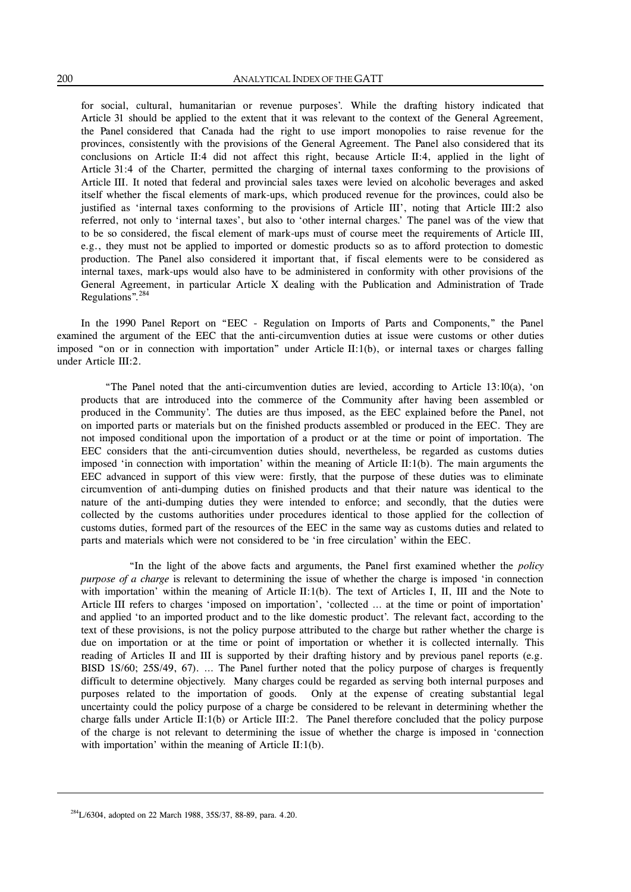for social, cultural, humanitarian or revenue purposes'. While the drafting history indicated that Article 31 should be applied to the extent that it was relevant to the context of the General Agreement, the Panel considered that Canada had the right to use import monopolies to raise revenue for the provinces, consistently with the provisions of the General Agreement. The Panel also considered that its conclusions on Article II:4 did not affect this right, because Article II:4, applied in the light of Article 31:4 of the Charter, permitted the charging of internal taxes conforming to the provisions of Article III. It noted that federal and provincial sales taxes were levied on alcoholic beverages and asked itself whether the fiscal elements of mark-ups, which produced revenue for the provinces, could also be justified as 'internal taxes conforming to the provisions of Article III', noting that Article III:2 also referred, not only to 'internal taxes', but also to 'other internal charges.' The panel was of the view that to be so considered, the fiscal element of mark-ups must of course meet the requirements of Article III, e.g., they must not be applied to imported or domestic products so as to afford protection to domestic production. The Panel also considered it important that, if fiscal elements were to be considered as internal taxes, mark-ups would also have to be administered in conformity with other provisions of the General Agreement, in particular Article X dealing with the Publication and Administration of Trade Regulations".<sup>284</sup>

In the 1990 Panel Report on "EEC - Regulation on Imports of Parts and Components," the Panel examined the argument of the EEC that the anti-circumvention duties at issue were customs or other duties imposed "on or in connection with importation" under Article II:1(b), or internal taxes or charges falling under Article III:2.

"The Panel noted that the anti-circumvention duties are levied, according to Article 13:10(a), 'on products that are introduced into the commerce of the Community after having been assembled or produced in the Community'. The duties are thus imposed, as the EEC explained before the Panel, not on imported parts or materials but on the finished products assembled or produced in the EEC. They are not imposed conditional upon the importation of a product or at the time or point of importation. The EEC considers that the anti-circumvention duties should, nevertheless, be regarded as customs duties imposed 'in connection with importation' within the meaning of Article II:1(b). The main arguments the EEC advanced in support of this view were: firstly, that the purpose of these duties was to eliminate circumvention of anti-dumping duties on finished products and that their nature was identical to the nature of the anti-dumping duties they were intended to enforce; and secondly, that the duties were collected by the customs authorities under procedures identical to those applied for the collection of customs duties, formed part of the resources of the EEC in the same way as customs duties and related to parts and materials which were not considered to be 'in free circulation' within the EEC.

"In the light of the above facts and arguments, the Panel first examined whether the *policy purpose of a charge* is relevant to determining the issue of whether the charge is imposed 'in connection with importation' within the meaning of Article II:1(b). The text of Articles I, II, III and the Note to Article III refers to charges 'imposed on importation', 'collected … at the time or point of importation' and applied 'to an imported product and to the like domestic product'. The relevant fact, according to the text of these provisions, is not the policy purpose attributed to the charge but rather whether the charge is due on importation or at the time or point of importation or whether it is collected internally. This reading of Articles II and III is supported by their drafting history and by previous panel reports (e.g. BISD 1S/60; 25S/49, 67). … The Panel further noted that the policy purpose of charges is frequently difficult to determine objectively. Many charges could be regarded as serving both internal purposes and purposes related to the importation of goods. Only at the expense of creating substantial legal uncertainty could the policy purpose of a charge be considered to be relevant in determining whether the charge falls under Article II:1(b) or Article III:2. The Panel therefore concluded that the policy purpose of the charge is not relevant to determining the issue of whether the charge is imposed in 'connection with importation' within the meaning of Article II:1(b).

<sup>&</sup>lt;sup>284</sup>L/6304, adopted on 22 March 1988, 35S/37, 88-89, para. 4.20.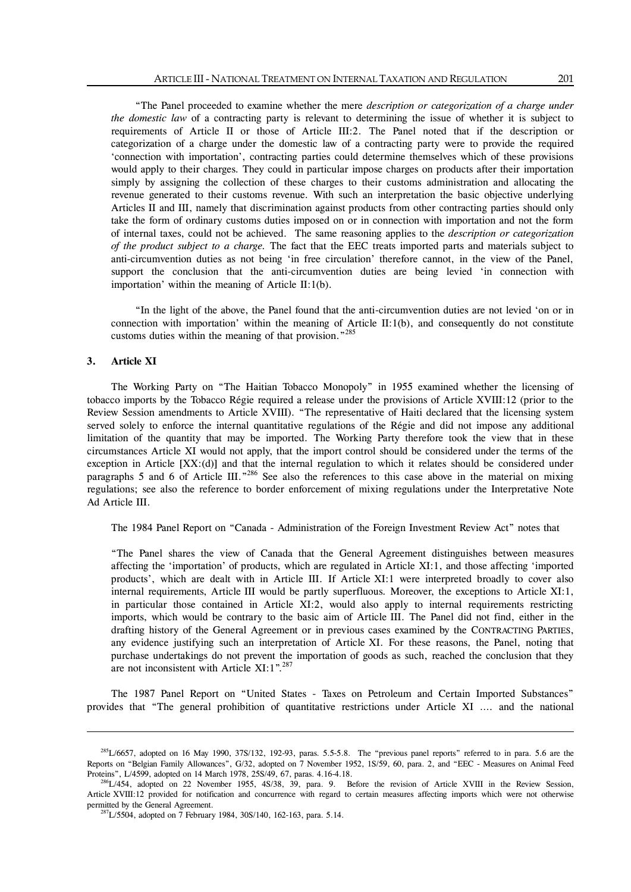"The Panel proceeded to examine whether the mere *description or categorization of a charge under the domestic law* of a contracting party is relevant to determining the issue of whether it is subject to requirements of Article II or those of Article III:2. The Panel noted that if the description or categorization of a charge under the domestic law of a contracting party were to provide the required 'connection with importation', contracting parties could determine themselves which of these provisions would apply to their charges. They could in particular impose charges on products after their importation simply by assigning the collection of these charges to their customs administration and allocating the revenue generated to their customs revenue. With such an interpretation the basic objective underlying Articles II and III, namely that discrimination against products from other contracting parties should only take the form of ordinary customs duties imposed on or in connection with importation and not the form of internal taxes, could not be achieved. The same reasoning applies to the *description or categorization of the product subject to a charge.* The fact that the EEC treats imported parts and materials subject to anti-circumvention duties as not being 'in free circulation' therefore cannot, in the view of the Panel, support the conclusion that the anti-circumvention duties are being levied 'in connection with importation' within the meaning of Article II:1(b).

"In the light of the above, the Panel found that the anti-circumvention duties are not levied 'on or in connection with importation' within the meaning of Article II:1(b), and consequently do not constitute customs duties within the meaning of that provision."<sup>285</sup>

# **3. Article XI**

 $\overline{a}$ 

The Working Party on "The Haitian Tobacco Monopoly" in 1955 examined whether the licensing of tobacco imports by the Tobacco Régie required a release under the provisions of Article XVIII:12 (prior to the Review Session amendments to Article XVIII). "The representative of Haiti declared that the licensing system served solely to enforce the internal quantitative regulations of the Régie and did not impose any additional limitation of the quantity that may be imported. The Working Party therefore took the view that in these circumstances Article XI would not apply, that the import control should be considered under the terms of the exception in Article [XX:(d)] and that the internal regulation to which it relates should be considered under paragraphs 5 and 6 of Article III.<sup>7286</sup> See also the references to this case above in the material on mixing regulations; see also the reference to border enforcement of mixing regulations under the Interpretative Note Ad Article III.

The 1984 Panel Report on "Canada - Administration of the Foreign Investment Review Act" notes that

"The Panel shares the view of Canada that the General Agreement distinguishes between measures affecting the 'importation' of products, which are regulated in Article XI:1, and those affecting 'imported products', which are dealt with in Article III. If Article XI:1 were interpreted broadly to cover also internal requirements, Article III would be partly superfluous. Moreover, the exceptions to Article XI:1, in particular those contained in Article XI:2, would also apply to internal requirements restricting imports, which would be contrary to the basic aim of Article III. The Panel did not find, either in the drafting history of the General Agreement or in previous cases examined by the CONTRACTING PARTIES, any evidence justifying such an interpretation of Article XI. For these reasons, the Panel, noting that purchase undertakings do not prevent the importation of goods as such, reached the conclusion that they are not inconsistent with Article XI:1".<sup>287</sup>

The 1987 Panel Report on "United States - Taxes on Petroleum and Certain Imported Substances" provides that "The general prohibition of quantitative restrictions under Article XI …. and the national

 $285$ L/6657, adopted on 16 May 1990, 37S/132, 192-93, paras. 5.5-5.8. The "previous panel reports" referred to in para. 5.6 are the Reports on "Belgian Family Allowances", G/32, adopted on 7 November 1952, 1S/59, 60, para. 2, and "EEC - Measures on Animal Feed Proteins", L/4599, adopted on 14 March 1978, 25S/49, 67, paras. 4.16-4.18.

<sup>&</sup>lt;sup>286</sup>L/454, adopted on 22 November 1955, 4S/38, 39, para. 9. Before the revision of Article XVIII in the Review Session, Article XVIII:12 provided for notification and concurrence with regard to certain measures affecting imports which were not otherwise permitted by the General Agreement.

 $^{287}L/5504$ , adopted on 7 February 1984, 30S/140, 162-163, para. 5.14.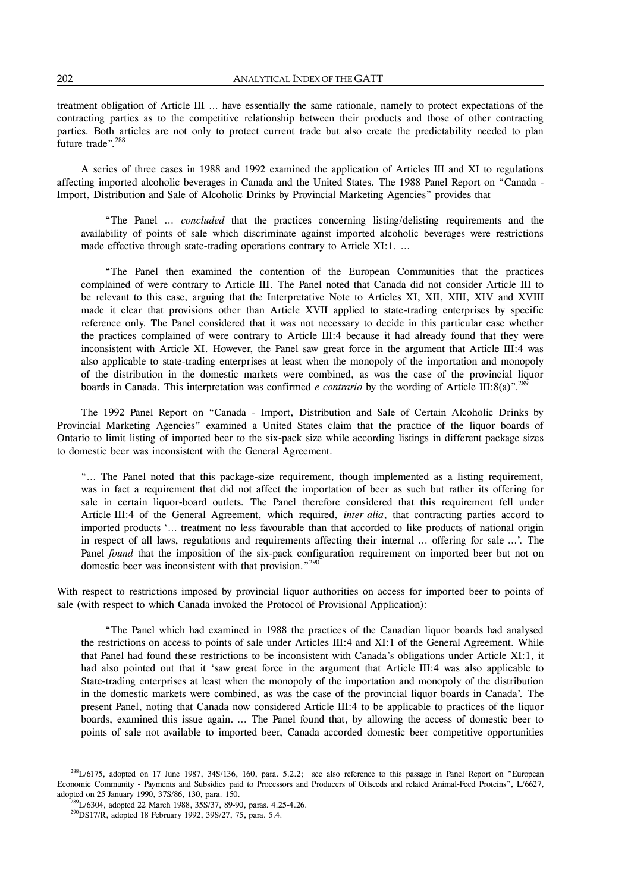treatment obligation of Article III … have essentially the same rationale, namely to protect expectations of the contracting parties as to the competitive relationship between their products and those of other contracting parties. Both articles are not only to protect current trade but also create the predictability needed to plan future trade". $28$ 

A series of three cases in 1988 and 1992 examined the application of Articles III and XI to regulations affecting imported alcoholic beverages in Canada and the United States. The 1988 Panel Report on "Canada - Import, Distribution and Sale of Alcoholic Drinks by Provincial Marketing Agencies" provides that

"The Panel … *concluded* that the practices concerning listing/delisting requirements and the availability of points of sale which discriminate against imported alcoholic beverages were restrictions made effective through state-trading operations contrary to Article XI:1. ...

"The Panel then examined the contention of the European Communities that the practices complained of were contrary to Article III. The Panel noted that Canada did not consider Article III to be relevant to this case, arguing that the Interpretative Note to Articles XI, XII, XIII, XIV and XVIII made it clear that provisions other than Article XVII applied to state-trading enterprises by specific reference only. The Panel considered that it was not necessary to decide in this particular case whether the practices complained of were contrary to Article III:4 because it had already found that they were inconsistent with Article XI. However, the Panel saw great force in the argument that Article III:4 was also applicable to state-trading enterprises at least when the monopoly of the importation and monopoly of the distribution in the domestic markets were combined, as was the case of the provincial liquor boards in Canada. This interpretation was confirmed *e contrario* by the wording of Article III:8(a)".<sup>289</sup>

The 1992 Panel Report on "Canada - Import, Distribution and Sale of Certain Alcoholic Drinks by Provincial Marketing Agencies" examined a United States claim that the practice of the liquor boards of Ontario to limit listing of imported beer to the six-pack size while according listings in different package sizes to domestic beer was inconsistent with the General Agreement.

"… The Panel noted that this package-size requirement, though implemented as a listing requirement, was in fact a requirement that did not affect the importation of beer as such but rather its offering for sale in certain liquor-board outlets. The Panel therefore considered that this requirement fell under Article III:4 of the General Agreement, which required, *inter alia*, that contracting parties accord to imported products '… treatment no less favourable than that accorded to like products of national origin in respect of all laws, regulations and requirements affecting their internal ... offering for sale ...'. The Panel *found* that the imposition of the six-pack configuration requirement on imported beer but not on domestic beer was inconsistent with that provision."<sup>290</sup>

With respect to restrictions imposed by provincial liquor authorities on access for imported beer to points of sale (with respect to which Canada invoked the Protocol of Provisional Application):

"The Panel which had examined in 1988 the practices of the Canadian liquor boards had analysed the restrictions on access to points of sale under Articles III:4 and XI:1 of the General Agreement. While that Panel had found these restrictions to be inconsistent with Canada's obligations under Article XI:1, it had also pointed out that it 'saw great force in the argument that Article III:4 was also applicable to State-trading enterprises at least when the monopoly of the importation and monopoly of the distribution in the domestic markets were combined, as was the case of the provincial liquor boards in Canada'. The present Panel, noting that Canada now considered Article III:4 to be applicable to practices of the liquor boards, examined this issue again. … The Panel found that, by allowing the access of domestic beer to points of sale not available to imported beer, Canada accorded domestic beer competitive opportunities

<sup>&</sup>lt;sup>288</sup>L/6175, adopted on 17 June 1987, 34S/136, 160, para. 5.2.2; see also reference to this passage in Panel Report on "European Economic Community - Payments and Subsidies paid to Processors and Producers of Oilseeds and related Animal-Feed Proteins", L/6627, adopted on 25 January 1990, 37S/86, 130, para. 150.

<sup>&</sup>lt;sup>289</sup>L/6304, adopted 22 March 1988, 35S/37, 89-90, paras. 4.25-4.26.

<sup>290</sup>DS17/R, adopted 18 February 1992, 39S/27, 75, para. 5.4.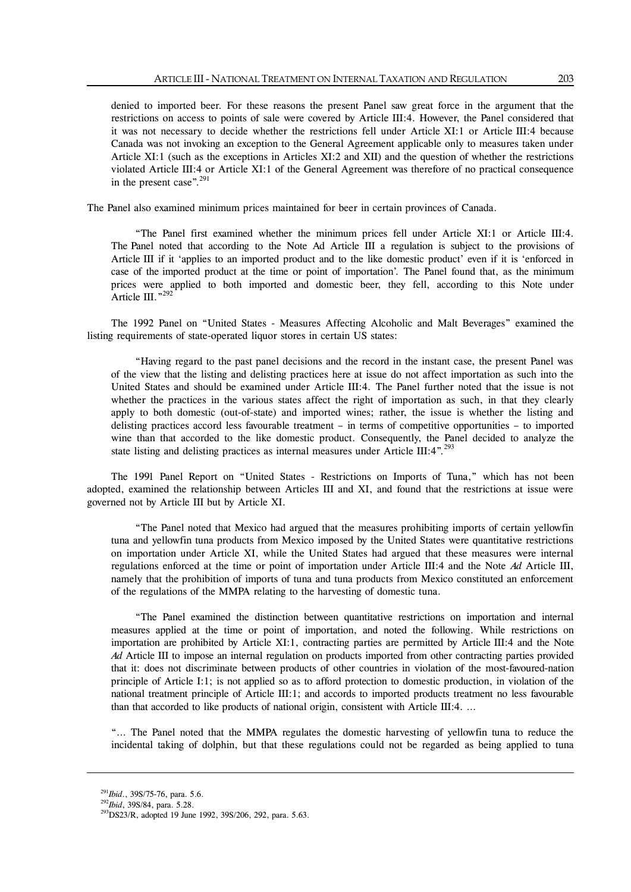denied to imported beer. For these reasons the present Panel saw great force in the argument that the restrictions on access to points of sale were covered by Article III:4. However, the Panel considered that it was not necessary to decide whether the restrictions fell under Article XI:1 or Article III:4 because Canada was not invoking an exception to the General Agreement applicable only to measures taken under Article XI:1 (such as the exceptions in Articles XI:2 and XII) and the question of whether the restrictions violated Article III:4 or Article XI:1 of the General Agreement was therefore of no practical consequence in the present case".<sup>291</sup>

The Panel also examined minimum prices maintained for beer in certain provinces of Canada.

"The Panel first examined whether the minimum prices fell under Article XI:1 or Article III:4. The Panel noted that according to the Note Ad Article III a regulation is subject to the provisions of Article III if it 'applies to an imported product and to the like domestic product' even if it is 'enforced in case of the imported product at the time or point of importation'. The Panel found that, as the minimum prices were applied to both imported and domestic beer, they fell, according to this Note under Article III."<sup>292</sup>

The 1992 Panel on "United States - Measures Affecting Alcoholic and Malt Beverages" examined the listing requirements of state-operated liquor stores in certain US states:

"Having regard to the past panel decisions and the record in the instant case, the present Panel was of the view that the listing and delisting practices here at issue do not affect importation as such into the United States and should be examined under Article III:4. The Panel further noted that the issue is not whether the practices in the various states affect the right of importation as such, in that they clearly apply to both domestic (out-of-state) and imported wines; rather, the issue is whether the listing and delisting practices accord less favourable treatment – in terms of competitive opportunities – to imported wine than that accorded to the like domestic product. Consequently, the Panel decided to analyze the state listing and delisting practices as internal measures under Article III:4".<sup>293</sup>

The 1991 Panel Report on "United States - Restrictions on Imports of Tuna," which has not been adopted, examined the relationship between Articles III and XI, and found that the restrictions at issue were governed not by Article III but by Article XI.

"The Panel noted that Mexico had argued that the measures prohibiting imports of certain yellowfin tuna and yellowfin tuna products from Mexico imposed by the United States were quantitative restrictions on importation under Article XI, while the United States had argued that these measures were internal regulations enforced at the time or point of importation under Article III:4 and the Note *Ad* Article III, namely that the prohibition of imports of tuna and tuna products from Mexico constituted an enforcement of the regulations of the MMPA relating to the harvesting of domestic tuna.

"The Panel examined the distinction between quantitative restrictions on importation and internal measures applied at the time or point of importation, and noted the following. While restrictions on importation are prohibited by Article XI:1, contracting parties are permitted by Article III:4 and the Note *Ad* Article III to impose an internal regulation on products imported from other contracting parties provided that it: does not discriminate between products of other countries in violation of the most-favoured-nation principle of Article I:1; is not applied so as to afford protection to domestic production, in violation of the national treatment principle of Article III:1; and accords to imported products treatment no less favourable than that accorded to like products of national origin, consistent with Article III:4. …

"… The Panel noted that the MMPA regulates the domestic harvesting of yellowfin tuna to reduce the incidental taking of dolphin, but that these regulations could not be regarded as being applied to tuna

<sup>291</sup>*Ibid*., 39S/75-76, para. 5.6.

<sup>292</sup>*Ibid*, 39S/84, para. 5.28.

<sup>293</sup>DS23/R, adopted 19 June 1992, 39S/206, 292, para. 5.63.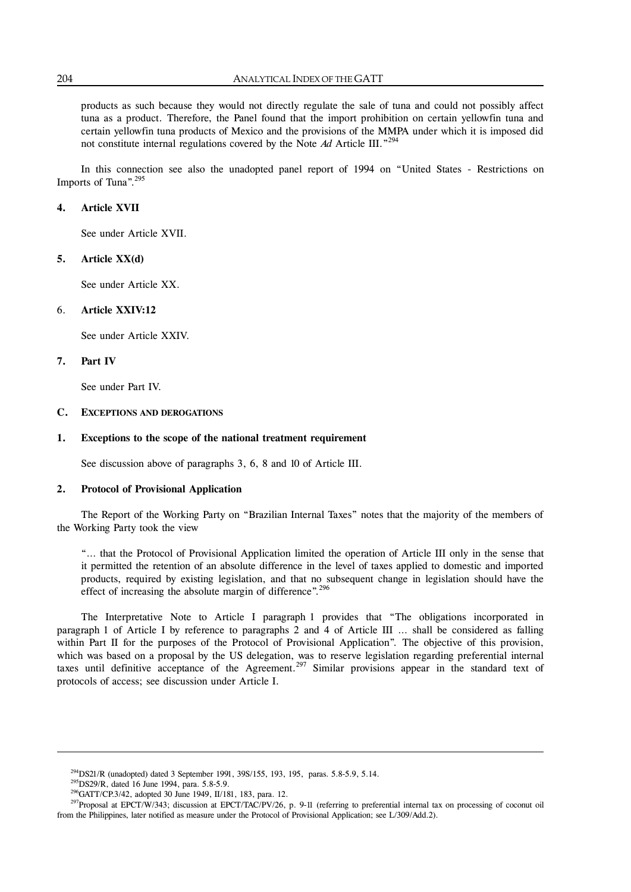products as such because they would not directly regulate the sale of tuna and could not possibly affect tuna as a product. Therefore, the Panel found that the import prohibition on certain yellowfin tuna and certain yellowfin tuna products of Mexico and the provisions of the MMPA under which it is imposed did not constitute internal regulations covered by the Note *Ad* Article III.<sup>"294</sup>

In this connection see also the unadopted panel report of 1994 on "United States - Restrictions on Imports of Tuna".<sup>295</sup>

### **4. Article XVII**

See under Article XVII.

# **5. Article XX(d)**

See under Article XX.

# 6. **Article XXIV:12**

See under Article XXIV.

# **7. Part IV**

See under Part IV.

# **C. EXCEPTIONS AND DEROGATIONS**

### **1. Exceptions to the scope of the national treatment requirement**

See discussion above of paragraphs 3, 6, 8 and 10 of Article III.

# **2. Protocol of Provisional Application**

The Report of the Working Party on "Brazilian Internal Taxes" notes that the majority of the members of the Working Party took the view

"… that the Protocol of Provisional Application limited the operation of Article III only in the sense that it permitted the retention of an absolute difference in the level of taxes applied to domestic and imported products, required by existing legislation, and that no subsequent change in legislation should have the effect of increasing the absolute margin of difference".<sup>296</sup>

The Interpretative Note to Article I paragraph 1 provides that "The obligations incorporated in paragraph 1 of Article I by reference to paragraphs 2 and 4 of Article III … shall be considered as falling within Part II for the purposes of the Protocol of Provisional Application". The objective of this provision, which was based on a proposal by the US delegation, was to reserve legislation regarding preferential internal taxes until definitive acceptance of the Agreement.<sup>297</sup> Similar provisions appear in the standard text of protocols of access; see discussion under Article I.

<sup>&</sup>lt;sup>294</sup>DS21/R (unadopted) dated 3 September 1991, 39S/155, 193, 195, paras. 5.8-5.9, 5.14.

<sup>&</sup>lt;sup>295</sup>DS29/R, dated 16 June 1994, para. 5.8-5.9.

<sup>296</sup>GATT/CP.3/42, adopted 30 June 1949, II/181, 183, para. 12.

 $^{297}$ Proposal at EPCT/W/343; discussion at EPCT/TAC/PV/26, p. 9-11 (referring to preferential internal tax on processing of coconut oil from the Philippines, later notified as measure under the Protocol of Provisional Application; see L/309/Add.2).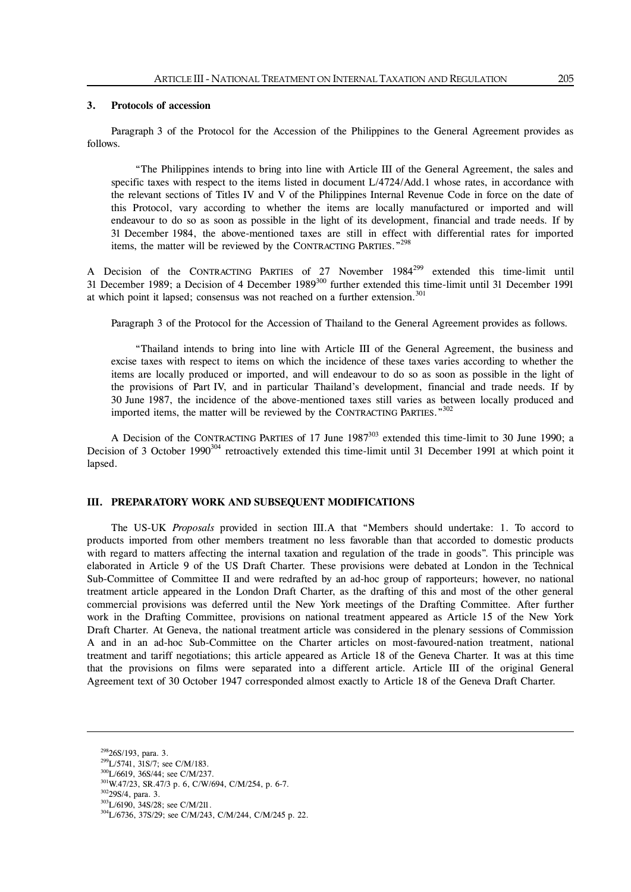#### **3. Protocols of accession**

Paragraph 3 of the Protocol for the Accession of the Philippines to the General Agreement provides as follows.

"The Philippines intends to bring into line with Article III of the General Agreement, the sales and specific taxes with respect to the items listed in document L/4724/Add.1 whose rates, in accordance with the relevant sections of Titles IV and V of the Philippines Internal Revenue Code in force on the date of this Protocol, vary according to whether the items are locally manufactured or imported and will endeavour to do so as soon as possible in the light of its development, financial and trade needs. If by 31 December 1984, the above-mentioned taxes are still in effect with differential rates for imported items, the matter will be reviewed by the CONTRACTING PARTIES."<sup>298</sup>

A Decision of the CONTRACTING PARTIES of 27 November 1984<sup>299</sup> extended this time-limit until 31 December 1989; a Decision of 4 December 1989<sup>300</sup> further extended this time-limit until 31 December 1991 at which point it lapsed; consensus was not reached on a further extension.<sup>301</sup>

Paragraph 3 of the Protocol for the Accession of Thailand to the General Agreement provides as follows.

"Thailand intends to bring into line with Article III of the General Agreement, the business and excise taxes with respect to items on which the incidence of these taxes varies according to whether the items are locally produced or imported, and will endeavour to do so as soon as possible in the light of the provisions of Part IV, and in particular Thailand's development, financial and trade needs. If by 30 June 1987, the incidence of the above-mentioned taxes still varies as between locally produced and imported items, the matter will be reviewed by the CONTRACTING PARTIES."<sup>302</sup>

A Decision of the CONTRACTING PARTIES of 17 June 1987<sup>303</sup> extended this time-limit to 30 June 1990; a Decision of 3 October 1990<sup>304</sup> retroactively extended this time-limit until 31 December 1991 at which point it lapsed.

# **III. PREPARATORY WORK AND SUBSEQUENT MODIFICATIONS**

The US-UK *Proposals* provided in section III.A that "Members should undertake: 1. To accord to products imported from other members treatment no less favorable than that accorded to domestic products with regard to matters affecting the internal taxation and regulation of the trade in goods". This principle was elaborated in Article 9 of the US Draft Charter. These provisions were debated at London in the Technical Sub-Committee of Committee II and were redrafted by an ad-hoc group of rapporteurs; however, no national treatment article appeared in the London Draft Charter, as the drafting of this and most of the other general commercial provisions was deferred until the New York meetings of the Drafting Committee. After further work in the Drafting Committee, provisions on national treatment appeared as Article 15 of the New York Draft Charter. At Geneva, the national treatment article was considered in the plenary sessions of Commission A and in an ad-hoc Sub-Committee on the Charter articles on most-favoured-nation treatment, national treatment and tariff negotiations; this article appeared as Article 18 of the Geneva Charter. It was at this time that the provisions on films were separated into a different article. Article III of the original General Agreement text of 30 October 1947 corresponded almost exactly to Article 18 of the Geneva Draft Charter.

<sup>298</sup>26S/193, para. 3.

<sup>299</sup>L/5741, 31S/7; see C/M/183.

<sup>300</sup>L/6619, 36S/44; see C/M/237.

<sup>301</sup>W.47/23, SR.47/3 p. 6, C/W/694, C/M/254, p. 6-7.

<sup>302</sup>29S/4, para. 3.

<sup>303</sup>L/6190, 34S/28; see C/M/211.

<sup>304</sup>L/6736, 37S/29; see C/M/243, C/M/244, C/M/245 p. 22.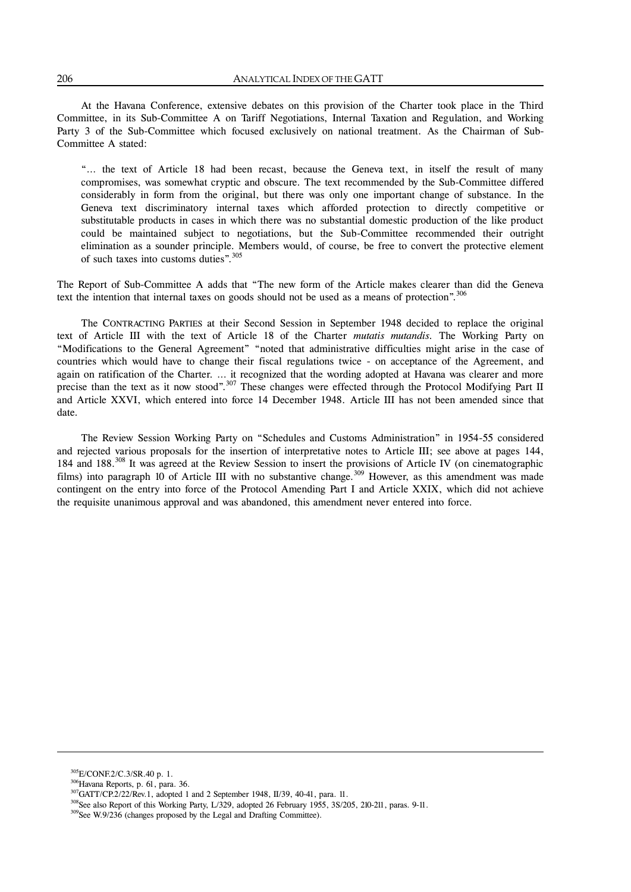At the Havana Conference, extensive debates on this provision of the Charter took place in the Third Committee, in its Sub-Committee A on Tariff Negotiations, Internal Taxation and Regulation, and Working Party 3 of the Sub-Committee which focused exclusively on national treatment. As the Chairman of Sub-Committee A stated:

"… the text of Article 18 had been recast, because the Geneva text, in itself the result of many compromises, was somewhat cryptic and obscure. The text recommended by the Sub-Committee differed considerably in form from the original, but there was only one important change of substance. In the Geneva text discriminatory internal taxes which afforded protection to directly competitive or substitutable products in cases in which there was no substantial domestic production of the like product could be maintained subject to negotiations, but the Sub-Committee recommended their outright elimination as a sounder principle. Members would, of course, be free to convert the protective element of such taxes into customs duties".<sup>305</sup>

The Report of Sub-Committee A adds that "The new form of the Article makes clearer than did the Geneva text the intention that internal taxes on goods should not be used as a means of protection".<sup>306</sup>

The CONTRACTING PARTIES at their Second Session in September 1948 decided to replace the original text of Article III with the text of Article 18 of the Charter *mutatis mutandis.* The Working Party on "Modifications to the General Agreement" "noted that administrative difficulties might arise in the case of countries which would have to change their fiscal regulations twice - on acceptance of the Agreement, and again on ratification of the Charter. … it recognized that the wording adopted at Havana was clearer and more precise than the text as it now stood".<sup>307</sup> These changes were effected through the Protocol Modifying Part II and Article XXVI, which entered into force 14 December 1948. Article III has not been amended since that date.

The Review Session Working Party on "Schedules and Customs Administration" in 1954-55 considered and rejected various proposals for the insertion of interpretative notes to Article III; see above at pages 144, 184 and 188.<sup>308</sup> It was agreed at the Review Session to insert the provisions of Article IV (on cinematographic films) into paragraph 10 of Article III with no substantive change.<sup>309</sup> However, as this amendment was made contingent on the entry into force of the Protocol Amending Part I and Article XXIX, which did not achieve the requisite unanimous approval and was abandoned, this amendment never entered into force.

 $305$ E/CONF.2/C.3/SR.40 p. 1.

<sup>306</sup> Havana Reports, p. 61, para. 36.

 $307$ GATT/CP.2/22/Rev.1, adopted 1 and 2 September 1948, II/39, 40-41, para. 11.

<sup>&</sup>lt;sup>308</sup>See also Report of this Working Party, L/329, adopted 26 February 1955, 3S/205, 210-211, paras. 9-11.

<sup>309</sup>See W.9/236 (changes proposed by the Legal and Drafting Committee).